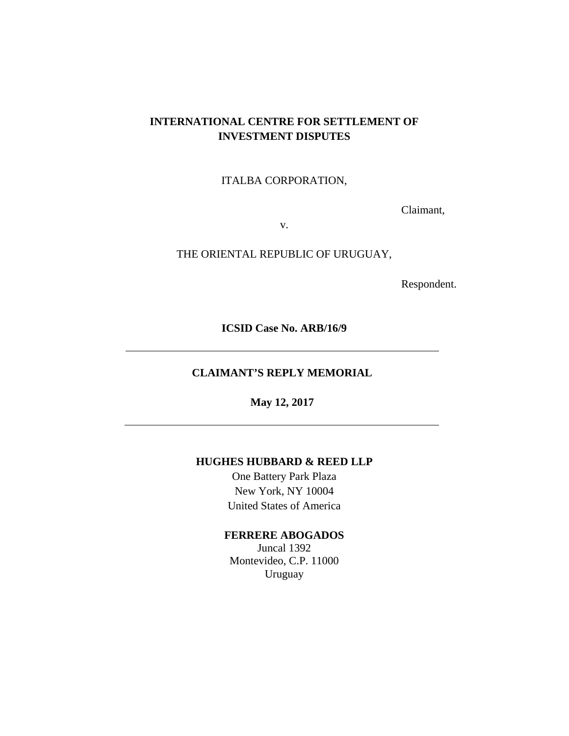# **INTERNATIONAL CENTRE FOR SETTLEMENT OF INVESTMENT DISPUTES**

## ITALBA CORPORATION,

Claimant,

v.

#### THE ORIENTAL REPUBLIC OF URUGUAY,

Respondent.

**ICSID Case No. ARB/16/9** 

## **CLAIMANT'S REPLY MEMORIAL**

**May 12, 2017** 

# **HUGHES HUBBARD & REED LLP**

One Battery Park Plaza New York, NY 10004 United States of America

#### **FERRERE ABOGADOS**

Juncal 1392 Montevideo, C.P. 11000 Uruguay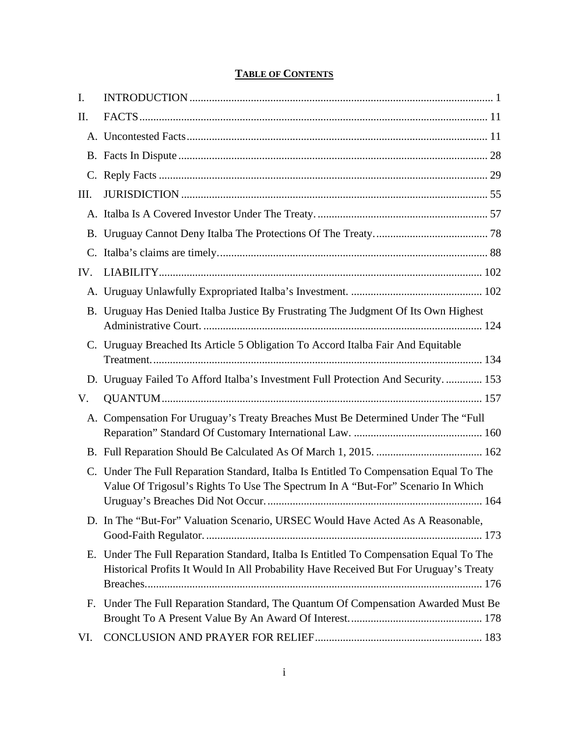# **TABLE OF CONTENTS**

| I.  |                                                                                                                                                                                 |
|-----|---------------------------------------------------------------------------------------------------------------------------------------------------------------------------------|
| II. |                                                                                                                                                                                 |
|     |                                                                                                                                                                                 |
|     |                                                                                                                                                                                 |
|     |                                                                                                                                                                                 |
| Ш.  |                                                                                                                                                                                 |
|     |                                                                                                                                                                                 |
|     |                                                                                                                                                                                 |
|     |                                                                                                                                                                                 |
| IV. |                                                                                                                                                                                 |
|     |                                                                                                                                                                                 |
|     | B. Uruguay Has Denied Italba Justice By Frustrating The Judgment Of Its Own Highest                                                                                             |
|     | C. Uruguay Breached Its Article 5 Obligation To Accord Italba Fair And Equitable                                                                                                |
|     |                                                                                                                                                                                 |
|     | D. Uruguay Failed To Afford Italba's Investment Full Protection And Security.  153                                                                                              |
| V.  |                                                                                                                                                                                 |
|     | A. Compensation For Uruguay's Treaty Breaches Must Be Determined Under The "Full                                                                                                |
|     |                                                                                                                                                                                 |
|     | C. Under The Full Reparation Standard, Italba Is Entitled To Compensation Equal To The<br>Value Of Trigosul's Rights To Use The Spectrum In A "But-For" Scenario In Which       |
|     | D. In The "But-For" Valuation Scenario, URSEC Would Have Acted As A Reasonable,                                                                                                 |
|     | E. Under The Full Reparation Standard, Italba Is Entitled To Compensation Equal To The<br>Historical Profits It Would In All Probability Have Received But For Uruguay's Treaty |
|     | F. Under The Full Reparation Standard, The Quantum Of Compensation Awarded Must Be                                                                                              |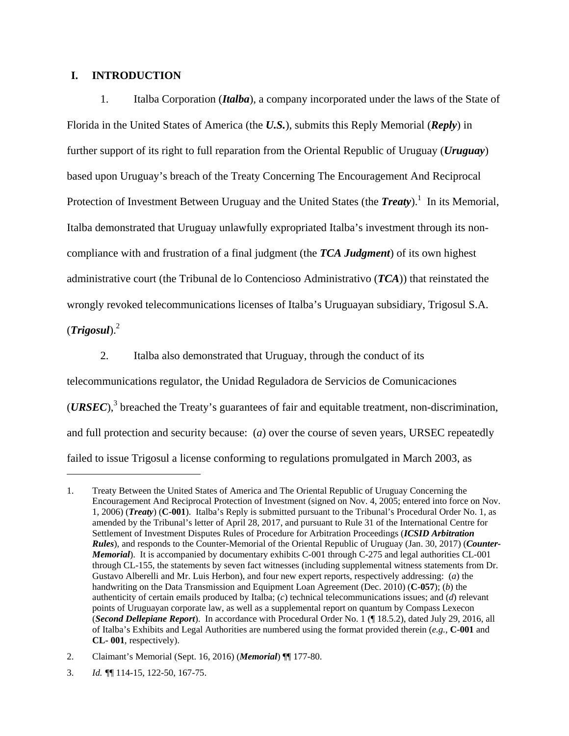#### **I. INTRODUCTION**

1. Italba Corporation (*Italba*), a company incorporated under the laws of the State of Florida in the United States of America (the *U.S.*), submits this Reply Memorial (*Reply*) in further support of its right to full reparation from the Oriental Republic of Uruguay (*Uruguay*) based upon Uruguay's breach of the Treaty Concerning The Encouragement And Reciprocal Protection of Investment Between Uruguay and the United States (the *Treaty*).<sup>1</sup> In its Memorial, Italba demonstrated that Uruguay unlawfully expropriated Italba's investment through its noncompliance with and frustration of a final judgment (the *TCA Judgment*) of its own highest administrative court (the Tribunal de lo Contencioso Administrativo (*TCA*)) that reinstated the wrongly revoked telecommunications licenses of Italba's Uruguayan subsidiary, Trigosul S.A.

(*Trigosul*).2

 $\overline{a}$ 

2. Italba also demonstrated that Uruguay, through the conduct of its

telecommunications regulator, the Unidad Reguladora de Servicios de Comunicaciones  $(URSEC)^3$  breached the Treaty's guarantees of fair and equitable treatment, non-discrimination, and full protection and security because: (*a*) over the course of seven years, URSEC repeatedly failed to issue Trigosul a license conforming to regulations promulgated in March 2003, as

2. Claimant's Memorial (Sept. 16, 2016) (*Memorial*) ¶¶ 177-80.

<sup>1.</sup> Treaty Between the United States of America and The Oriental Republic of Uruguay Concerning the Encouragement And Reciprocal Protection of Investment (signed on Nov. 4, 2005; entered into force on Nov. 1, 2006) (*Treaty*) (**C-001**). Italba's Reply is submitted pursuant to the Tribunal's Procedural Order No. 1, as amended by the Tribunal's letter of April 28, 2017, and pursuant to Rule 31 of the International Centre for Settlement of Investment Disputes Rules of Procedure for Arbitration Proceedings (*ICSID Arbitration Rules*), and responds to the Counter-Memorial of the Oriental Republic of Uruguay (Jan. 30, 2017) (*Counter-Memorial*). It is accompanied by documentary exhibits C-001 through C-275 and legal authorities CL-001 through CL-155, the statements by seven fact witnesses (including supplemental witness statements from Dr. Gustavo Alberelli and Mr. Luis Herbon), and four new expert reports, respectively addressing: (*a*) the handwriting on the Data Transmission and Equipment Loan Agreement (Dec. 2010) (**C-057**); (*b*) the authenticity of certain emails produced by Italba; (*c*) technical telecommunications issues; and (*d*) relevant points of Uruguayan corporate law, as well as a supplemental report on quantum by Compass Lexecon (*Second Dellepiane Report*). In accordance with Procedural Order No. 1 (¶ 18.5.2), dated July 29, 2016, all of Italba's Exhibits and Legal Authorities are numbered using the format provided therein (*e.g.*, **C-001** and **CL- 001**, respectively).

<sup>3.</sup> *Id. ¶*¶ 114-15, 122-50, 167-75.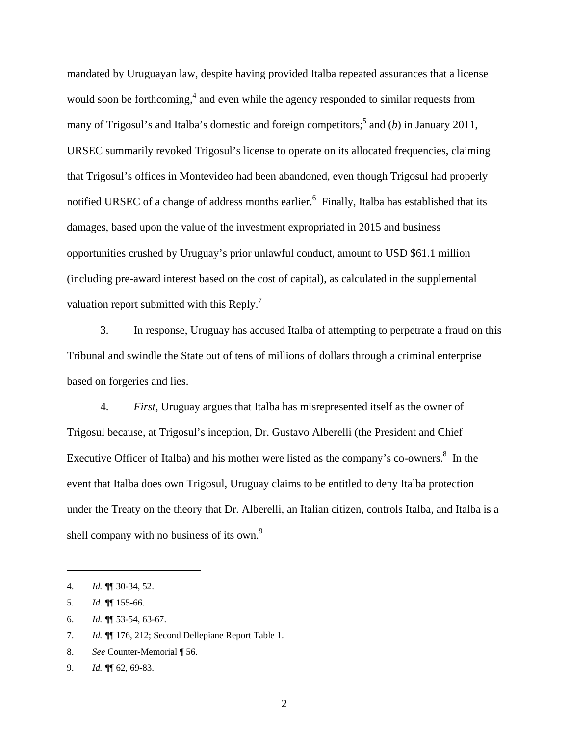mandated by Uruguayan law, despite having provided Italba repeated assurances that a license would soon be forthcoming, $<sup>4</sup>$  and even while the agency responded to similar requests from</sup> many of Trigosul's and Italba's domestic and foreign competitors;<sup>5</sup> and (*b*) in January 2011, URSEC summarily revoked Trigosul's license to operate on its allocated frequencies, claiming that Trigosul's offices in Montevideo had been abandoned, even though Trigosul had properly notified URSEC of a change of address months earlier.<sup>6</sup> Finally, Italba has established that its damages, based upon the value of the investment expropriated in 2015 and business opportunities crushed by Uruguay's prior unlawful conduct, amount to USD \$61.1 million (including pre-award interest based on the cost of capital), as calculated in the supplemental valuation report submitted with this Reply.<sup>7</sup>

3. In response, Uruguay has accused Italba of attempting to perpetrate a fraud on this Tribunal and swindle the State out of tens of millions of dollars through a criminal enterprise based on forgeries and lies.

4. *First*, Uruguay argues that Italba has misrepresented itself as the owner of Trigosul because, at Trigosul's inception, Dr. Gustavo Alberelli (the President and Chief Executive Officer of Italba) and his mother were listed as the company's co-owners. $8\ \text{In the}$ event that Italba does own Trigosul, Uruguay claims to be entitled to deny Italba protection under the Treaty on the theory that Dr. Alberelli, an Italian citizen, controls Italba, and Italba is a shell company with no business of its own.<sup>9</sup>

<sup>4.</sup> *Id. ¶*¶ 30-34, 52.

<sup>5.</sup> *Id. ¶*¶ 155-66.

<sup>6.</sup> *Id. ¶*¶ 53-54, 63-67.

<sup>7.</sup> *Id. ¶*¶ 176, 212; Second Dellepiane Report Table 1.

<sup>8.</sup> *See* Counter-Memorial ¶ 56.

<sup>9.</sup> *Id. ¶*¶ 62, 69-83.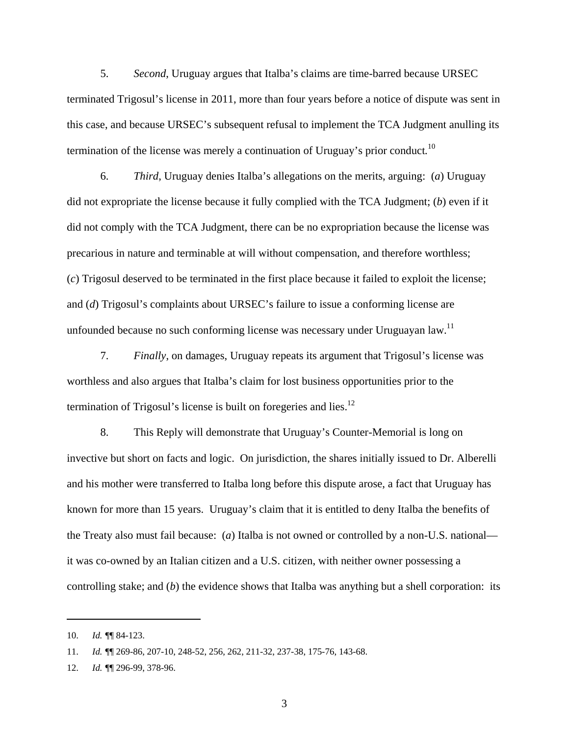5. *Second*, Uruguay argues that Italba's claims are time-barred because URSEC terminated Trigosul's license in 2011, more than four years before a notice of dispute was sent in this case, and because URSEC's subsequent refusal to implement the TCA Judgment anulling its termination of the license was merely a continuation of Uruguay's prior conduct*.* 10

6. *Third*, Uruguay denies Italba's allegations on the merits, arguing: (*a*) Uruguay did not expropriate the license because it fully complied with the TCA Judgment; (*b*) even if it did not comply with the TCA Judgment, there can be no expropriation because the license was precarious in nature and terminable at will without compensation, and therefore worthless; (*c*) Trigosul deserved to be terminated in the first place because it failed to exploit the license; and (*d*) Trigosul's complaints about URSEC's failure to issue a conforming license are unfounded because no such conforming license was necessary under Uruguayan  $\text{law}^{11}$ .

7. *Finally*, on damages, Uruguay repeats its argument that Trigosul's license was worthless and also argues that Italba's claim for lost business opportunities prior to the termination of Trigosul's license is built on foregeries and lies.<sup>12</sup>

8. This Reply will demonstrate that Uruguay's Counter-Memorial is long on invective but short on facts and logic. On jurisdiction, the shares initially issued to Dr. Alberelli and his mother were transferred to Italba long before this dispute arose, a fact that Uruguay has known for more than 15 years. Uruguay's claim that it is entitled to deny Italba the benefits of the Treaty also must fail because: (*a*) Italba is not owned or controlled by a non-U.S. national it was co-owned by an Italian citizen and a U.S. citizen, with neither owner possessing a controlling stake; and (*b*) the evidence shows that Italba was anything but a shell corporation: its

<sup>10.</sup> *Id. ¶*¶ 84-123.

<sup>11.</sup> *Id. ¶*¶ 269-86, 207-10, 248-52, 256, 262, 211-32, 237-38, 175-76, 143-68.

<sup>12.</sup> *Id. ¶*¶ 296-99, 378-96.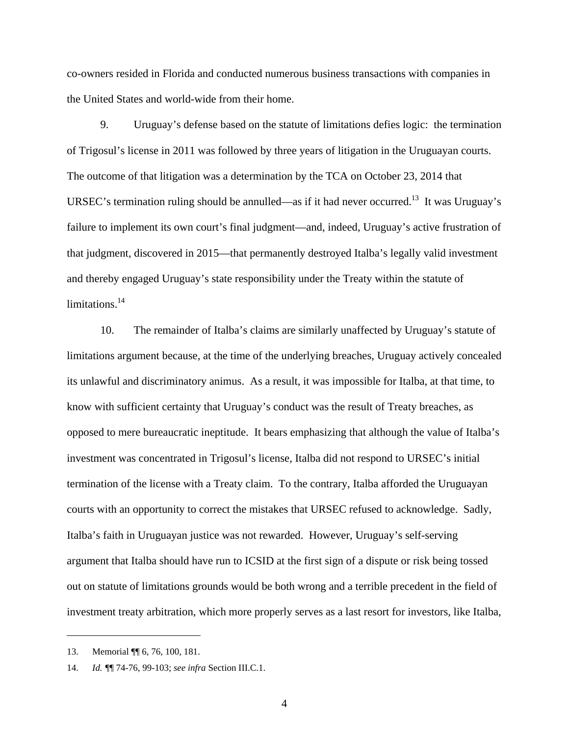co-owners resided in Florida and conducted numerous business transactions with companies in the United States and world-wide from their home.

9. Uruguay's defense based on the statute of limitations defies logic: the termination of Trigosul's license in 2011 was followed by three years of litigation in the Uruguayan courts. The outcome of that litigation was a determination by the TCA on October 23, 2014 that URSEC's termination ruling should be annulled—as if it had never occurred.<sup>13</sup> It was Uruguay's failure to implement its own court's final judgment—and, indeed, Uruguay's active frustration of that judgment, discovered in 2015—that permanently destroyed Italba's legally valid investment and thereby engaged Uruguay's state responsibility under the Treaty within the statute of limitations.<sup>14</sup>

10. The remainder of Italba's claims are similarly unaffected by Uruguay's statute of limitations argument because, at the time of the underlying breaches, Uruguay actively concealed its unlawful and discriminatory animus. As a result, it was impossible for Italba, at that time, to know with sufficient certainty that Uruguay's conduct was the result of Treaty breaches, as opposed to mere bureaucratic ineptitude. It bears emphasizing that although the value of Italba's investment was concentrated in Trigosul's license, Italba did not respond to URSEC's initial termination of the license with a Treaty claim. To the contrary, Italba afforded the Uruguayan courts with an opportunity to correct the mistakes that URSEC refused to acknowledge. Sadly, Italba's faith in Uruguayan justice was not rewarded. However, Uruguay's self-serving argument that Italba should have run to ICSID at the first sign of a dispute or risk being tossed out on statute of limitations grounds would be both wrong and a terrible precedent in the field of investment treaty arbitration, which more properly serves as a last resort for investors, like Italba,

<sup>13.</sup> Memorial ¶¶ 6, 76, 100, 181.

<sup>14.</sup> *Id. ¶*¶ 74-76, 99-103; *see infra* Section III.C.1.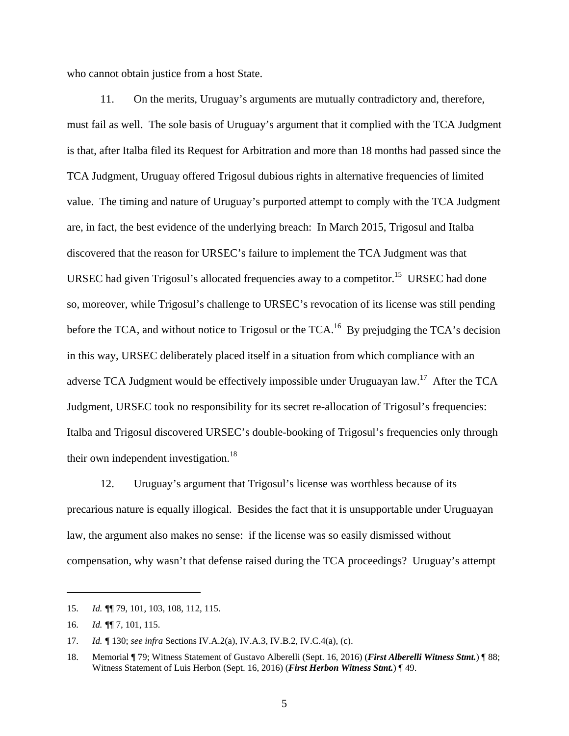who cannot obtain justice from a host State.

11. On the merits, Uruguay's arguments are mutually contradictory and, therefore, must fail as well. The sole basis of Uruguay's argument that it complied with the TCA Judgment is that, after Italba filed its Request for Arbitration and more than 18 months had passed since the TCA Judgment, Uruguay offered Trigosul dubious rights in alternative frequencies of limited value. The timing and nature of Uruguay's purported attempt to comply with the TCA Judgment are, in fact, the best evidence of the underlying breach: In March 2015, Trigosul and Italba discovered that the reason for URSEC's failure to implement the TCA Judgment was that URSEC had given Trigosul's allocated frequencies away to a competitor.<sup>15</sup> URSEC had done so, moreover, while Trigosul's challenge to URSEC's revocation of its license was still pending before the TCA, and without notice to Trigosul or the  $TCA$ <sup>16</sup> By prejudging the TCA's decision in this way, URSEC deliberately placed itself in a situation from which compliance with an adverse TCA Judgment would be effectively impossible under Uruguayan law.<sup>17</sup> After the TCA Judgment, URSEC took no responsibility for its secret re-allocation of Trigosul's frequencies: Italba and Trigosul discovered URSEC's double-booking of Trigosul's frequencies only through their own independent investigation.<sup>18</sup>

12. Uruguay's argument that Trigosul's license was worthless because of its precarious nature is equally illogical. Besides the fact that it is unsupportable under Uruguayan law, the argument also makes no sense: if the license was so easily dismissed without compensation, why wasn't that defense raised during the TCA proceedings? Uruguay's attempt

<sup>15.</sup> *Id. ¶*¶ 79, 101, 103, 108, 112, 115.

<sup>16.</sup> *Id. ¶*¶ 7, 101, 115.

<sup>17.</sup> *Id. ¶* 130; *see infra* Sections IV.A.2(a), IV.A.3, IV.B.2, IV.C.4(a), (c).

<sup>18.</sup> Memorial ¶ 79; Witness Statement of Gustavo Alberelli (Sept. 16, 2016) (*First Alberelli Witness Stmt.*) ¶ 88; Witness Statement of Luis Herbon (Sept. 16, 2016) (*First Herbon Witness Stmt.*) ¶ 49.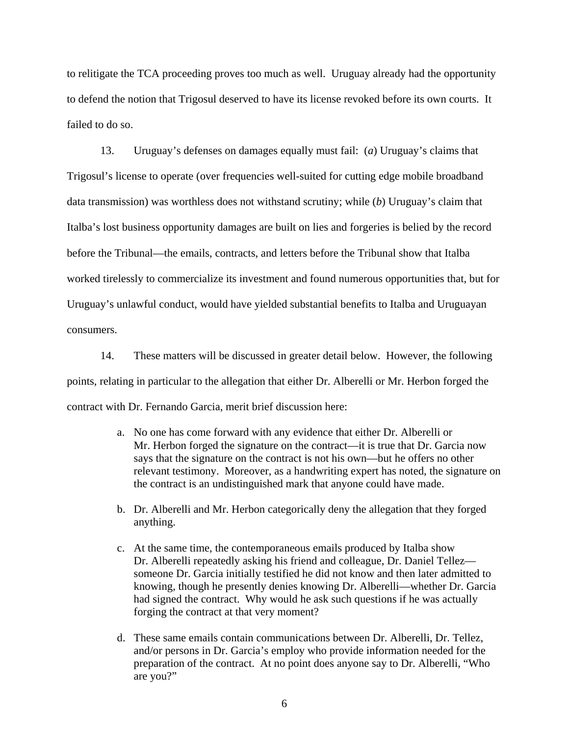to relitigate the TCA proceeding proves too much as well. Uruguay already had the opportunity to defend the notion that Trigosul deserved to have its license revoked before its own courts. It failed to do so.

13. Uruguay's defenses on damages equally must fail: (*a*) Uruguay's claims that Trigosul's license to operate (over frequencies well-suited for cutting edge mobile broadband data transmission) was worthless does not withstand scrutiny; while (*b*) Uruguay's claim that Italba's lost business opportunity damages are built on lies and forgeries is belied by the record before the Tribunal—the emails, contracts, and letters before the Tribunal show that Italba worked tirelessly to commercialize its investment and found numerous opportunities that, but for Uruguay's unlawful conduct, would have yielded substantial benefits to Italba and Uruguayan consumers.

14. These matters will be discussed in greater detail below. However, the following points, relating in particular to the allegation that either Dr. Alberelli or Mr. Herbon forged the contract with Dr. Fernando Garcia, merit brief discussion here:

- a. No one has come forward with any evidence that either Dr. Alberelli or Mr. Herbon forged the signature on the contract—it is true that Dr. Garcia now says that the signature on the contract is not his own—but he offers no other relevant testimony. Moreover, as a handwriting expert has noted, the signature on the contract is an undistinguished mark that anyone could have made.
- b. Dr. Alberelli and Mr. Herbon categorically deny the allegation that they forged anything.
- c. At the same time, the contemporaneous emails produced by Italba show Dr. Alberelli repeatedly asking his friend and colleague, Dr. Daniel Tellez someone Dr. Garcia initially testified he did not know and then later admitted to knowing, though he presently denies knowing Dr. Alberelli—whether Dr. Garcia had signed the contract. Why would he ask such questions if he was actually forging the contract at that very moment?
- d. These same emails contain communications between Dr. Alberelli, Dr. Tellez, and/or persons in Dr. Garcia's employ who provide information needed for the preparation of the contract. At no point does anyone say to Dr. Alberelli, "Who are you?"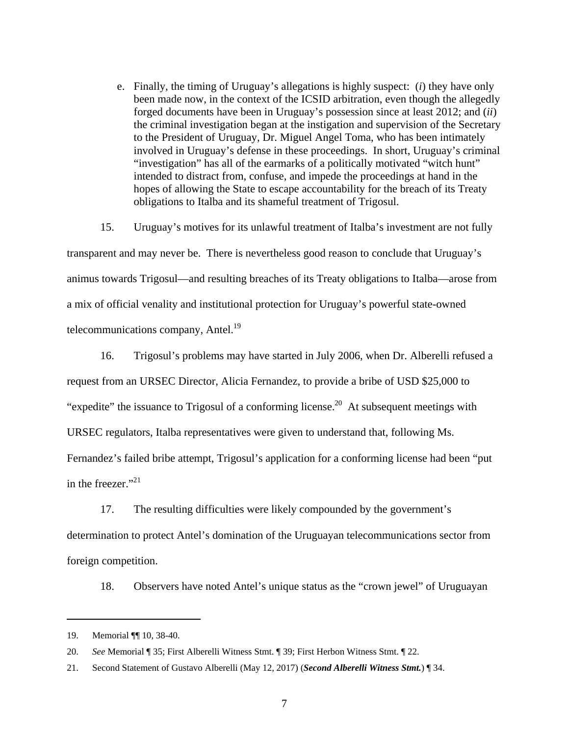e. Finally, the timing of Uruguay's allegations is highly suspect: (*i*) they have only been made now, in the context of the ICSID arbitration, even though the allegedly forged documents have been in Uruguay's possession since at least 2012; and (*ii*) the criminal investigation began at the instigation and supervision of the Secretary to the President of Uruguay, Dr. Miguel Angel Toma, who has been intimately involved in Uruguay's defense in these proceedings. In short, Uruguay's criminal "investigation" has all of the earmarks of a politically motivated "witch hunt" intended to distract from, confuse, and impede the proceedings at hand in the hopes of allowing the State to escape accountability for the breach of its Treaty obligations to Italba and its shameful treatment of Trigosul.

15. Uruguay's motives for its unlawful treatment of Italba's investment are not fully transparent and may never be. There is nevertheless good reason to conclude that Uruguay's animus towards Trigosul—and resulting breaches of its Treaty obligations to Italba—arose from a mix of official venality and institutional protection for Uruguay's powerful state-owned telecommunications company, Antel. $^{19}$ 

16. Trigosul's problems may have started in July 2006, when Dr. Alberelli refused a request from an URSEC Director, Alicia Fernandez, to provide a bribe of USD \$25,000 to "expedite" the issuance to Trigosul of a conforming license.<sup>20</sup> At subsequent meetings with URSEC regulators, Italba representatives were given to understand that, following Ms. Fernandez's failed bribe attempt, Trigosul's application for a conforming license had been "put in the freezer." $^{21}$ 

17. The resulting difficulties were likely compounded by the government's determination to protect Antel's domination of the Uruguayan telecommunications sector from foreign competition.

18. Observers have noted Antel's unique status as the "crown jewel" of Uruguayan

<sup>19.</sup> Memorial ¶¶ 10, 38-40.

<sup>20.</sup> *See* Memorial ¶ 35; First Alberelli Witness Stmt. ¶ 39; First Herbon Witness Stmt. ¶ 22.

<sup>21.</sup> Second Statement of Gustavo Alberelli (May 12, 2017) (*Second Alberelli Witness Stmt.*) ¶ 34.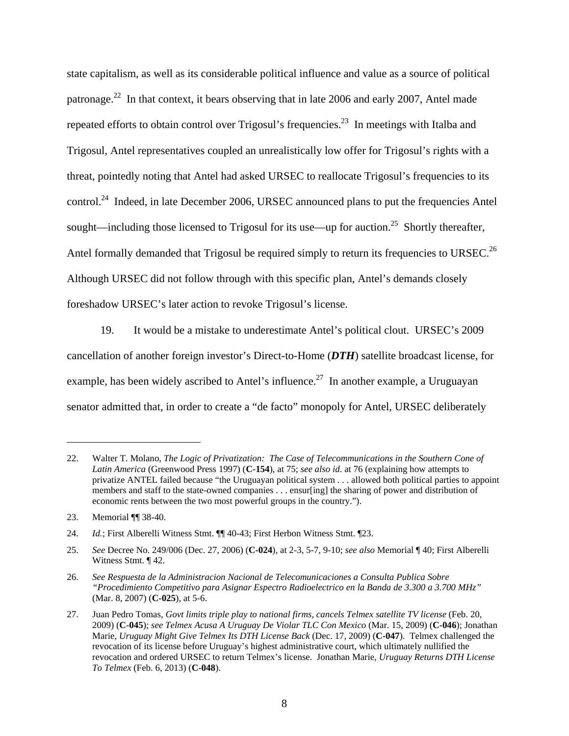state capitalism, as well as its considerable political influence and value as a source of political patronage.22 In that context, it bears observing that in late 2006 and early 2007, Antel made repeated efforts to obtain control over Trigosul's frequencies.<sup>23</sup> In meetings with Italba and Trigosul, Antel representatives coupled an unrealistically low offer for Trigosul's rights with a threat, pointedly noting that Antel had asked URSEC to reallocate Trigosul's frequencies to its control.<sup>24</sup> Indeed, in late December 2006, URSEC announced plans to put the frequencies Antel sought—including those licensed to Trigosul for its use—up for auction.<sup>25</sup> Shortly thereafter, Antel formally demanded that Trigosul be required simply to return its frequencies to URSEC.<sup>26</sup> Although URSEC did not follow through with this specific plan, Antel's demands closely foreshadow URSEC's later action to revoke Trigosul's license.

19. It would be a mistake to underestimate Antel's political clout. URSEC's 2009 cancellation of another foreign investor's Direct-to-Home (*DTH*) satellite broadcast license, for example, has been widely ascribed to Antel's influence.<sup>27</sup> In another example, a Uruguayan senator admitted that, in order to create a "de facto" monopoly for Antel, URSEC deliberately

 $\overline{a}$ 

26. *See Respuesta de la Administracion Nacional de Telecomunicaciones a Consulta Publica Sobre "Procedimiento Competitivo para Asignar Espectro Radioelectrico en la Banda de 3.300 a 3.700 MHz"*  (Mar. 8, 2007) (**C-025**), at 5-6.

<sup>22.</sup> Walter T. Molano, *The Logic of Privatization: The Case of Telecommunications in the Southern Cone of Latin America* (Greenwood Press 1997) (**C-154**), at 75; *see also id*. at 76 (explaining how attempts to privatize ANTEL failed because "the Uruguayan political system . . . allowed both political parties to appoint members and staff to the state-owned companies . . . ensur[ing] the sharing of power and distribution of economic rents between the two most powerful groups in the country.").

<sup>23.</sup> Memorial ¶¶ 38-40.

<sup>24.</sup> *Id.*; First Alberelli Witness Stmt. ¶¶ 40-43; First Herbon Witness Stmt. ¶23.

<sup>25.</sup> *See* Decree No. 249/006 (Dec. 27, 2006) (**C-024**), at 2-3, 5-7, 9-10; *see also* Memorial ¶ 40; First Alberelli Witness Stmt. ¶ 42.

<sup>27.</sup> Juan Pedro Tomas, *Govt limits triple play to national firms, cancels Telmex satellite TV license* (Feb. 20, 2009) (**C-045**); *see Telmex Acusa A Uruguay De Violar TLC Con Mexico* (Mar. 15, 2009) (**C-046**); Jonathan Marie, *Uruguay Might Give Telmex Its DTH License Back* (Dec. 17, 2009) (**C-047**). Telmex challenged the revocation of its license before Uruguay's highest administrative court, which ultimately nullified the revocation and ordered URSEC to return Telmex's license. Jonathan Marie, *Uruguay Returns DTH License To Telmex* (Feb. 6, 2013) (**C-048**).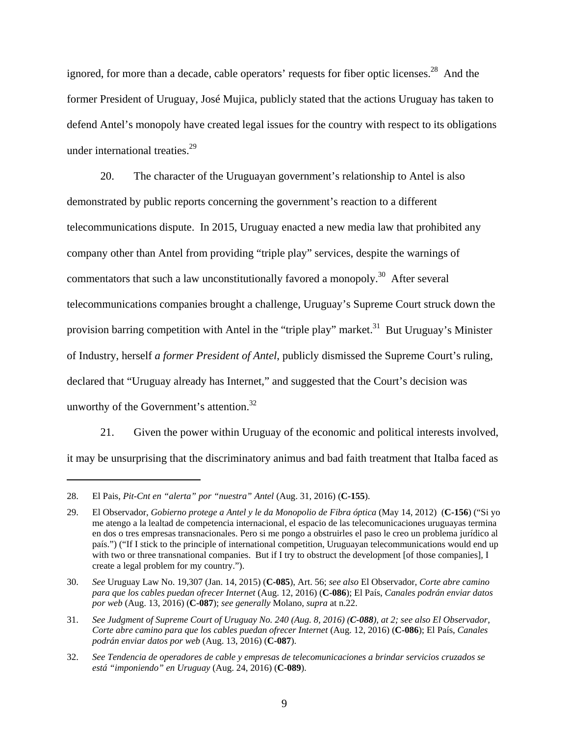ignored, for more than a decade, cable operators' requests for fiber optic licenses.<sup>28</sup> And the former President of Uruguay, José Mujica, publicly stated that the actions Uruguay has taken to defend Antel's monopoly have created legal issues for the country with respect to its obligations under international treaties.29

20. The character of the Uruguayan government's relationship to Antel is also demonstrated by public reports concerning the government's reaction to a different telecommunications dispute. In 2015, Uruguay enacted a new media law that prohibited any company other than Antel from providing "triple play" services, despite the warnings of commentators that such a law unconstitutionally favored a monopoly.<sup>30</sup> After several telecommunications companies brought a challenge, Uruguay's Supreme Court struck down the provision barring competition with Antel in the "triple play" market.<sup>31</sup> But Uruguay's Minister of Industry, herself *a former President of Antel*, publicly dismissed the Supreme Court's ruling, declared that "Uruguay already has Internet," and suggested that the Court's decision was unworthy of the Government's attention.<sup>32</sup>

21. Given the power within Uruguay of the economic and political interests involved, it may be unsurprising that the discriminatory animus and bad faith treatment that Italba faced as

<sup>28.</sup> El Pais, *Pit-Cnt en "alerta" por "nuestra" Antel* (Aug. 31, 2016) (**C-155**).

<sup>29.</sup> El Observador, *Gobierno protege a Antel y le da Monopolio de Fibra óptica* (May 14, 2012) (**C-156**) ("Si yo me atengo a la lealtad de competencia internacional, el espacio de las telecomunicaciones uruguayas termina en dos o tres empresas transnacionales. Pero si me pongo a obstruirles el paso le creo un problema jurídico al país.") ("If I stick to the principle of international competition, Uruguayan telecommunications would end up with two or three transnational companies. But if I try to obstruct the development [of those companies], I create a legal problem for my country.").

<sup>30.</sup> *See* Uruguay Law No. 19,307 (Jan. 14, 2015) (**C-085**), Art. 56; *see also* El Observador, *Corte abre camino para que los cables puedan ofrecer Internet* (Aug. 12, 2016) (**C-086**); El País, *Canales podrán enviar datos por web* (Aug. 13, 2016) (**C-087**); *see generally* Molano, *supra* at n.22.

<sup>31.</sup> *See Judgment of Supreme Court of Uruguay No. 240 (Aug. 8, 2016) (C-088), at 2; see also El Observador, Corte abre camino para que los cables puedan ofrecer Internet* (Aug. 12, 2016) (**C-086**); El País, *Canales podrán enviar datos por web* (Aug. 13, 2016) (**C-087**).

<sup>32.</sup> *See Tendencia de operadores de cable y empresas de telecomunicaciones a brindar servicios cruzados se está "imponiendo" en Uruguay* (Aug. 24, 2016) (**C-089**).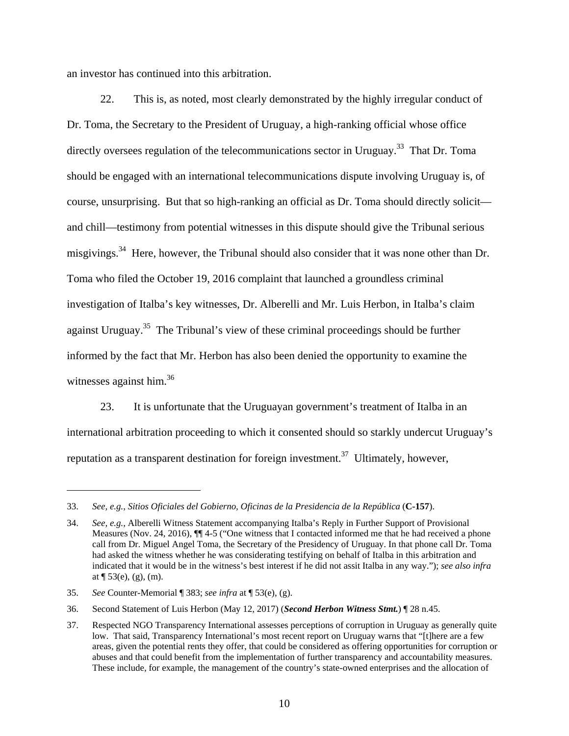an investor has continued into this arbitration.

22. This is, as noted, most clearly demonstrated by the highly irregular conduct of Dr. Toma, the Secretary to the President of Uruguay, a high-ranking official whose office directly oversees regulation of the telecommunications sector in Uruguay.<sup>33</sup> That Dr. Toma should be engaged with an international telecommunications dispute involving Uruguay is, of course, unsurprising. But that so high-ranking an official as Dr. Toma should directly solicit and chill—testimony from potential witnesses in this dispute should give the Tribunal serious misgivings.<sup>34</sup> Here, however, the Tribunal should also consider that it was none other than Dr. Toma who filed the October 19, 2016 complaint that launched a groundless criminal investigation of Italba's key witnesses, Dr. Alberelli and Mr. Luis Herbon, in Italba's claim against Uruguay.35 The Tribunal's view of these criminal proceedings should be further informed by the fact that Mr. Herbon has also been denied the opportunity to examine the witnesses against him. $36$ 

23. It is unfortunate that the Uruguayan government's treatment of Italba in an international arbitration proceeding to which it consented should so starkly undercut Uruguay's reputation as a transparent destination for foreign investment.<sup>37</sup> Ultimately, however,

<sup>33.</sup> *See, e.g.*, *Sitios Oficiales del Gobierno, Oficinas de la Presidencia de la República* (**C-157**).

<sup>34.</sup> *See, e.g.*, Alberelli Witness Statement accompanying Italba's Reply in Further Support of Provisional Measures (Nov. 24, 2016), ¶¶ 4-5 ("One witness that I contacted informed me that he had received a phone call from Dr. Miguel Angel Toma, the Secretary of the Presidency of Uruguay. In that phone call Dr. Toma had asked the witness whether he was considerating testifying on behalf of Italba in this arbitration and indicated that it would be in the witness's best interest if he did not assit Italba in any way."); *see also infra* at  $\P$  53(e), (g), (m).

<sup>35.</sup> *See* Counter-Memorial ¶ 383; *see infra* at ¶ 53(e), (g).

<sup>36.</sup> Second Statement of Luis Herbon (May 12, 2017) (*Second Herbon Witness Stmt.*) ¶ 28 n.45.

<sup>37.</sup> Respected NGO Transparency International assesses perceptions of corruption in Uruguay as generally quite low. That said, Transparency International's most recent report on Uruguay warns that "[t]here are a few areas, given the potential rents they offer, that could be considered as offering opportunities for corruption or abuses and that could benefit from the implementation of further transparency and accountability measures. These include, for example, the management of the country's state-owned enterprises and the allocation of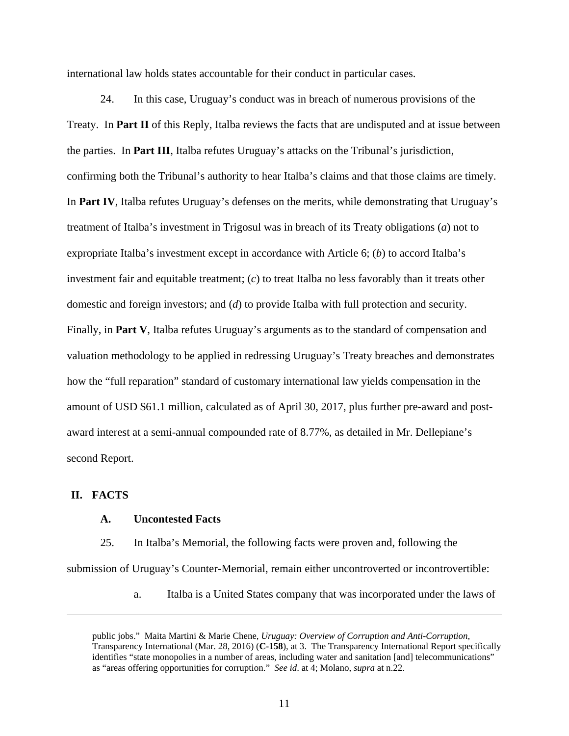international law holds states accountable for their conduct in particular cases.

24. In this case, Uruguay's conduct was in breach of numerous provisions of the Treaty. In **Part II** of this Reply, Italba reviews the facts that are undisputed and at issue between the parties. In **Part III**, Italba refutes Uruguay's attacks on the Tribunal's jurisdiction, confirming both the Tribunal's authority to hear Italba's claims and that those claims are timely. In **Part IV**, Italba refutes Uruguay's defenses on the merits, while demonstrating that Uruguay's treatment of Italba's investment in Trigosul was in breach of its Treaty obligations (*a*) not to expropriate Italba's investment except in accordance with Article 6; (*b*) to accord Italba's investment fair and equitable treatment; (*c*) to treat Italba no less favorably than it treats other domestic and foreign investors; and (*d*) to provide Italba with full protection and security. Finally, in **Part V**, Italba refutes Uruguay's arguments as to the standard of compensation and valuation methodology to be applied in redressing Uruguay's Treaty breaches and demonstrates how the "full reparation" standard of customary international law yields compensation in the amount of USD \$61.1 million, calculated as of April 30, 2017, plus further pre-award and postaward interest at a semi-annual compounded rate of 8.77%, as detailed in Mr. Dellepiane's second Report.

#### **II. FACTS**

 $\overline{a}$ 

#### **A. Uncontested Facts**

25. In Italba's Memorial, the following facts were proven and, following the submission of Uruguay's Counter-Memorial, remain either uncontroverted or incontrovertible:

a. Italba is a United States company that was incorporated under the laws of

public jobs." Maita Martini & Marie Chene, *Uruguay: Overview of Corruption and Anti-Corruption*, Transparency International (Mar. 28, 2016) (**C-158**), at 3. The Transparency International Report specifically identifies "state monopolies in a number of areas, including water and sanitation [and] telecommunications" as "areas offering opportunities for corruption." *See id*. at 4; Molano, *supra* at n.22.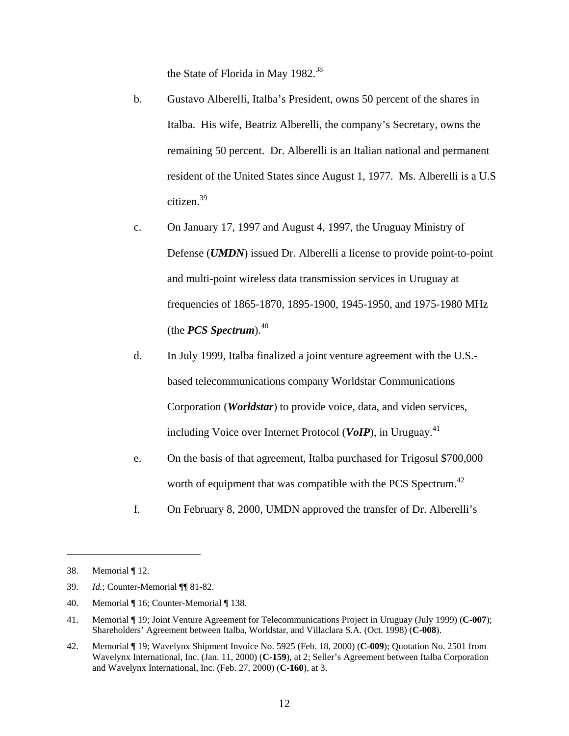the State of Florida in May 1982.<sup>38</sup>

- b. Gustavo Alberelli, Italba's President, owns 50 percent of the shares in Italba. His wife, Beatriz Alberelli, the company's Secretary, owns the remaining 50 percent. Dr. Alberelli is an Italian national and permanent resident of the United States since August 1, 1977. Ms. Alberelli is a U.S citizen.39
- c. On January 17, 1997 and August 4, 1997, the Uruguay Ministry of Defense (*UMDN*) issued Dr. Alberelli a license to provide point-to-point and multi-point wireless data transmission services in Uruguay at frequencies of 1865-1870, 1895-1900, 1945-1950, and 1975-1980 MHz (the *PCS Spectrum*).40
- d. In July 1999, Italba finalized a joint venture agreement with the U.S. based telecommunications company Worldstar Communications Corporation (*Worldstar*) to provide voice, data, and video services, including Voice over Internet Protocol (*VoIP*), in Uruguay.<sup>41</sup>
- e. On the basis of that agreement, Italba purchased for Trigosul \$700,000 worth of equipment that was compatible with the PCS Spectrum.<sup>42</sup>
- f. On February 8, 2000, UMDN approved the transfer of Dr. Alberelli's

1

40. Memorial ¶ 16; Counter-Memorial ¶ 138.

<sup>38.</sup> Memorial ¶ 12.

<sup>39.</sup> *Id.*; Counter-Memorial ¶¶ 81-82.

<sup>41.</sup> Memorial ¶ 19; Joint Venture Agreement for Telecommunications Project in Uruguay (July 1999) (**C-007**); Shareholders' Agreement between Italba, Worldstar, and Villaclara S.A. (Oct. 1998) (**C-008**).

<sup>42.</sup> Memorial ¶ 19; Wavelynx Shipment Invoice No. 5925 (Feb. 18, 2000) (**C-009**); Quotation No. 2501 from Wavelynx International, Inc. (Jan. 11, 2000) (**C-159**), at 2; Seller's Agreement between Italba Corporation and Wavelynx International, Inc. (Feb. 27, 2000) (**C-160**), at 3.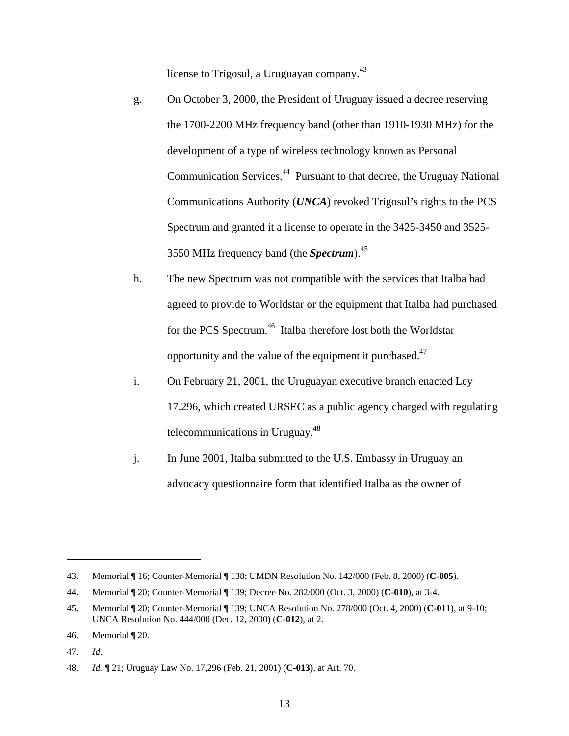license to Trigosul, a Uruguayan company.43

- g. On October 3, 2000, the President of Uruguay issued a decree reserving the 1700-2200 MHz frequency band (other than 1910-1930 MHz) for the development of a type of wireless technology known as Personal Communication Services.<sup>44</sup> Pursuant to that decree, the Uruguay National Communications Authority (*UNCA*) revoked Trigosul's rights to the PCS Spectrum and granted it a license to operate in the 3425-3450 and 3525- 3550 MHz frequency band (the *Spectrum*).45
- h. The new Spectrum was not compatible with the services that Italba had agreed to provide to Worldstar or the equipment that Italba had purchased for the PCS Spectrum.<sup>46</sup> Italba therefore lost both the Worldstar opportunity and the value of the equipment it purchased.47
- i. On February 21, 2001, the Uruguayan executive branch enacted Ley 17.296, which created URSEC as a public agency charged with regulating telecommunications in Uruguay.48
- j. In June 2001, Italba submitted to the U.S. Embassy in Uruguay an advocacy questionnaire form that identified Italba as the owner of

47. *Id*.

<sup>43.</sup> Memorial ¶ 16; Counter-Memorial ¶ 138; UMDN Resolution No. 142/000 (Feb. 8, 2000) (**C-005**).

<sup>44.</sup> Memorial ¶ 20; Counter-Memorial ¶ 139; Decree No. 282/000 (Oct. 3, 2000) (**C-010**), at 3-4.

<sup>45.</sup> Memorial ¶ 20; Counter-Memorial ¶ 139; UNCA Resolution No. 278/000 (Oct. 4, 2000) (**C-011**), at 9-10; UNCA Resolution No. 444/000 (Dec. 12, 2000) (**C-012**), at 2.

<sup>46.</sup> Memorial ¶ 20.

<sup>48.</sup> *Id. ¶* 21; Uruguay Law No. 17,296 (Feb. 21, 2001) (**C-013**), at Art. 70.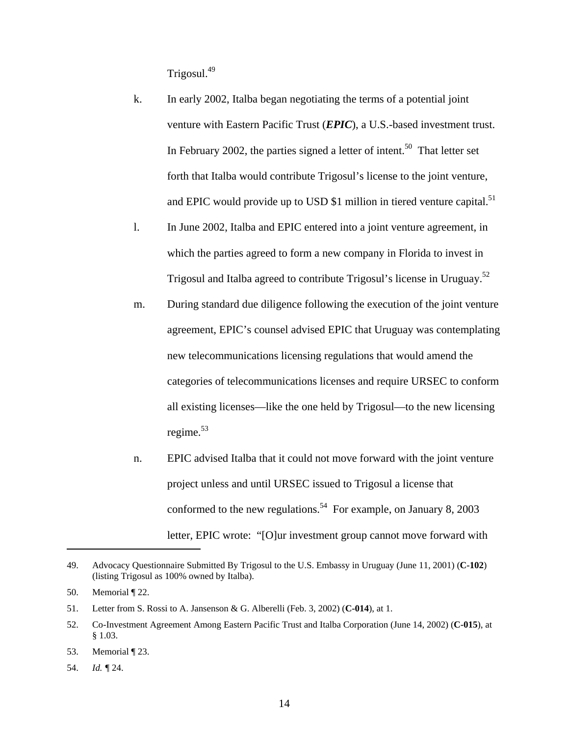Trigosul.49

- k. In early 2002, Italba began negotiating the terms of a potential joint venture with Eastern Pacific Trust (*EPIC*), a U.S.-based investment trust. In February 2002, the parties signed a letter of intent.<sup>50</sup> That letter set forth that Italba would contribute Trigosul's license to the joint venture, and EPIC would provide up to USD \$1 million in tiered venture capital.<sup>51</sup>
- l. In June 2002, Italba and EPIC entered into a joint venture agreement, in which the parties agreed to form a new company in Florida to invest in Trigosul and Italba agreed to contribute Trigosul's license in Uruguay.<sup>52</sup>
- m. During standard due diligence following the execution of the joint venture agreement, EPIC's counsel advised EPIC that Uruguay was contemplating new telecommunications licensing regulations that would amend the categories of telecommunications licenses and require URSEC to conform all existing licenses—like the one held by Trigosul—to the new licensing regime. $53$
- n. EPIC advised Italba that it could not move forward with the joint venture project unless and until URSEC issued to Trigosul a license that conformed to the new regulations.<sup>54</sup> For example, on January 8, 2003 letter, EPIC wrote: "[O]ur investment group cannot move forward with

<sup>49.</sup> Advocacy Questionnaire Submitted By Trigosul to the U.S. Embassy in Uruguay (June 11, 2001) (**C-102**) (listing Trigosul as 100% owned by Italba).

<sup>50.</sup> Memorial ¶ 22.

<sup>51.</sup> Letter from S. Rossi to A. Jansenson & G. Alberelli (Feb. 3, 2002) (**C-014**), at 1.

<sup>52.</sup> Co-Investment Agreement Among Eastern Pacific Trust and Italba Corporation (June 14, 2002) (**C-015**), at § 1.03.

<sup>53.</sup> Memorial ¶ 23.

<sup>54.</sup> *Id. ¶* 24.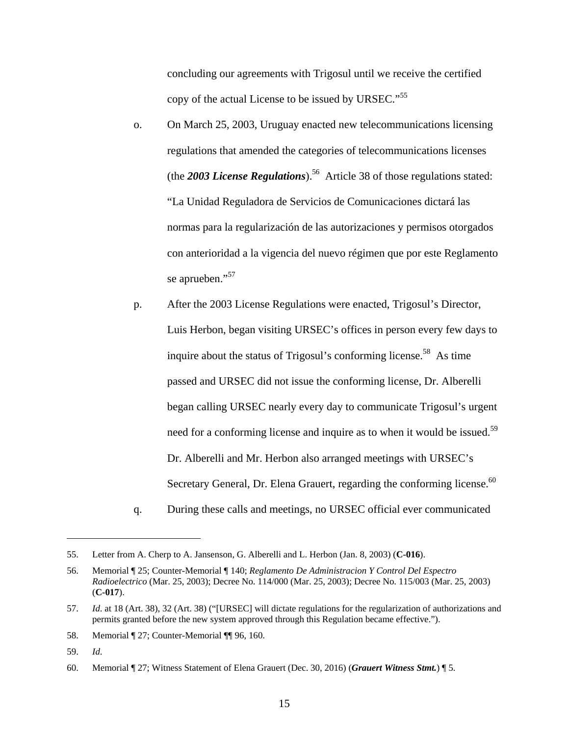concluding our agreements with Trigosul until we receive the certified copy of the actual License to be issued by URSEC."<sup>55</sup>

- o. On March 25, 2003, Uruguay enacted new telecommunications licensing regulations that amended the categories of telecommunications licenses (the *2003 License Regulations*).56 Article 38 of those regulations stated: "La Unidad Reguladora de Servicios de Comunicaciones dictará las normas para la regularización de las autorizaciones y permisos otorgados con anterioridad a la vigencia del nuevo régimen que por este Reglamento se aprueben."<sup>57</sup>
- p. After the 2003 License Regulations were enacted, Trigosul's Director, Luis Herbon, began visiting URSEC's offices in person every few days to inquire about the status of Trigosul's conforming license.<sup>58</sup> As time passed and URSEC did not issue the conforming license, Dr. Alberelli began calling URSEC nearly every day to communicate Trigosul's urgent need for a conforming license and inquire as to when it would be issued.<sup>59</sup> Dr. Alberelli and Mr. Herbon also arranged meetings with URSEC's Secretary General, Dr. Elena Grauert, regarding the conforming license.<sup>60</sup>
- q. During these calls and meetings, no URSEC official ever communicated

<sup>55.</sup> Letter from A. Cherp to A. Jansenson, G. Alberelli and L. Herbon (Jan. 8, 2003) (**C-016**).

<sup>56.</sup> Memorial ¶ 25; Counter-Memorial ¶ 140; *Reglamento De Administracion Y Control Del Espectro Radioelectrico* (Mar. 25, 2003); Decree No. 114/000 (Mar. 25, 2003); Decree No. 115/003 (Mar. 25, 2003) (**C-017**).

<sup>57.</sup> *Id*. at 18 (Art. 38), 32 (Art. 38) ("[URSEC] will dictate regulations for the regularization of authorizations and permits granted before the new system approved through this Regulation became effective.").

<sup>58.</sup> Memorial ¶ 27; Counter-Memorial ¶¶ 96, 160.

<sup>59.</sup> *Id*.

<sup>60.</sup> Memorial ¶ 27; Witness Statement of Elena Grauert (Dec. 30, 2016) (*Grauert Witness Stmt.*) ¶ 5.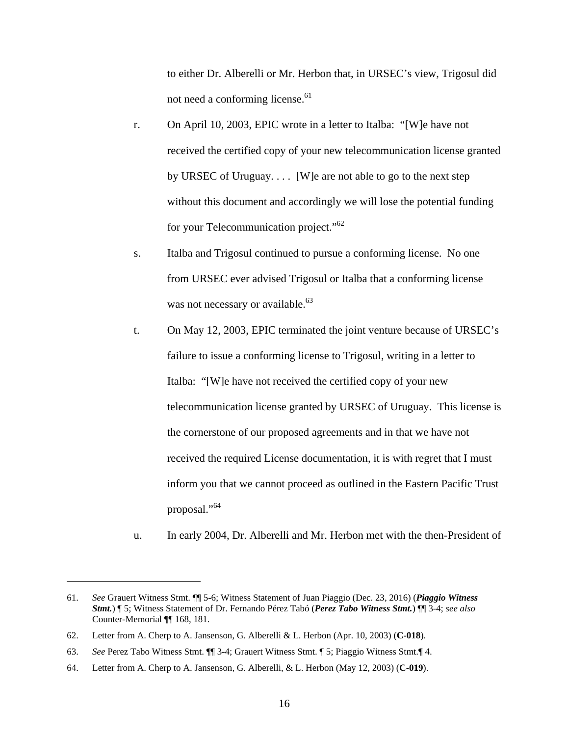to either Dr. Alberelli or Mr. Herbon that, in URSEC's view, Trigosul did not need a conforming license.<sup>61</sup>

- r. On April 10, 2003, EPIC wrote in a letter to Italba: "[W]e have not received the certified copy of your new telecommunication license granted by URSEC of Uruguay. . . . [W]e are not able to go to the next step without this document and accordingly we will lose the potential funding for your Telecommunication project."<sup>62</sup>
- s. Italba and Trigosul continued to pursue a conforming license. No one from URSEC ever advised Trigosul or Italba that a conforming license was not necessary or available.<sup>63</sup>
- t. On May 12, 2003, EPIC terminated the joint venture because of URSEC's failure to issue a conforming license to Trigosul, writing in a letter to Italba: "[W]e have not received the certified copy of your new telecommunication license granted by URSEC of Uruguay. This license is the cornerstone of our proposed agreements and in that we have not received the required License documentation, it is with regret that I must inform you that we cannot proceed as outlined in the Eastern Pacific Trust proposal."64
- u. In early 2004, Dr. Alberelli and Mr. Herbon met with the then-President of

<sup>61.</sup> *See* Grauert Witness Stmt. ¶¶ 5-6; Witness Statement of Juan Piaggio (Dec. 23, 2016) (*Piaggio Witness Stmt.*) ¶ 5; Witness Statement of Dr. Fernando Pérez Tabó (*Perez Tabo Witness Stmt.*) ¶¶ 3-4; *see also*  Counter-Memorial ¶¶ 168, 181.

<sup>62.</sup> Letter from A. Cherp to A. Jansenson, G. Alberelli & L. Herbon (Apr. 10, 2003) (**C-018**).

<sup>63.</sup> *See* Perez Tabo Witness Stmt. ¶¶ 3-4; Grauert Witness Stmt. ¶ 5; Piaggio Witness Stmt.¶ 4.

<sup>64.</sup> Letter from A. Cherp to A. Jansenson, G. Alberelli, & L. Herbon (May 12, 2003) (**C-019**).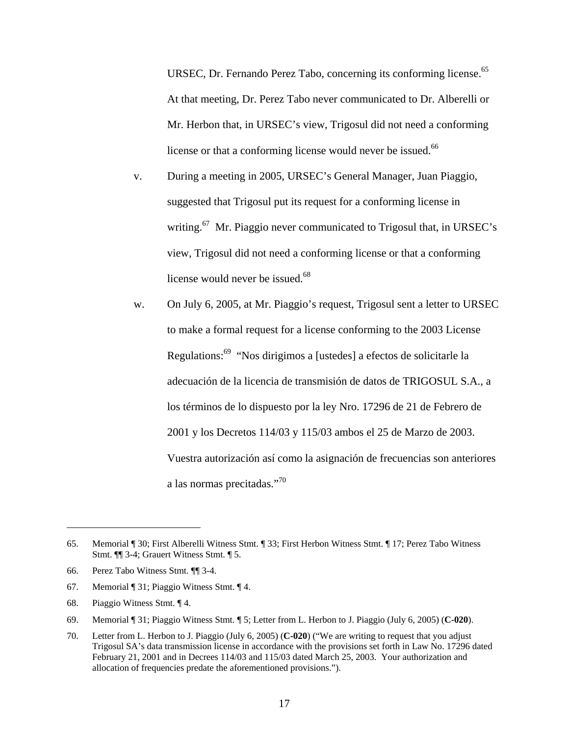URSEC, Dr. Fernando Perez Tabo, concerning its conforming license.<sup>65</sup> At that meeting, Dr. Perez Tabo never communicated to Dr. Alberelli or Mr. Herbon that, in URSEC's view, Trigosul did not need a conforming license or that a conforming license would never be issued.<sup>66</sup>

- v. During a meeting in 2005, URSEC's General Manager, Juan Piaggio, suggested that Trigosul put its request for a conforming license in writing.<sup>67</sup> Mr. Piaggio never communicated to Trigosul that, in URSEC's view, Trigosul did not need a conforming license or that a conforming license would never be issued.<sup>68</sup>
- w. On July 6, 2005, at Mr. Piaggio's request, Trigosul sent a letter to URSEC to make a formal request for a license conforming to the 2003 License Regulations:69 "Nos dirigimos a [ustedes] a efectos de solicitarle la adecuación de la licencia de transmisión de datos de TRIGOSUL S.A., a los términos de lo dispuesto por la ley Nro. 17296 de 21 de Febrero de 2001 y los Decretos 114/03 y 115/03 ambos el 25 de Marzo de 2003. Vuestra autorización así como la asignación de frecuencias son anteriores a las normas precitadas."70

- 67. Memorial ¶ 31; Piaggio Witness Stmt. ¶ 4.
- 68. Piaggio Witness Stmt. ¶ 4.

 $\overline{a}$ 

69. Memorial ¶ 31; Piaggio Witness Stmt. ¶ 5; Letter from L. Herbon to J. Piaggio (July 6, 2005) (**C-020**).

70. Letter from L. Herbon to J. Piaggio (July 6, 2005) (**C-020**) ("We are writing to request that you adjust Trigosul SA's data transmission license in accordance with the provisions set forth in Law No. 17296 dated February 21, 2001 and in Decrees 114/03 and 115/03 dated March 25, 2003. Your authorization and allocation of frequencies predate the aforementioned provisions.").

<sup>65.</sup> Memorial ¶ 30; First Alberelli Witness Stmt. ¶ 33; First Herbon Witness Stmt. ¶ 17; Perez Tabo Witness Stmt. ¶¶ 3-4; Grauert Witness Stmt. ¶ 5.

<sup>66.</sup> Perez Tabo Witness Stmt. ¶¶ 3-4.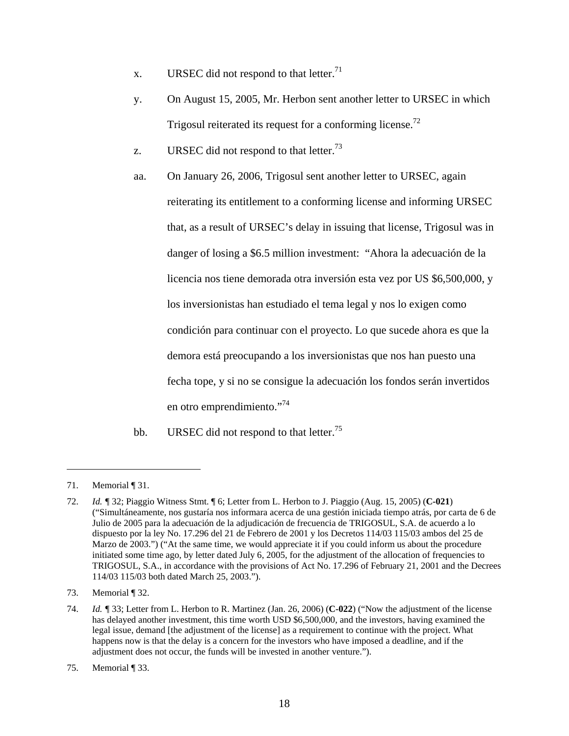- x. URSEC did not respond to that letter.<sup>71</sup>
- y. On August 15, 2005, Mr. Herbon sent another letter to URSEC in which Trigosul reiterated its request for a conforming license.<sup>72</sup>
- z. URSEC did not respond to that letter.<sup>73</sup>
- aa. On January 26, 2006, Trigosul sent another letter to URSEC, again reiterating its entitlement to a conforming license and informing URSEC that, as a result of URSEC's delay in issuing that license, Trigosul was in danger of losing a \$6.5 million investment: "Ahora la adecuación de la licencia nos tiene demorada otra inversión esta vez por US \$6,500,000, y los inversionistas han estudiado el tema legal y nos lo exigen como condición para continuar con el proyecto. Lo que sucede ahora es que la demora está preocupando a los inversionistas que nos han puesto una fecha tope, y si no se consigue la adecuación los fondos serán invertidos en otro emprendimiento."74

bb. URSEC did not respond to that letter.<sup>75</sup>

<sup>71.</sup> Memorial ¶ 31.

<sup>72.</sup> *Id. ¶* 32; Piaggio Witness Stmt. ¶ 6; Letter from L. Herbon to J. Piaggio (Aug. 15, 2005) (**C-021**) ("Simultáneamente, nos gustaría nos informara acerca de una gestión iniciada tiempo atrás, por carta de 6 de Julio de 2005 para la adecuación de la adjudicación de frecuencia de TRIGOSUL, S.A. de acuerdo a lo dispuesto por la ley No. 17.296 del 21 de Febrero de 2001 y los Decretos 114/03 115/03 ambos del 25 de Marzo de 2003.") ("At the same time, we would appreciate it if you could inform us about the procedure initiated some time ago, by letter dated July 6, 2005, for the adjustment of the allocation of frequencies to TRIGOSUL, S.A., in accordance with the provisions of Act No. 17.296 of February 21, 2001 and the Decrees 114/03 115/03 both dated March 25, 2003.").

<sup>73.</sup> Memorial ¶ 32.

<sup>74.</sup> *Id. ¶* 33; Letter from L. Herbon to R. Martinez (Jan. 26, 2006) (**C-022**) ("Now the adjustment of the license has delayed another investment, this time worth USD \$6,500,000, and the investors, having examined the legal issue, demand [the adjustment of the license] as a requirement to continue with the project. What happens now is that the delay is a concern for the investors who have imposed a deadline, and if the adjustment does not occur, the funds will be invested in another venture.").

<sup>75.</sup> Memorial ¶ 33.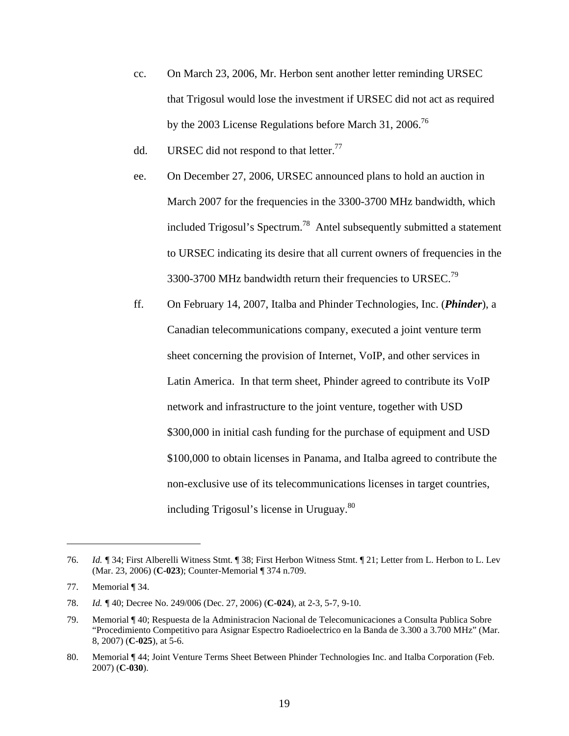- cc. On March 23, 2006, Mr. Herbon sent another letter reminding URSEC that Trigosul would lose the investment if URSEC did not act as required by the 2003 License Regulations before March 31, 2006.<sup>76</sup>
- dd. URSEC did not respond to that letter.<sup>77</sup>
- ee. On December 27, 2006, URSEC announced plans to hold an auction in March 2007 for the frequencies in the 3300-3700 MHz bandwidth, which included Trigosul's Spectrum.<sup>78</sup> Antel subsequently submitted a statement to URSEC indicating its desire that all current owners of frequencies in the 3300-3700 MHz bandwidth return their frequencies to URSEC.<sup>79</sup>
- ff. On February 14, 2007, Italba and Phinder Technologies, Inc. (*Phinder*), a Canadian telecommunications company, executed a joint venture term sheet concerning the provision of Internet, VoIP, and other services in Latin America. In that term sheet, Phinder agreed to contribute its VoIP network and infrastructure to the joint venture, together with USD \$300,000 in initial cash funding for the purchase of equipment and USD \$100,000 to obtain licenses in Panama, and Italba agreed to contribute the non-exclusive use of its telecommunications licenses in target countries, including Trigosul's license in Uruguay.<sup>80</sup>

<sup>76.</sup> *Id. ¶* 34; First Alberelli Witness Stmt. ¶ 38; First Herbon Witness Stmt. ¶ 21; Letter from L. Herbon to L. Lev (Mar. 23, 2006) (**C-023**); Counter-Memorial ¶ 374 n.709.

<sup>77.</sup> Memorial ¶ 34.

<sup>78.</sup> *Id. ¶* 40; Decree No. 249/006 (Dec. 27, 2006) (**C-024**), at 2-3, 5-7, 9-10.

<sup>79.</sup> Memorial ¶ 40; Respuesta de la Administracion Nacional de Telecomunicaciones a Consulta Publica Sobre "Procedimiento Competitivo para Asignar Espectro Radioelectrico en la Banda de 3.300 a 3.700 MHz" (Mar. 8, 2007) (**C-025**), at 5-6.

<sup>80.</sup> Memorial ¶ 44; Joint Venture Terms Sheet Between Phinder Technologies Inc. and Italba Corporation (Feb. 2007) (**C-030**).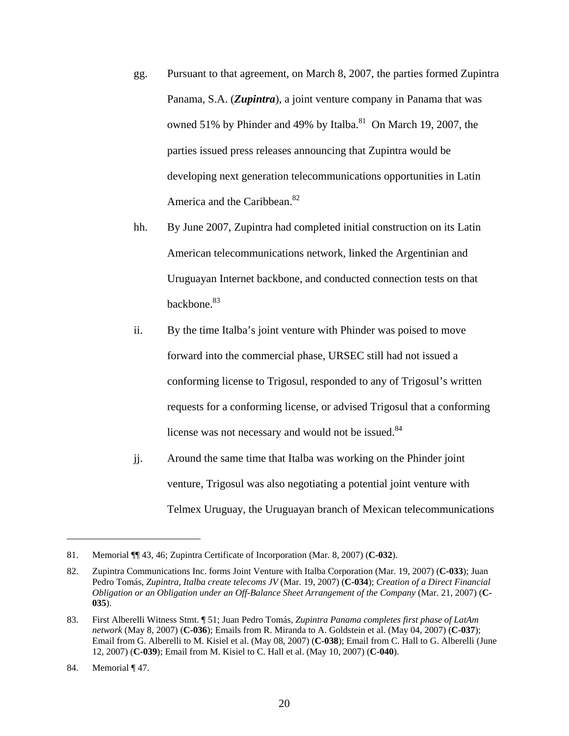- gg. Pursuant to that agreement, on March 8, 2007, the parties formed Zupintra Panama, S.A. (*Zupintra*), a joint venture company in Panama that was owned 51% by Phinder and 49% by Italba.<sup>81</sup> On March 19, 2007, the parties issued press releases announcing that Zupintra would be developing next generation telecommunications opportunities in Latin America and the Caribbean.<sup>82</sup>
- hh. By June 2007, Zupintra had completed initial construction on its Latin American telecommunications network, linked the Argentinian and Uruguayan Internet backbone, and conducted connection tests on that backbone.83
- ii. By the time Italba's joint venture with Phinder was poised to move forward into the commercial phase, URSEC still had not issued a conforming license to Trigosul, responded to any of Trigosul's written requests for a conforming license, or advised Trigosul that a conforming license was not necessary and would not be issued.<sup>84</sup>
- jj. Around the same time that Italba was working on the Phinder joint venture, Trigosul was also negotiating a potential joint venture with Telmex Uruguay, the Uruguayan branch of Mexican telecommunications

<sup>81.</sup> Memorial ¶¶ 43, 46; Zupintra Certificate of Incorporation (Mar. 8, 2007) (**C-032**).

<sup>82.</sup> Zupintra Communications Inc. forms Joint Venture with Italba Corporation (Mar. 19, 2007) (**C-033**); Juan Pedro Tomás, *Zupintra, Italba create telecoms JV* (Mar. 19, 2007) (**C-034**); *Creation of a Direct Financial Obligation or an Obligation under an Off-Balance Sheet Arrangement of the Company* (Mar. 21, 2007) (**C-035**).

<sup>83.</sup> First Alberelli Witness Stmt. ¶ 51; Juan Pedro Tomás, *Zupintra Panama completes first phase of LatAm network* (May 8, 2007) (**C-036**); Emails from R. Miranda to A. Goldstein et al. (May 04, 2007) (**C-037**); Email from G. Alberelli to M. Kisiel et al. (May 08, 2007) (**C-038**); Email from C. Hall to G. Alberelli (June 12, 2007) (**C-039**); Email from M. Kisiel to C. Hall et al. (May 10, 2007) (**C-040**).

<sup>84.</sup> Memorial ¶ 47.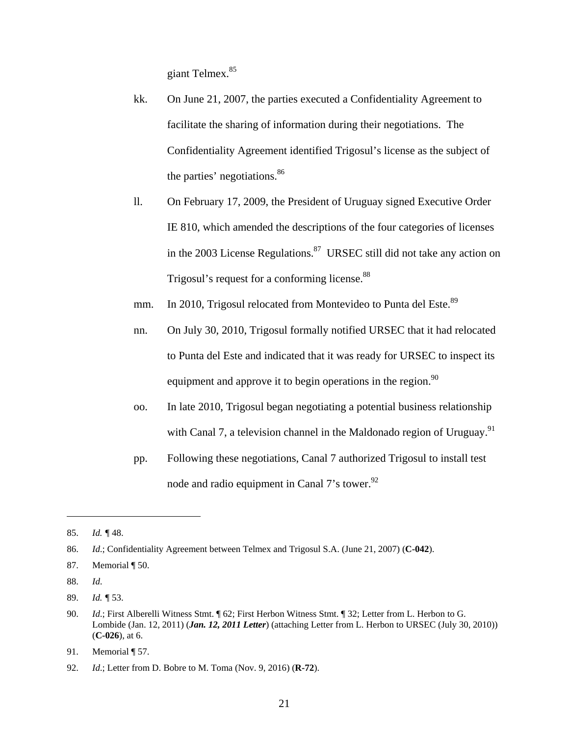giant Telmex.85

- kk. On June 21, 2007, the parties executed a Confidentiality Agreement to facilitate the sharing of information during their negotiations. The Confidentiality Agreement identified Trigosul's license as the subject of the parties' negotiations.<sup>86</sup>
- ll. On February 17, 2009, the President of Uruguay signed Executive Order IE 810, which amended the descriptions of the four categories of licenses in the 2003 License Regulations. $87$  URSEC still did not take any action on Trigosul's request for a conforming license.<sup>88</sup>
- mm. In 2010, Trigosul relocated from Montevideo to Punta del Este.<sup>89</sup>
- nn. On July 30, 2010, Trigosul formally notified URSEC that it had relocated to Punta del Este and indicated that it was ready for URSEC to inspect its equipment and approve it to begin operations in the region.<sup>90</sup>
- oo. In late 2010, Trigosul began negotiating a potential business relationship with Canal 7, a television channel in the Maldonado region of Uruguay.<sup>91</sup>
- pp. Following these negotiations, Canal 7 authorized Trigosul to install test node and radio equipment in Canal  $7$ 's tower.<sup>92</sup>

<sup>85.</sup> *Id. ¶* 48.

<sup>86.</sup> *Id*.; Confidentiality Agreement between Telmex and Trigosul S.A. (June 21, 2007) (**C-042**).

<sup>87.</sup> Memorial ¶ 50.

<sup>88.</sup> *Id*.

<sup>89.</sup> *Id. ¶* 53.

<sup>90.</sup> *Id.*; First Alberelli Witness Stmt.  $\P$  62; First Herbon Witness Stmt.  $\P$  32; Letter from L. Herbon to G. Lombide (Jan. 12, 2011) (*Jan. 12, 2011 Letter*) (attaching Letter from L. Herbon to URSEC (July 30, 2010)) (**C-026**), at 6.

<sup>91.</sup> Memorial ¶ 57.

<sup>92.</sup> *Id*.; Letter from D. Bobre to M. Toma (Nov. 9, 2016) (**R-72**).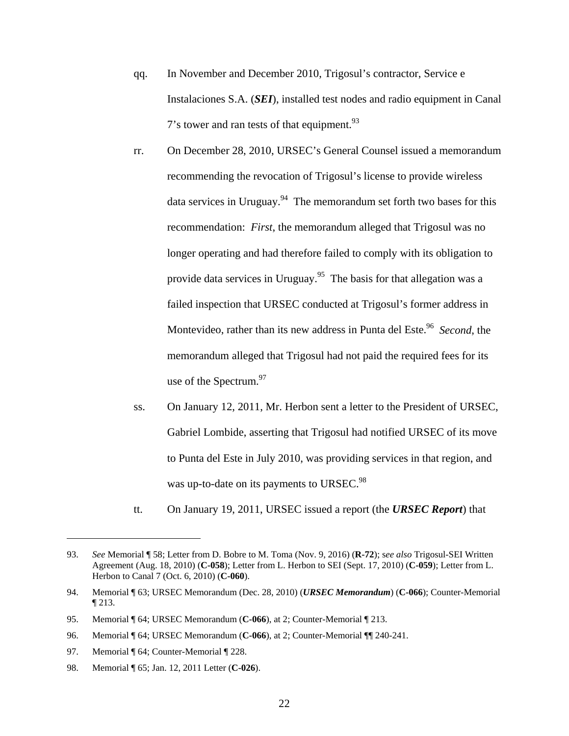- qq. In November and December 2010, Trigosul's contractor, Service e Instalaciones S.A. (*SEI*), installed test nodes and radio equipment in Canal 7's tower and ran tests of that equipment.  $93$
- rr. On December 28, 2010, URSEC's General Counsel issued a memorandum recommending the revocation of Trigosul's license to provide wireless data services in Uruguay.94 The memorandum set forth two bases for this recommendation: *First*, the memorandum alleged that Trigosul was no longer operating and had therefore failed to comply with its obligation to provide data services in Uruguay.<sup>95</sup> The basis for that allegation was a failed inspection that URSEC conducted at Trigosul's former address in Montevideo, rather than its new address in Punta del Este.<sup>96</sup> *Second*, the memorandum alleged that Trigosul had not paid the required fees for its use of the Spectrum. $97$
- ss. On January 12, 2011, Mr. Herbon sent a letter to the President of URSEC, Gabriel Lombide, asserting that Trigosul had notified URSEC of its move to Punta del Este in July 2010, was providing services in that region, and was up-to-date on its payments to URSEC.<sup>98</sup>
- tt. On January 19, 2011, URSEC issued a report (the *URSEC Report*) that

- 96. Memorial ¶ 64; URSEC Memorandum (**C-066**), at 2; Counter-Memorial ¶¶ 240-241.
- 97. Memorial ¶ 64; Counter-Memorial ¶ 228.

1

98. Memorial ¶ 65; Jan. 12, 2011 Letter (**C-026**).

<sup>93.</sup> *See* Memorial ¶ 58; Letter from D. Bobre to M. Toma (Nov. 9, 2016) (**R-72**); s*ee also* Trigosul-SEI Written Agreement (Aug. 18, 2010) (**C-058**); Letter from L. Herbon to SEI (Sept. 17, 2010) (**C-059**); Letter from L. Herbon to Canal 7 (Oct. 6, 2010) (**C-060**).

<sup>94.</sup> Memorial ¶ 63; URSEC Memorandum (Dec. 28, 2010) (*URSEC Memorandum*) (**C-066**); Counter-Memorial ¶ 213.

<sup>95.</sup> Memorial ¶ 64; URSEC Memorandum (**C-066**), at 2; Counter-Memorial ¶ 213.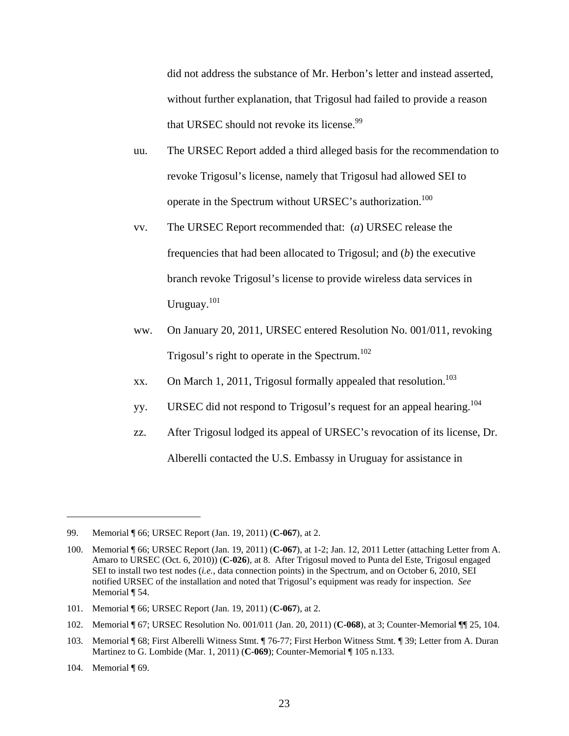did not address the substance of Mr. Herbon's letter and instead asserted, without further explanation, that Trigosul had failed to provide a reason that URSEC should not revoke its license.<sup>99</sup>

- uu. The URSEC Report added a third alleged basis for the recommendation to revoke Trigosul's license, namely that Trigosul had allowed SEI to operate in the Spectrum without URSEC's authorization.<sup>100</sup>
- vv. The URSEC Report recommended that: (*a*) URSEC release the frequencies that had been allocated to Trigosul; and (*b*) the executive branch revoke Trigosul's license to provide wireless data services in Uruguay.<sup>101</sup>
- ww. On January 20, 2011, URSEC entered Resolution No. 001/011, revoking Trigosul's right to operate in the Spectrum.<sup>102</sup>
- xx. On March 1, 2011, Trigosul formally appealed that resolution.<sup>103</sup>
- yy. URSEC did not respond to Trigosul's request for an appeal hearing.<sup>104</sup>
- zz. After Trigosul lodged its appeal of URSEC's revocation of its license, Dr. Alberelli contacted the U.S. Embassy in Uruguay for assistance in

<sup>99.</sup> Memorial ¶ 66; URSEC Report (Jan. 19, 2011) (**C-067**), at 2.

<sup>100.</sup> Memorial ¶ 66; URSEC Report (Jan. 19, 2011) (**C-067**), at 1-2; Jan. 12, 2011 Letter (attaching Letter from A. Amaro to URSEC (Oct. 6, 2010)) (**C-026**), at 8. After Trigosul moved to Punta del Este, Trigosul engaged SEI to install two test nodes (*i.e.*, data connection points) in the Spectrum, and on October 6, 2010, SEI notified URSEC of the installation and noted that Trigosul's equipment was ready for inspection. *See* Memorial ¶ 54.

<sup>101.</sup> Memorial ¶ 66; URSEC Report (Jan. 19, 2011) (**C-067**), at 2.

<sup>102.</sup> Memorial ¶ 67; URSEC Resolution No. 001/011 (Jan. 20, 2011) (**C-068**), at 3; Counter-Memorial ¶¶ 25, 104.

<sup>103.</sup> Memorial ¶ 68; First Alberelli Witness Stmt. ¶ 76-77; First Herbon Witness Stmt. ¶ 39; Letter from A. Duran Martinez to G. Lombide (Mar. 1, 2011) (**C-069**); Counter-Memorial ¶ 105 n.133.

<sup>104.</sup> Memorial ¶ 69.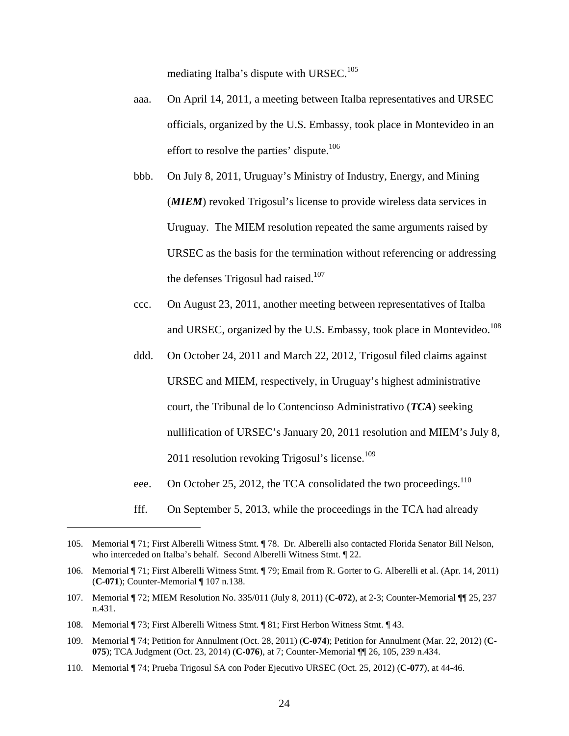mediating Italba's dispute with URSEC.<sup>105</sup>

- aaa. On April 14, 2011, a meeting between Italba representatives and URSEC officials, organized by the U.S. Embassy, took place in Montevideo in an effort to resolve the parties' dispute.<sup>106</sup>
- bbb. On July 8, 2011, Uruguay's Ministry of Industry, Energy, and Mining (*MIEM*) revoked Trigosul's license to provide wireless data services in Uruguay. The MIEM resolution repeated the same arguments raised by URSEC as the basis for the termination without referencing or addressing the defenses Trigosul had raised.<sup>107</sup>
- ccc. On August 23, 2011, another meeting between representatives of Italba and URSEC, organized by the U.S. Embassy, took place in Montevideo.<sup>108</sup>
- ddd. On October 24, 2011 and March 22, 2012, Trigosul filed claims against URSEC and MIEM, respectively, in Uruguay's highest administrative court, the Tribunal de lo Contencioso Administrativo (*TCA*) seeking nullification of URSEC's January 20, 2011 resolution and MIEM's July 8, 2011 resolution revoking Trigosul's license.<sup>109</sup>
- eee. On October 25, 2012, the TCA consolidated the two proceedings.<sup>110</sup>
- fff. On September 5, 2013, while the proceedings in the TCA had already

- 107. Memorial ¶ 72; MIEM Resolution No. 335/011 (July 8, 2011) (**C-072**), at 2-3; Counter-Memorial ¶¶ 25, 237 n.431.
- 108. Memorial ¶ 73; First Alberelli Witness Stmt. ¶ 81; First Herbon Witness Stmt. ¶ 43.

- 109. Memorial ¶ 74; Petition for Annulment (Oct. 28, 2011) (**C-074**); Petition for Annulment (Mar. 22, 2012) (**C-075**); TCA Judgment (Oct. 23, 2014) (**C-076**), at 7; Counter-Memorial ¶¶ 26, 105, 239 n.434.
- 110. Memorial ¶ 74; Prueba Trigosul SA con Poder Ejecutivo URSEC (Oct. 25, 2012) (**C-077**), at 44-46.

<sup>105.</sup> Memorial ¶ 71; First Alberelli Witness Stmt. ¶ 78. Dr. Alberelli also contacted Florida Senator Bill Nelson, who interceded on Italba's behalf. Second Alberelli Witness Stmt. ¶ 22.

<sup>106.</sup> Memorial ¶ 71; First Alberelli Witness Stmt. ¶ 79; Email from R. Gorter to G. Alberelli et al. (Apr. 14, 2011) (**C-071**); Counter-Memorial ¶ 107 n.138.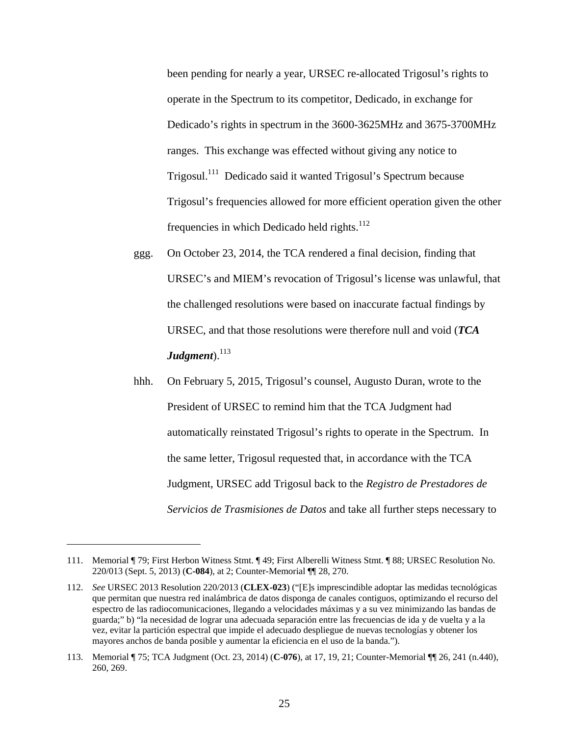been pending for nearly a year, URSEC re-allocated Trigosul's rights to operate in the Spectrum to its competitor, Dedicado, in exchange for Dedicado's rights in spectrum in the 3600-3625MHz and 3675-3700MHz ranges. This exchange was effected without giving any notice to Trigosul.111 Dedicado said it wanted Trigosul's Spectrum because Trigosul's frequencies allowed for more efficient operation given the other frequencies in which Dedicado held rights. $112$ 

- ggg. On October 23, 2014, the TCA rendered a final decision, finding that URSEC's and MIEM's revocation of Trigosul's license was unlawful, that the challenged resolutions were based on inaccurate factual findings by URSEC, and that those resolutions were therefore null and void (*TCA*   $Judgment).$ <sup>113</sup>
- hhh. On February 5, 2015, Trigosul's counsel, Augusto Duran, wrote to the President of URSEC to remind him that the TCA Judgment had automatically reinstated Trigosul's rights to operate in the Spectrum. In the same letter, Trigosul requested that, in accordance with the TCA Judgment, URSEC add Trigosul back to the *Registro de Prestadores de Servicios de Trasmisiones de Datos* and take all further steps necessary to

<sup>111.</sup> Memorial ¶ 79; First Herbon Witness Stmt. ¶ 49; First Alberelli Witness Stmt. ¶ 88; URSEC Resolution No. 220/013 (Sept. 5, 2013) (**C-084**), at 2; Counter-Memorial ¶¶ 28, 270.

<sup>112.</sup> *See* URSEC 2013 Resolution 220/2013 (**CLEX-023**) ("[E]s imprescindible adoptar las medidas tecnológicas que permitan que nuestra red inalámbrica de datos disponga de canales contiguos, optimizando el recurso del espectro de las radiocomunicaciones, llegando a velocidades máximas y a su vez minimizando las bandas de guarda;" b) "la necesidad de lograr una adecuada separación entre las frecuencias de ida y de vuelta y a la vez, evitar la partición espectral que impide el adecuado despliegue de nuevas tecnologías y obtener los mayores anchos de banda posible y aumentar la eficiencia en el uso de la banda.").

<sup>113.</sup> Memorial ¶ 75; TCA Judgment (Oct. 23, 2014) (**C-076**), at 17, 19, 21; Counter-Memorial ¶¶ 26, 241 (n.440), 260, 269.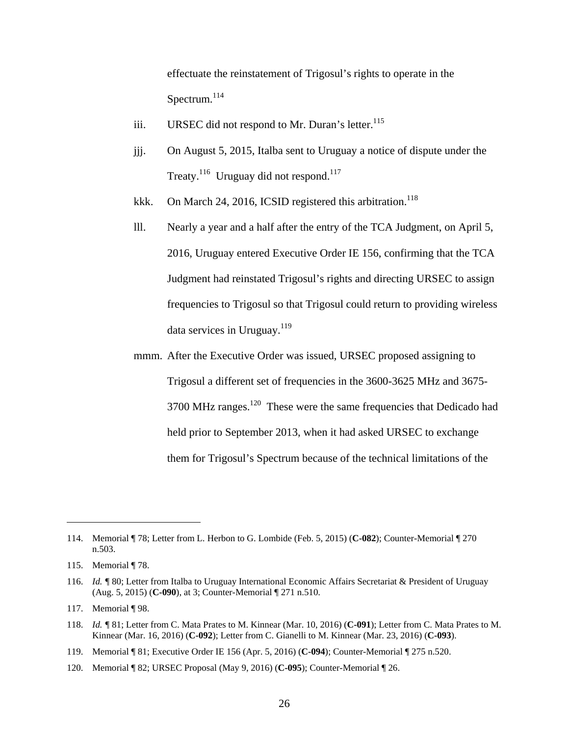effectuate the reinstatement of Trigosul's rights to operate in the Spectrum. $114$ 

- iii. URSEC did not respond to Mr. Duran's letter.<sup>115</sup>
- jjj. On August 5, 2015, Italba sent to Uruguay a notice of dispute under the Treaty.<sup>116</sup> Uruguay did not respond.<sup>117</sup>
- kkk. On March 24, 2016, ICSID registered this arbitration.<sup>118</sup>
- lll. Nearly a year and a half after the entry of the TCA Judgment, on April 5, 2016, Uruguay entered Executive Order IE 156, confirming that the TCA Judgment had reinstated Trigosul's rights and directing URSEC to assign frequencies to Trigosul so that Trigosul could return to providing wireless data services in Uruguay. $119$
- mmm. After the Executive Order was issued, URSEC proposed assigning to Trigosul a different set of frequencies in the 3600-3625 MHz and 3675- 3700 MHz ranges.120 These were the same frequencies that Dedicado had held prior to September 2013, when it had asked URSEC to exchange them for Trigosul's Spectrum because of the technical limitations of the

<sup>114.</sup> Memorial ¶ 78; Letter from L. Herbon to G. Lombide (Feb. 5, 2015) (**C-082**); Counter-Memorial ¶ 270 n.503.

<sup>115.</sup> Memorial ¶ 78.

<sup>116.</sup> *Id. ¶* 80; Letter from Italba to Uruguay International Economic Affairs Secretariat & President of Uruguay (Aug. 5, 2015) (**C-090**), at 3; Counter-Memorial ¶ 271 n.510.

<sup>117.</sup> Memorial ¶ 98.

<sup>118.</sup> *Id. ¶* 81; Letter from C. Mata Prates to M. Kinnear (Mar. 10, 2016) (**C-091**); Letter from C. Mata Prates to M. Kinnear (Mar. 16, 2016) (**C-092**); Letter from C. Gianelli to M. Kinnear (Mar. 23, 2016) (**C-093**).

<sup>119.</sup> Memorial ¶ 81; Executive Order IE 156 (Apr. 5, 2016) (**C-094**); Counter-Memorial ¶ 275 n.520.

<sup>120.</sup> Memorial ¶ 82; URSEC Proposal (May 9, 2016) (**C-095**); Counter-Memorial ¶ 26.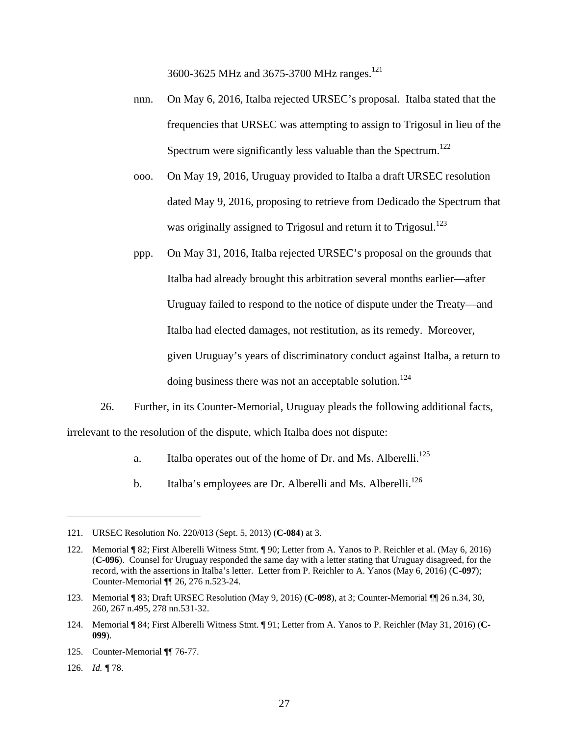3600-3625 MHz and 3675-3700 MHz ranges.121

- nnn. On May 6, 2016, Italba rejected URSEC's proposal. Italba stated that the frequencies that URSEC was attempting to assign to Trigosul in lieu of the Spectrum were significantly less valuable than the Spectrum.<sup>122</sup>
- ooo. On May 19, 2016, Uruguay provided to Italba a draft URSEC resolution dated May 9, 2016, proposing to retrieve from Dedicado the Spectrum that was originally assigned to Trigosul and return it to Trigosul.<sup>123</sup>
- ppp. On May 31, 2016, Italba rejected URSEC's proposal on the grounds that Italba had already brought this arbitration several months earlier—after Uruguay failed to respond to the notice of dispute under the Treaty—and Italba had elected damages, not restitution, as its remedy. Moreover, given Uruguay's years of discriminatory conduct against Italba, a return to doing business there was not an acceptable solution.<sup>124</sup>
- 26. Further, in its Counter-Memorial, Uruguay pleads the following additional facts, irrelevant to the resolution of the dispute, which Italba does not dispute:
	- a. Italba operates out of the home of Dr. and Ms. Alberelli.<sup>125</sup>
	- b. Italba's employees are Dr. Alberelli and Ms. Alberelli.<sup>126</sup>

126. *Id. ¶* 78.

<sup>121.</sup> URSEC Resolution No. 220/013 (Sept. 5, 2013) (**C-084**) at 3.

<sup>122.</sup> Memorial ¶ 82; First Alberelli Witness Stmt. ¶ 90; Letter from A. Yanos to P. Reichler et al. (May 6, 2016) (**C-096**). Counsel for Uruguay responded the same day with a letter stating that Uruguay disagreed, for the record, with the assertions in Italba's letter. Letter from P. Reichler to A. Yanos (May 6, 2016) (**C-097**); Counter-Memorial ¶¶ 26, 276 n.523-24.

<sup>123.</sup> Memorial ¶ 83; Draft URSEC Resolution (May 9, 2016) (**C-098**), at 3; Counter-Memorial ¶¶ 26 n.34, 30, 260, 267 n.495, 278 nn.531-32.

<sup>124.</sup> Memorial ¶ 84; First Alberelli Witness Stmt. ¶ 91; Letter from A. Yanos to P. Reichler (May 31, 2016) (**C-099**).

<sup>125.</sup> Counter-Memorial ¶¶ 76-77.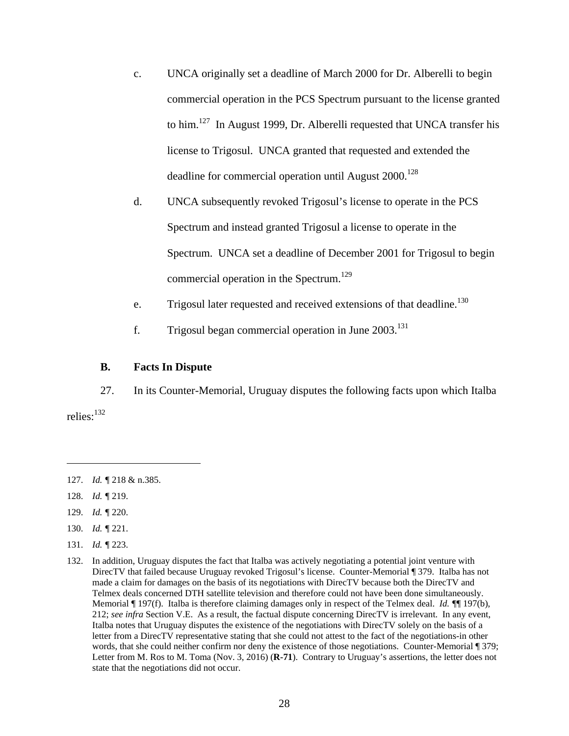- c. UNCA originally set a deadline of March 2000 for Dr. Alberelli to begin commercial operation in the PCS Spectrum pursuant to the license granted to him.<sup>127</sup> In August 1999, Dr. Alberelli requested that UNCA transfer his license to Trigosul. UNCA granted that requested and extended the deadline for commercial operation until August  $2000^{128}$
- d. UNCA subsequently revoked Trigosul's license to operate in the PCS Spectrum and instead granted Trigosul a license to operate in the Spectrum. UNCA set a deadline of December 2001 for Trigosul to begin commercial operation in the Spectrum.<sup>129</sup>
- e. Trigosul later requested and received extensions of that deadline.<sup>130</sup>
- f. Trigosul began commercial operation in June 2003.131

## **B. Facts In Dispute**

27. In its Counter-Memorial, Uruguay disputes the following facts upon which Italba

relies:<sup>132</sup>

- 128. *Id. ¶* 219.
- 129. *Id. ¶* 220.
- 130. *Id. ¶* 221.
- 131. *Id. ¶* 223.
- 132. In addition, Uruguay disputes the fact that Italba was actively negotiating a potential joint venture with DirecTV that failed because Uruguay revoked Trigosul's license. Counter-Memorial ¶ 379. Italba has not made a claim for damages on the basis of its negotiations with DirecTV because both the DirecTV and Telmex deals concerned DTH satellite television and therefore could not have been done simultaneously. Memorial ¶ 197(f). Italba is therefore claiming damages only in respect of the Telmex deal. *Id. ¶*¶ 197(b), 212; *see infra* Section V.E. As a result, the factual dispute concerning DirecTV is irrelevant. In any event, Italba notes that Uruguay disputes the existence of the negotiations with DirecTV solely on the basis of a letter from a DirecTV representative stating that she could not attest to the fact of the negotiations-in other words, that she could neither confirm nor deny the existence of those negotiations. Counter-Memorial ¶ 379; Letter from M. Ros to M. Toma (Nov. 3, 2016) (**R-71**). Contrary to Uruguay's assertions, the letter does not state that the negotiations did not occur.

<sup>127.</sup> *Id. ¶* 218 & n.385.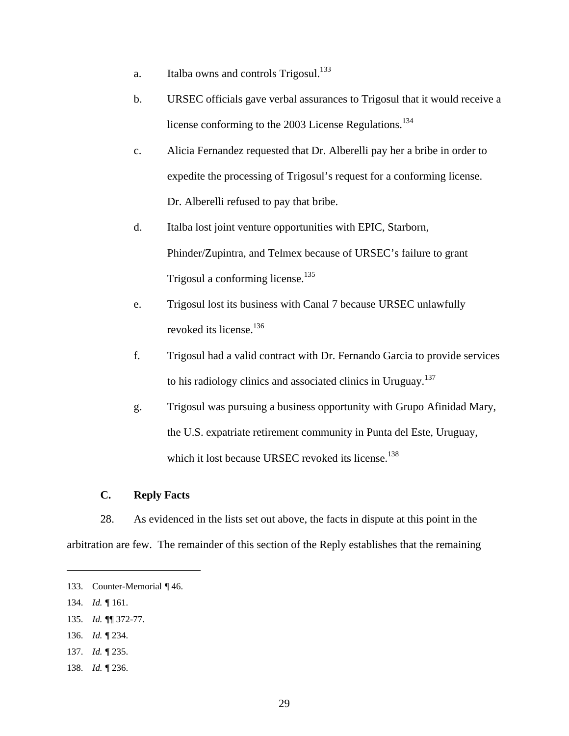- a. Italba owns and controls  $Trigosul.<sup>133</sup>$
- b. URSEC officials gave verbal assurances to Trigosul that it would receive a license conforming to the 2003 License Regulations.<sup>134</sup>
- c. Alicia Fernandez requested that Dr. Alberelli pay her a bribe in order to expedite the processing of Trigosul's request for a conforming license. Dr. Alberelli refused to pay that bribe.
- d. Italba lost joint venture opportunities with EPIC, Starborn, Phinder/Zupintra, and Telmex because of URSEC's failure to grant Trigosul a conforming license.<sup>135</sup>
- e. Trigosul lost its business with Canal 7 because URSEC unlawfully revoked its license.<sup>136</sup>
- f. Trigosul had a valid contract with Dr. Fernando Garcia to provide services to his radiology clinics and associated clinics in Uruguay.<sup>137</sup>
- g. Trigosul was pursuing a business opportunity with Grupo Afinidad Mary, the U.S. expatriate retirement community in Punta del Este, Uruguay, which it lost because URSEC revoked its license.<sup>138</sup>

# **C. Reply Facts**

28. As evidenced in the lists set out above, the facts in dispute at this point in the arbitration are few. The remainder of this section of the Reply establishes that the remaining

- 136. *Id. ¶* 234.
- 137. *Id. ¶* 235.
- 138. *Id. ¶* 236.

<sup>133.</sup> Counter-Memorial *¶* 46.

<sup>134.</sup> *Id. ¶* 161.

<sup>135.</sup> *Id. ¶*¶ 372-77.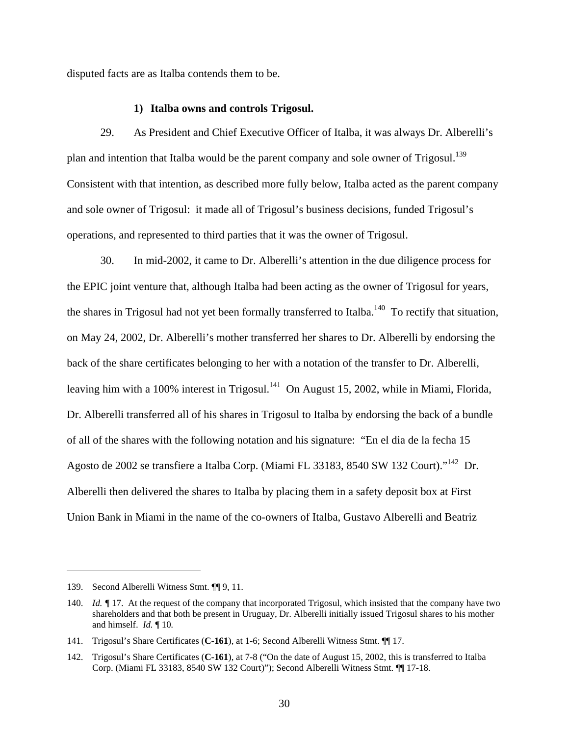disputed facts are as Italba contends them to be.

#### **1) Italba owns and controls Trigosul.**

29. As President and Chief Executive Officer of Italba, it was always Dr. Alberelli's plan and intention that Italba would be the parent company and sole owner of Trigosul.<sup>139</sup> Consistent with that intention, as described more fully below, Italba acted as the parent company and sole owner of Trigosul: it made all of Trigosul's business decisions, funded Trigosul's operations, and represented to third parties that it was the owner of Trigosul.

30. In mid-2002, it came to Dr. Alberelli's attention in the due diligence process for the EPIC joint venture that, although Italba had been acting as the owner of Trigosul for years, the shares in Trigosul had not yet been formally transferred to Italba.<sup>140</sup> To rectify that situation, on May 24, 2002, Dr. Alberelli's mother transferred her shares to Dr. Alberelli by endorsing the back of the share certificates belonging to her with a notation of the transfer to Dr. Alberelli, leaving him with a 100% interest in Trigosul.<sup>141</sup> On August 15, 2002, while in Miami, Florida, Dr. Alberelli transferred all of his shares in Trigosul to Italba by endorsing the back of a bundle of all of the shares with the following notation and his signature: "En el dia de la fecha 15 Agosto de 2002 se transfiere a Italba Corp. (Miami FL 33183, 8540 SW 132 Court)."142 Dr. Alberelli then delivered the shares to Italba by placing them in a safety deposit box at First Union Bank in Miami in the name of the co-owners of Italba, Gustavo Alberelli and Beatriz

<u>.</u>

<sup>139.</sup> Second Alberelli Witness Stmt. ¶¶ 9, 11.

<sup>140.</sup> *Id. J* 17. At the request of the company that incorporated Trigosul, which insisted that the company have two shareholders and that both be present in Uruguay, Dr. Alberelli initially issued Trigosul shares to his mother and himself. *Id.* ¶ 10*.*

<sup>141.</sup> Trigosul's Share Certificates (**C-161**), at 1-6; Second Alberelli Witness Stmt. ¶¶ 17.

<sup>142.</sup> Trigosul's Share Certificates (**C-161**), at 7-8 ("On the date of August 15, 2002, this is transferred to Italba Corp. (Miami FL 33183, 8540 SW 132 Court)"); Second Alberelli Witness Stmt. ¶¶ 17-18.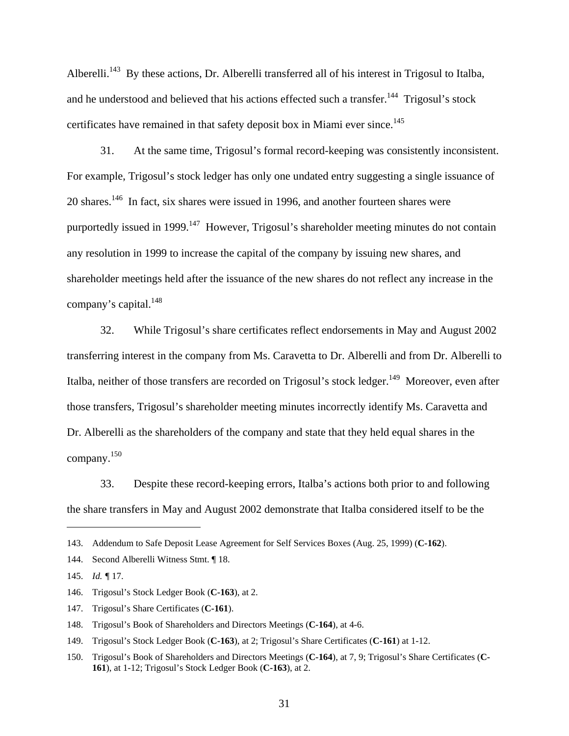Alberelli.<sup>143</sup> By these actions, Dr. Alberelli transferred all of his interest in Trigosul to Italba, and he understood and believed that his actions effected such a transfer.<sup>144</sup> Trigosul's stock certificates have remained in that safety deposit box in Miami ever since.<sup>145</sup>

31. At the same time, Trigosul's formal record-keeping was consistently inconsistent. For example, Trigosul's stock ledger has only one undated entry suggesting a single issuance of 20 shares.146 In fact, six shares were issued in 1996, and another fourteen shares were purportedly issued in 1999.<sup>147</sup> However, Trigosul's shareholder meeting minutes do not contain any resolution in 1999 to increase the capital of the company by issuing new shares, and shareholder meetings held after the issuance of the new shares do not reflect any increase in the company's capital.<sup>148</sup>

32. While Trigosul's share certificates reflect endorsements in May and August 2002 transferring interest in the company from Ms. Caravetta to Dr. Alberelli and from Dr. Alberelli to Italba, neither of those transfers are recorded on Trigosul's stock ledger.<sup>149</sup> Moreover, even after those transfers, Trigosul's shareholder meeting minutes incorrectly identify Ms. Caravetta and Dr. Alberelli as the shareholders of the company and state that they held equal shares in the company.150

33. Despite these record-keeping errors, Italba's actions both prior to and following the share transfers in May and August 2002 demonstrate that Italba considered itself to be the

<sup>143.</sup> Addendum to Safe Deposit Lease Agreement for Self Services Boxes (Aug. 25, 1999) (**C-162**).

<sup>144.</sup> Second Alberelli Witness Stmt. ¶ 18.

<sup>145.</sup> *Id. ¶* 17.

<sup>146.</sup> Trigosul's Stock Ledger Book (**C-163**), at 2.

<sup>147.</sup> Trigosul's Share Certificates (**C-161**).

<sup>148.</sup> Trigosul's Book of Shareholders and Directors Meetings (**C-164**), at 4-6.

<sup>149.</sup> Trigosul's Stock Ledger Book (**C-163**), at 2; Trigosul's Share Certificates (**C-161**) at 1-12.

<sup>150.</sup> Trigosul's Book of Shareholders and Directors Meetings (**C-164**), at 7, 9; Trigosul's Share Certificates (**C-161**), at 1-12; Trigosul's Stock Ledger Book (**C-163**), at 2.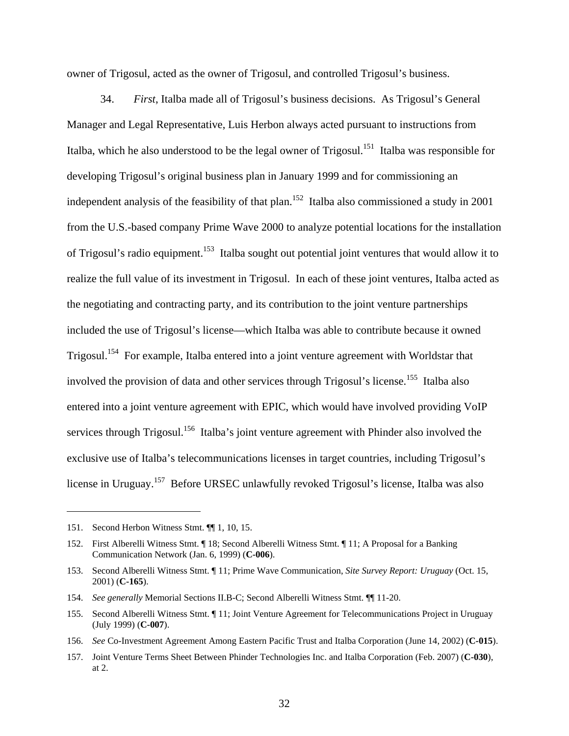owner of Trigosul, acted as the owner of Trigosul, and controlled Trigosul's business.

34. *First*, Italba made all of Trigosul's business decisions. As Trigosul's General Manager and Legal Representative, Luis Herbon always acted pursuant to instructions from Italba, which he also understood to be the legal owner of Trigosul.<sup>151</sup> Italba was responsible for developing Trigosul's original business plan in January 1999 and for commissioning an independent analysis of the feasibility of that plan.<sup>152</sup> Italba also commissioned a study in 2001 from the U.S.-based company Prime Wave 2000 to analyze potential locations for the installation of Trigosul's radio equipment.<sup>153</sup> Italba sought out potential joint ventures that would allow it to realize the full value of its investment in Trigosul. In each of these joint ventures, Italba acted as the negotiating and contracting party, and its contribution to the joint venture partnerships included the use of Trigosul's license—which Italba was able to contribute because it owned Trigosul.<sup>154</sup> For example, Italba entered into a joint venture agreement with Worldstar that involved the provision of data and other services through Trigosul's license.<sup>155</sup> Italba also entered into a joint venture agreement with EPIC, which would have involved providing VoIP services through Trigosul.<sup>156</sup> Italba's joint venture agreement with Phinder also involved the exclusive use of Italba's telecommunications licenses in target countries, including Trigosul's license in Uruguay.157 Before URSEC unlawfully revoked Trigosul's license, Italba was also

<sup>151.</sup> Second Herbon Witness Stmt. ¶¶ 1, 10, 15.

<sup>152.</sup> First Alberelli Witness Stmt. ¶ 18; Second Alberelli Witness Stmt. ¶ 11; A Proposal for a Banking Communication Network (Jan. 6, 1999) (**C-006**).

<sup>153.</sup> Second Alberelli Witness Stmt. ¶ 11; Prime Wave Communication, *Site Survey Report: Uruguay* (Oct. 15, 2001) (**C-165**).

<sup>154.</sup> *See generally* Memorial Sections II.B-C; Second Alberelli Witness Stmt. ¶¶ 11-20.

<sup>155.</sup> Second Alberelli Witness Stmt. ¶ 11; Joint Venture Agreement for Telecommunications Project in Uruguay (July 1999) (**C-007**).

<sup>156.</sup> *See* Co-Investment Agreement Among Eastern Pacific Trust and Italba Corporation (June 14, 2002) (**C-015**).

<sup>157.</sup> Joint Venture Terms Sheet Between Phinder Technologies Inc. and Italba Corporation (Feb. 2007) (**C-030**), at 2.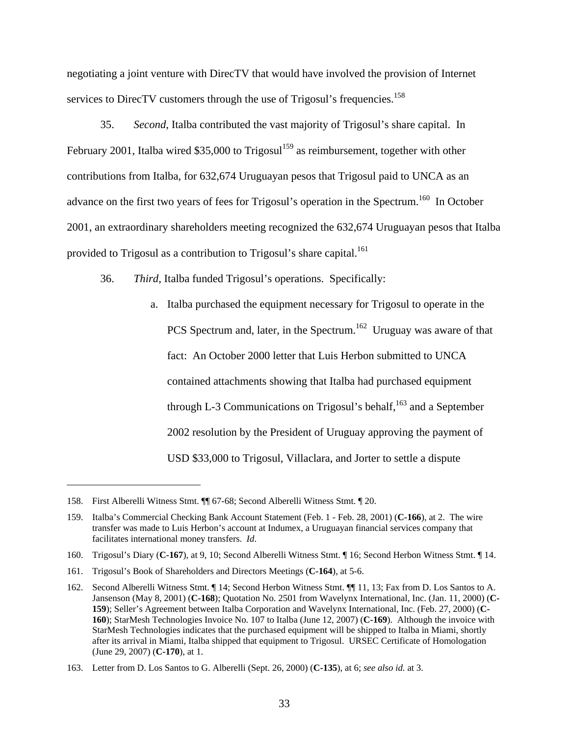negotiating a joint venture with DirecTV that would have involved the provision of Internet services to DirecTV customers through the use of Trigosul's frequencies.<sup>158</sup>

35. *Second*, Italba contributed the vast majority of Trigosul's share capital. In February 2001, Italba wired \$35,000 to Trigosul<sup>159</sup> as reimbursement, together with other contributions from Italba, for 632,674 Uruguayan pesos that Trigosul paid to UNCA as an advance on the first two years of fees for Trigosul's operation in the Spectrum.<sup>160</sup> In October 2001, an extraordinary shareholders meeting recognized the 632,674 Uruguayan pesos that Italba provided to Trigosul as a contribution to Trigosul's share capital.<sup>161</sup>

36. *Third*, Italba funded Trigosul's operations. Specifically:

a. Italba purchased the equipment necessary for Trigosul to operate in the PCS Spectrum and, later, in the Spectrum.<sup>162</sup> Uruguay was aware of that fact: An October 2000 letter that Luis Herbon submitted to UNCA contained attachments showing that Italba had purchased equipment through L-3 Communications on Trigosul's behalf,  $^{163}$  and a September 2002 resolution by the President of Uruguay approving the payment of USD \$33,000 to Trigosul, Villaclara, and Jorter to settle a dispute

<sup>158.</sup> First Alberelli Witness Stmt. ¶¶ 67-68; Second Alberelli Witness Stmt. ¶ 20.

<sup>159.</sup> Italba's Commercial Checking Bank Account Statement (Feb. 1 - Feb. 28, 2001) (**C-166**), at 2. The wire transfer was made to Luis Herbon's account at Indumex, a Uruguayan financial services company that facilitates international money transfers. *Id*.

<sup>160.</sup> Trigosul's Diary (**C-167**), at 9, 10; Second Alberelli Witness Stmt. ¶ 16; Second Herbon Witness Stmt. ¶ 14.

<sup>161.</sup> Trigosul's Book of Shareholders and Directors Meetings (**C-164**), at 5-6.

<sup>162.</sup> Second Alberelli Witness Stmt. ¶ 14; Second Herbon Witness Stmt. ¶¶ 11, 13; Fax from D. Los Santos to A. Jansenson (May 8, 2001) (**C-168**); Quotation No. 2501 from Wavelynx International, Inc. (Jan. 11, 2000) (**C-159**); Seller's Agreement between Italba Corporation and Wavelynx International, Inc. (Feb. 27, 2000) (**C-160**); StarMesh Technologies Invoice No. 107 to Italba (June 12, 2007) (**C-169**). Although the invoice with StarMesh Technologies indicates that the purchased equipment will be shipped to Italba in Miami, shortly after its arrival in Miami, Italba shipped that equipment to Trigosul. URSEC Certificate of Homologation (June 29, 2007) (**C-170**), at 1.

<sup>163.</sup> Letter from D. Los Santos to G. Alberelli (Sept. 26, 2000) (**C-135**), at 6; *see also id.* at 3.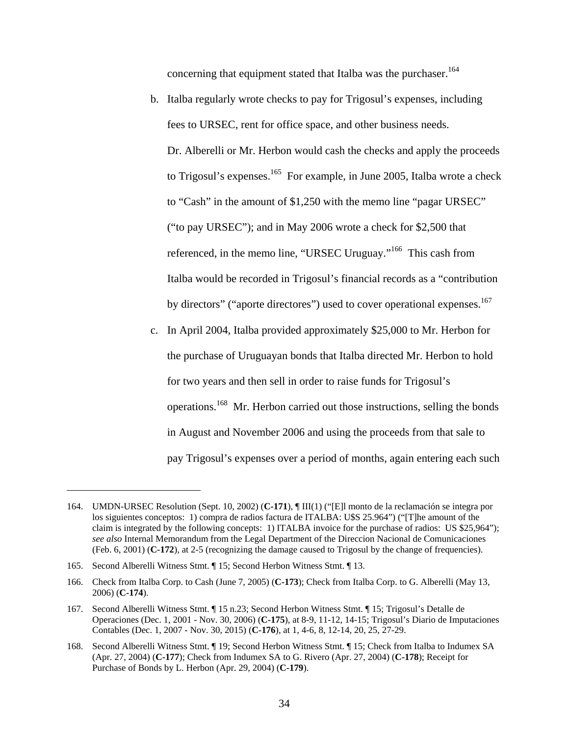concerning that equipment stated that Italba was the purchaser.<sup>164</sup>

- b. Italba regularly wrote checks to pay for Trigosul's expenses, including fees to URSEC, rent for office space, and other business needs. Dr. Alberelli or Mr. Herbon would cash the checks and apply the proceeds to Trigosul's expenses.<sup>165</sup> For example, in June 2005, Italba wrote a check to "Cash" in the amount of \$1,250 with the memo line "pagar URSEC" ("to pay URSEC"); and in May 2006 wrote a check for \$2,500 that referenced, in the memo line, "URSEC Uruguay."166 This cash from Italba would be recorded in Trigosul's financial records as a "contribution by directors" ("aporte directores") used to cover operational expenses.<sup>167</sup>
- c. In April 2004, Italba provided approximately \$25,000 to Mr. Herbon for the purchase of Uruguayan bonds that Italba directed Mr. Herbon to hold for two years and then sell in order to raise funds for Trigosul's operations.168 Mr. Herbon carried out those instructions, selling the bonds in August and November 2006 and using the proceeds from that sale to pay Trigosul's expenses over a period of months, again entering each such

<sup>164.</sup> UMDN-URSEC Resolution (Sept. 10, 2002) (**C-171**), ¶ III(1) ("[E]l monto de la reclamación se integra por los siguientes conceptos: 1) compra de radios factura de ITALBA: U\$S 25.964") ("[T]he amount of the claim is integrated by the following concepts: 1) ITALBA invoice for the purchase of radios: US \$25,964"); *see also* Internal Memorandum from the Legal Department of the Direccion Nacional de Comunicaciones (Feb. 6, 2001) (**C-172**), at 2-5 (recognizing the damage caused to Trigosul by the change of frequencies).

<sup>165.</sup> Second Alberelli Witness Stmt. ¶ 15; Second Herbon Witness Stmt. ¶ 13.

<sup>166.</sup> Check from Italba Corp. to Cash (June 7, 2005) (**C-173**); Check from Italba Corp. to G. Alberelli (May 13, 2006) (**C-174**).

<sup>167.</sup> Second Alberelli Witness Stmt. ¶ 15 n.23; Second Herbon Witness Stmt. ¶ 15; Trigosul's Detalle de Operaciones (Dec. 1, 2001 - Nov. 30, 2006) (**C-175**), at 8-9, 11-12, 14-15; Trigosul's Diario de Imputaciones Contables (Dec. 1, 2007 - Nov. 30, 2015) (**C-176**), at 1, 4-6, 8, 12-14, 20, 25, 27-29.

<sup>168.</sup> Second Alberelli Witness Stmt. ¶ 19; Second Herbon Witness Stmt. ¶ 15; Check from Italba to Indumex SA (Apr. 27, 2004) (**C-177**); Check from Indumex SA to G. Rivero (Apr. 27, 2004) (**C-178**); Receipt for Purchase of Bonds by L. Herbon (Apr. 29, 2004) (**C-179**).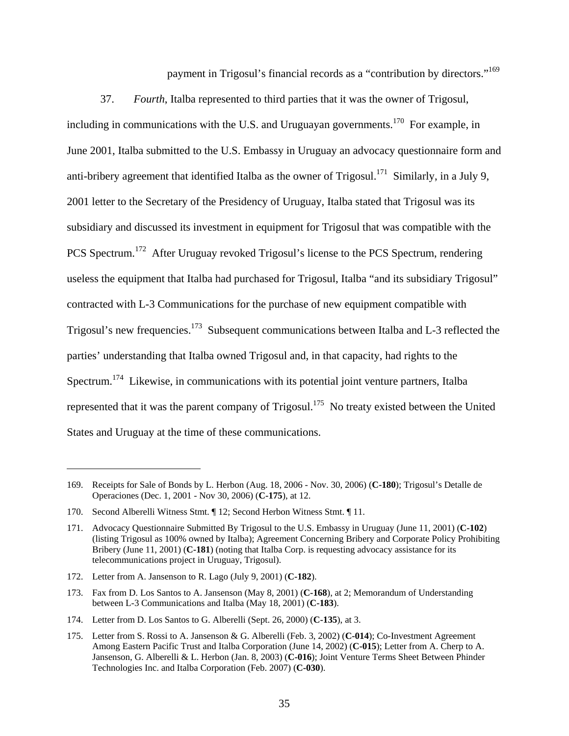payment in Trigosul's financial records as a "contribution by directors."169

37. *Fourth*, Italba represented to third parties that it was the owner of Trigosul, including in communications with the U.S. and Uruguayan governments.<sup>170</sup> For example, in June 2001, Italba submitted to the U.S. Embassy in Uruguay an advocacy questionnaire form and anti-bribery agreement that identified Italba as the owner of Trigosul.<sup>171</sup> Similarly, in a July 9, 2001 letter to the Secretary of the Presidency of Uruguay, Italba stated that Trigosul was its subsidiary and discussed its investment in equipment for Trigosul that was compatible with the PCS Spectrum.<sup>172</sup> After Uruguay revoked Trigosul's license to the PCS Spectrum, rendering useless the equipment that Italba had purchased for Trigosul, Italba "and its subsidiary Trigosul" contracted with L-3 Communications for the purchase of new equipment compatible with Trigosul's new frequencies.<sup>173</sup> Subsequent communications between Italba and L-3 reflected the parties' understanding that Italba owned Trigosul and, in that capacity, had rights to the Spectrum.<sup>174</sup> Likewise, in communications with its potential joint venture partners, Italba represented that it was the parent company of Trigosul.<sup>175</sup> No treaty existed between the United States and Uruguay at the time of these communications.

<sup>169.</sup> Receipts for Sale of Bonds by L. Herbon (Aug. 18, 2006 - Nov. 30, 2006) (**C-180**); Trigosul's Detalle de Operaciones (Dec. 1, 2001 - Nov 30, 2006) (**C-175**), at 12.

<sup>170.</sup> Second Alberelli Witness Stmt. ¶ 12; Second Herbon Witness Stmt. ¶ 11.

<sup>171.</sup> Advocacy Questionnaire Submitted By Trigosul to the U.S. Embassy in Uruguay (June 11, 2001) (**C-102**) (listing Trigosul as 100% owned by Italba); Agreement Concerning Bribery and Corporate Policy Prohibiting Bribery (June 11, 2001) (**C-181**) (noting that Italba Corp. is requesting advocacy assistance for its telecommunications project in Uruguay, Trigosul).

<sup>172.</sup> Letter from A. Jansenson to R. Lago (July 9, 2001) (**C-182**).

<sup>173.</sup> Fax from D. Los Santos to A. Jansenson (May 8, 2001) (**C-168**), at 2; Memorandum of Understanding between L-3 Communications and Italba (May 18, 2001) (**C-183**).

<sup>174.</sup> Letter from D. Los Santos to G. Alberelli (Sept. 26, 2000) (**C-135**), at 3.

<sup>175.</sup> Letter from S. Rossi to A. Jansenson & G. Alberelli (Feb. 3, 2002) (**C-014**); Co-Investment Agreement Among Eastern Pacific Trust and Italba Corporation (June 14, 2002) (**C-015**); Letter from A. Cherp to A. Jansenson, G. Alberelli & L. Herbon (Jan. 8, 2003) (**C-016**); Joint Venture Terms Sheet Between Phinder Technologies Inc. and Italba Corporation (Feb. 2007) (**C-030**).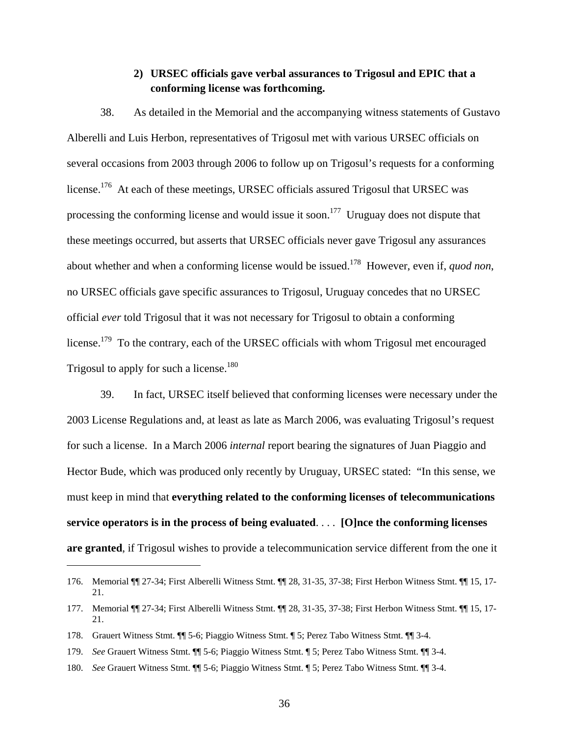### **2) URSEC officials gave verbal assurances to Trigosul and EPIC that a conforming license was forthcoming.**

38. As detailed in the Memorial and the accompanying witness statements of Gustavo Alberelli and Luis Herbon, representatives of Trigosul met with various URSEC officials on several occasions from 2003 through 2006 to follow up on Trigosul's requests for a conforming license.<sup>176</sup> At each of these meetings, URSEC officials assured Trigosul that URSEC was processing the conforming license and would issue it soon.<sup>177</sup> Uruguay does not dispute that these meetings occurred, but asserts that URSEC officials never gave Trigosul any assurances about whether and when a conforming license would be issued.178 However, even if, *quod non*, no URSEC officials gave specific assurances to Trigosul, Uruguay concedes that no URSEC official *ever* told Trigosul that it was not necessary for Trigosul to obtain a conforming license.<sup>179</sup> To the contrary, each of the URSEC officials with whom Trigosul met encouraged Trigosul to apply for such a license.<sup>180</sup>

39. In fact, URSEC itself believed that conforming licenses were necessary under the 2003 License Regulations and, at least as late as March 2006, was evaluating Trigosul's request for such a license. In a March 2006 *internal* report bearing the signatures of Juan Piaggio and Hector Bude, which was produced only recently by Uruguay, URSEC stated: "In this sense, we must keep in mind that **everything related to the conforming licenses of telecommunications service operators is in the process of being evaluated**. . . . **[O]nce the conforming licenses are granted**, if Trigosul wishes to provide a telecommunication service different from the one it

<sup>176.</sup> Memorial ¶¶ 27-34; First Alberelli Witness Stmt. ¶¶ 28, 31-35, 37-38; First Herbon Witness Stmt. ¶¶ 15, 17- 21.

<sup>177.</sup> Memorial ¶¶ 27-34; First Alberelli Witness Stmt. ¶¶ 28, 31-35, 37-38; First Herbon Witness Stmt. ¶¶ 15, 17- 21.

<sup>178.</sup> Grauert Witness Stmt. ¶¶ 5-6; Piaggio Witness Stmt. ¶ 5; Perez Tabo Witness Stmt. ¶¶ 3-4.

<sup>179.</sup> *See* Grauert Witness Stmt. ¶¶ 5-6; Piaggio Witness Stmt. ¶ 5; Perez Tabo Witness Stmt. ¶¶ 3-4.

<sup>180.</sup> *See* Grauert Witness Stmt. ¶¶ 5-6; Piaggio Witness Stmt. ¶ 5; Perez Tabo Witness Stmt. ¶¶ 3-4.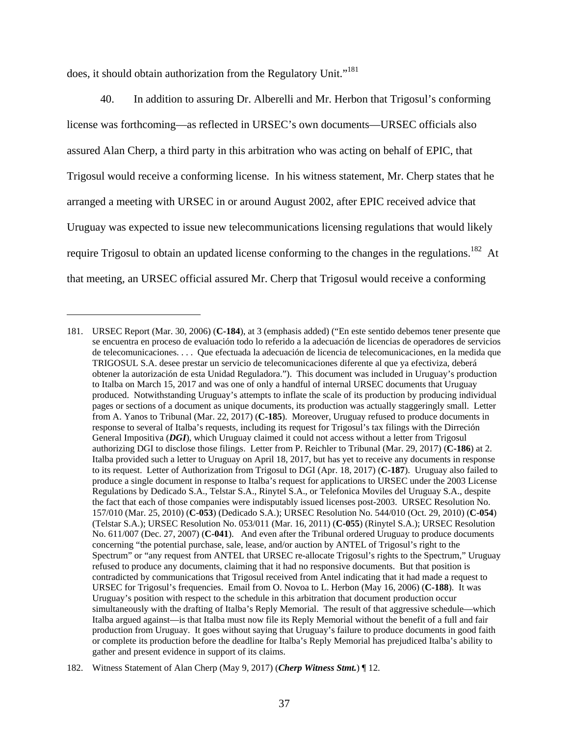does, it should obtain authorization from the Regulatory Unit."<sup>181</sup>

1

40. In addition to assuring Dr. Alberelli and Mr. Herbon that Trigosul's conforming license was forthcoming—as reflected in URSEC's own documents—URSEC officials also assured Alan Cherp, a third party in this arbitration who was acting on behalf of EPIC, that Trigosul would receive a conforming license. In his witness statement, Mr. Cherp states that he arranged a meeting with URSEC in or around August 2002, after EPIC received advice that Uruguay was expected to issue new telecommunications licensing regulations that would likely require Trigosul to obtain an updated license conforming to the changes in the regulations.<sup>182</sup> At that meeting, an URSEC official assured Mr. Cherp that Trigosul would receive a conforming

<sup>181.</sup> URSEC Report (Mar. 30, 2006) (**C-184**), at 3 (emphasis added) ("En este sentido debemos tener presente que se encuentra en proceso de evaluación todo lo referido a la adecuación de licencias de operadores de servicios de telecomunicaciones. . . . Que efectuada la adecuación de licencia de telecomunicaciones, en la medida que TRIGOSUL S.A. desee prestar un servicio de telecomunicaciones diferente al que ya efectiviza, deberá obtener la autorización de esta Unidad Reguladora."). This document was included in Uruguay's production to Italba on March 15, 2017 and was one of only a handful of internal URSEC documents that Uruguay produced. Notwithstanding Uruguay's attempts to inflate the scale of its production by producing individual pages or sections of a document as unique documents, its production was actually staggeringly small. Letter from A. Yanos to Tribunal (Mar. 22, 2017) (**C-185**). Moreover, Uruguay refused to produce documents in response to several of Italba's requests, including its request for Trigosul's tax filings with the Dirreción General Impositiva (*DGI*), which Uruguay claimed it could not access without a letter from Trigosul authorizing DGI to disclose those filings. Letter from P. Reichler to Tribunal (Mar. 29, 2017) (**C-186**) at 2. Italba provided such a letter to Uruguay on April 18, 2017, but has yet to receive any documents in response to its request. Letter of Authorization from Trigosul to DGI (Apr. 18, 2017) (**C-187**). Uruguay also failed to produce a single document in response to Italba's request for applications to URSEC under the 2003 License Regulations by Dedicado S.A., Telstar S.A., Rinytel S.A., or Telefonica Moviles del Uruguay S.A., despite the fact that each of those companies were indisputably issued licenses post-2003. URSEC Resolution No. 157/010 (Mar. 25, 2010) (**C-053**) (Dedicado S.A.); URSEC Resolution No. 544/010 (Oct. 29, 2010) (**C-054**) (Telstar S.A.); URSEC Resolution No. 053/011 (Mar. 16, 2011) (**C-055**) (Rinytel S.A.); URSEC Resolution No. 611/007 (Dec. 27, 2007) (**C-041**). And even after the Tribunal ordered Uruguay to produce documents concerning "the potential purchase, sale, lease, and/or auction by ANTEL of Trigosul's right to the Spectrum" or "any request from ANTEL that URSEC re-allocate Trigosul's rights to the Spectrum," Uruguay refused to produce any documents, claiming that it had no responsive documents. But that position is contradicted by communications that Trigosul received from Antel indicating that it had made a request to URSEC for Trigosul's frequencies. Email from O. Novoa to L. Herbon (May 16, 2006) (**C-188**). It was Uruguay's position with respect to the schedule in this arbitration that document production occur simultaneously with the drafting of Italba's Reply Memorial. The result of that aggressive schedule—which Italba argued against—is that Italba must now file its Reply Memorial without the benefit of a full and fair production from Uruguay. It goes without saying that Uruguay's failure to produce documents in good faith or complete its production before the deadline for Italba's Reply Memorial has prejudiced Italba's ability to gather and present evidence in support of its claims.

<sup>182.</sup> Witness Statement of Alan Cherp (May 9, 2017) (*Cherp Witness Stmt.*) ¶ 12.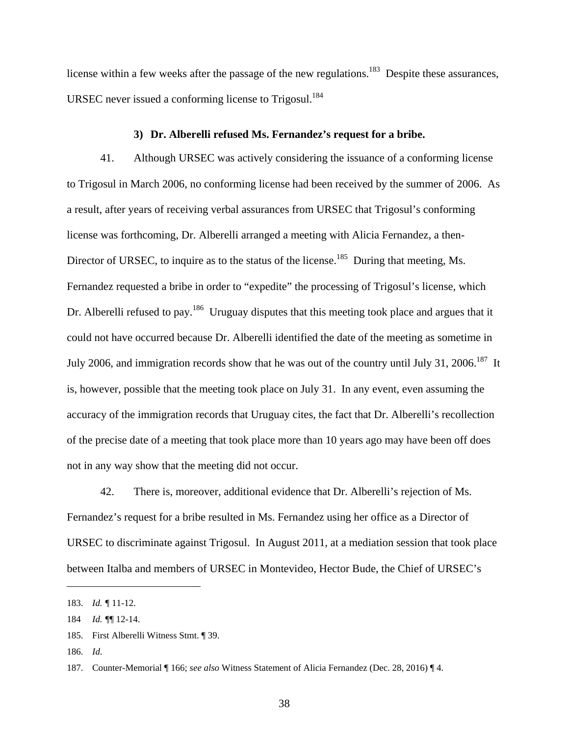license within a few weeks after the passage of the new regulations.<sup>183</sup> Despite these assurances, URSEC never issued a conforming license to Trigosul.<sup>184</sup>

#### **3) Dr. Alberelli refused Ms. Fernandez's request for a bribe.**

41. Although URSEC was actively considering the issuance of a conforming license to Trigosul in March 2006, no conforming license had been received by the summer of 2006. As a result, after years of receiving verbal assurances from URSEC that Trigosul's conforming license was forthcoming, Dr. Alberelli arranged a meeting with Alicia Fernandez, a then-Director of URSEC, to inquire as to the status of the license.<sup>185</sup> During that meeting, Ms. Fernandez requested a bribe in order to "expedite" the processing of Trigosul's license, which Dr. Alberelli refused to pay.<sup>186</sup> Uruguay disputes that this meeting took place and argues that it could not have occurred because Dr. Alberelli identified the date of the meeting as sometime in July 2006, and immigration records show that he was out of the country until July 31, 2006.<sup>187</sup> It is, however, possible that the meeting took place on July 31. In any event, even assuming the accuracy of the immigration records that Uruguay cites, the fact that Dr. Alberelli's recollection of the precise date of a meeting that took place more than 10 years ago may have been off does not in any way show that the meeting did not occur.

42. There is, moreover, additional evidence that Dr. Alberelli's rejection of Ms. Fernandez's request for a bribe resulted in Ms. Fernandez using her office as a Director of URSEC to discriminate against Trigosul. In August 2011, at a mediation session that took place between Italba and members of URSEC in Montevideo, Hector Bude, the Chief of URSEC's

186. *Id*.

1

<sup>183.</sup> *Id. ¶* 11-12.

<sup>184</sup> *Id. ¶*¶ 12-14.

<sup>185.</sup> First Alberelli Witness Stmt. ¶ 39.

<sup>187.</sup> Counter-Memorial ¶ 166; *see also* Witness Statement of Alicia Fernandez (Dec. 28, 2016) ¶ 4.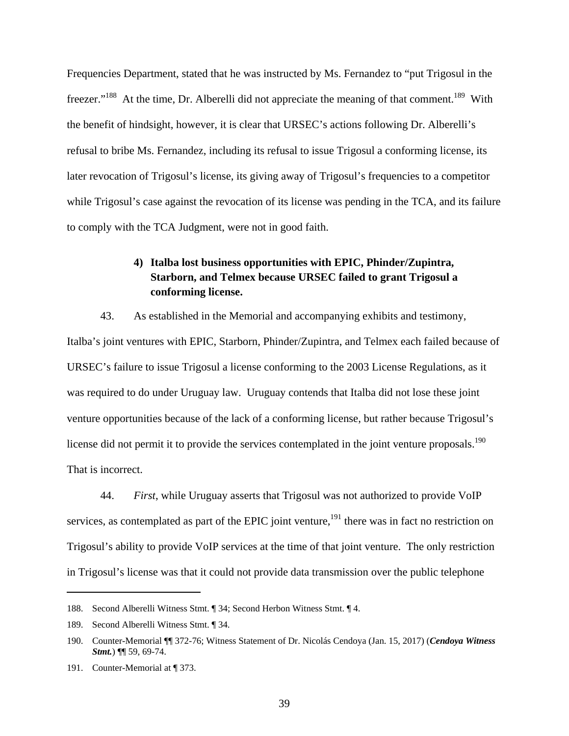Frequencies Department, stated that he was instructed by Ms. Fernandez to "put Trigosul in the freezer."<sup>188</sup> At the time, Dr. Alberelli did not appreciate the meaning of that comment.<sup>189</sup> With the benefit of hindsight, however, it is clear that URSEC's actions following Dr. Alberelli's refusal to bribe Ms. Fernandez, including its refusal to issue Trigosul a conforming license, its later revocation of Trigosul's license, its giving away of Trigosul's frequencies to a competitor while Trigosul's case against the revocation of its license was pending in the TCA, and its failure to comply with the TCA Judgment, were not in good faith.

# **4) Italba lost business opportunities with EPIC, Phinder/Zupintra, Starborn, and Telmex because URSEC failed to grant Trigosul a conforming license.**

43. As established in the Memorial and accompanying exhibits and testimony, Italba's joint ventures with EPIC, Starborn, Phinder/Zupintra, and Telmex each failed because of URSEC's failure to issue Trigosul a license conforming to the 2003 License Regulations, as it was required to do under Uruguay law. Uruguay contends that Italba did not lose these joint venture opportunities because of the lack of a conforming license, but rather because Trigosul's license did not permit it to provide the services contemplated in the joint venture proposals.<sup>190</sup> That is incorrect.

44. *First*, while Uruguay asserts that Trigosul was not authorized to provide VoIP services, as contemplated as part of the EPIC joint venture,<sup>191</sup> there was in fact no restriction on Trigosul's ability to provide VoIP services at the time of that joint venture. The only restriction in Trigosul's license was that it could not provide data transmission over the public telephone

<sup>188.</sup> Second Alberelli Witness Stmt. ¶ 34; Second Herbon Witness Stmt. ¶ 4.

<sup>189.</sup> Second Alberelli Witness Stmt. ¶ 34.

<sup>190.</sup> Counter-Memorial ¶¶ 372-76; Witness Statement of Dr. Nicolás Cendoya (Jan. 15, 2017) (*Cendoya Witness Stmt.*) ¶¶ 59, 69-74.

<sup>191.</sup> Counter-Memorial at ¶ 373.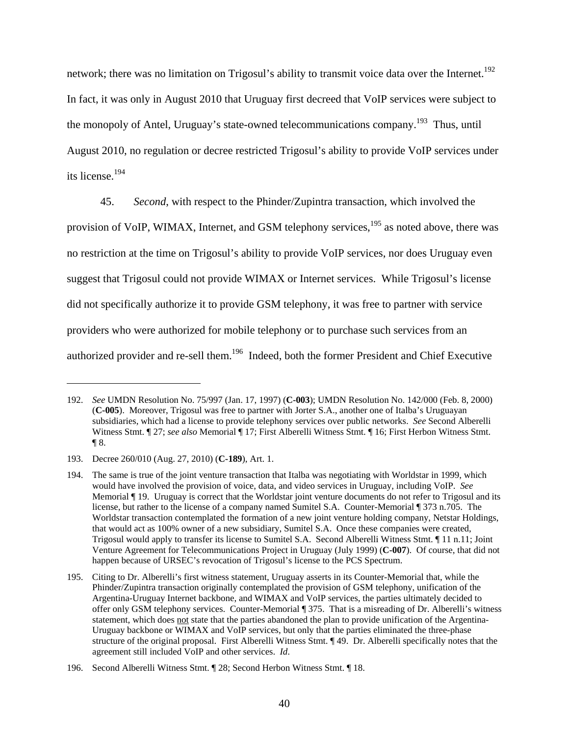network; there was no limitation on Trigosul's ability to transmit voice data over the Internet.<sup>192</sup> In fact, it was only in August 2010 that Uruguay first decreed that VoIP services were subject to the monopoly of Antel, Uruguay's state-owned telecommunications company.<sup>193</sup> Thus, until August 2010, no regulation or decree restricted Trigosul's ability to provide VoIP services under its license.194

45. *Second*, with respect to the Phinder/Zupintra transaction, which involved the provision of VoIP, WIMAX, Internet, and GSM telephony services, $195$  as noted above, there was no restriction at the time on Trigosul's ability to provide VoIP services, nor does Uruguay even suggest that Trigosul could not provide WIMAX or Internet services. While Trigosul's license did not specifically authorize it to provide GSM telephony, it was free to partner with service providers who were authorized for mobile telephony or to purchase such services from an authorized provider and re-sell them.<sup>196</sup> Indeed, both the former President and Chief Executive

<sup>192.</sup> *See* UMDN Resolution No. 75/997 (Jan. 17, 1997) (**C-003**); UMDN Resolution No. 142/000 (Feb. 8, 2000) (**C-005**). Moreover, Trigosul was free to partner with Jorter S.A., another one of Italba's Uruguayan subsidiaries, which had a license to provide telephony services over public networks. *See* Second Alberelli Witness Stmt. ¶ 27; *see also* Memorial ¶ 17; First Alberelli Witness Stmt. ¶ 16; First Herbon Witness Stmt.  $\P$ 8.

<sup>193.</sup> Decree 260/010 (Aug. 27, 2010) (**C-189**), Art. 1.

<sup>194.</sup> The same is true of the joint venture transaction that Italba was negotiating with Worldstar in 1999, which would have involved the provision of voice, data, and video services in Uruguay, including VoIP. *See* Memorial ¶ 19. Uruguay is correct that the Worldstar joint venture documents do not refer to Trigosul and its license, but rather to the license of a company named Sumitel S.A. Counter-Memorial ¶ 373 n.705. The Worldstar transaction contemplated the formation of a new joint venture holding company, Netstar Holdings, that would act as 100% owner of a new subsidiary, Sumitel S.A. Once these companies were created, Trigosul would apply to transfer its license to Sumitel S.A. Second Alberelli Witness Stmt. ¶ 11 n.11; Joint Venture Agreement for Telecommunications Project in Uruguay (July 1999) (**C-007**). Of course, that did not happen because of URSEC's revocation of Trigosul's license to the PCS Spectrum.

<sup>195.</sup> Citing to Dr. Alberelli's first witness statement, Uruguay asserts in its Counter-Memorial that, while the Phinder/Zupintra transaction originally contemplated the provision of GSM telephony, unification of the Argentina-Uruguay Internet backbone, and WIMAX and VoIP services, the parties ultimately decided to offer only GSM telephony services. Counter-Memorial ¶ 375. That is a misreading of Dr. Alberelli's witness statement, which does not state that the parties abandoned the plan to provide unification of the Argentina-Uruguay backbone or WIMAX and VoIP services, but only that the parties eliminated the three-phase structure of the original proposal. First Alberelli Witness Stmt. ¶ 49. Dr. Alberelli specifically notes that the agreement still included VoIP and other services. *Id*.

<sup>196.</sup> Second Alberelli Witness Stmt. ¶ 28; Second Herbon Witness Stmt. ¶ 18.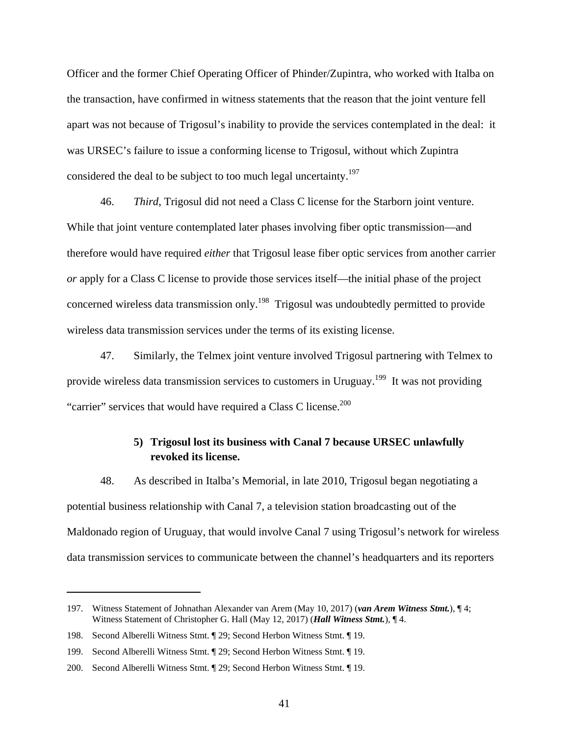Officer and the former Chief Operating Officer of Phinder/Zupintra, who worked with Italba on the transaction, have confirmed in witness statements that the reason that the joint venture fell apart was not because of Trigosul's inability to provide the services contemplated in the deal: it was URSEC's failure to issue a conforming license to Trigosul, without which Zupintra considered the deal to be subject to too much legal uncertainty.<sup>197</sup>

46. *Third*, Trigosul did not need a Class C license for the Starborn joint venture. While that joint venture contemplated later phases involving fiber optic transmission—and therefore would have required *either* that Trigosul lease fiber optic services from another carrier *or* apply for a Class C license to provide those services itself—the initial phase of the project concerned wireless data transmission only.<sup>198</sup> Trigosul was undoubtedly permitted to provide wireless data transmission services under the terms of its existing license.

47. Similarly, the Telmex joint venture involved Trigosul partnering with Telmex to provide wireless data transmission services to customers in Uruguay.<sup>199</sup> It was not providing "carrier" services that would have required a Class C license.<sup>200</sup>

## **5) Trigosul lost its business with Canal 7 because URSEC unlawfully revoked its license.**

48. As described in Italba's Memorial, in late 2010, Trigosul began negotiating a potential business relationship with Canal 7, a television station broadcasting out of the Maldonado region of Uruguay, that would involve Canal 7 using Trigosul's network for wireless data transmission services to communicate between the channel's headquarters and its reporters

1

<sup>197.</sup> Witness Statement of Johnathan Alexander van Arem (May 10, 2017) (*van Arem Witness Stmt.*), ¶ 4; Witness Statement of Christopher G. Hall (May 12, 2017) (*Hall Witness Stmt.*), ¶ 4.

<sup>198.</sup> Second Alberelli Witness Stmt. ¶ 29; Second Herbon Witness Stmt. ¶ 19.

<sup>199.</sup> Second Alberelli Witness Stmt. ¶ 29; Second Herbon Witness Stmt. ¶ 19.

<sup>200.</sup> Second Alberelli Witness Stmt. ¶ 29; Second Herbon Witness Stmt. ¶ 19.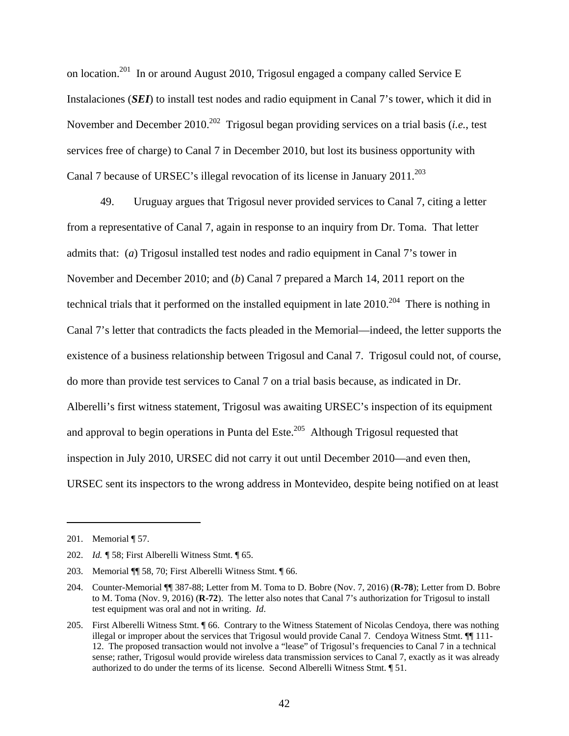on location.201 In or around August 2010, Trigosul engaged a company called Service E Instalaciones (*SEI*) to install test nodes and radio equipment in Canal 7's tower, which it did in November and December 2010.202 Trigosul began providing services on a trial basis (*i.e.*, test services free of charge) to Canal 7 in December 2010, but lost its business opportunity with Canal 7 because of URSEC's illegal revocation of its license in January  $2011^{203}$ 

49. Uruguay argues that Trigosul never provided services to Canal 7, citing a letter from a representative of Canal 7, again in response to an inquiry from Dr. Toma. That letter admits that: (*a*) Trigosul installed test nodes and radio equipment in Canal 7's tower in November and December 2010; and (*b*) Canal 7 prepared a March 14, 2011 report on the technical trials that it performed on the installed equipment in late  $2010^{204}$  There is nothing in Canal 7's letter that contradicts the facts pleaded in the Memorial—indeed, the letter supports the existence of a business relationship between Trigosul and Canal 7. Trigosul could not, of course, do more than provide test services to Canal 7 on a trial basis because, as indicated in Dr. Alberelli's first witness statement, Trigosul was awaiting URSEC's inspection of its equipment and approval to begin operations in Punta del Este.<sup>205</sup> Although Trigosul requested that inspection in July 2010, URSEC did not carry it out until December 2010—and even then, URSEC sent its inspectors to the wrong address in Montevideo, despite being notified on at least

1

<sup>201.</sup> Memorial ¶ 57.

<sup>202.</sup> *Id. ¶* 58; First Alberelli Witness Stmt. ¶ 65.

<sup>203.</sup> Memorial ¶¶ 58, 70; First Alberelli Witness Stmt. ¶ 66.

<sup>204.</sup> Counter-Memorial ¶¶ 387-88; Letter from M. Toma to D. Bobre (Nov. 7, 2016) (**R-78**); Letter from D. Bobre to M. Toma (Nov. 9, 2016) (**R-72**). The letter also notes that Canal 7's authorization for Trigosul to install test equipment was oral and not in writing. *Id*.

<sup>205.</sup> First Alberelli Witness Stmt. ¶ 66. Contrary to the Witness Statement of Nicolas Cendoya, there was nothing illegal or improper about the services that Trigosul would provide Canal 7. Cendoya Witness Stmt. ¶¶ 111- 12. The proposed transaction would not involve a "lease" of Trigosul's frequencies to Canal 7 in a technical sense; rather, Trigosul would provide wireless data transmission services to Canal 7, exactly as it was already authorized to do under the terms of its license. Second Alberelli Witness Stmt. ¶ 51.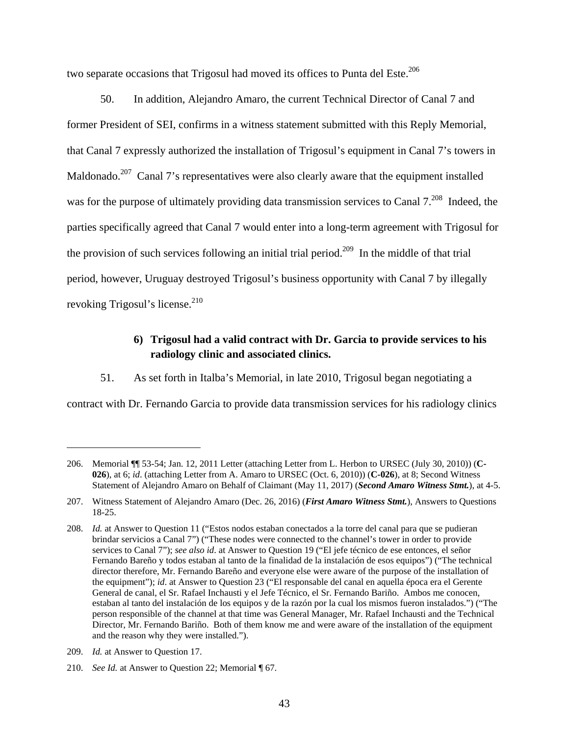two separate occasions that Trigosul had moved its offices to Punta del Este.<sup>206</sup>

50. In addition, Alejandro Amaro, the current Technical Director of Canal 7 and former President of SEI, confirms in a witness statement submitted with this Reply Memorial, that Canal 7 expressly authorized the installation of Trigosul's equipment in Canal 7's towers in Maldonado.<sup>207</sup> Canal 7's representatives were also clearly aware that the equipment installed was for the purpose of ultimately providing data transmission services to Canal 7.<sup>208</sup> Indeed, the parties specifically agreed that Canal 7 would enter into a long-term agreement with Trigosul for the provision of such services following an initial trial period.<sup>209</sup> In the middle of that trial period, however, Uruguay destroyed Trigosul's business opportunity with Canal 7 by illegally revoking Trigosul's license. $^{210}$ 

## **6) Trigosul had a valid contract with Dr. Garcia to provide services to his radiology clinic and associated clinics.**

51. As set forth in Italba's Memorial, in late 2010, Trigosul began negotiating a

contract with Dr. Fernando Garcia to provide data transmission services for his radiology clinics

209. *Id.* at Answer to Question 17.

<sup>206.</sup> Memorial ¶¶ 53-54; Jan. 12, 2011 Letter (attaching Letter from L. Herbon to URSEC (July 30, 2010)) (**C-026**), at 6; *id*. (attaching Letter from A. Amaro to URSEC (Oct. 6, 2010)) (**C-026**), at 8; Second Witness Statement of Alejandro Amaro on Behalf of Claimant (May 11, 2017) (*Second Amaro Witness Stmt.*), at 4-5.

<sup>207.</sup> Witness Statement of Alejandro Amaro (Dec. 26, 2016) (*First Amaro Witness Stmt.*), Answers to Questions 18-25.

<sup>208.</sup> *Id.* at Answer to Question 11 ("Estos nodos estaban conectados a la torre del canal para que se pudieran brindar servicios a Canal 7") ("These nodes were connected to the channel's tower in order to provide services to Canal 7"); *see also id*. at Answer to Question 19 ("El jefe técnico de ese entonces, el señor Fernando Bareño y todos estaban al tanto de la finalidad de la instalación de esos equipos") ("The technical director therefore, Mr. Fernando Bareño and everyone else were aware of the purpose of the installation of the equipment"); *id*. at Answer to Question 23 ("El responsable del canal en aquella época era el Gerente General de canal, el Sr. Rafael Inchausti y el Jefe Técnico, el Sr. Fernando Bariño. Ambos me conocen, estaban al tanto del instalación de los equipos y de la razón por la cual los mismos fueron instalados.") ("The person responsible of the channel at that time was General Manager, Mr. Rafael Inchausti and the Technical Director, Mr. Fernando Bariño. Both of them know me and were aware of the installation of the equipment and the reason why they were installed.").

<sup>210.</sup> *See Id.* at Answer to Question 22; Memorial ¶ 67.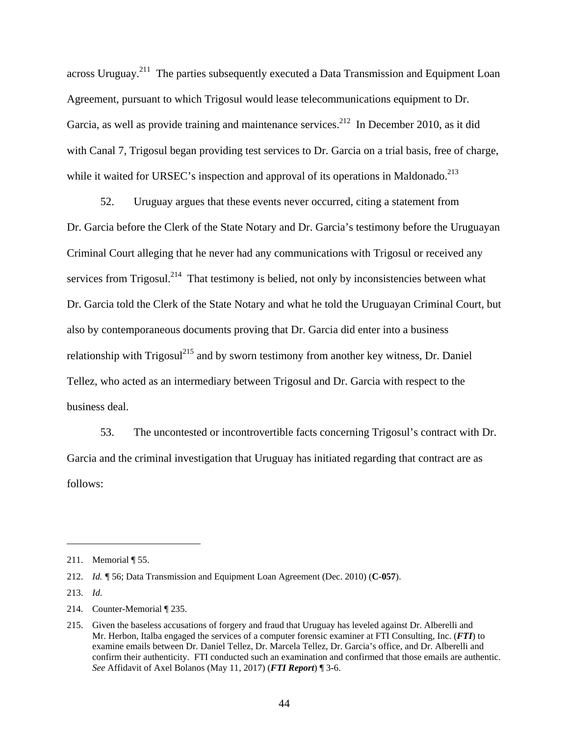across Uruguay.<sup>211</sup> The parties subsequently executed a Data Transmission and Equipment Loan Agreement, pursuant to which Trigosul would lease telecommunications equipment to Dr. Garcia, as well as provide training and maintenance services.<sup>212</sup> In December 2010, as it did with Canal 7, Trigosul began providing test services to Dr. Garcia on a trial basis, free of charge, while it waited for URSEC's inspection and approval of its operations in Maldonado.<sup>213</sup>

52. Uruguay argues that these events never occurred, citing a statement from Dr. Garcia before the Clerk of the State Notary and Dr. Garcia's testimony before the Uruguayan Criminal Court alleging that he never had any communications with Trigosul or received any services from Trigosul.<sup>214</sup> That testimony is belied, not only by inconsistencies between what Dr. Garcia told the Clerk of the State Notary and what he told the Uruguayan Criminal Court, but also by contemporaneous documents proving that Dr. Garcia did enter into a business relationship with  $Trigosul<sup>215</sup>$  and by sworn testimony from another key witness, Dr. Daniel Tellez, who acted as an intermediary between Trigosul and Dr. Garcia with respect to the business deal.

53. The uncontested or incontrovertible facts concerning Trigosul's contract with Dr. Garcia and the criminal investigation that Uruguay has initiated regarding that contract are as follows:

1

<sup>211.</sup> Memorial  $\P$  55.

<sup>212.</sup> *Id. ¶* 56; Data Transmission and Equipment Loan Agreement (Dec. 2010) (**C-057**).

<sup>213.</sup> *Id*.

<sup>214.</sup> Counter-Memorial ¶ 235.

<sup>215.</sup> Given the baseless accusations of forgery and fraud that Uruguay has leveled against Dr. Alberelli and Mr. Herbon, Italba engaged the services of a computer forensic examiner at FTI Consulting, Inc. (*FTI*) to examine emails between Dr. Daniel Tellez, Dr. Marcela Tellez, Dr. Garcia's office, and Dr. Alberelli and confirm their authenticity. FTI conducted such an examination and confirmed that those emails are authentic. *See* Affidavit of Axel Bolanos (May 11, 2017) (*FTI Report*) ¶ 3-6.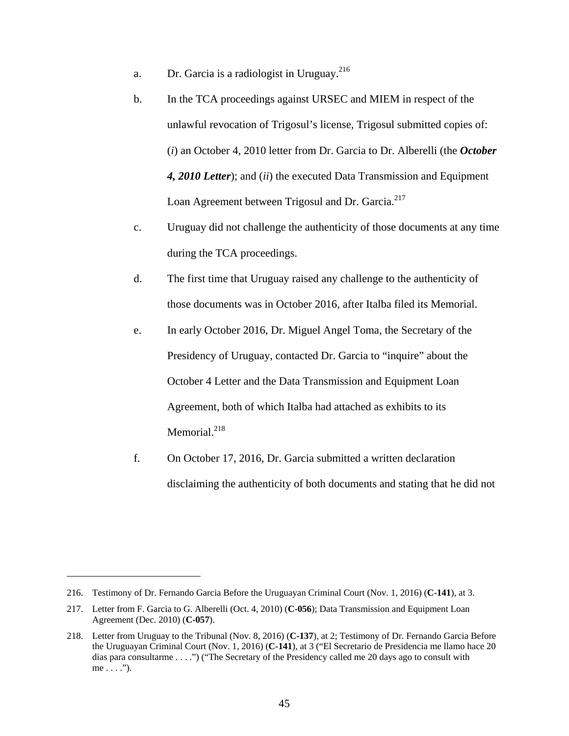- a. Dr. Garcia is a radiologist in Uruguay. $2^{16}$
- b. In the TCA proceedings against URSEC and MIEM in respect of the unlawful revocation of Trigosul's license, Trigosul submitted copies of: (*i*) an October 4, 2010 letter from Dr. Garcia to Dr. Alberelli (the *October 4, 2010 Letter*); and (*ii*) the executed Data Transmission and Equipment Loan Agreement between Trigosul and Dr. Garcia.<sup>217</sup>
- c. Uruguay did not challenge the authenticity of those documents at any time during the TCA proceedings.
- d. The first time that Uruguay raised any challenge to the authenticity of those documents was in October 2016, after Italba filed its Memorial.
- e. In early October 2016, Dr. Miguel Angel Toma, the Secretary of the Presidency of Uruguay, contacted Dr. Garcia to "inquire" about the October 4 Letter and the Data Transmission and Equipment Loan Agreement, both of which Italba had attached as exhibits to its Memorial.<sup>218</sup>
- f. On October 17, 2016, Dr. Garcia submitted a written declaration disclaiming the authenticity of both documents and stating that he did not

<sup>216.</sup> Testimony of Dr. Fernando Garcia Before the Uruguayan Criminal Court (Nov. 1, 2016) (**C-141**), at 3.

<sup>217.</sup> Letter from F. Garcia to G. Alberelli (Oct. 4, 2010) (**C-056**); Data Transmission and Equipment Loan Agreement (Dec. 2010) (**C-057**).

<sup>218.</sup> Letter from Uruguay to the Tribunal (Nov. 8, 2016) (**C-137**), at 2; Testimony of Dr. Fernando Garcia Before the Uruguayan Criminal Court (Nov. 1, 2016) (**C-141**), at 3 ("El Secretario de Presidencia me llamo hace 20 dias para consultarme . . . .") ("The Secretary of the Presidency called me 20 days ago to consult with me  $\dots$  .").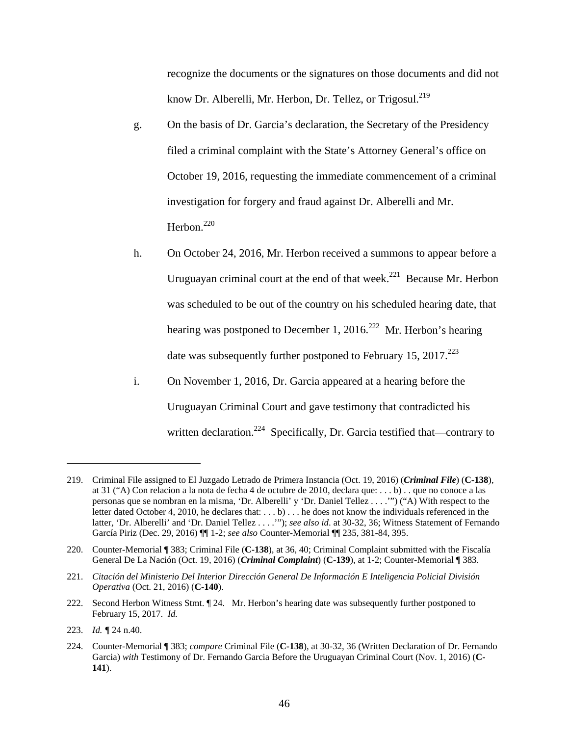recognize the documents or the signatures on those documents and did not know Dr. Alberelli, Mr. Herbon, Dr. Tellez, or Trigosul.<sup>219</sup>

- g. On the basis of Dr. Garcia's declaration, the Secretary of the Presidency filed a criminal complaint with the State's Attorney General's office on October 19, 2016, requesting the immediate commencement of a criminal investigation for forgery and fraud against Dr. Alberelli and Mr. Herbon. $220$
- h. On October 24, 2016, Mr. Herbon received a summons to appear before a Uruguayan criminal court at the end of that week.<sup>221</sup> Because Mr. Herbon was scheduled to be out of the country on his scheduled hearing date, that hearing was postponed to December 1, 2016.<sup>222</sup> Mr. Herbon's hearing date was subsequently further postponed to February 15,  $2017^{223}$
- i. On November 1, 2016, Dr. Garcia appeared at a hearing before the Uruguayan Criminal Court and gave testimony that contradicted his written declaration.<sup>224</sup> Specifically, Dr. Garcia testified that—contrary to

<sup>219.</sup> Criminal File assigned to El Juzgado Letrado de Primera Instancia (Oct. 19, 2016) (*Criminal File*) (**C-138**), at 31 ("A) Con relacion a la nota de fecha 4 de octubre de 2010, declara que: . . . b) . . que no conoce a las personas que se nombran en la misma, 'Dr. Alberelli' y 'Dr. Daniel Tellez . . . .'") ("A) With respect to the letter dated October 4, 2010, he declares that: . . . b) . . . he does not know the individuals referenced in the latter, 'Dr. Alberelli' and 'Dr. Daniel Tellez . . . .'"); *see also id*. at 30-32, 36; Witness Statement of Fernando García Piriz (Dec. 29, 2016) ¶¶ 1-2; *see also* Counter-Memorial ¶¶ 235, 381-84, 395.

<sup>220.</sup> Counter-Memorial ¶ 383; Criminal File (**C-138**), at 36, 40; Criminal Complaint submitted with the Fiscalía General De La Nación (Oct. 19, 2016) (*Criminal Complaint*) (**C-139**), at 1-2; Counter-Memorial ¶ 383.

<sup>221.</sup> *Citación del Ministerio Del Interior Dirección General De Información E Inteligencia Policial División Operativa* (Oct. 21, 2016) (**C-140**).

<sup>222.</sup> Second Herbon Witness Stmt. ¶ 24. Mr. Herbon's hearing date was subsequently further postponed to February 15, 2017. *Id.* 

<sup>223.</sup> *Id. ¶* 24 n.40.

<sup>224.</sup> Counter-Memorial ¶ 383; *compare* Criminal File (**C-138**), at 30-32, 36 (Written Declaration of Dr. Fernando Garcia) *with* Testimony of Dr. Fernando Garcia Before the Uruguayan Criminal Court (Nov. 1, 2016) (**C-141**).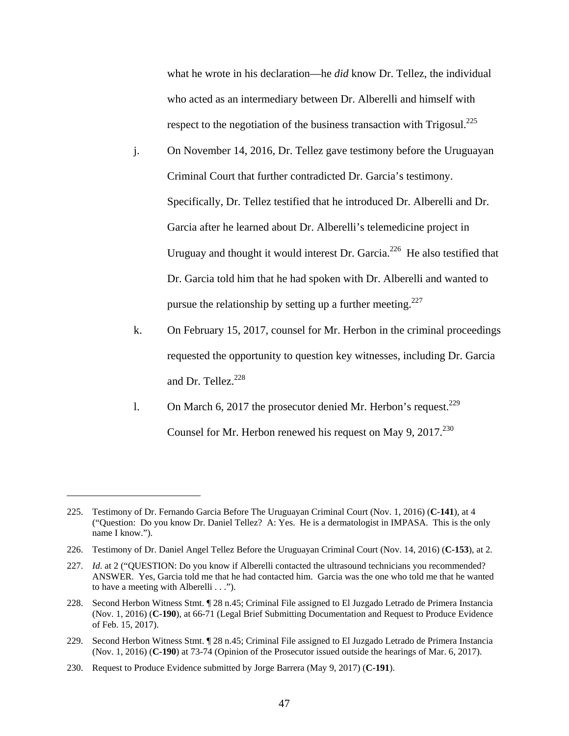what he wrote in his declaration—he *did* know Dr. Tellez, the individual who acted as an intermediary between Dr. Alberelli and himself with respect to the negotiation of the business transaction with  $Trigosul.<sup>225</sup>$ 

- j. On November 14, 2016, Dr. Tellez gave testimony before the Uruguayan Criminal Court that further contradicted Dr. Garcia's testimony. Specifically, Dr. Tellez testified that he introduced Dr. Alberelli and Dr. Garcia after he learned about Dr. Alberelli's telemedicine project in Uruguay and thought it would interest Dr. Garcia.<sup>226</sup> He also testified that Dr. Garcia told him that he had spoken with Dr. Alberelli and wanted to pursue the relationship by setting up a further meeting.<sup>227</sup>
- k. On February 15, 2017, counsel for Mr. Herbon in the criminal proceedings requested the opportunity to question key witnesses, including Dr. Garcia and Dr. Tellez. $^{228}$
- l. On March 6, 2017 the prosecutor denied Mr. Herbon's request.<sup>229</sup> Counsel for Mr. Herbon renewed his request on May 9,  $2017^{230}$

<u>.</u>

<sup>225.</sup> Testimony of Dr. Fernando Garcia Before The Uruguayan Criminal Court (Nov. 1, 2016) (**C-141**), at 4 ("Question: Do you know Dr. Daniel Tellez? A: Yes. He is a dermatologist in IMPASA. This is the only name I know.").

<sup>226.</sup> Testimony of Dr. Daniel Angel Tellez Before the Uruguayan Criminal Court (Nov. 14, 2016) (**C-153**), at 2.

<sup>227.</sup> *Id.* at 2 ("QUESTION: Do you know if Alberelli contacted the ultrasound technicians you recommended? ANSWER. Yes, Garcia told me that he had contacted him. Garcia was the one who told me that he wanted to have a meeting with Alberelli . . .").

<sup>228.</sup> Second Herbon Witness Stmt. ¶ 28 n.45; Criminal File assigned to El Juzgado Letrado de Primera Instancia (Nov. 1, 2016) (**C-190**), at 66-71 (Legal Brief Submitting Documentation and Request to Produce Evidence of Feb. 15, 2017).

<sup>229.</sup> Second Herbon Witness Stmt. ¶ 28 n.45; Criminal File assigned to El Juzgado Letrado de Primera Instancia (Nov. 1, 2016) (**C-190**) at 73-74 (Opinion of the Prosecutor issued outside the hearings of Mar. 6, 2017).

<sup>230.</sup> Request to Produce Evidence submitted by Jorge Barrera (May 9, 2017) (**C-191**).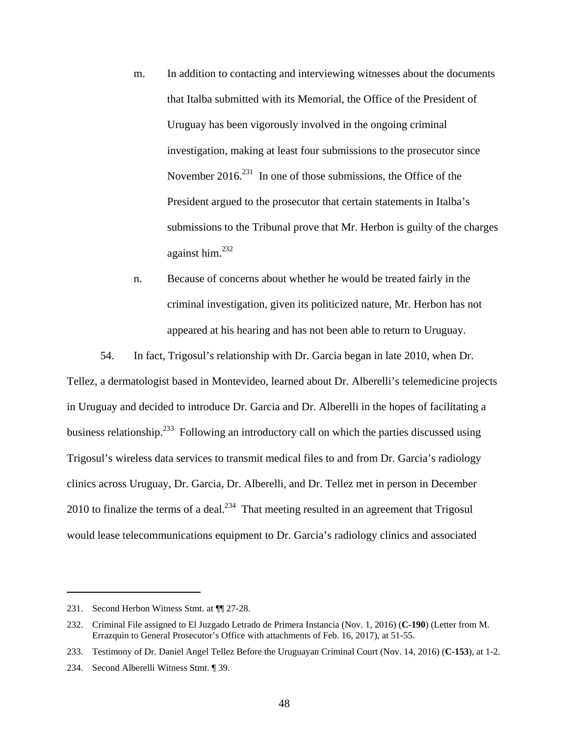- m. In addition to contacting and interviewing witnesses about the documents that Italba submitted with its Memorial, the Office of the President of Uruguay has been vigorously involved in the ongoing criminal investigation, making at least four submissions to the prosecutor since November 2016.<sup>231</sup> In one of those submissions, the Office of the President argued to the prosecutor that certain statements in Italba's submissions to the Tribunal prove that Mr. Herbon is guilty of the charges against him. $^{232}$
- n. Because of concerns about whether he would be treated fairly in the criminal investigation, given its politicized nature, Mr. Herbon has not appeared at his hearing and has not been able to return to Uruguay.

54. In fact, Trigosul's relationship with Dr. Garcia began in late 2010, when Dr. Tellez, a dermatologist based in Montevideo, learned about Dr. Alberelli's telemedicine projects in Uruguay and decided to introduce Dr. Garcia and Dr. Alberelli in the hopes of facilitating a business relationship.<sup>233</sup> Following an introductory call on which the parties discussed using Trigosul's wireless data services to transmit medical files to and from Dr. Garcia's radiology clinics across Uruguay, Dr. Garcia, Dr. Alberelli, and Dr. Tellez met in person in December 2010 to finalize the terms of a deal.<sup>234</sup> That meeting resulted in an agreement that Trigosul would lease telecommunications equipment to Dr. Garcia's radiology clinics and associated

1

<sup>231.</sup> Second Herbon Witness Stmt. at  $\P$  27-28.

<sup>232.</sup> Criminal File assigned to El Juzgado Letrado de Primera Instancia (Nov. 1, 2016) (**C-190**) (Letter from M. Errazquin to General Prosecutor's Office with attachments of Feb. 16, 2017), at 51-55.

<sup>233.</sup> Testimony of Dr. Daniel Angel Tellez Before the Uruguayan Criminal Court (Nov. 14, 2016) (**C-153**), at 1-2.

<sup>234.</sup> Second Alberelli Witness Stmt. ¶ 39.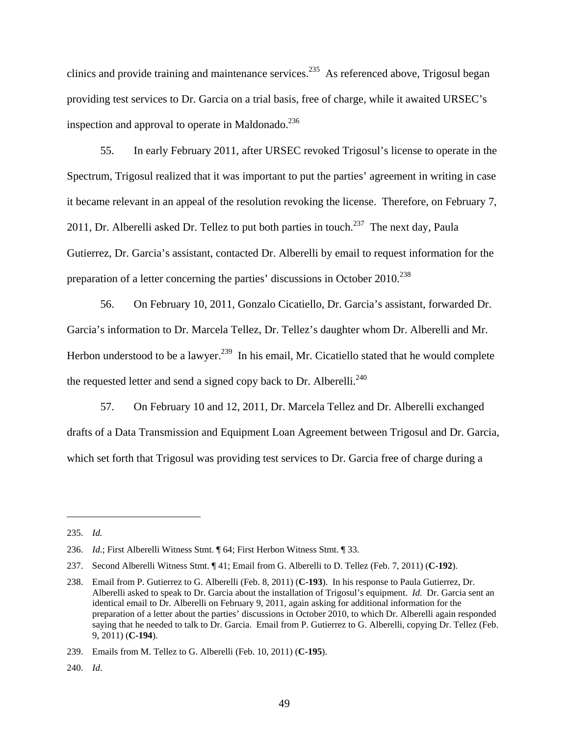clinics and provide training and maintenance services.<sup>235</sup> As referenced above, Trigosul began providing test services to Dr. Garcia on a trial basis, free of charge, while it awaited URSEC's inspection and approval to operate in Maldonado. $^{236}$ 

55. In early February 2011, after URSEC revoked Trigosul's license to operate in the Spectrum, Trigosul realized that it was important to put the parties' agreement in writing in case it became relevant in an appeal of the resolution revoking the license. Therefore, on February 7, 2011, Dr. Alberelli asked Dr. Tellez to put both parties in touch.<sup>237</sup> The next day, Paula Gutierrez, Dr. Garcia's assistant, contacted Dr. Alberelli by email to request information for the preparation of a letter concerning the parties' discussions in October  $2010^{238}$ 

56. On February 10, 2011, Gonzalo Cicatiello, Dr. Garcia's assistant, forwarded Dr. Garcia's information to Dr. Marcela Tellez, Dr. Tellez's daughter whom Dr. Alberelli and Mr. Herbon understood to be a lawyer.<sup>239</sup> In his email, Mr. Cicatiello stated that he would complete the requested letter and send a signed copy back to Dr. Alberelli. $^{240}$ 

57. On February 10 and 12, 2011, Dr. Marcela Tellez and Dr. Alberelli exchanged drafts of a Data Transmission and Equipment Loan Agreement between Trigosul and Dr. Garcia, which set forth that Trigosul was providing test services to Dr. Garcia free of charge during a

<sup>235.</sup> *Id.*

<sup>236.</sup> *Id*.; First Alberelli Witness Stmt. ¶ 64; First Herbon Witness Stmt. ¶ 33.

<sup>237.</sup> Second Alberelli Witness Stmt. ¶ 41; Email from G. Alberelli to D. Tellez (Feb. 7, 2011) (**C-192**).

<sup>238.</sup> Email from P. Gutierrez to G. Alberelli (Feb. 8, 2011) (**C-193**). In his response to Paula Gutierrez, Dr. Alberelli asked to speak to Dr. Garcia about the installation of Trigosul's equipment. *Id.* Dr. Garcia sent an identical email to Dr. Alberelli on February 9, 2011, again asking for additional information for the preparation of a letter about the parties' discussions in October 2010, to which Dr. Alberelli again responded saying that he needed to talk to Dr. Garcia. Email from P. Gutierrez to G. Alberelli, copying Dr. Tellez (Feb. 9, 2011) (**C-194**).

<sup>239.</sup> Emails from M. Tellez to G. Alberelli (Feb. 10, 2011) (**C-195**).

<sup>240.</sup> *Id*.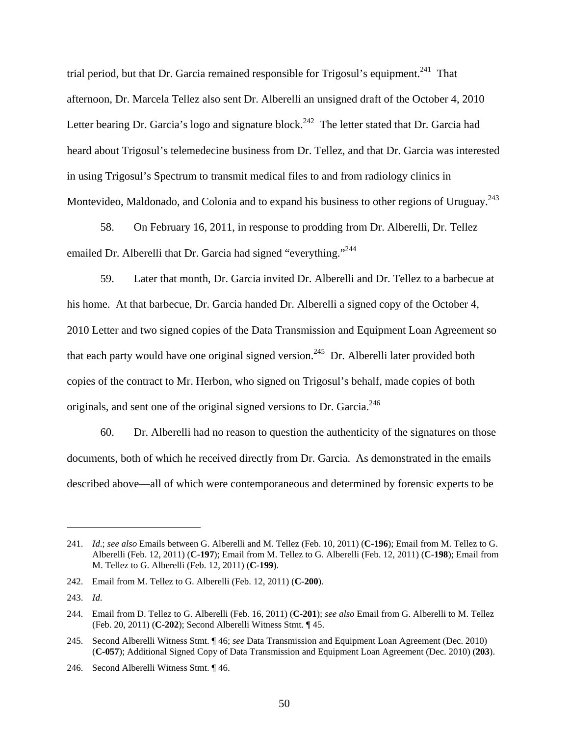trial period, but that Dr. Garcia remained responsible for Trigosul's equipment.<sup>241</sup> That afternoon, Dr. Marcela Tellez also sent Dr. Alberelli an unsigned draft of the October 4, 2010 Letter bearing Dr. Garcia's logo and signature block.<sup>242</sup> The letter stated that Dr. Garcia had heard about Trigosul's telemedecine business from Dr. Tellez, and that Dr. Garcia was interested in using Trigosul's Spectrum to transmit medical files to and from radiology clinics in Montevideo, Maldonado, and Colonia and to expand his business to other regions of Uruguay.<sup>243</sup>

58. On February 16, 2011, in response to prodding from Dr. Alberelli, Dr. Tellez emailed Dr. Alberelli that Dr. Garcia had signed "everything."<sup>244</sup>

59. Later that month, Dr. Garcia invited Dr. Alberelli and Dr. Tellez to a barbecue at his home. At that barbecue, Dr. Garcia handed Dr. Alberelli a signed copy of the October 4, 2010 Letter and two signed copies of the Data Transmission and Equipment Loan Agreement so that each party would have one original signed version.<sup>245</sup> Dr. Alberelli later provided both copies of the contract to Mr. Herbon, who signed on Trigosul's behalf, made copies of both originals, and sent one of the original signed versions to Dr. Garcia.<sup>246</sup>

60. Dr. Alberelli had no reason to question the authenticity of the signatures on those documents, both of which he received directly from Dr. Garcia. As demonstrated in the emails described above—all of which were contemporaneous and determined by forensic experts to be

<u>.</u>

<sup>241.</sup> *Id*.; *see also* Emails between G. Alberelli and M. Tellez (Feb. 10, 2011) (**C-196**); Email from M. Tellez to G. Alberelli (Feb. 12, 2011) (**C-197**); Email from M. Tellez to G. Alberelli (Feb. 12, 2011) (**C-198**); Email from M. Tellez to G. Alberelli (Feb. 12, 2011) (**C-199**).

<sup>242.</sup> Email from M. Tellez to G. Alberelli (Feb. 12, 2011) (**C-200**).

<sup>243.</sup> *Id*.

<sup>244.</sup> Email from D. Tellez to G. Alberelli (Feb. 16, 2011) (**C-201**); *see also* Email from G. Alberelli to M. Tellez (Feb. 20, 2011) (**C-202**); Second Alberelli Witness Stmt. ¶ 45.

<sup>245.</sup> Second Alberelli Witness Stmt. ¶ 46; *see* Data Transmission and Equipment Loan Agreement (Dec. 2010) (**C-057**); Additional Signed Copy of Data Transmission and Equipment Loan Agreement (Dec. 2010) (**203**).

<sup>246.</sup> Second Alberelli Witness Stmt. ¶ 46.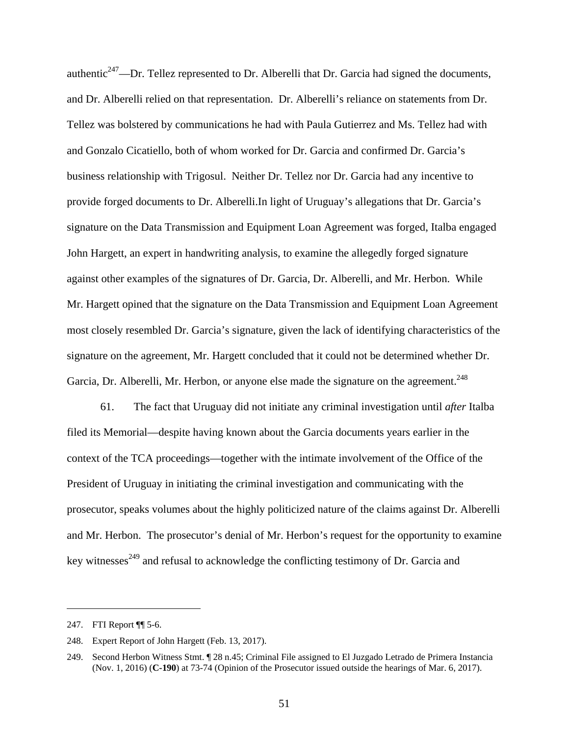authentic<sup>247</sup>—Dr. Tellez represented to Dr. Alberelli that Dr. Garcia had signed the documents, and Dr. Alberelli relied on that representation. Dr. Alberelli's reliance on statements from Dr. Tellez was bolstered by communications he had with Paula Gutierrez and Ms. Tellez had with and Gonzalo Cicatiello, both of whom worked for Dr. Garcia and confirmed Dr. Garcia's business relationship with Trigosul. Neither Dr. Tellez nor Dr. Garcia had any incentive to provide forged documents to Dr. Alberelli.In light of Uruguay's allegations that Dr. Garcia's signature on the Data Transmission and Equipment Loan Agreement was forged, Italba engaged John Hargett, an expert in handwriting analysis, to examine the allegedly forged signature against other examples of the signatures of Dr. Garcia, Dr. Alberelli, and Mr. Herbon. While Mr. Hargett opined that the signature on the Data Transmission and Equipment Loan Agreement most closely resembled Dr. Garcia's signature, given the lack of identifying characteristics of the signature on the agreement, Mr. Hargett concluded that it could not be determined whether Dr. Garcia, Dr. Alberelli, Mr. Herbon, or anyone else made the signature on the agreement.<sup>248</sup>

61. The fact that Uruguay did not initiate any criminal investigation until *after* Italba filed its Memorial—despite having known about the Garcia documents years earlier in the context of the TCA proceedings—together with the intimate involvement of the Office of the President of Uruguay in initiating the criminal investigation and communicating with the prosecutor, speaks volumes about the highly politicized nature of the claims against Dr. Alberelli and Mr. Herbon. The prosecutor's denial of Mr. Herbon's request for the opportunity to examine key witnesses<sup> $249$ </sup> and refusal to acknowledge the conflicting testimony of Dr. Garcia and

<u>.</u>

<sup>247.</sup> FTI Report ¶¶ 5-6.

<sup>248.</sup> Expert Report of John Hargett (Feb. 13, 2017).

<sup>249.</sup> Second Herbon Witness Stmt. ¶ 28 n.45; Criminal File assigned to El Juzgado Letrado de Primera Instancia (Nov. 1, 2016) (**C-190**) at 73-74 (Opinion of the Prosecutor issued outside the hearings of Mar. 6, 2017).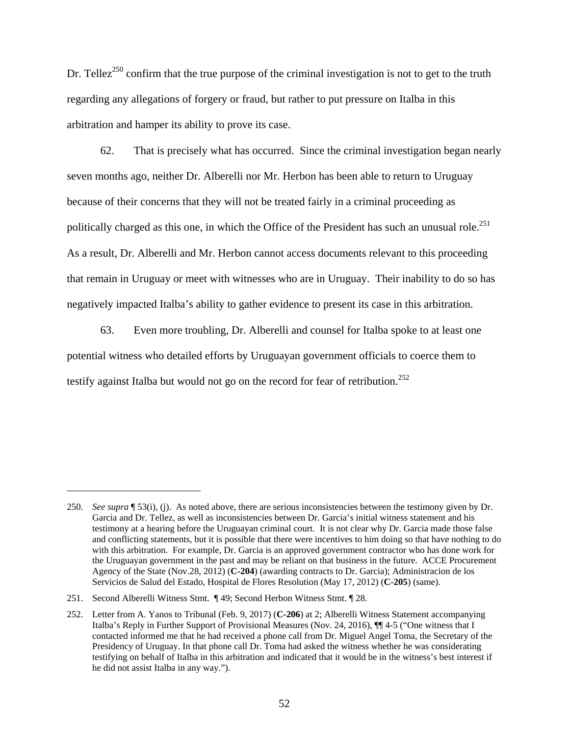Dr. Tellez<sup>250</sup> confirm that the true purpose of the criminal investigation is not to get to the truth regarding any allegations of forgery or fraud, but rather to put pressure on Italba in this arbitration and hamper its ability to prove its case.

62. That is precisely what has occurred. Since the criminal investigation began nearly seven months ago, neither Dr. Alberelli nor Mr. Herbon has been able to return to Uruguay because of their concerns that they will not be treated fairly in a criminal proceeding as politically charged as this one, in which the Office of the President has such an unusual role.<sup>251</sup> As a result, Dr. Alberelli and Mr. Herbon cannot access documents relevant to this proceeding that remain in Uruguay or meet with witnesses who are in Uruguay. Their inability to do so has negatively impacted Italba's ability to gather evidence to present its case in this arbitration.

63. Even more troubling, Dr. Alberelli and counsel for Italba spoke to at least one potential witness who detailed efforts by Uruguayan government officials to coerce them to testify against Italba but would not go on the record for fear of retribution.<sup>252</sup>

<sup>250.</sup> *See supra* ¶ 53(i), (j). As noted above, there are serious inconsistencies between the testimony given by Dr. Garcia and Dr. Tellez, as well as inconsistencies between Dr. Garcia's initial witness statement and his testimony at a hearing before the Uruguayan criminal court. It is not clear why Dr. Garcia made those false and conflicting statements, but it is possible that there were incentives to him doing so that have nothing to do with this arbitration. For example, Dr. Garcia is an approved government contractor who has done work for the Uruguayan government in the past and may be reliant on that business in the future. ACCE Procurement Agency of the State (Nov.28, 2012) (**C-204**) (awarding contracts to Dr. Garcia); Administracion de los Servicios de Salud del Estado, Hospital de Flores Resolution (May 17, 2012) (**C-205**) (same).

<sup>251.</sup> Second Alberelli Witness Stmt. ¶ 49; Second Herbon Witness Stmt. ¶ 28.

<sup>252.</sup> Letter from A. Yanos to Tribunal (Feb. 9, 2017) (**C-206**) at 2; Alberelli Witness Statement accompanying Italba's Reply in Further Support of Provisional Measures (Nov. 24, 2016), ¶¶ 4-5 ("One witness that I contacted informed me that he had received a phone call from Dr. Miguel Angel Toma, the Secretary of the Presidency of Uruguay. In that phone call Dr. Toma had asked the witness whether he was considerating testifying on behalf of Italba in this arbitration and indicated that it would be in the witness's best interest if he did not assist Italba in any way.").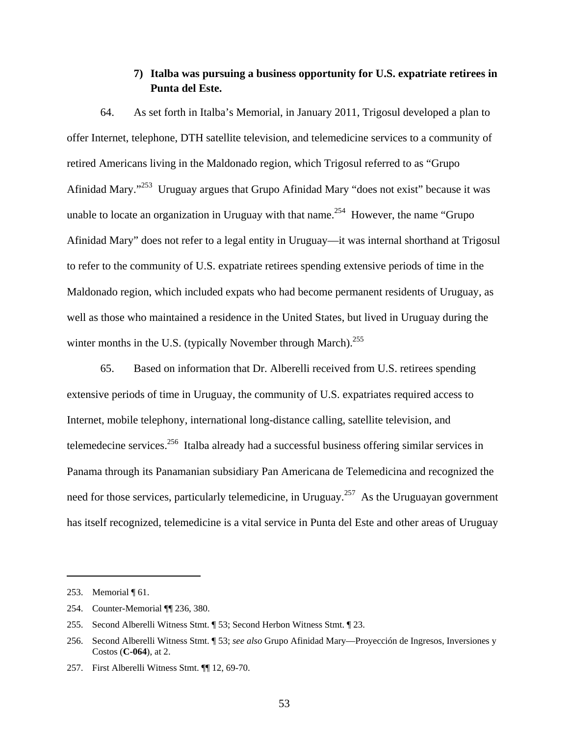### **7) Italba was pursuing a business opportunity for U.S. expatriate retirees in Punta del Este.**

64. As set forth in Italba's Memorial, in January 2011, Trigosul developed a plan to offer Internet, telephone, DTH satellite television, and telemedicine services to a community of retired Americans living in the Maldonado region, which Trigosul referred to as "Grupo Afinidad Mary."253 Uruguay argues that Grupo Afinidad Mary "does not exist" because it was unable to locate an organization in Uruguay with that name.<sup>254</sup> However, the name "Grupo" Afinidad Mary" does not refer to a legal entity in Uruguay—it was internal shorthand at Trigosul to refer to the community of U.S. expatriate retirees spending extensive periods of time in the Maldonado region, which included expats who had become permanent residents of Uruguay, as well as those who maintained a residence in the United States, but lived in Uruguay during the winter months in the U.S. (typically November through March).<sup>255</sup>

65. Based on information that Dr. Alberelli received from U.S. retirees spending extensive periods of time in Uruguay, the community of U.S. expatriates required access to Internet, mobile telephony, international long-distance calling, satellite television, and telemedecine services.<sup>256</sup> Italba already had a successful business offering similar services in Panama through its Panamanian subsidiary Pan Americana de Telemedicina and recognized the need for those services, particularly telemedicine, in Uruguay.<sup>257</sup> As the Uruguayan government has itself recognized, telemedicine is a vital service in Punta del Este and other areas of Uruguay

<sup>253.</sup> Memorial  $\P$  61.

<sup>254.</sup> Counter-Memorial ¶¶ 236, 380.

<sup>255.</sup> Second Alberelli Witness Stmt. ¶ 53; Second Herbon Witness Stmt. ¶ 23.

<sup>256.</sup> Second Alberelli Witness Stmt. ¶ 53; *see also* Grupo Afinidad Mary—Proyección de Ingresos, Inversiones y Costos (**C-064**), at 2.

<sup>257.</sup> First Alberelli Witness Stmt. ¶¶ 12, 69-70.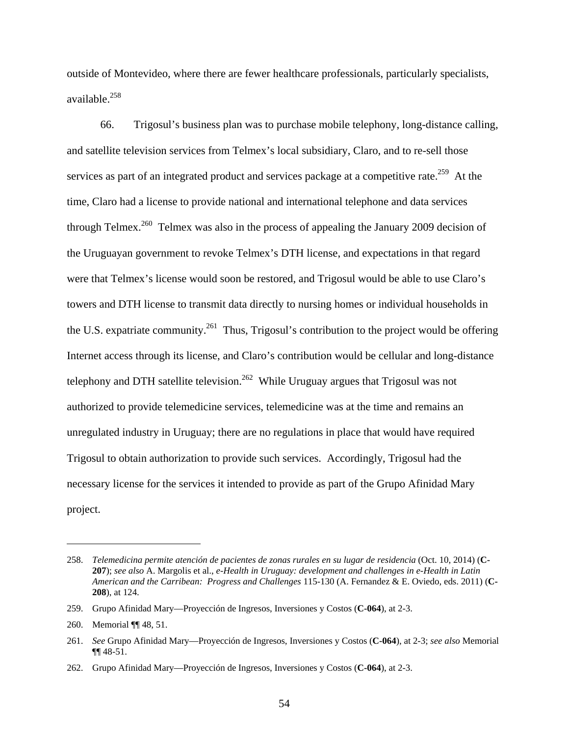outside of Montevideo, where there are fewer healthcare professionals, particularly specialists, available $^{258}$ 

66. Trigosul's business plan was to purchase mobile telephony, long-distance calling, and satellite television services from Telmex's local subsidiary, Claro, and to re-sell those services as part of an integrated product and services package at a competitive rate.<sup>259</sup> At the time, Claro had a license to provide national and international telephone and data services through Telmex.<sup>260</sup> Telmex was also in the process of appealing the January 2009 decision of the Uruguayan government to revoke Telmex's DTH license, and expectations in that regard were that Telmex's license would soon be restored, and Trigosul would be able to use Claro's towers and DTH license to transmit data directly to nursing homes or individual households in the U.S. expatriate community.<sup>261</sup> Thus, Trigosul's contribution to the project would be offering Internet access through its license, and Claro's contribution would be cellular and long-distance telephony and DTH satellite television.<sup>262</sup> While Uruguay argues that Trigosul was not authorized to provide telemedicine services, telemedicine was at the time and remains an unregulated industry in Uruguay; there are no regulations in place that would have required Trigosul to obtain authorization to provide such services. Accordingly, Trigosul had the necessary license for the services it intended to provide as part of the Grupo Afinidad Mary project.

<sup>258.</sup> *Telemedicina permite atención de pacientes de zonas rurales en su lugar de residencia* (Oct. 10, 2014) (**C-207**); *see also* A. Margolis et al., *e-Health in Uruguay: development and challenges in e-Health in Latin American and the Carribean: Progress and Challenges* 115-130 (A. Fernandez & E. Oviedo, eds. 2011) (**C-208**), at 124.

<sup>259.</sup> Grupo Afinidad Mary—Proyección de Ingresos, Inversiones y Costos (**C-064**), at 2-3.

<sup>260.</sup> Memorial ¶¶ 48, 51.

<sup>261.</sup> *See* Grupo Afinidad Mary—Proyección de Ingresos, Inversiones y Costos (**C-064**), at 2-3; *see also* Memorial ¶¶ 48-51.

<sup>262.</sup> Grupo Afinidad Mary—Proyección de Ingresos, Inversiones y Costos (**C-064**), at 2-3.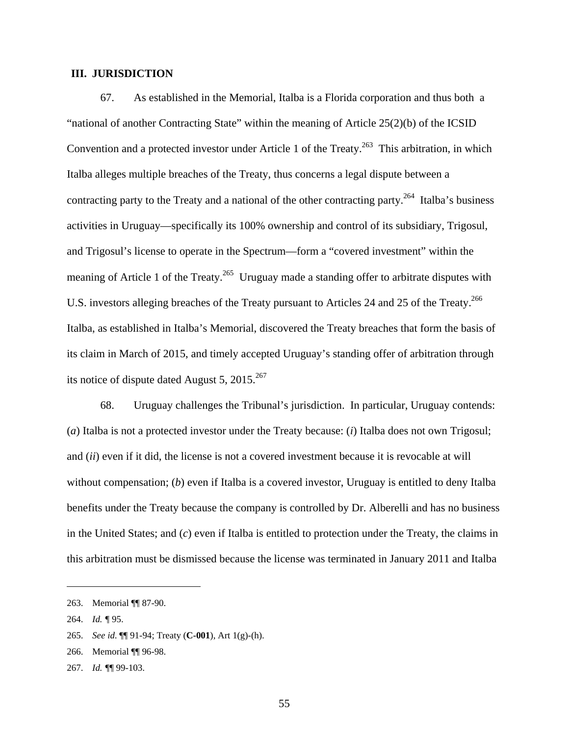#### **III. JURISDICTION**

67. As established in the Memorial, Italba is a Florida corporation and thus both a "national of another Contracting State" within the meaning of Article 25(2)(b) of the ICSID Convention and a protected investor under Article 1 of the Treaty.<sup>263</sup> This arbitration, in which Italba alleges multiple breaches of the Treaty, thus concerns a legal dispute between a contracting party to the Treaty and a national of the other contracting party.<sup>264</sup> Italba's business activities in Uruguay—specifically its 100% ownership and control of its subsidiary, Trigosul, and Trigosul's license to operate in the Spectrum—form a "covered investment" within the meaning of Article 1 of the Treaty.<sup>265</sup> Uruguay made a standing offer to arbitrate disputes with U.S. investors alleging breaches of the Treaty pursuant to Articles 24 and 25 of the Treaty.<sup>266</sup> Italba, as established in Italba's Memorial, discovered the Treaty breaches that form the basis of its claim in March of 2015, and timely accepted Uruguay's standing offer of arbitration through its notice of dispute dated August 5,  $2015^{267}$ 

68. Uruguay challenges the Tribunal's jurisdiction. In particular, Uruguay contends: (*a*) Italba is not a protected investor under the Treaty because: (*i*) Italba does not own Trigosul; and (*ii*) even if it did, the license is not a covered investment because it is revocable at will without compensation; (*b*) even if Italba is a covered investor, Uruguay is entitled to deny Italba benefits under the Treaty because the company is controlled by Dr. Alberelli and has no business in the United States; and (*c*) even if Italba is entitled to protection under the Treaty, the claims in this arbitration must be dismissed because the license was terminated in January 2011 and Italba

264. *Id. ¶* 95.

<sup>263.</sup> Memorial ¶¶ 87-90.

<sup>265.</sup> *See id*. ¶¶ 91-94; Treaty (**C-001**), Art 1(g)-(h).

<sup>266.</sup> Memorial ¶¶ 96-98.

<sup>267.</sup> *Id. ¶*¶ 99-103.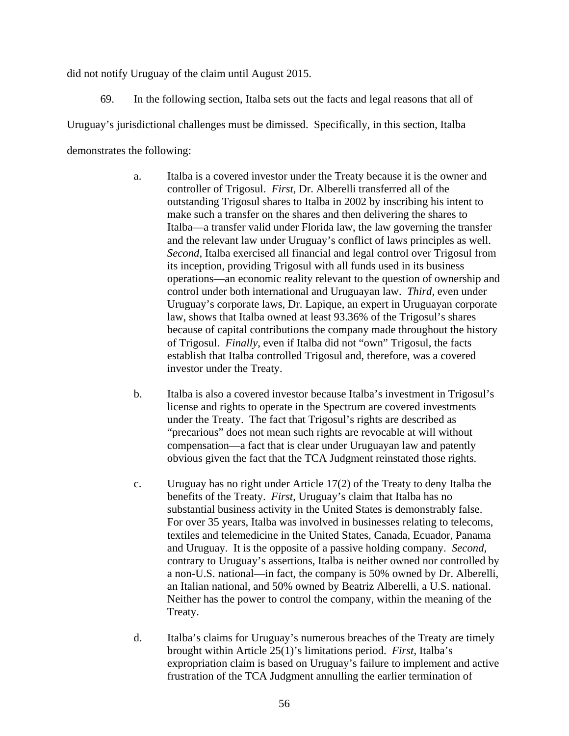did not notify Uruguay of the claim until August 2015.

69. In the following section, Italba sets out the facts and legal reasons that all of Uruguay's jurisdictional challenges must be dimissed. Specifically, in this section, Italba demonstrates the following:

- a. Italba is a covered investor under the Treaty because it is the owner and controller of Trigosul. *First,* Dr. Alberelli transferred all of the outstanding Trigosul shares to Italba in 2002 by inscribing his intent to make such a transfer on the shares and then delivering the shares to Italba—a transfer valid under Florida law, the law governing the transfer and the relevant law under Uruguay's conflict of laws principles as well. *Second,* Italba exercised all financial and legal control over Trigosul from its inception, providing Trigosul with all funds used in its business operations—an economic reality relevant to the question of ownership and control under both international and Uruguayan law. *Third,* even under Uruguay's corporate laws, Dr. Lapique, an expert in Uruguayan corporate law, shows that Italba owned at least 93.36% of the Trigosul's shares because of capital contributions the company made throughout the history of Trigosul. *Finally*, even if Italba did not "own" Trigosul, the facts establish that Italba controlled Trigosul and, therefore, was a covered investor under the Treaty.
- b. Italba is also a covered investor because Italba's investment in Trigosul's license and rights to operate in the Spectrum are covered investments under the Treaty. The fact that Trigosul's rights are described as "precarious" does not mean such rights are revocable at will without compensation—a fact that is clear under Uruguayan law and patently obvious given the fact that the TCA Judgment reinstated those rights.
- c. Uruguay has no right under Article 17(2) of the Treaty to deny Italba the benefits of the Treaty. *First*, Uruguay's claim that Italba has no substantial business activity in the United States is demonstrably false. For over 35 years, Italba was involved in businesses relating to telecoms, textiles and telemedicine in the United States, Canada, Ecuador, Panama and Uruguay. It is the opposite of a passive holding company. *Second,*  contrary to Uruguay's assertions, Italba is neither owned nor controlled by a non-U.S. national—in fact, the company is 50% owned by Dr. Alberelli, an Italian national, and 50% owned by Beatriz Alberelli, a U.S. national. Neither has the power to control the company, within the meaning of the Treaty.
- d. Italba's claims for Uruguay's numerous breaches of the Treaty are timely brought within Article 25(1)'s limitations period. *First*, Italba's expropriation claim is based on Uruguay's failure to implement and active frustration of the TCA Judgment annulling the earlier termination of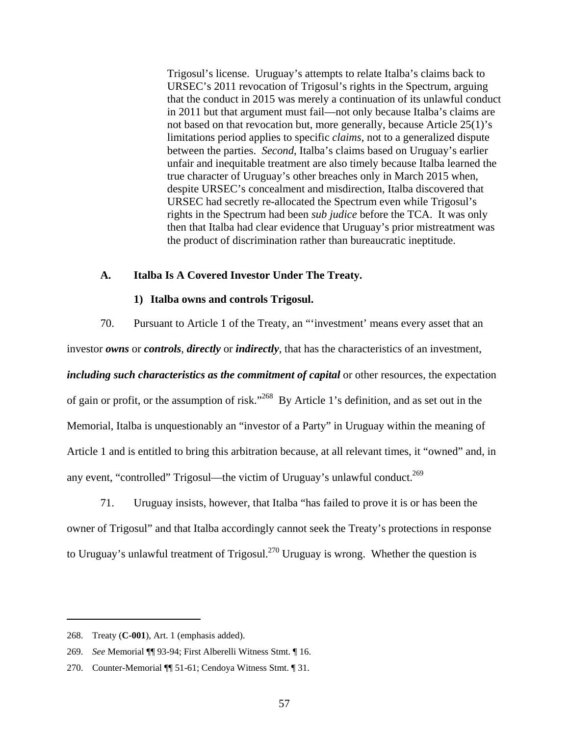Trigosul's license. Uruguay's attempts to relate Italba's claims back to URSEC's 2011 revocation of Trigosul's rights in the Spectrum, arguing that the conduct in 2015 was merely a continuation of its unlawful conduct in 2011 but that argument must fail—not only because Italba's claims are not based on that revocation but, more generally, because Article 25(1)'s limitations period applies to specific *claims*, not to a generalized dispute between the parties. *Second*, Italba's claims based on Uruguay's earlier unfair and inequitable treatment are also timely because Italba learned the true character of Uruguay's other breaches only in March 2015 when, despite URSEC's concealment and misdirection, Italba discovered that URSEC had secretly re-allocated the Spectrum even while Trigosul's rights in the Spectrum had been *sub judice* before the TCA. It was only then that Italba had clear evidence that Uruguay's prior mistreatment was the product of discrimination rather than bureaucratic ineptitude.

#### **A. Italba Is A Covered Investor Under The Treaty.**

#### **1) Italba owns and controls Trigosul.**

70. Pursuant to Article 1 of the Treaty, an "'investment' means every asset that an investor *owns* or *controls*, *directly* or *indirectly*, that has the characteristics of an investment, *including such characteristics as the commitment of capital* or other resources, the expectation of gain or profit, or the assumption of risk."268 By Article 1's definition, and as set out in the Memorial, Italba is unquestionably an "investor of a Party" in Uruguay within the meaning of Article 1 and is entitled to bring this arbitration because, at all relevant times, it "owned" and, in any event, "controlled" Trigosul—the victim of Uruguay's unlawful conduct.<sup>269</sup>

71. Uruguay insists, however, that Italba "has failed to prove it is or has been the owner of Trigosul" and that Italba accordingly cannot seek the Treaty's protections in response to Uruguay's unlawful treatment of Trigosul.<sup>270</sup> Uruguay is wrong. Whether the question is

<sup>268.</sup> Treaty (**C-001**), Art. 1 (emphasis added).

<sup>269.</sup> *See* Memorial ¶¶ 93-94; First Alberelli Witness Stmt. ¶ 16.

<sup>270.</sup> Counter-Memorial ¶¶ 51-61; Cendoya Witness Stmt. ¶ 31.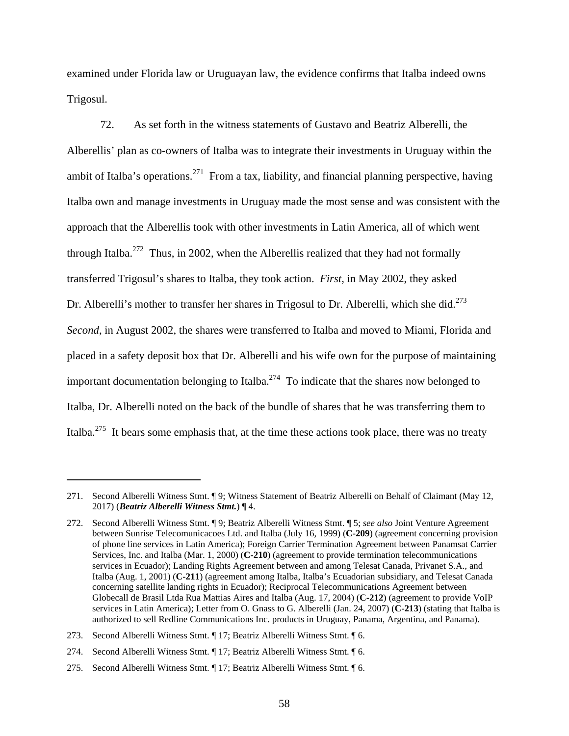examined under Florida law or Uruguayan law, the evidence confirms that Italba indeed owns Trigosul.

72. As set forth in the witness statements of Gustavo and Beatriz Alberelli, the Alberellis' plan as co-owners of Italba was to integrate their investments in Uruguay within the ambit of Italba's operations.<sup>271</sup> From a tax, liability, and financial planning perspective, having Italba own and manage investments in Uruguay made the most sense and was consistent with the approach that the Alberellis took with other investments in Latin America, all of which went through Italba.<sup>272</sup> Thus, in 2002, when the Alberellis realized that they had not formally transferred Trigosul's shares to Italba, they took action. *First*, in May 2002, they asked Dr. Alberelli's mother to transfer her shares in Trigosul to Dr. Alberelli, which she did.<sup>273</sup> *Second*, in August 2002, the shares were transferred to Italba and moved to Miami, Florida and placed in a safety deposit box that Dr. Alberelli and his wife own for the purpose of maintaining important documentation belonging to Italba.<sup>274</sup> To indicate that the shares now belonged to Italba, Dr. Alberelli noted on the back of the bundle of shares that he was transferring them to Italba.<sup>275</sup> It bears some emphasis that, at the time these actions took place, there was no treaty

<sup>271.</sup> Second Alberelli Witness Stmt. ¶ 9; Witness Statement of Beatriz Alberelli on Behalf of Claimant (May 12, 2017) (*Beatriz Alberelli Witness Stmt.*) ¶ 4.

<sup>272.</sup> Second Alberelli Witness Stmt. ¶ 9; Beatriz Alberelli Witness Stmt. ¶ 5; *see also* Joint Venture Agreement between Sunrise Telecomunicacoes Ltd. and Italba (July 16, 1999) (**C-209**) (agreement concerning provision of phone line services in Latin America); Foreign Carrier Termination Agreement between Panamsat Carrier Services, Inc. and Italba (Mar. 1, 2000) (**C-210**) (agreement to provide termination telecommunications services in Ecuador); Landing Rights Agreement between and among Telesat Canada, Privanet S.A., and Italba (Aug. 1, 2001) (**C-211**) (agreement among Italba, Italba's Ecuadorian subsidiary, and Telesat Canada concerning satellite landing rights in Ecuador); Reciprocal Telecommunications Agreement between Globecall de Brasil Ltda Rua Mattias Aires and Italba (Aug. 17, 2004) (**C-212**) (agreement to provide VoIP services in Latin America); Letter from O. Gnass to G. Alberelli (Jan. 24, 2007) (**C-213**) (stating that Italba is authorized to sell Redline Communications Inc. products in Uruguay, Panama, Argentina, and Panama).

<sup>273.</sup> Second Alberelli Witness Stmt. ¶ 17; Beatriz Alberelli Witness Stmt. ¶ 6.

<sup>274.</sup> Second Alberelli Witness Stmt. ¶ 17; Beatriz Alberelli Witness Stmt. ¶ 6.

<sup>275.</sup> Second Alberelli Witness Stmt. ¶ 17; Beatriz Alberelli Witness Stmt. ¶ 6.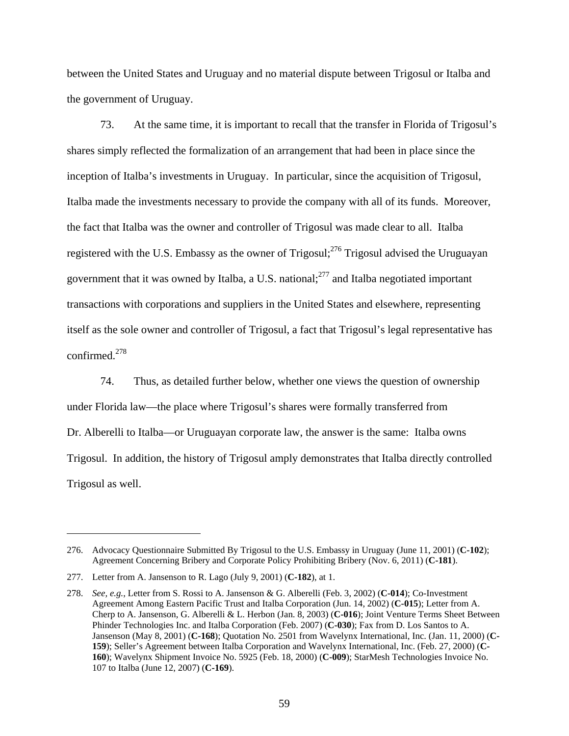between the United States and Uruguay and no material dispute between Trigosul or Italba and the government of Uruguay.

73. At the same time, it is important to recall that the transfer in Florida of Trigosul's shares simply reflected the formalization of an arrangement that had been in place since the inception of Italba's investments in Uruguay. In particular, since the acquisition of Trigosul, Italba made the investments necessary to provide the company with all of its funds. Moreover, the fact that Italba was the owner and controller of Trigosul was made clear to all. Italba registered with the U.S. Embassy as the owner of Trigosul;<sup>276</sup> Trigosul advised the Uruguayan government that it was owned by Italba, a U.S. national; $^{277}$  and Italba negotiated important transactions with corporations and suppliers in the United States and elsewhere, representing itself as the sole owner and controller of Trigosul, a fact that Trigosul's legal representative has confirmed.<sup>278</sup>

74. Thus, as detailed further below, whether one views the question of ownership under Florida law—the place where Trigosul's shares were formally transferred from Dr. Alberelli to Italba—or Uruguayan corporate law, the answer is the same: Italba owns Trigosul. In addition, the history of Trigosul amply demonstrates that Italba directly controlled Trigosul as well.

<sup>276.</sup> Advocacy Questionnaire Submitted By Trigosul to the U.S. Embassy in Uruguay (June 11, 2001) (**C-102**); Agreement Concerning Bribery and Corporate Policy Prohibiting Bribery (Nov. 6, 2011) (**C-181**).

<sup>277.</sup> Letter from A. Jansenson to R. Lago (July 9, 2001) (**C-182**), at 1.

<sup>278.</sup> *See, e.g.*, Letter from S. Rossi to A. Jansenson & G. Alberelli (Feb. 3, 2002) (**C-014**); Co-Investment Agreement Among Eastern Pacific Trust and Italba Corporation (Jun. 14, 2002) (**C-015**); Letter from A. Cherp to A. Jansenson, G. Alberelli & L. Herbon (Jan. 8, 2003) (**C-016**); Joint Venture Terms Sheet Between Phinder Technologies Inc. and Italba Corporation (Feb. 2007) (**C-030**); Fax from D. Los Santos to A. Jansenson (May 8, 2001) (**C-168**); Quotation No. 2501 from Wavelynx International, Inc. (Jan. 11, 2000) (**C-159**); Seller's Agreement between Italba Corporation and Wavelynx International, Inc. (Feb. 27, 2000) (**C-160**); Wavelynx Shipment Invoice No. 5925 (Feb. 18, 2000) (**C-009**); StarMesh Technologies Invoice No. 107 to Italba (June 12, 2007) (**C-169**).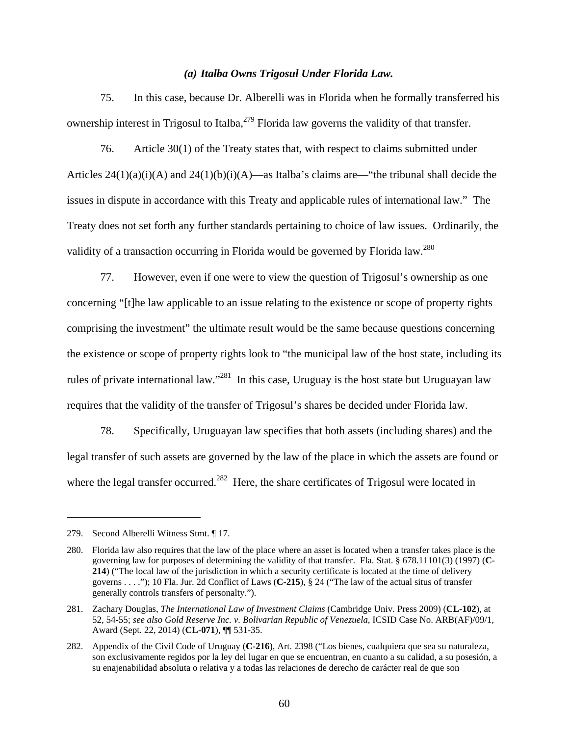#### *(a) Italba Owns Trigosul Under Florida Law.*

75. In this case, because Dr. Alberelli was in Florida when he formally transferred his ownership interest in Trigosul to Italba,  $279$  Florida law governs the validity of that transfer.

76. Article 30(1) of the Treaty states that, with respect to claims submitted under Articles  $24(1)(a)(i)(A)$  and  $24(1)(b)(i)(A)$ —as Italba's claims are—"the tribunal shall decide the issues in dispute in accordance with this Treaty and applicable rules of international law." The Treaty does not set forth any further standards pertaining to choice of law issues. Ordinarily, the validity of a transaction occurring in Florida would be governed by Florida law.<sup>280</sup>

77. However, even if one were to view the question of Trigosul's ownership as one concerning "[t]he law applicable to an issue relating to the existence or scope of property rights comprising the investment" the ultimate result would be the same because questions concerning the existence or scope of property rights look to "the municipal law of the host state, including its rules of private international law."<sup>281</sup> In this case, Uruguay is the host state but Uruguayan law requires that the validity of the transfer of Trigosul's shares be decided under Florida law.

78. Specifically, Uruguayan law specifies that both assets (including shares) and the legal transfer of such assets are governed by the law of the place in which the assets are found or where the legal transfer occurred.<sup>282</sup> Here, the share certificates of Trigosul were located in

<sup>279.</sup> Second Alberelli Witness Stmt. ¶ 17.

<sup>280.</sup> Florida law also requires that the law of the place where an asset is located when a transfer takes place is the governing law for purposes of determining the validity of that transfer. Fla. Stat. § 678.11101(3) (1997) (**C-214**) ("The local law of the jurisdiction in which a security certificate is located at the time of delivery governs . . . ."); 10 Fla. Jur. 2d Conflict of Laws (**C-215**), § 24 ("The law of the actual situs of transfer generally controls transfers of personalty.").

<sup>281.</sup> Zachary Douglas, *The International Law of Investment Claims* (Cambridge Univ. Press 2009) (**CL-102**), at 52, 54-55; *see also Gold Reserve Inc. v. Bolivarian Republic of Venezuela*, ICSID Case No. ARB(AF)/09/1, Award (Sept. 22, 2014) (**CL-071**), ¶¶ 531-35.

<sup>282.</sup> Appendix of the Civil Code of Uruguay (**C-216**), Art. 2398 ("Los bienes, cualquiera que sea su naturaleza, son exclusivamente regidos por la ley del lugar en que se encuentran, en cuanto a su calidad, a su posesión, a su enajenabilidad absoluta o relativa y a todas las relaciones de derecho de carácter real de que son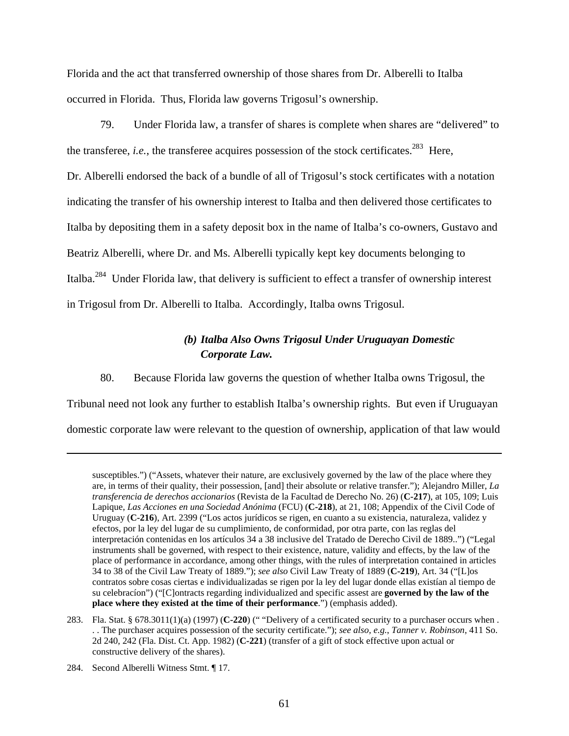Florida and the act that transferred ownership of those shares from Dr. Alberelli to Italba occurred in Florida. Thus, Florida law governs Trigosul's ownership.

79. Under Florida law, a transfer of shares is complete when shares are "delivered" to the transferee, *i.e.*, the transferee acquires possession of the stock certificates.<sup>283</sup> Here, Dr. Alberelli endorsed the back of a bundle of all of Trigosul's stock certificates with a notation indicating the transfer of his ownership interest to Italba and then delivered those certificates to Italba by depositing them in a safety deposit box in the name of Italba's co-owners, Gustavo and Beatriz Alberelli, where Dr. and Ms. Alberelli typically kept key documents belonging to Italba.<sup>284</sup> Under Florida law, that delivery is sufficient to effect a transfer of ownership interest in Trigosul from Dr. Alberelli to Italba. Accordingly, Italba owns Trigosul.

### *(b) Italba Also Owns Trigosul Under Uruguayan Domestic Corporate Law.*

80. Because Florida law governs the question of whether Italba owns Trigosul, the Tribunal need not look any further to establish Italba's ownership rights. But even if Uruguayan domestic corporate law were relevant to the question of ownership, application of that law would

susceptibles.") ("Assets, whatever their nature, are exclusively governed by the law of the place where they are, in terms of their quality, their possession, [and] their absolute or relative transfer."); Alejandro Miller, *La transferencia de derechos accionarios* (Revista de la Facultad de Derecho No. 26) (**C-217**), at 105, 109; Luis Lapique, *Las Acciones en una Sociedad Anónima* (FCU) (**C-218**), at 21, 108; Appendix of the Civil Code of Uruguay (**C-216**), Art. 2399 ("Los actos jurídicos se rigen, en cuanto a su existencia, naturaleza, validez y efectos, por la ley del lugar de su cumplimiento, de conformidad, por otra parte, con las reglas del interpretación contenidas en los artículos 34 a 38 inclusive del Tratado de Derecho Civil de 1889..") ("Legal instruments shall be governed, with respect to their existence, nature, validity and effects, by the law of the place of performance in accordance, among other things, with the rules of interpretation contained in articles 34 to 38 of the Civil Law Treaty of 1889."); *see also* Civil Law Treaty of 1889 (**C-219**), Art. 34 ("[L]os contratos sobre cosas ciertas e individualizadas se rigen por la ley del lugar donde ellas existían al tiempo de su celebracíon") ("[C]ontracts regarding individualized and specific assest are **governed by the law of the place where they existed at the time of their performance**.") (emphasis added).

<sup>283.</sup> Fla. Stat. § 678.3011(1)(a) (1997) (**C-220**) (" "Delivery of a certificated security to a purchaser occurs when . . . The purchaser acquires possession of the security certificate."); *see also, e.g.*, *Tanner v. Robinson*, 411 So. 2d 240, 242 (Fla. Dist. Ct. App. 1982) (**C-221**) (transfer of a gift of stock effective upon actual or constructive delivery of the shares).

<sup>284.</sup> Second Alberelli Witness Stmt. ¶ 17.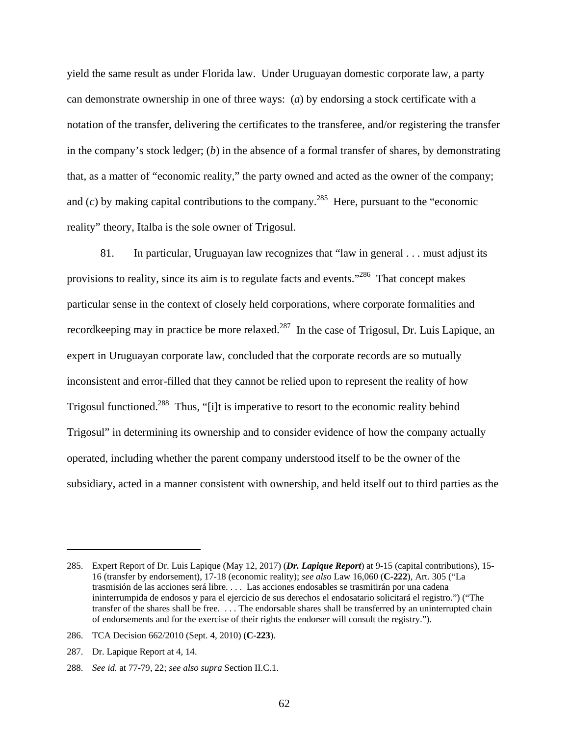yield the same result as under Florida law. Under Uruguayan domestic corporate law, a party can demonstrate ownership in one of three ways: (*a*) by endorsing a stock certificate with a notation of the transfer, delivering the certificates to the transferee, and/or registering the transfer in the company's stock ledger; (*b*) in the absence of a formal transfer of shares, by demonstrating that, as a matter of "economic reality," the party owned and acted as the owner of the company; and  $(c)$  by making capital contributions to the company.<sup>285</sup> Here, pursuant to the "economic" reality" theory, Italba is the sole owner of Trigosul.

81. In particular, Uruguayan law recognizes that "law in general . . . must adjust its provisions to reality, since its aim is to regulate facts and events."286 That concept makes particular sense in the context of closely held corporations, where corporate formalities and recordkeeping may in practice be more relaxed.<sup>287</sup> In the case of Trigosul, Dr. Luis Lapique, an expert in Uruguayan corporate law, concluded that the corporate records are so mutually inconsistent and error-filled that they cannot be relied upon to represent the reality of how Trigosul functioned.<sup>288</sup> Thus, "[i]t is imperative to resort to the economic reality behind Trigosul" in determining its ownership and to consider evidence of how the company actually operated, including whether the parent company understood itself to be the owner of the subsidiary, acted in a manner consistent with ownership, and held itself out to third parties as the

1

<sup>285.</sup> Expert Report of Dr. Luis Lapique (May 12, 2017) (*Dr. Lapique Report*) at 9-15 (capital contributions), 15- 16 (transfer by endorsement), 17-18 (economic reality); *see also* Law 16,060 (**C-222**), Art. 305 ("La trasmisión de las acciones será libre. . . . Las acciones endosables se trasmitirán por una cadena ininterrumpida de endosos y para el ejercicio de sus derechos el endosatario solicitará el registro.") ("The transfer of the shares shall be free. . . . The endorsable shares shall be transferred by an uninterrupted chain of endorsements and for the exercise of their rights the endorser will consult the registry.").

<sup>286.</sup> TCA Decision 662/2010 (Sept. 4, 2010) (**C-223**).

<sup>287.</sup> Dr. Lapique Report at 4, 14.

<sup>288.</sup> *See id.* at 77-79, 22; *see also supra* Section II.C.1.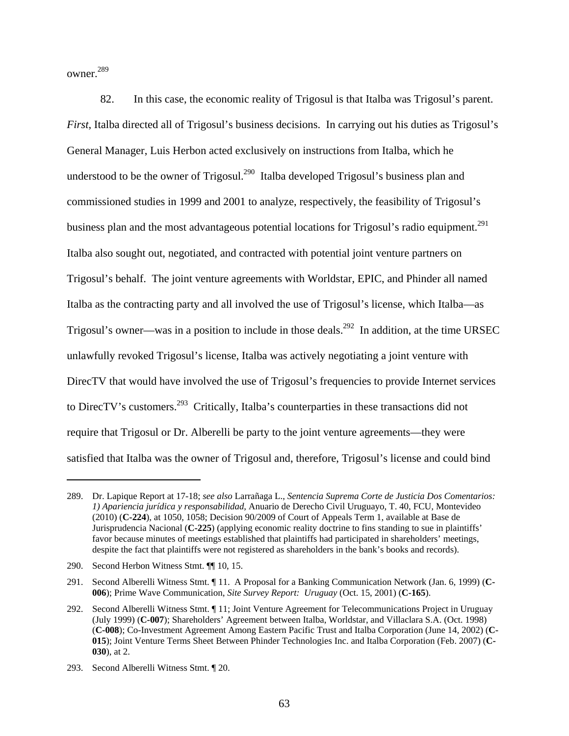owner.<sup>289</sup>

 $\overline{a}$ 

82. In this case, the economic reality of Trigosul is that Italba was Trigosul's parent. *First*, Italba directed all of Trigosul's business decisions. In carrying out his duties as Trigosul's General Manager, Luis Herbon acted exclusively on instructions from Italba, which he understood to be the owner of Trigosul.<sup>290</sup> Italba developed Trigosul's business plan and commissioned studies in 1999 and 2001 to analyze, respectively, the feasibility of Trigosul's business plan and the most advantageous potential locations for Trigosul's radio equipment.<sup>291</sup> Italba also sought out, negotiated, and contracted with potential joint venture partners on Trigosul's behalf. The joint venture agreements with Worldstar, EPIC, and Phinder all named Italba as the contracting party and all involved the use of Trigosul's license, which Italba—as Trigosul's owner—was in a position to include in those deals.<sup>292</sup> In addition, at the time URSEC unlawfully revoked Trigosul's license, Italba was actively negotiating a joint venture with DirecTV that would have involved the use of Trigosul's frequencies to provide Internet services to DirecTV's customers.<sup>293</sup> Critically, Italba's counterparties in these transactions did not require that Trigosul or Dr. Alberelli be party to the joint venture agreements—they were satisfied that Italba was the owner of Trigosul and, therefore, Trigosul's license and could bind

<sup>289.</sup> Dr. Lapique Report at 17-18; *see also* Larrañaga L., *Sentencia Suprema Corte de Justicia Dos Comentarios: 1) Apariencia jurídica y responsabilidad*, Anuario de Derecho Civil Uruguayo, T. 40, FCU, Montevideo (2010) (**C-224**), at 1050, 1058; Decision 90/2009 of Court of Appeals Term 1, available at Base de Jurisprudencia Nacional (**C-225**) (applying economic reality doctrine to fins standing to sue in plaintiffs' favor because minutes of meetings established that plaintiffs had participated in shareholders' meetings, despite the fact that plaintiffs were not registered as shareholders in the bank's books and records).

<sup>290.</sup> Second Herbon Witness Stmt. ¶¶ 10, 15.

<sup>291.</sup> Second Alberelli Witness Stmt. ¶ 11. A Proposal for a Banking Communication Network (Jan. 6, 1999) (**C-006**); Prime Wave Communication, *Site Survey Report: Uruguay* (Oct. 15, 2001) (**C-165**).

<sup>292.</sup> Second Alberelli Witness Stmt. ¶ 11; Joint Venture Agreement for Telecommunications Project in Uruguay (July 1999) (**C-007**); Shareholders' Agreement between Italba, Worldstar, and Villaclara S.A. (Oct. 1998) (**C-008**); Co-Investment Agreement Among Eastern Pacific Trust and Italba Corporation (June 14, 2002) (**C-015**); Joint Venture Terms Sheet Between Phinder Technologies Inc. and Italba Corporation (Feb. 2007) (**C-030**), at 2.

<sup>293.</sup> Second Alberelli Witness Stmt. ¶ 20.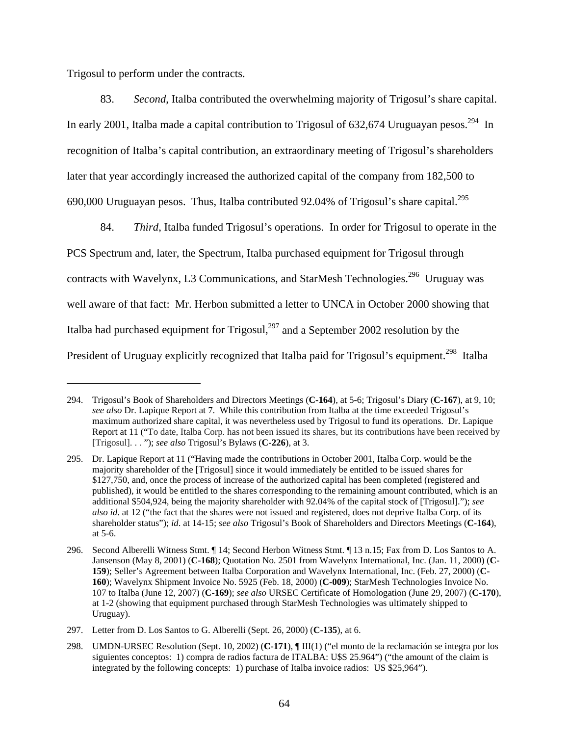Trigosul to perform under the contracts.

 $\overline{a}$ 

83. *Second*, Italba contributed the overwhelming majority of Trigosul's share capital. In early 2001, Italba made a capital contribution to Trigosul of  $632,674$  Uruguayan pesos.<sup>294</sup> In recognition of Italba's capital contribution, an extraordinary meeting of Trigosul's shareholders later that year accordingly increased the authorized capital of the company from 182,500 to 690,000 Uruguayan pesos. Thus, Italba contributed 92.04% of Trigosul's share capital.<sup>295</sup>

84. *Third*, Italba funded Trigosul's operations. In order for Trigosul to operate in the PCS Spectrum and, later, the Spectrum, Italba purchased equipment for Trigosul through contracts with Wavelynx, L3 Communications, and StarMesh Technologies.<sup>296</sup> Uruguay was well aware of that fact: Mr. Herbon submitted a letter to UNCA in October 2000 showing that Italba had purchased equipment for Trigosul, $^{297}$  and a September 2002 resolution by the President of Uruguay explicitly recognized that Italba paid for Trigosul's equipment.<sup>298</sup> Italba

<sup>294.</sup> Trigosul's Book of Shareholders and Directors Meetings (**C-164**), at 5-6; Trigosul's Diary (**C-167**), at 9, 10; *see also* Dr. Lapique Report at 7. While this contribution from Italba at the time exceeded Trigosul's maximum authorized share capital, it was nevertheless used by Trigosul to fund its operations. Dr. Lapique Report at 11 ("To date, Italba Corp. has not been issued its shares, but its contributions have been received by [Trigosul]. . . "); *see also* Trigosul's Bylaws (**C-226**), at 3.

<sup>295.</sup> Dr. Lapique Report at 11 ("Having made the contributions in October 2001, Italba Corp. would be the majority shareholder of the [Trigosul] since it would immediately be entitled to be issued shares for \$127,750, and, once the process of increase of the authorized capital has been completed (registered and published), it would be entitled to the shares corresponding to the remaining amount contributed, which is an additional \$504,924, being the majority shareholder with 92.04% of the capital stock of [Trigosul]."); *see also id*. at 12 ("the fact that the shares were not issued and registered, does not deprive Italba Corp. of its shareholder status"); *id*. at 14-15; *see also* Trigosul's Book of Shareholders and Directors Meetings (**C-164**), at 5-6.

<sup>296.</sup> Second Alberelli Witness Stmt. ¶ 14; Second Herbon Witness Stmt. ¶ 13 n.15; Fax from D. Los Santos to A. Jansenson (May 8, 2001) (**C-168**); Quotation No. 2501 from Wavelynx International, Inc. (Jan. 11, 2000) (**C-159**); Seller's Agreement between Italba Corporation and Wavelynx International, Inc. (Feb. 27, 2000) (**C-160**); Wavelynx Shipment Invoice No. 5925 (Feb. 18, 2000) (**C-009**); StarMesh Technologies Invoice No. 107 to Italba (June 12, 2007) (**C-169**); *see also* URSEC Certificate of Homologation (June 29, 2007) (**C-170**), at 1-2 (showing that equipment purchased through StarMesh Technologies was ultimately shipped to Uruguay).

<sup>297.</sup> Letter from D. Los Santos to G. Alberelli (Sept. 26, 2000) (**C-135**), at 6.

<sup>298.</sup> UMDN-URSEC Resolution (Sept. 10, 2002) (**C-171**), ¶ III(1) ("el monto de la reclamación se integra por los siguientes conceptos: 1) compra de radios factura de ITALBA: U\$S 25.964") ("the amount of the claim is integrated by the following concepts: 1) purchase of Italba invoice radios: US \$25,964").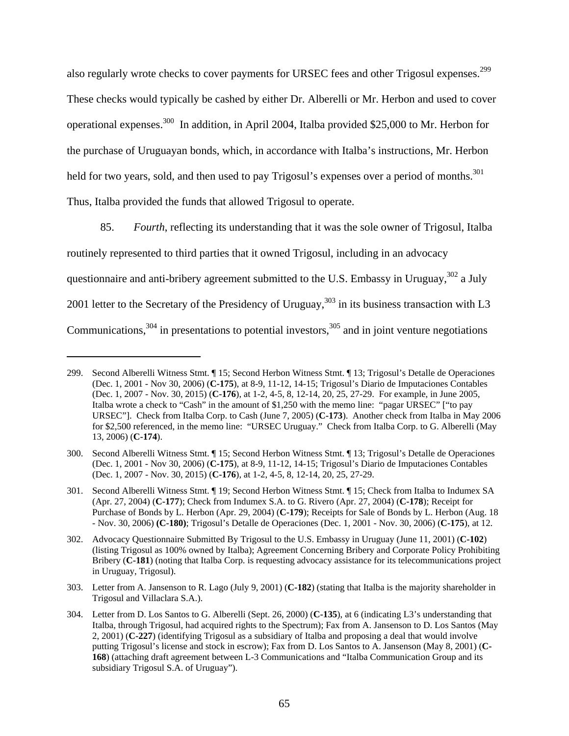also regularly wrote checks to cover payments for URSEC fees and other Trigosul expenses.<sup>299</sup> These checks would typically be cashed by either Dr. Alberelli or Mr. Herbon and used to cover operational expenses.300 In addition, in April 2004, Italba provided \$25,000 to Mr. Herbon for the purchase of Uruguayan bonds, which, in accordance with Italba's instructions, Mr. Herbon held for two years, sold, and then used to pay Trigosul's expenses over a period of months.<sup>301</sup> Thus, Italba provided the funds that allowed Trigosul to operate.

85. *Fourth*, reflecting its understanding that it was the sole owner of Trigosul, Italba routinely represented to third parties that it owned Trigosul, including in an advocacy questionnaire and anti-bribery agreement submitted to the U.S. Embassy in Uruguay,<sup>302</sup> a July 2001 letter to the Secretary of the Presidency of Uruguay,<sup>303</sup> in its business transaction with L3 Communications,  $304$  in presentations to potential investors,  $305$  and in joint venture negotiations

<sup>299.</sup> Second Alberelli Witness Stmt. ¶ 15; Second Herbon Witness Stmt. ¶ 13; Trigosul's Detalle de Operaciones (Dec. 1, 2001 - Nov 30, 2006) (**C-175**), at 8-9, 11-12, 14-15; Trigosul's Diario de Imputaciones Contables (Dec. 1, 2007 - Nov. 30, 2015) (**C-176**), at 1-2, 4-5, 8, 12-14, 20, 25, 27-29. For example, in June 2005, Italba wrote a check to "Cash" in the amount of \$1,250 with the memo line: "pagar URSEC" ["to pay URSEC"]. Check from Italba Corp. to Cash (June 7, 2005) (**C-173**). Another check from Italba in May 2006 for \$2,500 referenced, in the memo line: "URSEC Uruguay." Check from Italba Corp. to G. Alberelli (May 13, 2006) (**C-174**).

<sup>300.</sup> Second Alberelli Witness Stmt. ¶ 15; Second Herbon Witness Stmt. ¶ 13; Trigosul's Detalle de Operaciones (Dec. 1, 2001 - Nov 30, 2006) (**C-175**), at 8-9, 11-12, 14-15; Trigosul's Diario de Imputaciones Contables (Dec. 1, 2007 - Nov. 30, 2015) (**C-176**), at 1-2, 4-5, 8, 12-14, 20, 25, 27-29.

<sup>301.</sup> Second Alberelli Witness Stmt. ¶ 19; Second Herbon Witness Stmt. ¶ 15; Check from Italba to Indumex SA (Apr. 27, 2004) (**C-177**); Check from Indumex S.A. to G. Rivero (Apr. 27, 2004) (**C-178**); Receipt for Purchase of Bonds by L. Herbon (Apr. 29, 2004) (**C-179**); Receipts for Sale of Bonds by L. Herbon (Aug. 18 - Nov. 30, 2006) **(C-180)**; Trigosul's Detalle de Operaciones (Dec. 1, 2001 - Nov. 30, 2006) (**C-175**), at 12.

<sup>302.</sup> Advocacy Questionnaire Submitted By Trigosul to the U.S. Embassy in Uruguay (June 11, 2001) (**C-102**) (listing Trigosul as 100% owned by Italba); Agreement Concerning Bribery and Corporate Policy Prohibiting Bribery (**C-181**) (noting that Italba Corp. is requesting advocacy assistance for its telecommunications project in Uruguay, Trigosul).

<sup>303.</sup> Letter from A. Jansenson to R. Lago (July 9, 2001) (**C-182**) (stating that Italba is the majority shareholder in Trigosul and Villaclara S.A.).

<sup>304.</sup> Letter from D. Los Santos to G. Alberelli (Sept. 26, 2000) (**C-135**), at 6 (indicating L3's understanding that Italba, through Trigosul, had acquired rights to the Spectrum); Fax from A. Jansenson to D. Los Santos (May 2, 2001) (**C-227**) (identifying Trigosul as a subsidiary of Italba and proposing a deal that would involve putting Trigosul's license and stock in escrow); Fax from D. Los Santos to A. Jansenson (May 8, 2001) (**C-168**) (attaching draft agreement between L-3 Communications and "Italba Communication Group and its subsidiary Trigosul S.A. of Uruguay").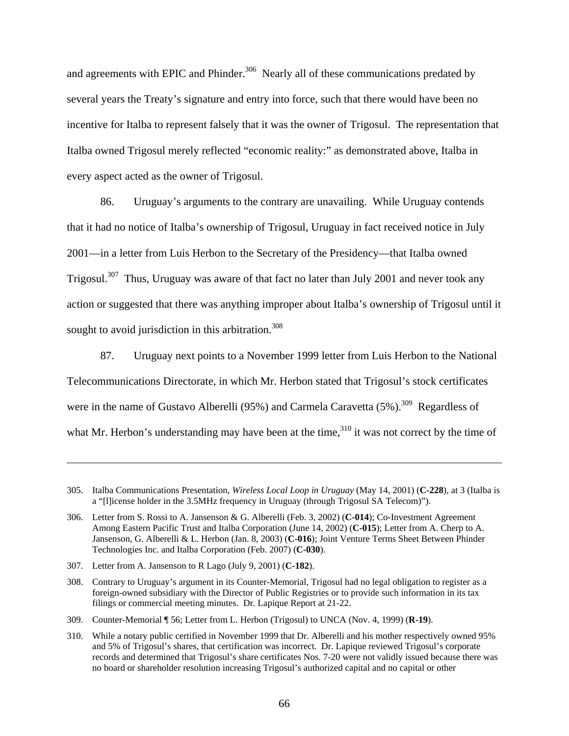and agreements with EPIC and Phinder.<sup>306</sup> Nearly all of these communications predated by several years the Treaty's signature and entry into force, such that there would have been no incentive for Italba to represent falsely that it was the owner of Trigosul. The representation that Italba owned Trigosul merely reflected "economic reality:" as demonstrated above, Italba in every aspect acted as the owner of Trigosul.

86. Uruguay's arguments to the contrary are unavailing. While Uruguay contends that it had no notice of Italba's ownership of Trigosul, Uruguay in fact received notice in July 2001—in a letter from Luis Herbon to the Secretary of the Presidency—that Italba owned Trigosul.<sup>307</sup> Thus, Uruguay was aware of that fact no later than July 2001 and never took any action or suggested that there was anything improper about Italba's ownership of Trigosul until it sought to avoid jurisdiction in this arbitration.<sup>308</sup>

87. Uruguay next points to a November 1999 letter from Luis Herbon to the National Telecommunications Directorate, in which Mr. Herbon stated that Trigosul's stock certificates were in the name of Gustavo Alberelli (95%) and Carmela Caravetta  $(5\%)$ .<sup>309</sup> Regardless of what Mr. Herbon's understanding may have been at the time, $310$  it was not correct by the time of

<sup>305.</sup> Italba Communications Presentation, *Wireless Local Loop in Uruguay* (May 14, 2001) (**C-228**), at 3 (Italba is a "[l]icense holder in the 3.5MHz frequency in Uruguay (through Trigosul SA Telecom)").

<sup>306.</sup> Letter from S. Rossi to A. Jansenson & G. Alberelli (Feb. 3, 2002) (**C-014**); Co-Investment Agreement Among Eastern Pacific Trust and Italba Corporation (June 14, 2002) (**C-015**); Letter from A. Cherp to A. Jansenson, G. Alberelli & L. Herbon (Jan. 8, 2003) (**C-016**); Joint Venture Terms Sheet Between Phinder Technologies Inc. and Italba Corporation (Feb. 2007) (**C-030**).

<sup>307.</sup> Letter from A. Jansenson to R Lago (July 9, 2001) (**C-182**).

<sup>308.</sup> Contrary to Uruguay's argument in its Counter-Memorial, Trigosul had no legal obligation to register as a foreign-owned subsidiary with the Director of Public Registries or to provide such information in its tax filings or commercial meeting minutes. Dr. Lapique Report at 21-22.

<sup>309.</sup> Counter-Memorial ¶ 56; Letter from L. Herbon (Trigosul) to UNCA (Nov. 4, 1999) (**R-19**).

<sup>310.</sup> While a notary public certified in November 1999 that Dr. Alberelli and his mother respectively owned 95% and 5% of Trigosul's shares, that certification was incorrect. Dr. Lapique reviewed Trigosul's corporate records and determined that Trigosul's share certificates Nos. 7-20 were not validly issued because there was no board or shareholder resolution increasing Trigosul's authorized capital and no capital or other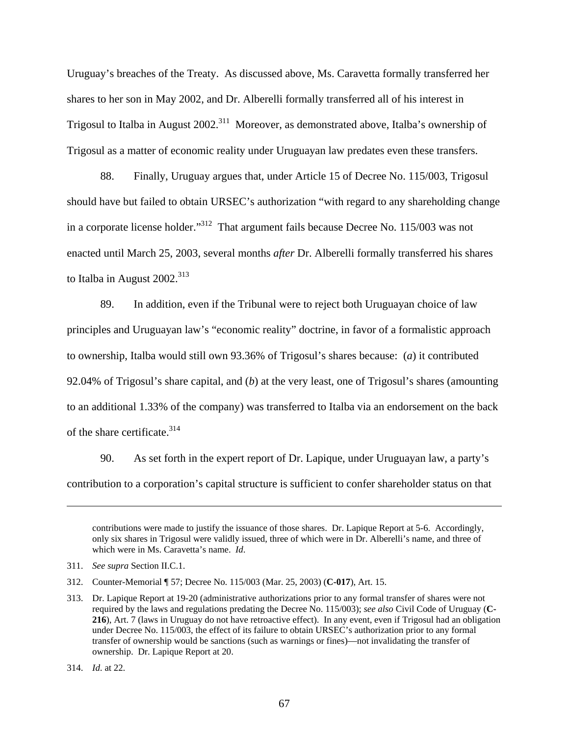Uruguay's breaches of the Treaty. As discussed above, Ms. Caravetta formally transferred her shares to her son in May 2002, and Dr. Alberelli formally transferred all of his interest in Trigosul to Italba in August 2002.<sup>311</sup> Moreover, as demonstrated above, Italba's ownership of Trigosul as a matter of economic reality under Uruguayan law predates even these transfers.

88. Finally, Uruguay argues that, under Article 15 of Decree No. 115/003, Trigosul should have but failed to obtain URSEC's authorization "with regard to any shareholding change in a corporate license holder."<sup>312</sup> That argument fails because Decree No. 115/003 was not enacted until March 25, 2003, several months *after* Dr. Alberelli formally transferred his shares to Italba in August  $2002.^{313}$ 

89. In addition, even if the Tribunal were to reject both Uruguayan choice of law principles and Uruguayan law's "economic reality" doctrine, in favor of a formalistic approach to ownership, Italba would still own 93.36% of Trigosul's shares because: (*a*) it contributed 92.04% of Trigosul's share capital, and (*b*) at the very least, one of Trigosul's shares (amounting to an additional 1.33% of the company) was transferred to Italba via an endorsement on the back of the share certificate.<sup>314</sup>

90. As set forth in the expert report of Dr. Lapique, under Uruguayan law, a party's contribution to a corporation's capital structure is sufficient to confer shareholder status on that

1

contributions were made to justify the issuance of those shares. Dr. Lapique Report at 5-6. Accordingly, only six shares in Trigosul were validly issued, three of which were in Dr. Alberelli's name, and three of which were in Ms. Caravetta's name. *Id*.

<sup>311.</sup> *See supra* Section II.C.1.

<sup>312.</sup> Counter-Memorial ¶ 57; Decree No. 115/003 (Mar. 25, 2003) (**C-017**), Art. 15.

<sup>313.</sup> Dr. Lapique Report at 19-20 (administrative authorizations prior to any formal transfer of shares were not required by the laws and regulations predating the Decree No. 115/003); *see also* Civil Code of Uruguay (**C-216**), Art. 7 (laws in Uruguay do not have retroactive effect). In any event, even if Trigosul had an obligation under Decree No. 115/003, the effect of its failure to obtain URSEC's authorization prior to any formal transfer of ownership would be sanctions (such as warnings or fines)—not invalidating the transfer of ownership. Dr. Lapique Report at 20.

<sup>314.</sup> *Id*. at 22.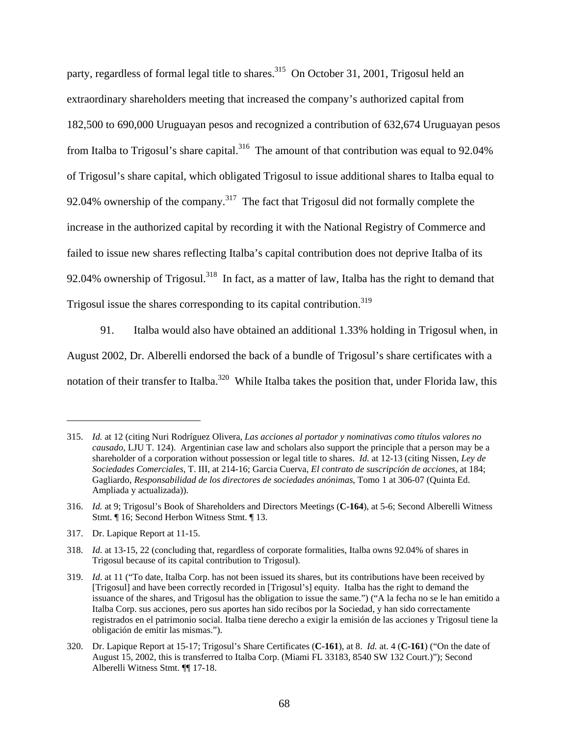party, regardless of formal legal title to shares.<sup>315</sup> On October 31, 2001, Trigosul held an extraordinary shareholders meeting that increased the company's authorized capital from 182,500 to 690,000 Uruguayan pesos and recognized a contribution of 632,674 Uruguayan pesos from Italba to Trigosul's share capital.<sup>316</sup> The amount of that contribution was equal to 92.04% of Trigosul's share capital, which obligated Trigosul to issue additional shares to Italba equal to 92.04% ownership of the company.317 The fact that Trigosul did not formally complete the increase in the authorized capital by recording it with the National Registry of Commerce and failed to issue new shares reflecting Italba's capital contribution does not deprive Italba of its 92.04% ownership of Trigosul.<sup>318</sup> In fact, as a matter of law, Italba has the right to demand that Trigosul issue the shares corresponding to its capital contribution.<sup>319</sup>

91. Italba would also have obtained an additional 1.33% holding in Trigosul when, in August 2002, Dr. Alberelli endorsed the back of a bundle of Trigosul's share certificates with a notation of their transfer to Italba.<sup>320</sup> While Italba takes the position that, under Florida law, this

<sup>315.</sup> *Id.* at 12 (citing Nuri Rodríguez Olivera, *Las acciones al portador y nominativas como títulos valores no causado*, LJU T. 124). Argentinian case law and scholars also support the principle that a person may be a shareholder of a corporation without possession or legal title to shares. *Id.* at 12-13 (citing Nissen, *Ley de Sociedades Comerciales*, T. III, at 214-16; Garcia Cuerva, *El contrato de suscripción de acciones*, at 184; Gagliardo, *Responsabilidad de los directores de sociedades anónimas*, Tomo 1 at 306-07 (Quinta Ed. Ampliada y actualizada)).

<sup>316.</sup> *Id.* at 9; Trigosul's Book of Shareholders and Directors Meetings (**C-164**), at 5-6; Second Alberelli Witness Stmt. ¶ 16; Second Herbon Witness Stmt. ¶ 13.

<sup>317.</sup> Dr. Lapique Report at 11-15.

<sup>318.</sup> *Id*. at 13-15, 22 (concluding that, regardless of corporate formalities, Italba owns 92.04% of shares in Trigosul because of its capital contribution to Trigosul).

<sup>319.</sup> *Id*. at 11 ("To date, Italba Corp. has not been issued its shares, but its contributions have been received by [Trigosul] and have been correctly recorded in [Trigosul's] equity. Italba has the right to demand the issuance of the shares, and Trigosul has the obligation to issue the same.") ("A la fecha no se le han emitido a Italba Corp. sus acciones, pero sus aportes han sido recibos por la Sociedad, y han sido correctamente registrados en el patrimonio social. Italba tiene derecho a exigir la emisión de las acciones y Trigosul tiene la obligación de emitir las mismas.").

<sup>320.</sup> Dr. Lapique Report at 15-17; Trigosul's Share Certificates (**C-161**), at 8. *Id.* at. 4 (**C-161**) ("On the date of August 15, 2002, this is transferred to Italba Corp. (Miami FL 33183, 8540 SW 132 Court.)"); Second Alberelli Witness Stmt. ¶¶ 17-18.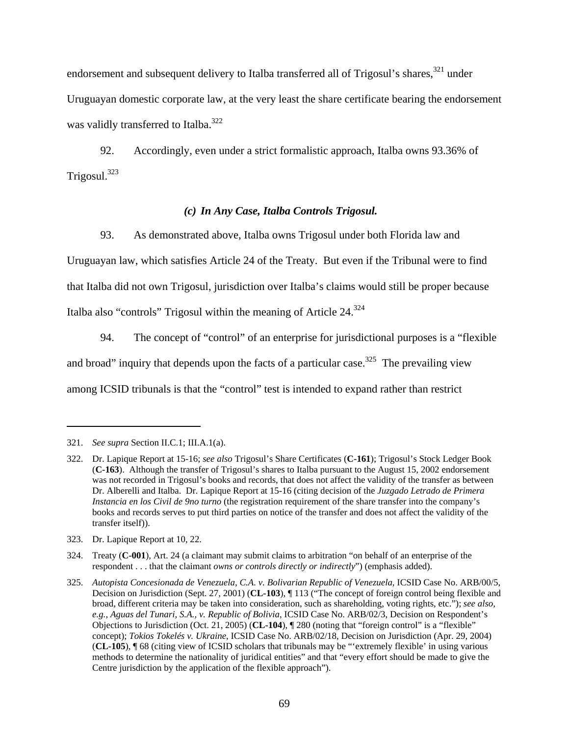endorsement and subsequent delivery to Italba transferred all of Trigosul's shares,<sup>321</sup> under Uruguayan domestic corporate law, at the very least the share certificate bearing the endorsement was validly transferred to Italba.<sup>322</sup>

92. Accordingly, even under a strict formalistic approach, Italba owns 93.36% of Trigosul.323

### *(c) In Any Case, Italba Controls Trigosul.*

93. As demonstrated above, Italba owns Trigosul under both Florida law and

Uruguayan law, which satisfies Article 24 of the Treaty. But even if the Tribunal were to find

that Italba did not own Trigosul, jurisdiction over Italba's claims would still be proper because

Italba also "controls" Trigosul within the meaning of Article 24.324

94. The concept of "control" of an enterprise for jurisdictional purposes is a "flexible and broad" inquiry that depends upon the facts of a particular case.<sup>325</sup> The prevailing view among ICSID tribunals is that the "control" test is intended to expand rather than restrict

 $\overline{a}$ 

323. Dr. Lapique Report at 10, 22.

324. Treaty (**C-001**), Art. 24 (a claimant may submit claims to arbitration "on behalf of an enterprise of the respondent . . . that the claimant *owns or controls directly or indirectly*") (emphasis added).

<sup>321.</sup> *See supra* Section II.C.1; III.A.1(a).

<sup>322.</sup> Dr. Lapique Report at 15-16; *see also* Trigosul's Share Certificates (**C-161**); Trigosul's Stock Ledger Book (**C-163**). Although the transfer of Trigosul's shares to Italba pursuant to the August 15, 2002 endorsement was not recorded in Trigosul's books and records, that does not affect the validity of the transfer as between Dr. Alberelli and Italba. Dr. Lapique Report at 15-16 (citing decision of the *Juzgado Letrado de Primera Instancia en los Civil de 9no turno* (the registration requirement of the share transfer into the company's books and records serves to put third parties on notice of the transfer and does not affect the validity of the transfer itself)).

<sup>325.</sup> *Autopista Concesionada de Venezuela, C.A. v. Bolivarian Republic of Venezuela*, ICSID Case No. ARB/00/5, Decision on Jurisdiction (Sept. 27, 2001) (**CL-103**), ¶ 113 ("The concept of foreign control being flexible and broad, different criteria may be taken into consideration, such as shareholding, voting rights, etc."); *see also, e.g.*, *Aguas del Tunari, S.A., v. Republic of Bolivia*, ICSID Case No. ARB/02/3, Decision on Respondent's Objections to Jurisdiction (Oct. 21, 2005) (**CL-104**), ¶ 280 (noting that "foreign control" is a "flexible" concept); *Tokios Tokelés v. Ukraine*, ICSID Case No. ARB/02/18, Decision on Jurisdiction (Apr. 29, 2004) (**CL-105**), ¶ 68 (citing view of ICSID scholars that tribunals may be "'extremely flexible' in using various methods to determine the nationality of juridical entities" and that "every effort should be made to give the Centre jurisdiction by the application of the flexible approach").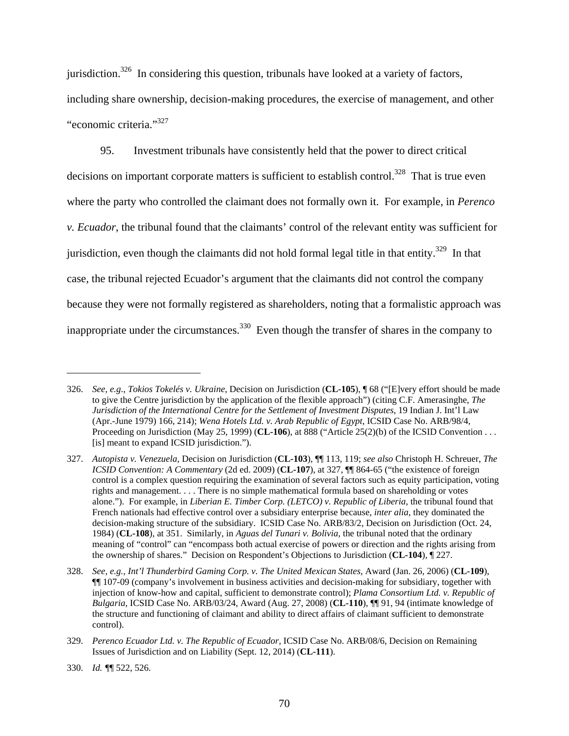jurisdiction.326 In considering this question, tribunals have looked at a variety of factors, including share ownership, decision-making procedures, the exercise of management, and other "economic criteria."<sup>327</sup>

95. Investment tribunals have consistently held that the power to direct critical decisions on important corporate matters is sufficient to establish control.<sup>328</sup> That is true even where the party who controlled the claimant does not formally own it. For example, in *Perenco v. Ecuador*, the tribunal found that the claimants' control of the relevant entity was sufficient for jurisdiction, even though the claimants did not hold formal legal title in that entity.<sup>329</sup> In that case, the tribunal rejected Ecuador's argument that the claimants did not control the company because they were not formally registered as shareholders, noting that a formalistic approach was inappropriate under the circumstances.<sup>330</sup> Even though the transfer of shares in the company to

<sup>326.</sup> *See, e.g*., *Tokios Tokelés v. Ukraine*, Decision on Jurisdiction (**CL-105**), ¶ 68 ("[E]very effort should be made to give the Centre jurisdiction by the application of the flexible approach") (citing C.F. Amerasinghe, *The Jurisdiction of the International Centre for the Settlement of Investment Disputes*, 19 Indian J. Int'l Law (Apr.-June 1979) 166, 214); *Wena Hotels Ltd. v. Arab Republic of Egypt*, ICSID Case No. ARB/98/4, Proceeding on Jurisdiction (May 25, 1999) (**CL-106**), at 888 ("Article 25(2)(b) of the ICSID Convention . . . [is] meant to expand ICSID jurisdiction.").

<sup>327.</sup> *Autopista v. Venezuela*, Decision on Jurisdiction (**CL-103**), ¶¶ 113, 119; *see also* Christoph H. Schreuer, *The ICSID Convention: A Commentary* (2d ed. 2009) (**CL-107**), at 327, ¶¶ 864-65 ("the existence of foreign control is a complex question requiring the examination of several factors such as equity participation, voting rights and management. . . . There is no simple mathematical formula based on shareholding or votes alone."). For example, in *Liberian E. Timber Corp. (LETCO) v. Republic of Liberia*, the tribunal found that French nationals had effective control over a subsidiary enterprise because, *inter alia*, they dominated the decision-making structure of the subsidiary. ICSID Case No. ARB/83/2, Decision on Jurisdiction (Oct. 24, 1984) (**CL-108**), at 351. Similarly, in *Aguas del Tunari v. Bolivia*, the tribunal noted that the ordinary meaning of "control" can "encompass both actual exercise of powers or direction and the rights arising from the ownership of shares." Decision on Respondent's Objections to Jurisdiction (**CL-104**), ¶ 227.

<sup>328.</sup> *See, e.g.*, *Int'l Thunderbird Gaming Corp. v. The United Mexican States*, Award (Jan. 26, 2006) (**CL-109**), ¶¶ 107-09 (company's involvement in business activities and decision-making for subsidiary, together with injection of know-how and capital, sufficient to demonstrate control); *Plama Consortium Ltd. v. Republic of Bulgaria*, ICSID Case No. ARB/03/24, Award (Aug. 27, 2008) (**CL-110**), ¶¶ 91, 94 (intimate knowledge of the structure and functioning of claimant and ability to direct affairs of claimant sufficient to demonstrate control).

<sup>329.</sup> *Perenco Ecuador Ltd. v. The Republic of Ecuador*, ICSID Case No. ARB/08/6, Decision on Remaining Issues of Jurisdiction and on Liability (Sept. 12, 2014) (**CL-111**).

<sup>330.</sup> *Id. ¶*¶ 522, 526.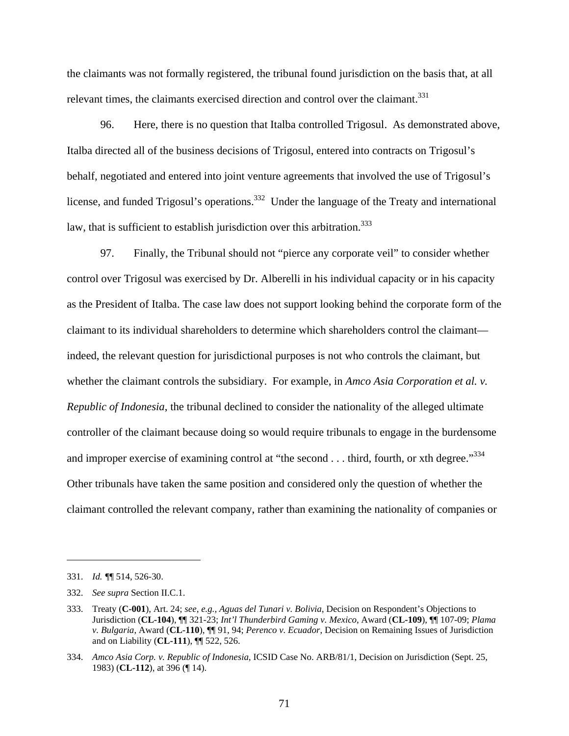the claimants was not formally registered, the tribunal found jurisdiction on the basis that, at all relevant times, the claimants exercised direction and control over the claimant.<sup>331</sup>

96. Here, there is no question that Italba controlled Trigosul. As demonstrated above, Italba directed all of the business decisions of Trigosul, entered into contracts on Trigosul's behalf, negotiated and entered into joint venture agreements that involved the use of Trigosul's license, and funded Trigosul's operations.<sup>332</sup> Under the language of the Treaty and international law, that is sufficient to establish jurisdiction over this arbitration. $333$ 

97. Finally, the Tribunal should not "pierce any corporate veil" to consider whether control over Trigosul was exercised by Dr. Alberelli in his individual capacity or in his capacity as the President of Italba. The case law does not support looking behind the corporate form of the claimant to its individual shareholders to determine which shareholders control the claimant indeed, the relevant question for jurisdictional purposes is not who controls the claimant, but whether the claimant controls the subsidiary. For example, in *Amco Asia Corporation et al. v. Republic of Indonesia*, the tribunal declined to consider the nationality of the alleged ultimate controller of the claimant because doing so would require tribunals to engage in the burdensome and improper exercise of examining control at "the second  $\dots$  third, fourth, or xth degree." $334$ Other tribunals have taken the same position and considered only the question of whether the claimant controlled the relevant company, rather than examining the nationality of companies or

1

<sup>331.</sup> *Id. ¶*¶ 514, 526-30.

<sup>332.</sup> *See supra* Section II.C.1.

<sup>333.</sup> Treaty (**C-001**), Art. 24; *see, e.g.*, *Aguas del Tunari v. Bolivia*, Decision on Respondent's Objections to Jurisdiction (**CL-104**), ¶¶ 321-23; *Int'l Thunderbird Gaming v. Mexico*, Award (**CL-109**), ¶¶ 107-09; *Plama v. Bulgaria*, Award (**CL-110**), ¶¶ 91, 94; *Perenco v. Ecuador*, Decision on Remaining Issues of Jurisdiction and on Liability (**CL-111**), ¶¶ 522, 526.

<sup>334.</sup> *Amco Asia Corp. v. Republic of Indonesia*, ICSID Case No. ARB/81/1, Decision on Jurisdiction (Sept. 25, 1983) (**CL-112**), at 396 (¶ 14).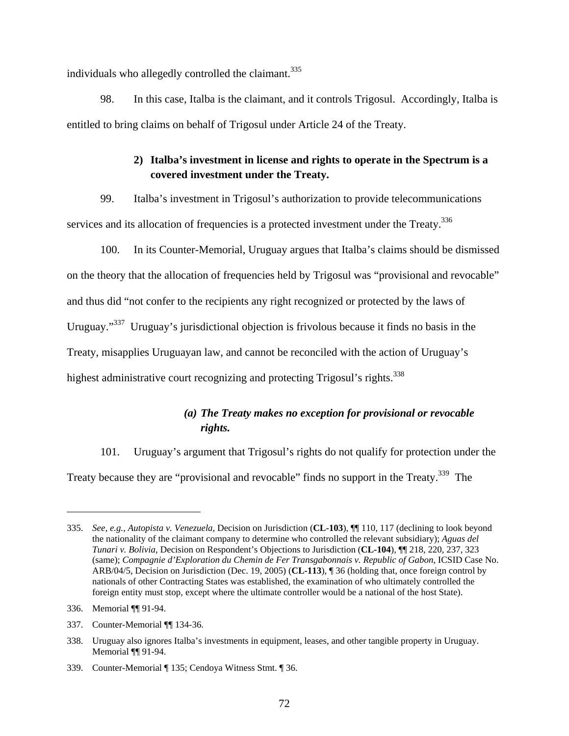individuals who allegedly controlled the claimant.<sup>335</sup>

98. In this case, Italba is the claimant, and it controls Trigosul. Accordingly, Italba is entitled to bring claims on behalf of Trigosul under Article 24 of the Treaty.

## **2) Italba's investment in license and rights to operate in the Spectrum is a covered investment under the Treaty.**

99. Italba's investment in Trigosul's authorization to provide telecommunications services and its allocation of frequencies is a protected investment under the Treaty.<sup>336</sup>

100. In its Counter-Memorial, Uruguay argues that Italba's claims should be dismissed on the theory that the allocation of frequencies held by Trigosul was "provisional and revocable" and thus did "not confer to the recipients any right recognized or protected by the laws of Uruguay."<sup>337</sup> Uruguay's jurisdictional objection is frivolous because it finds no basis in the Treaty, misapplies Uruguayan law, and cannot be reconciled with the action of Uruguay's highest administrative court recognizing and protecting Trigosul's rights.<sup>338</sup>

# *(a) The Treaty makes no exception for provisional or revocable rights.*

101. Uruguay's argument that Trigosul's rights do not qualify for protection under the Treaty because they are "provisional and revocable" finds no support in the Treaty.<sup>339</sup> The

 $\overline{a}$ 

337. Counter-Memorial ¶¶ 134-36.

<sup>335.</sup> *See, e.g.*, *Autopista v. Venezuela*, Decision on Jurisdiction (**CL-103**), ¶¶ 110, 117 (declining to look beyond the nationality of the claimant company to determine who controlled the relevant subsidiary); *Aguas del Tunari v. Bolivia*, Decision on Respondent's Objections to Jurisdiction (**CL-104**), ¶¶ 218, 220, 237, 323 (same); *Compagnie d'Exploration du Chemin de Fer Transgabonnais v. Republic of Gabon*, ICSID Case No. ARB/04/5, Decision on Jurisdiction (Dec. 19, 2005) (**CL-113**), ¶ 36 (holding that, once foreign control by nationals of other Contracting States was established, the examination of who ultimately controlled the foreign entity must stop, except where the ultimate controller would be a national of the host State).

<sup>336.</sup> Memorial ¶¶ 91-94.

<sup>338.</sup> Uruguay also ignores Italba's investments in equipment, leases, and other tangible property in Uruguay. Memorial ¶¶ 91-94.

<sup>339.</sup> Counter-Memorial ¶ 135; Cendoya Witness Stmt. ¶ 36.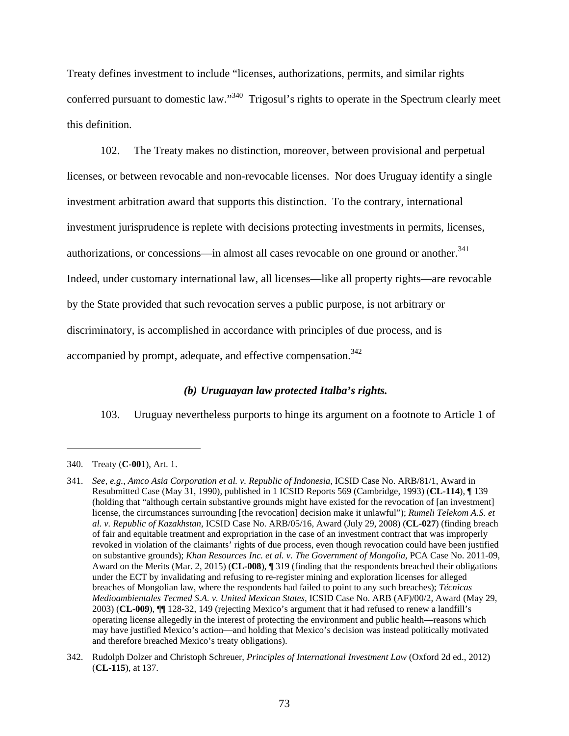Treaty defines investment to include "licenses, authorizations, permits, and similar rights conferred pursuant to domestic law."340 Trigosul's rights to operate in the Spectrum clearly meet this definition.

102. The Treaty makes no distinction, moreover, between provisional and perpetual licenses, or between revocable and non-revocable licenses. Nor does Uruguay identify a single investment arbitration award that supports this distinction. To the contrary, international investment jurisprudence is replete with decisions protecting investments in permits, licenses, authorizations, or concessions—in almost all cases revocable on one ground or another.<sup>341</sup> Indeed, under customary international law, all licenses—like all property rights—are revocable by the State provided that such revocation serves a public purpose, is not arbitrary or discriminatory, is accomplished in accordance with principles of due process, and is accompanied by prompt, adequate, and effective compensation.<sup>342</sup>

### *(b) Uruguayan law protected Italba's rights.*

103. Uruguay nevertheless purports to hinge its argument on a footnote to Article 1 of

<sup>340.</sup> Treaty (**C-001**), Art. 1.

<sup>341.</sup> *See, e.g.*, *Amco Asia Corporation et al. v. Republic of Indonesia,* ICSID Case No. ARB/81/1, Award in Resubmitted Case (May 31, 1990), published in 1 ICSID Reports 569 (Cambridge, 1993) (**CL-114**), ¶ 139 (holding that "although certain substantive grounds might have existed for the revocation of [an investment] license, the circumstances surrounding [the revocation] decision make it unlawful"); *Rumeli Telekom A.S. et al. v. Republic of Kazakhstan*, ICSID Case No. ARB/05/16, Award (July 29, 2008) (**CL-027**) (finding breach of fair and equitable treatment and expropriation in the case of an investment contract that was improperly revoked in violation of the claimants' rights of due process, even though revocation could have been justified on substantive grounds); *Khan Resources Inc. et al. v. The Government of Mongolia*, PCA Case No. 2011-09, Award on the Merits (Mar. 2, 2015) (**CL-008**), ¶ 319 (finding that the respondents breached their obligations under the ECT by invalidating and refusing to re-register mining and exploration licenses for alleged breaches of Mongolian law, where the respondents had failed to point to any such breaches); *Técnicas Medioambientales Tecmed S.A. v. United Mexican States*, ICSID Case No. ARB (AF)/00/2, Award (May 29, 2003) (**CL-009**), ¶¶ 128-32, 149 (rejecting Mexico's argument that it had refused to renew a landfill's operating license allegedly in the interest of protecting the environment and public health—reasons which may have justified Mexico's action—and holding that Mexico's decision was instead politically motivated and therefore breached Mexico's treaty obligations).

<sup>342.</sup> Rudolph Dolzer and Christoph Schreuer, *Principles of International Investment Law* (Oxford 2d ed., 2012) (**CL-115**), at 137.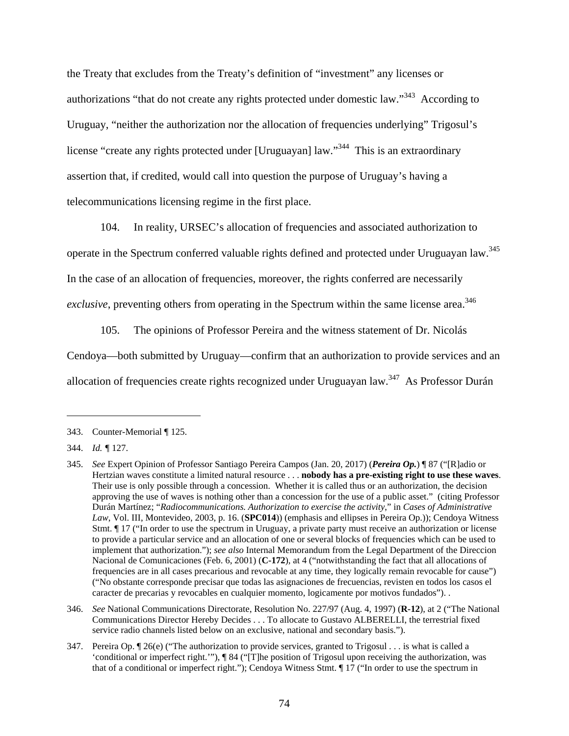the Treaty that excludes from the Treaty's definition of "investment" any licenses or authorizations "that do not create any rights protected under domestic law."<sup>343</sup> According to Uruguay, "neither the authorization nor the allocation of frequencies underlying" Trigosul's license "create any rights protected under [Uruguayan] law."<sup>344</sup> This is an extraordinary assertion that, if credited, would call into question the purpose of Uruguay's having a telecommunications licensing regime in the first place.

104. In reality, URSEC's allocation of frequencies and associated authorization to operate in the Spectrum conferred valuable rights defined and protected under Uruguayan law.345 In the case of an allocation of frequencies, moreover, the rights conferred are necessarily *exclusive*, preventing others from operating in the Spectrum within the same license area.<sup>346</sup>

105. The opinions of Professor Pereira and the witness statement of Dr. Nicolás Cendoya—both submitted by Uruguay—confirm that an authorization to provide services and an allocation of frequencies create rights recognized under Uruguayan law.<sup>347</sup> As Professor Durán

<sup>343.</sup> Counter-Memorial ¶ 125.

<sup>344.</sup> *Id. ¶* 127.

<sup>345.</sup> *See* Expert Opinion of Professor Santiago Pereira Campos (Jan. 20, 2017) (*Pereira Op.*) ¶ 87 ("[R]adio or Hertzian waves constitute a limited natural resource . . . **nobody has a pre-existing right to use these waves**. Their use is only possible through a concession. Whether it is called thus or an authorization, the decision approving the use of waves is nothing other than a concession for the use of a public asset." (citing Professor Durán Martínez; "*Radiocommunications. Authorization to exercise the activity*," in *Cases of Administrative Law*, Vol. III, Montevideo, 2003, p. 16. (**SPC014**)) (emphasis and ellipses in Pereira Op.)); Cendoya Witness Stmt. ¶ 17 ("In order to use the spectrum in Uruguay, a private party must receive an authorization or license to provide a particular service and an allocation of one or several blocks of frequencies which can be used to implement that authorization."); *see also* Internal Memorandum from the Legal Department of the Direccion Nacional de Comunicaciones (Feb. 6, 2001) (**C-172**), at 4 ("notwithstanding the fact that all allocations of frequencies are in all cases precarious and revocable at any time, they logically remain revocable for cause") ("No obstante corresponde precisar que todas las asignaciones de frecuencias, revisten en todos los casos el caracter de precarias y revocables en cualquier momento, logicamente por motivos fundados"). .

<sup>346.</sup> *See* National Communications Directorate, Resolution No. 227/97 (Aug. 4, 1997) (**R-12**), at 2 ("The National Communications Director Hereby Decides . . . To allocate to Gustavo ALBERELLI, the terrestrial fixed service radio channels listed below on an exclusive, national and secondary basis.").

<sup>347.</sup> Pereira Op. ¶ 26(e) ("The authorization to provide services, granted to Trigosul . . . is what is called a 'conditional or imperfect right.'"), ¶ 84 ("[T]he position of Trigosul upon receiving the authorization, was that of a conditional or imperfect right."); Cendoya Witness Stmt. ¶ 17 ("In order to use the spectrum in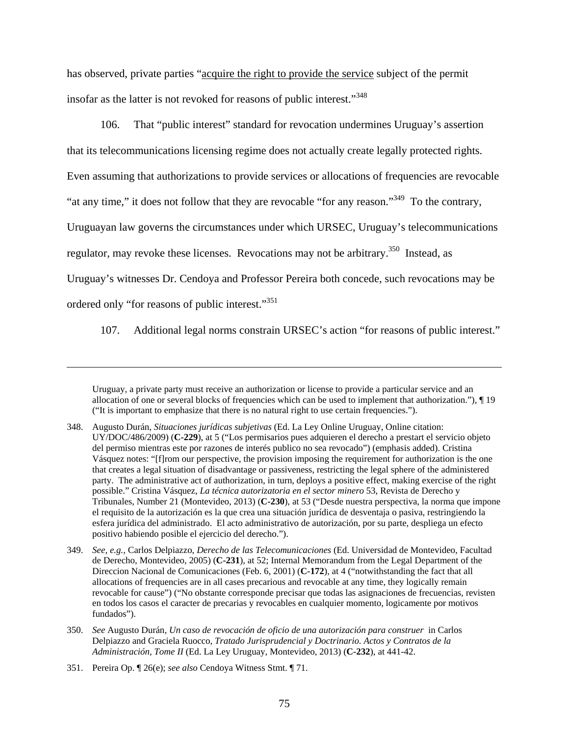has observed, private parties "acquire the right to provide the service subject of the permit insofar as the latter is not revoked for reasons of public interest."<sup>348</sup>

106. That "public interest" standard for revocation undermines Uruguay's assertion that its telecommunications licensing regime does not actually create legally protected rights. Even assuming that authorizations to provide services or allocations of frequencies are revocable "at any time," it does not follow that they are revocable "for any reason."349 To the contrary, Uruguayan law governs the circumstances under which URSEC, Uruguay's telecommunications regulator, may revoke these licenses. Revocations may not be arbitrary.<sup>350</sup> Instead, as Uruguay's witnesses Dr. Cendoya and Professor Pereira both concede, such revocations may be ordered only "for reasons of public interest."<sup>351</sup>

107. Additional legal norms constrain URSEC's action "for reasons of public interest."

Uruguay, a private party must receive an authorization or license to provide a particular service and an allocation of one or several blocks of frequencies which can be used to implement that authorization."), ¶ 19 ("It is important to emphasize that there is no natural right to use certain frequencies.").

<sup>348.</sup> Augusto Durán, *Situaciones jurídicas subjetivas* (Ed. La Ley Online Uruguay, Online citation: UY/DOC/486/2009) (**C-229**), at 5 ("Los permisarios pues adquieren el derecho a prestart el servicio objeto del permiso mientras este por razones de interés publico no sea revocado") (emphasis added). Cristina Vásquez notes: "[f]rom our perspective, the provision imposing the requirement for authorization is the one that creates a legal situation of disadvantage or passiveness, restricting the legal sphere of the administered party. The administrative act of authorization, in turn, deploys a positive effect, making exercise of the right possible." Cristina Vásquez, *La técnica autorizatoria en el sector minero* 53, Revista de Derecho y Tribunales, Number 21 (Montevideo, 2013) (**C-230**), at 53 ("Desde nuestra perspectiva, la norma que impone el requisito de la autorización es la que crea una situación jurídica de desventaja o pasiva, restringiendo la esfera jurídica del administrado. El acto administrativo de autorización, por su parte, despliega un efecto positivo habiendo posible el ejercicio del derecho.").

<sup>349.</sup> *See, e.g.*, Carlos Delpiazzo, *Derecho de las Telecomunicaciones* (Ed. Universidad de Montevideo, Facultad de Derecho, Montevideo, 2005) (**C-231**), at 52; Internal Memorandum from the Legal Department of the Direccion Nacional de Comunicaciones (Feb. 6, 2001) (**C-172**), at 4 ("notwithstanding the fact that all allocations of frequencies are in all cases precarious and revocable at any time, they logically remain revocable for cause") ("No obstante corresponde precisar que todas las asignaciones de frecuencias, revisten en todos los casos el caracter de precarias y revocables en cualquier momento, logicamente por motivos fundados").

<sup>350.</sup> *See* Augusto Durán, *Un caso de revocación de oficio de una autorización para construer* in Carlos Delpiazzo and Graciela Ruocco, *Tratado Jurisprudencial y Doctrinario. Actos y Contratos de la Administración, Tome II* (Ed. La Ley Uruguay, Montevideo, 2013) (**C-232**), at 441-42.

<sup>351.</sup> Pereira Op. ¶ 26(e); *see also* Cendoya Witness Stmt. ¶ 71.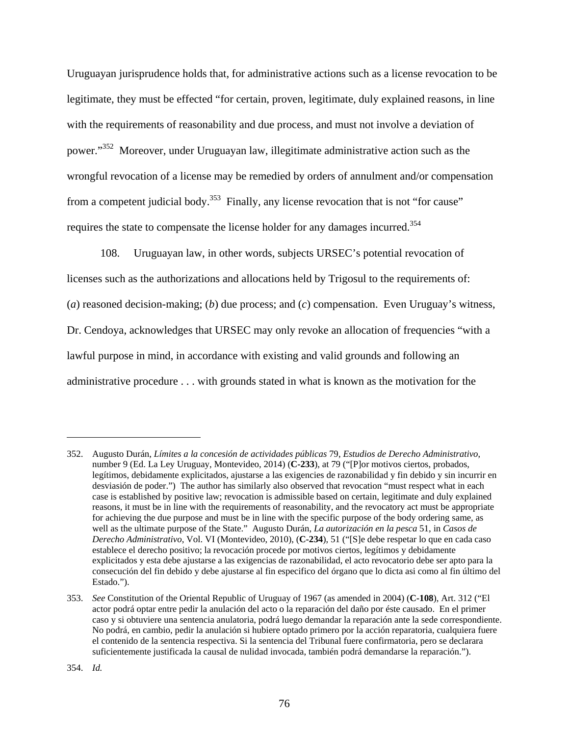Uruguayan jurisprudence holds that, for administrative actions such as a license revocation to be legitimate, they must be effected "for certain, proven, legitimate, duly explained reasons, in line with the requirements of reasonability and due process, and must not involve a deviation of power."352 Moreover, under Uruguayan law, illegitimate administrative action such as the wrongful revocation of a license may be remedied by orders of annulment and/or compensation from a competent judicial body.<sup>353</sup> Finally, any license revocation that is not "for cause" requires the state to compensate the license holder for any damages incurred.<sup>354</sup>

108. Uruguayan law, in other words, subjects URSEC's potential revocation of licenses such as the authorizations and allocations held by Trigosul to the requirements of: (*a*) reasoned decision-making; (*b*) due process; and (*c*) compensation. Even Uruguay's witness, Dr. Cendoya, acknowledges that URSEC may only revoke an allocation of frequencies "with a lawful purpose in mind, in accordance with existing and valid grounds and following an administrative procedure . . . with grounds stated in what is known as the motivation for the

<sup>352.</sup> Augusto Durán, *Límites a la concesión de actividades públicas* 79, *Estudios de Derecho Administrativo*, number 9 (Ed. La Ley Uruguay, Montevideo, 2014) (**C-233**), at 79 ("[P]or motivos ciertos, probados, legítimos, debidamente explicitados, ajustarse a las exigencies de razonabilidad y fin debido y sin incurrir en desviasión de poder.") The author has similarly also observed that revocation "must respect what in each case is established by positive law; revocation is admissible based on certain, legitimate and duly explained reasons, it must be in line with the requirements of reasonability, and the revocatory act must be appropriate for achieving the due purpose and must be in line with the specific purpose of the body ordering same, as well as the ultimate purpose of the State." Augusto Durán, *La autorización en la pesca* 51, in *Casos de Derecho Administrativo*, Vol. VI (Montevideo, 2010), (**C-234**), 51 ("[S]e debe respetar lo que en cada caso establece el derecho positivo; la revocación procede por motivos ciertos, legítimos y debidamente explicitados y esta debe ajustarse a las exigencias de razonabilidad, el acto revocatorio debe ser apto para la consecución del fin debido y debe ajustarse al fin especifico del órgano que lo dicta asi como al fin último del Estado.").

<sup>353.</sup> *See* Constitution of the Oriental Republic of Uruguay of 1967 (as amended in 2004) (**C-108**), Art. 312 ("El actor podrá optar entre pedir la anulación del acto o la reparación del daño por éste causado. En el primer caso y si obtuviere una sentencia anulatoria, podrá luego demandar la reparación ante la sede correspondiente. No podrá, en cambio, pedir la anulación si hubiere optado primero por la acción reparatoria, cualquiera fuere el contenido de la sentencia respectiva. Si la sentencia del Tribunal fuere confirmatoria, pero se declarara suficientemente justificada la causal de nulidad invocada, también podrá demandarse la reparación.").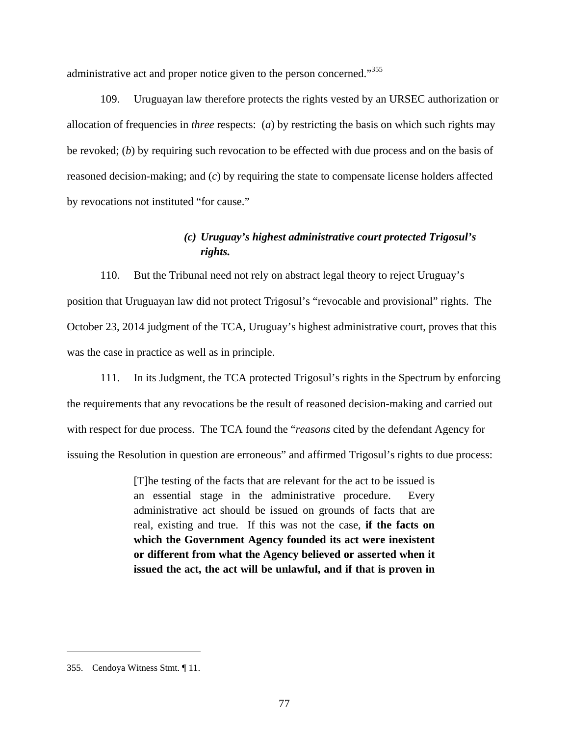administrative act and proper notice given to the person concerned."<sup>355</sup>

109. Uruguayan law therefore protects the rights vested by an URSEC authorization or allocation of frequencies in *three* respects: (*a*) by restricting the basis on which such rights may be revoked; (*b*) by requiring such revocation to be effected with due process and on the basis of reasoned decision-making; and (*c*) by requiring the state to compensate license holders affected by revocations not instituted "for cause."

# *(c) Uruguay's highest administrative court protected Trigosul's rights.*

110. But the Tribunal need not rely on abstract legal theory to reject Uruguay's position that Uruguayan law did not protect Trigosul's "revocable and provisional" rights. The October 23, 2014 judgment of the TCA, Uruguay's highest administrative court, proves that this was the case in practice as well as in principle.

111. In its Judgment, the TCA protected Trigosul's rights in the Spectrum by enforcing the requirements that any revocations be the result of reasoned decision-making and carried out with respect for due process. The TCA found the "*reasons* cited by the defendant Agency for issuing the Resolution in question are erroneous" and affirmed Trigosul's rights to due process:

> [T]he testing of the facts that are relevant for the act to be issued is an essential stage in the administrative procedure. Every administrative act should be issued on grounds of facts that are real, existing and true. If this was not the case, **if the facts on which the Government Agency founded its act were inexistent or different from what the Agency believed or asserted when it issued the act, the act will be unlawful, and if that is proven in**

<sup>355.</sup> Cendoya Witness Stmt. ¶ 11.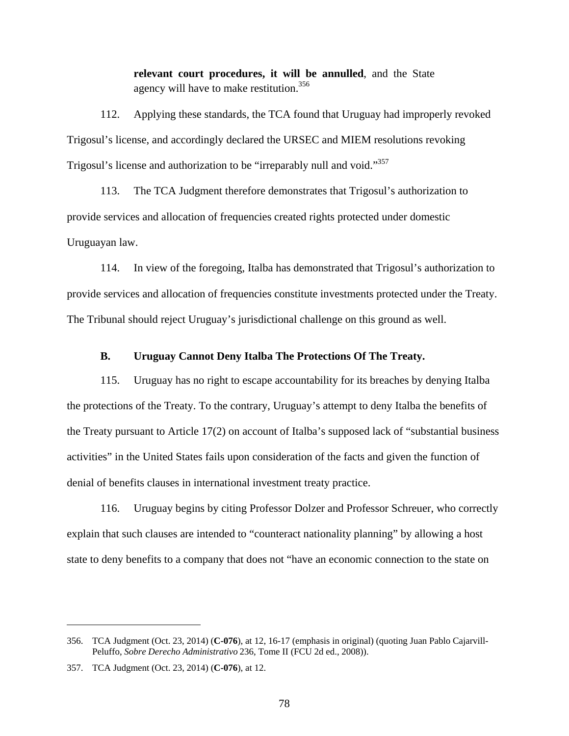**relevant court procedures, it will be annulled**, and the State agency will have to make restitution.<sup>356</sup>

112. Applying these standards, the TCA found that Uruguay had improperly revoked Trigosul's license, and accordingly declared the URSEC and MIEM resolutions revoking Trigosul's license and authorization to be "irreparably null and void."357

113. The TCA Judgment therefore demonstrates that Trigosul's authorization to provide services and allocation of frequencies created rights protected under domestic Uruguayan law.

114. In view of the foregoing, Italba has demonstrated that Trigosul's authorization to provide services and allocation of frequencies constitute investments protected under the Treaty. The Tribunal should reject Uruguay's jurisdictional challenge on this ground as well.

### **B. Uruguay Cannot Deny Italba The Protections Of The Treaty.**

115. Uruguay has no right to escape accountability for its breaches by denying Italba the protections of the Treaty. To the contrary, Uruguay's attempt to deny Italba the benefits of the Treaty pursuant to Article 17(2) on account of Italba's supposed lack of "substantial business activities" in the United States fails upon consideration of the facts and given the function of denial of benefits clauses in international investment treaty practice.

116. Uruguay begins by citing Professor Dolzer and Professor Schreuer, who correctly explain that such clauses are intended to "counteract nationality planning" by allowing a host state to deny benefits to a company that does not "have an economic connection to the state on

<sup>356.</sup> TCA Judgment (Oct. 23, 2014) (**C-076**), at 12, 16-17 (emphasis in original) (quoting Juan Pablo Cajarvill-Peluffo, *Sobre Derecho Administrativo* 236, Tome II (FCU 2d ed., 2008)).

<sup>357.</sup> TCA Judgment (Oct. 23, 2014) (**C-076**), at 12.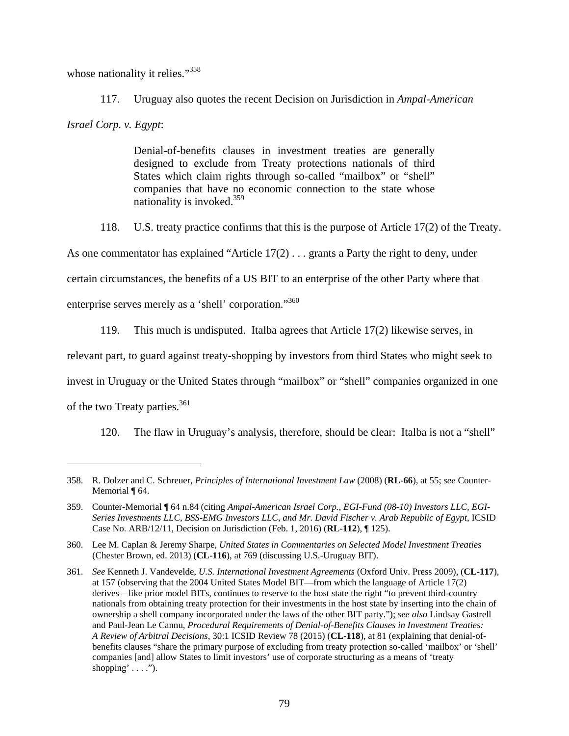whose nationality it relies."<sup>358</sup>

117. Uruguay also quotes the recent Decision on Jurisdiction in *Ampal-American Israel Corp. v. Egypt*:

> Denial-of-benefits clauses in investment treaties are generally designed to exclude from Treaty protections nationals of third States which claim rights through so-called "mailbox" or "shell" companies that have no economic connection to the state whose nationality is invoked.359

118. U.S. treaty practice confirms that this is the purpose of Article 17(2) of the Treaty. As one commentator has explained "Article 17(2) . . . grants a Party the right to deny, under certain circumstances, the benefits of a US BIT to an enterprise of the other Party where that enterprise serves merely as a 'shell' corporation."<sup>360</sup>

119. This much is undisputed. Italba agrees that Article 17(2) likewise serves, in

relevant part, to guard against treaty-shopping by investors from third States who might seek to

invest in Uruguay or the United States through "mailbox" or "shell" companies organized in one

of the two Treaty parties.<sup>361</sup>

120. The flaw in Uruguay's analysis, therefore, should be clear: Italba is not a "shell"

<sup>358.</sup> R. Dolzer and C. Schreuer, *Principles of International Investment Law* (2008) (**RL-66**), at 55; *see* Counter-Memorial ¶ 64.

<sup>359.</sup> Counter-Memorial ¶ 64 n.84 (citing *Ampal-American Israel Corp., EGI-Fund (08-10) Investors LLC, EGI-Series Investments LLC, BSS-EMG Investors LLC, and Mr. David Fischer v. Arab Republic of Egypt*, ICSID Case No. ARB/12/11, Decision on Jurisdiction (Feb. 1, 2016) (**RL-112**), ¶ 125).

<sup>360.</sup> Lee M. Caplan & Jeremy Sharpe, *United States in Commentaries on Selected Model Investment Treaties* (Chester Brown, ed. 2013) (**CL-116**), at 769 (discussing U.S.-Uruguay BIT).

<sup>361.</sup> *See* Kenneth J. Vandevelde, *U.S. International Investment Agreements* (Oxford Univ. Press 2009), (**CL-117**), at 157 (observing that the 2004 United States Model BIT—from which the language of Article 17(2) derives—like prior model BITs, continues to reserve to the host state the right "to prevent third-country nationals from obtaining treaty protection for their investments in the host state by inserting into the chain of ownership a shell company incorporated under the laws of the other BIT party."); *see also* Lindsay Gastrell and Paul-Jean Le Cannu, *Procedural Requirements of Denial-of-Benefits Clauses in Investment Treaties: A Review of Arbitral Decisions*, 30:1 ICSID Review 78 (2015) (**CL-118**), at 81 (explaining that denial-ofbenefits clauses "share the primary purpose of excluding from treaty protection so-called 'mailbox' or 'shell' companies [and] allow States to limit investors' use of corporate structuring as a means of 'treaty shopping'  $\dots$ ").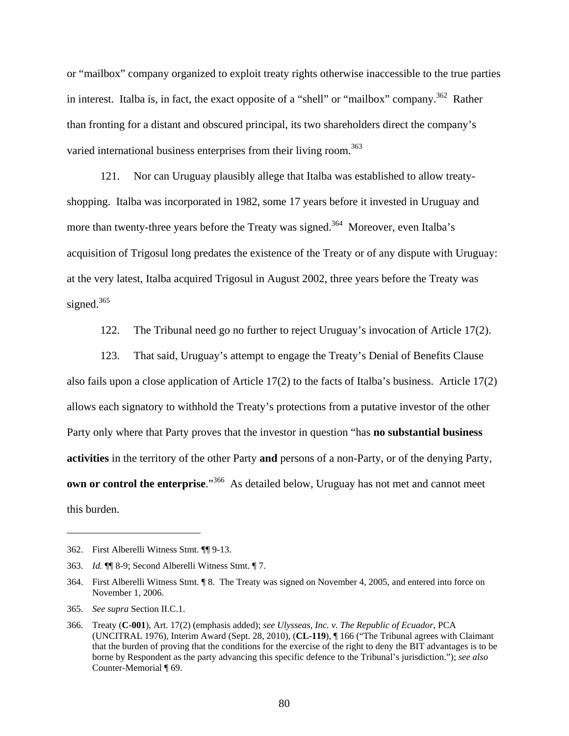or "mailbox" company organized to exploit treaty rights otherwise inaccessible to the true parties in interest. Italba is, in fact, the exact opposite of a "shell" or "mailbox" company.<sup>362</sup> Rather than fronting for a distant and obscured principal, its two shareholders direct the company's varied international business enterprises from their living room.<sup>363</sup>

121. Nor can Uruguay plausibly allege that Italba was established to allow treatyshopping. Italba was incorporated in 1982, some 17 years before it invested in Uruguay and more than twenty-three years before the Treaty was signed.<sup>364</sup> Moreover, even Italba's acquisition of Trigosul long predates the existence of the Treaty or of any dispute with Uruguay: at the very latest, Italba acquired Trigosul in August 2002, three years before the Treaty was signed. $365$ 

122. The Tribunal need go no further to reject Uruguay's invocation of Article 17(2).

123. That said, Uruguay's attempt to engage the Treaty's Denial of Benefits Clause also fails upon a close application of Article 17(2) to the facts of Italba's business. Article 17(2) allows each signatory to withhold the Treaty's protections from a putative investor of the other Party only where that Party proves that the investor in question "has **no substantial business activities** in the territory of the other Party **and** persons of a non-Party, or of the denying Party, **own or control the enterprise.**"<sup>366</sup> As detailed below, Uruguay has not met and cannot meet this burden.

<sup>362.</sup> First Alberelli Witness Stmt. ¶¶ 9-13.

<sup>363.</sup> *Id.* ¶¶ 8-9; Second Alberelli Witness Stmt. ¶ 7.

<sup>364.</sup> First Alberelli Witness Stmt. ¶ 8. The Treaty was signed on November 4, 2005, and entered into force on November 1, 2006.

<sup>365.</sup> *See supra* Section II.C.1.

<sup>366.</sup> Treaty (**C-001**), Art. 17(2) (emphasis added); *see Ulysseas, Inc. v. The Republic of Ecuador*, PCA (UNCITRAL 1976), Interim Award (Sept. 28, 2010), (**CL-119**), ¶ 166 ("The Tribunal agrees with Claimant that the burden of proving that the conditions for the exercise of the right to deny the BIT advantages is to be borne by Respondent as the party advancing this specific defence to the Tribunal's jurisdiction."); *see also*  Counter-Memorial ¶ 69.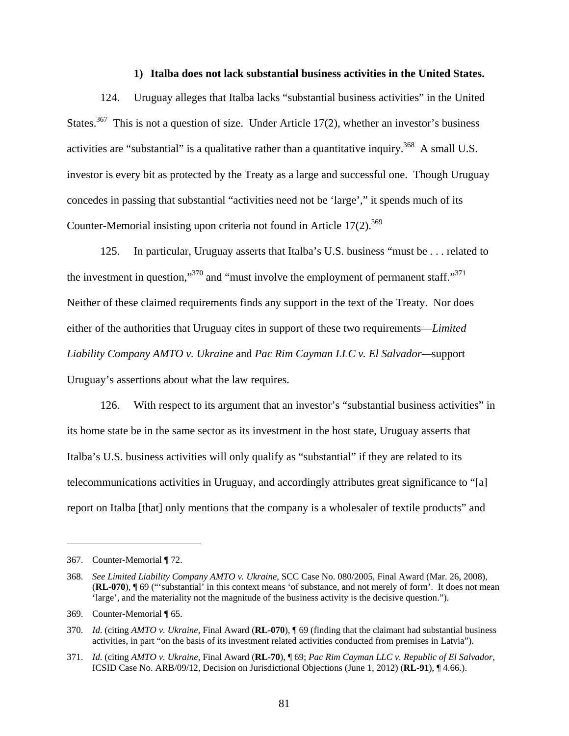#### **1) Italba does not lack substantial business activities in the United States.**

124. Uruguay alleges that Italba lacks "substantial business activities" in the United States.<sup>367</sup> This is not a question of size. Under Article 17(2), whether an investor's business activities are "substantial" is a qualitative rather than a quantitative inquiry.<sup>368</sup> A small U.S. investor is every bit as protected by the Treaty as a large and successful one. Though Uruguay concedes in passing that substantial "activities need not be 'large'," it spends much of its Counter-Memorial insisting upon criteria not found in Article  $17(2)$ .<sup>369</sup>

125. In particular, Uruguay asserts that Italba's U.S. business "must be . . . related to the investment in question," $370$  and "must involve the employment of permanent staff." $371$ Neither of these claimed requirements finds any support in the text of the Treaty. Nor does either of the authorities that Uruguay cites in support of these two requirements—*Limited Liability Company AMTO v. Ukraine* and *Pac Rim Cayman LLC v. El Salvador—*support Uruguay's assertions about what the law requires.

126. With respect to its argument that an investor's "substantial business activities" in its home state be in the same sector as its investment in the host state, Uruguay asserts that Italba's U.S. business activities will only qualify as "substantial" if they are related to its telecommunications activities in Uruguay, and accordingly attributes great significance to "[a] report on Italba [that] only mentions that the company is a wholesaler of textile products" and

1

<sup>367.</sup> Counter-Memorial ¶ 72.

<sup>368.</sup> *See Limited Liability Company AMTO v. Ukraine*, SCC Case No. 080/2005, Final Award (Mar. 26, 2008), (**RL-070**), ¶ 69 ("'substantial' in this context means 'of substance, and not merely of form'. It does not mean 'large', and the materiality not the magnitude of the business activity is the decisive question.").

<sup>369.</sup> Counter-Memorial ¶ 65.

<sup>370.</sup> *Id*. (citing *AMTO v. Ukraine*, Final Award (**RL-070**), ¶ 69 (finding that the claimant had substantial business activities, in part "on the basis of its investment related activities conducted from premises in Latvia").

<sup>371.</sup> *Id*. (citing *AMTO v. Ukraine*, Final Award (**RL-70**), ¶ 69; *Pac Rim Cayman LLC v. Republic of El Salvador*, ICSID Case No. ARB/09/12, Decision on Jurisdictional Objections (June 1, 2012) (**RL-91**), ¶ 4.66.).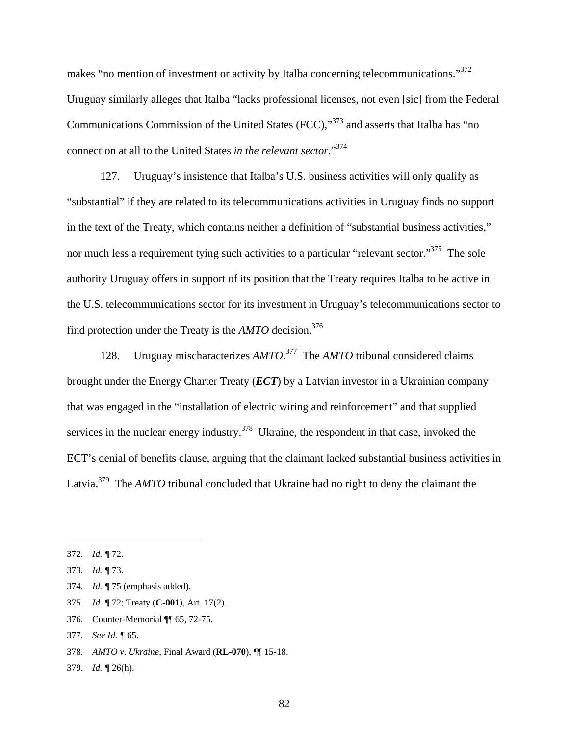makes "no mention of investment or activity by Italba concerning telecommunications."<sup>372</sup> Uruguay similarly alleges that Italba "lacks professional licenses, not even [sic] from the Federal Communications Commission of the United States (FCC),"373 and asserts that Italba has "no connection at all to the United States *in the relevant sector*."374

127. Uruguay's insistence that Italba's U.S. business activities will only qualify as "substantial" if they are related to its telecommunications activities in Uruguay finds no support in the text of the Treaty, which contains neither a definition of "substantial business activities," nor much less a requirement tying such activities to a particular "relevant sector."<sup>375</sup> The sole authority Uruguay offers in support of its position that the Treaty requires Italba to be active in the U.S. telecommunications sector for its investment in Uruguay's telecommunications sector to find protection under the Treaty is the *AMTO* decision.376

128. Uruguay mischaracterizes *AMTO*. 377 The *AMTO* tribunal considered claims brought under the Energy Charter Treaty (*ECT*) by a Latvian investor in a Ukrainian company that was engaged in the "installation of electric wiring and reinforcement" and that supplied services in the nuclear energy industry.<sup>378</sup> Ukraine, the respondent in that case, invoked the ECT's denial of benefits clause, arguing that the claimant lacked substantial business activities in Latvia.<sup>379</sup> The *AMTO* tribunal concluded that Ukraine had no right to deny the claimant the

 $\overline{a}$ 

- 374. *Id. ¶* 75 (emphasis added).
- 375. *Id. ¶* 72; Treaty (**C-001**), Art. 17(2).
- 376. Counter-Memorial ¶¶ 65, 72-75.
- 377. *See Id. ¶* 65.

379. *Id. ¶* 26(h).

<sup>372.</sup> *Id. ¶* 72.

<sup>373.</sup> *Id. ¶* 73.

<sup>378.</sup> *AMTO v. Ukraine*, Final Award (**RL-070**), ¶¶ 15-18.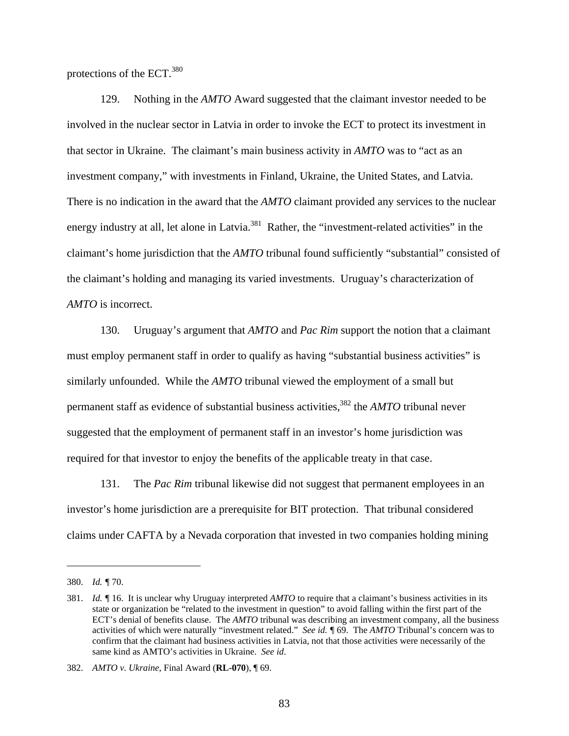protections of the ECT.380

129. Nothing in the *AMTO* Award suggested that the claimant investor needed to be involved in the nuclear sector in Latvia in order to invoke the ECT to protect its investment in that sector in Ukraine. The claimant's main business activity in *AMTO* was to "act as an investment company," with investments in Finland, Ukraine, the United States, and Latvia. There is no indication in the award that the *AMTO* claimant provided any services to the nuclear energy industry at all, let alone in Latvia.<sup>381</sup> Rather, the "investment-related activities" in the claimant's home jurisdiction that the *AMTO* tribunal found sufficiently "substantial" consisted of the claimant's holding and managing its varied investments. Uruguay's characterization of *AMTO* is incorrect.

130. Uruguay's argument that *AMTO* and *Pac Rim* support the notion that a claimant must employ permanent staff in order to qualify as having "substantial business activities" is similarly unfounded. While the *AMTO* tribunal viewed the employment of a small but permanent staff as evidence of substantial business activities,382 the *AMTO* tribunal never suggested that the employment of permanent staff in an investor's home jurisdiction was required for that investor to enjoy the benefits of the applicable treaty in that case.

131. The *Pac Rim* tribunal likewise did not suggest that permanent employees in an investor's home jurisdiction are a prerequisite for BIT protection. That tribunal considered claims under CAFTA by a Nevada corporation that invested in two companies holding mining

<sup>380.</sup> *Id. ¶* 70.

<sup>381.</sup> *Id. ¶* 16. It is unclear why Uruguay interpreted *AMTO* to require that a claimant's business activities in its state or organization be "related to the investment in question" to avoid falling within the first part of the ECT's denial of benefits clause. The *AMTO* tribunal was describing an investment company, all the business activities of which were naturally "investment related." *See id. ¶* 69. The *AMTO* Tribunal's concern was to confirm that the claimant had business activities in Latvia, not that those activities were necessarily of the same kind as AMTO's activities in Ukraine. *See id*.

<sup>382.</sup> *AMTO v. Ukraine*, Final Award (**RL-070**), ¶ 69.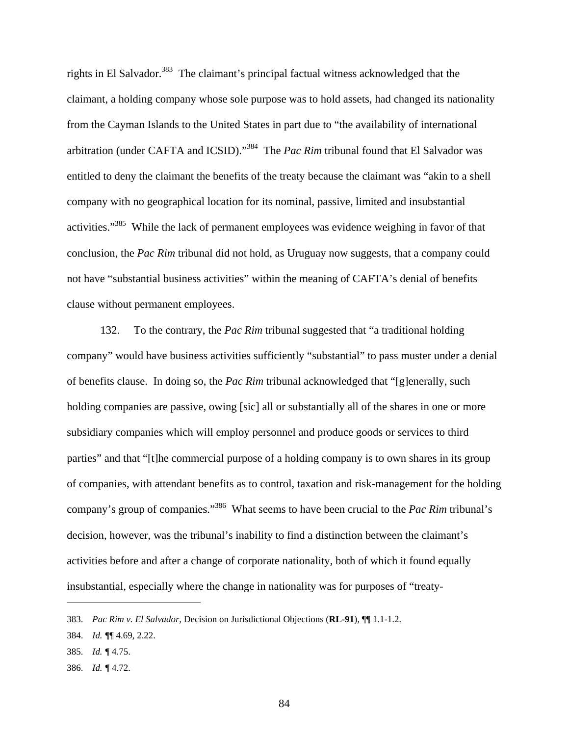rights in El Salvador.<sup>383</sup> The claimant's principal factual witness acknowledged that the claimant, a holding company whose sole purpose was to hold assets, had changed its nationality from the Cayman Islands to the United States in part due to "the availability of international arbitration (under CAFTA and ICSID)."384 The *Pac Rim* tribunal found that El Salvador was entitled to deny the claimant the benefits of the treaty because the claimant was "akin to a shell company with no geographical location for its nominal, passive, limited and insubstantial activities."<sup>385</sup> While the lack of permanent employees was evidence weighing in favor of that conclusion, the *Pac Rim* tribunal did not hold, as Uruguay now suggests, that a company could not have "substantial business activities" within the meaning of CAFTA's denial of benefits clause without permanent employees.

132. To the contrary, the *Pac Rim* tribunal suggested that "a traditional holding company" would have business activities sufficiently "substantial" to pass muster under a denial of benefits clause. In doing so, the *Pac Rim* tribunal acknowledged that "[g]enerally, such holding companies are passive, owing [sic] all or substantially all of the shares in one or more subsidiary companies which will employ personnel and produce goods or services to third parties" and that "[t]he commercial purpose of a holding company is to own shares in its group of companies, with attendant benefits as to control, taxation and risk-management for the holding company's group of companies."386 What seems to have been crucial to the *Pac Rim* tribunal's decision, however, was the tribunal's inability to find a distinction between the claimant's activities before and after a change of corporate nationality, both of which it found equally insubstantial, especially where the change in nationality was for purposes of "treaty-

<sup>383.</sup> *Pac Rim v. El Salvador*, Decision on Jurisdictional Objections (**RL-91**), ¶¶ 1.1-1.2.

<sup>384.</sup> *Id. ¶*¶ 4.69, 2.22.

<sup>385.</sup> *Id. ¶* 4.75.

<sup>386.</sup> *Id. ¶* 4.72.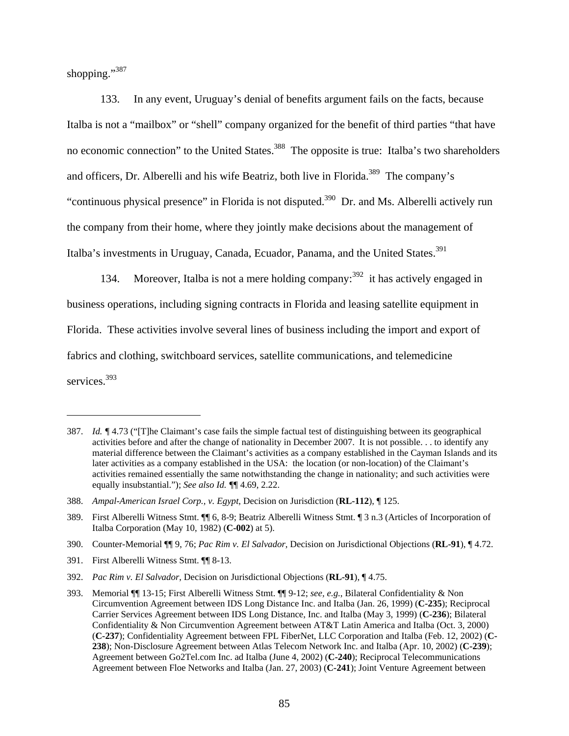shopping."387

1

133. In any event, Uruguay's denial of benefits argument fails on the facts, because Italba is not a "mailbox" or "shell" company organized for the benefit of third parties "that have no economic connection" to the United States.<sup>388</sup> The opposite is true: Italba's two shareholders and officers, Dr. Alberelli and his wife Beatriz, both live in Florida.<sup>389</sup> The company's "continuous physical presence" in Florida is not disputed.<sup>390</sup> Dr. and Ms. Alberelli actively run the company from their home, where they jointly make decisions about the management of Italba's investments in Uruguay, Canada, Ecuador, Panama, and the United States.<sup>391</sup>

134. Moreover, Italba is not a mere holding company:  $392$  it has actively engaged in business operations, including signing contracts in Florida and leasing satellite equipment in Florida. These activities involve several lines of business including the import and export of fabrics and clothing, switchboard services, satellite communications, and telemedicine services<sup>393</sup>

391. First Alberelli Witness Stmt. ¶¶ 8-13.

<sup>387.</sup> *Id. ¶* 4.73 ("[T]he Claimant's case fails the simple factual test of distinguishing between its geographical activities before and after the change of nationality in December 2007. It is not possible. . . to identify any material difference between the Claimant's activities as a company established in the Cayman Islands and its later activities as a company established in the USA: the location (or non-location) of the Claimant's activities remained essentially the same notwithstanding the change in nationality; and such activities were equally insubstantial."); *See also Id. ¶*¶ 4.69, 2.22.

<sup>388.</sup> *Ampal-American Israel Corp., v. Egypt*, Decision on Jurisdiction (**RL-112**), ¶ 125.

<sup>389.</sup> First Alberelli Witness Stmt. ¶¶ 6, 8-9; Beatriz Alberelli Witness Stmt. ¶ 3 n.3 (Articles of Incorporation of Italba Corporation (May 10, 1982) (**C-002**) at 5).

<sup>390.</sup> Counter-Memorial ¶¶ 9, 76; *Pac Rim v. El Salvador*, Decision on Jurisdictional Objections (**RL-91**), ¶ 4.72.

<sup>392.</sup> *Pac Rim v. El Salvador*, Decision on Jurisdictional Objections (**RL-91**), ¶ 4.75.

<sup>393.</sup> Memorial ¶¶ 13-15; First Alberelli Witness Stmt. ¶¶ 9-12; *see, e.g.*, Bilateral Confidentiality & Non Circumvention Agreement between IDS Long Distance Inc. and Italba (Jan. 26, 1999) (**C-235**); Reciprocal Carrier Services Agreement between IDS Long Distance, Inc. and Italba (May 3, 1999) (**C-236**); Bilateral Confidentiality & Non Circumvention Agreement between AT&T Latin America and Italba (Oct. 3, 2000) (**C-237**); Confidentiality Agreement between FPL FiberNet, LLC Corporation and Italba (Feb. 12, 2002) (**C-238**); Non-Disclosure Agreement between Atlas Telecom Network Inc. and Italba (Apr. 10, 2002) (**C-239**); Agreement between Go2Tel.com Inc. ad Italba (June 4, 2002) (**C-240**); Reciprocal Telecommunications Agreement between Floe Networks and Italba (Jan. 27, 2003) (**C-241**); Joint Venture Agreement between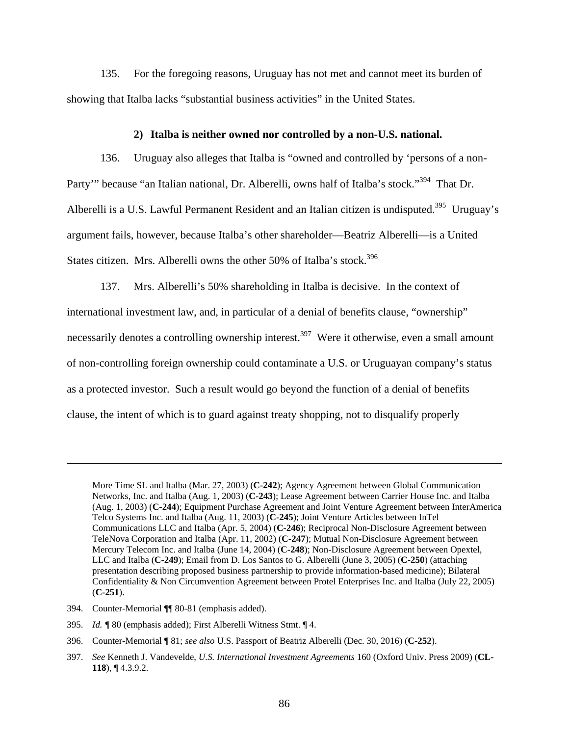135. For the foregoing reasons, Uruguay has not met and cannot meet its burden of showing that Italba lacks "substantial business activities" in the United States.

#### **2) Italba is neither owned nor controlled by a non-U.S. national.**

136. Uruguay also alleges that Italba is "owned and controlled by 'persons of a non-Party'" because "an Italian national, Dr. Alberelli, owns half of Italba's stock."<sup>394</sup> That Dr. Alberelli is a U.S. Lawful Permanent Resident and an Italian citizen is undisputed.<sup>395</sup> Uruguay's argument fails, however, because Italba's other shareholder—Beatriz Alberelli—is a United States citizen. Mrs. Alberelli owns the other 50% of Italba's stock.<sup>396</sup>

137. Mrs. Alberelli's 50% shareholding in Italba is decisive. In the context of international investment law, and, in particular of a denial of benefits clause, "ownership" necessarily denotes a controlling ownership interest.<sup>397</sup> Were it otherwise, even a small amount of non-controlling foreign ownership could contaminate a U.S. or Uruguayan company's status as a protected investor. Such a result would go beyond the function of a denial of benefits clause, the intent of which is to guard against treaty shopping, not to disqualify properly

- 394. Counter-Memorial ¶¶ 80-81 (emphasis added).
- 395. *Id. ¶* 80 (emphasis added); First Alberelli Witness Stmt. ¶ 4.
- 396. Counter-Memorial ¶ 81; *see also* U.S. Passport of Beatriz Alberelli (Dec. 30, 2016) (**C-252**).

More Time SL and Italba (Mar. 27, 2003) (**C-242**); Agency Agreement between Global Communication Networks, Inc. and Italba (Aug. 1, 2003) (**C-243**); Lease Agreement between Carrier House Inc. and Italba (Aug. 1, 2003) (**C-244**); Equipment Purchase Agreement and Joint Venture Agreement between InterAmerica Telco Systems Inc. and Italba (Aug. 11, 2003) (**C-245**); Joint Venture Articles between InTel Communications LLC and Italba (Apr. 5, 2004) (**C-246**); Reciprocal Non-Disclosure Agreement between TeleNova Corporation and Italba (Apr. 11, 2002) (**C-247**); Mutual Non-Disclosure Agreement between Mercury Telecom Inc. and Italba (June 14, 2004) (**C-248**); Non-Disclosure Agreement between Opextel, LLC and Italba (**C-249**); Email from D. Los Santos to G. Alberelli (June 3, 2005) (**C-250**) (attaching presentation describing proposed business partnership to provide information-based medicine); Bilateral Confidentiality & Non Circumvention Agreement between Protel Enterprises Inc. and Italba (July 22, 2005) (**C-251**).

<sup>397.</sup> *See* Kenneth J. Vandevelde, *U.S. International Investment Agreements* 160 (Oxford Univ. Press 2009) (**CL-118**), ¶ 4.3.9.2.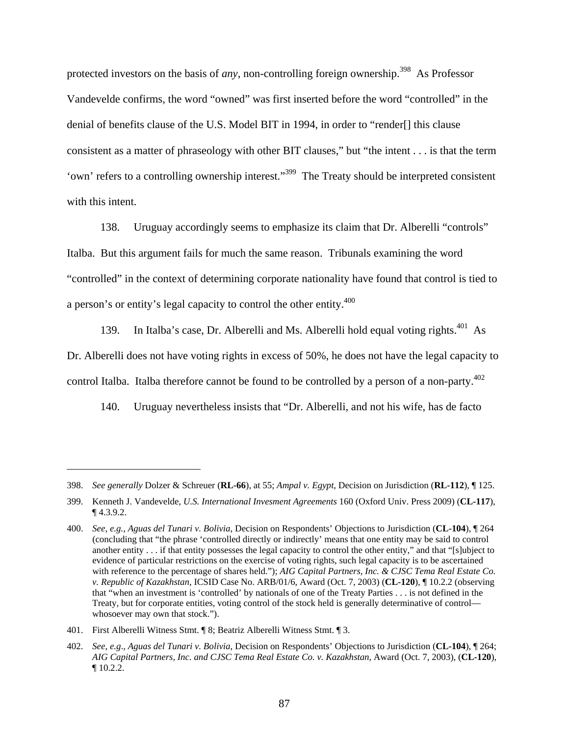protected investors on the basis of *any*, non-controlling foreign ownership.<sup>398</sup> As Professor Vandevelde confirms, the word "owned" was first inserted before the word "controlled" in the denial of benefits clause of the U.S. Model BIT in 1994, in order to "render[] this clause consistent as a matter of phraseology with other BIT clauses," but "the intent . . . is that the term 'own' refers to a controlling ownership interest."<sup>399</sup> The Treaty should be interpreted consistent with this intent.

138. Uruguay accordingly seems to emphasize its claim that Dr. Alberelli "controls" Italba. But this argument fails for much the same reason. Tribunals examining the word "controlled" in the context of determining corporate nationality have found that control is tied to a person's or entity's legal capacity to control the other entity.<sup>400</sup>

139. In Italba's case, Dr. Alberelli and Ms. Alberelli hold equal voting rights. $401$  As Dr. Alberelli does not have voting rights in excess of 50%, he does not have the legal capacity to control Italba. Italba therefore cannot be found to be controlled by a person of a non-party.<sup>402</sup>

140. Uruguay nevertheless insists that "Dr. Alberelli, and not his wife, has de facto

<sup>398.</sup> *See generally* Dolzer & Schreuer (**RL-66**), at 55; *Ampal v. Egypt*, Decision on Jurisdiction (**RL-112**), ¶ 125.

<sup>399.</sup> Kenneth J. Vandevelde, *U.S. International Invesment Agreements* 160 (Oxford Univ. Press 2009) (**CL-117**), ¶ 4.3.9.2.

<sup>400.</sup> *See*, *e.g.*, *Aguas del Tunari v. Bolivia*, Decision on Respondents' Objections to Jurisdiction (**CL-104**), ¶ 264 (concluding that "the phrase 'controlled directly or indirectly' means that one entity may be said to control another entity . . . if that entity possesses the legal capacity to control the other entity," and that "[s]ubject to evidence of particular restrictions on the exercise of voting rights, such legal capacity is to be ascertained with reference to the percentage of shares held."); *AIG Capital Partners, Inc. & CJSC Tema Real Estate Co. v. Republic of Kazakhstan*, ICSID Case No. ARB/01/6, Award (Oct. 7, 2003) (**CL-120**), ¶ 10.2.2 (observing that "when an investment is 'controlled' by nationals of one of the Treaty Parties . . . is not defined in the Treaty, but for corporate entities, voting control of the stock held is generally determinative of control whosoever may own that stock.").

<sup>401.</sup> First Alberelli Witness Stmt. ¶ 8; Beatriz Alberelli Witness Stmt. ¶ 3.

<sup>402.</sup> *See*, *e.g*., *Aguas del Tunari v. Bolivia*, Decision on Respondents' Objections to Jurisdiction (**CL-104**), ¶ 264; *AIG Capital Partners, Inc. and CJSC Tema Real Estate Co. v. Kazakhstan*, Award (Oct. 7, 2003), (**CL-120**), ¶ 10.2.2.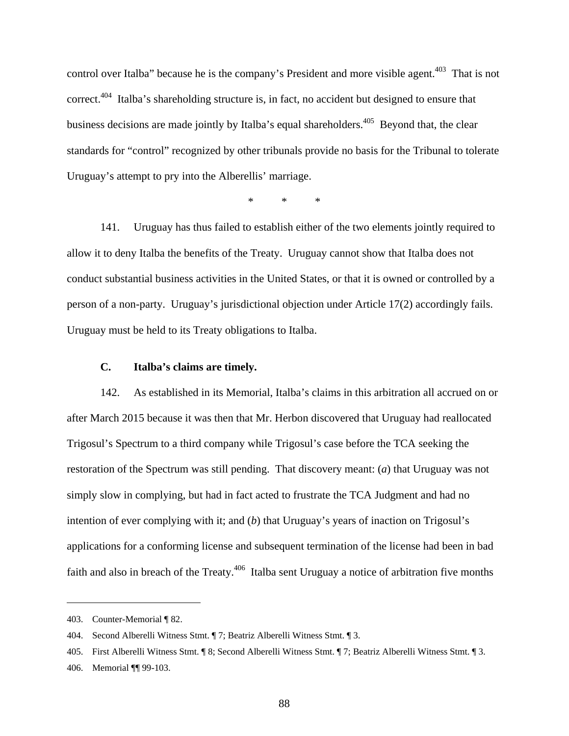control over Italba" because he is the company's President and more visible agent.<sup>403</sup> That is not correct.<sup>404</sup> Italba's shareholding structure is, in fact, no accident but designed to ensure that business decisions are made jointly by Italba's equal shareholders.<sup>405</sup> Beyond that, the clear standards for "control" recognized by other tribunals provide no basis for the Tribunal to tolerate Uruguay's attempt to pry into the Alberellis' marriage.

\* \* \*

141. Uruguay has thus failed to establish either of the two elements jointly required to allow it to deny Italba the benefits of the Treaty. Uruguay cannot show that Italba does not conduct substantial business activities in the United States, or that it is owned or controlled by a person of a non-party. Uruguay's jurisdictional objection under Article 17(2) accordingly fails. Uruguay must be held to its Treaty obligations to Italba.

#### **C. Italba's claims are timely.**

142. As established in its Memorial, Italba's claims in this arbitration all accrued on or after March 2015 because it was then that Mr. Herbon discovered that Uruguay had reallocated Trigosul's Spectrum to a third company while Trigosul's case before the TCA seeking the restoration of the Spectrum was still pending. That discovery meant: (*a*) that Uruguay was not simply slow in complying, but had in fact acted to frustrate the TCA Judgment and had no intention of ever complying with it; and (*b*) that Uruguay's years of inaction on Trigosul's applications for a conforming license and subsequent termination of the license had been in bad faith and also in breach of the Treaty.<sup>406</sup> Italba sent Uruguay a notice of arbitration five months

<sup>403.</sup> Counter-Memorial ¶ 82.

<sup>404.</sup> Second Alberelli Witness Stmt. ¶ 7; Beatriz Alberelli Witness Stmt. ¶ 3.

<sup>405.</sup> First Alberelli Witness Stmt. ¶ 8; Second Alberelli Witness Stmt. ¶ 7; Beatriz Alberelli Witness Stmt. ¶ 3.

<sup>406.</sup> Memorial ¶¶ 99-103.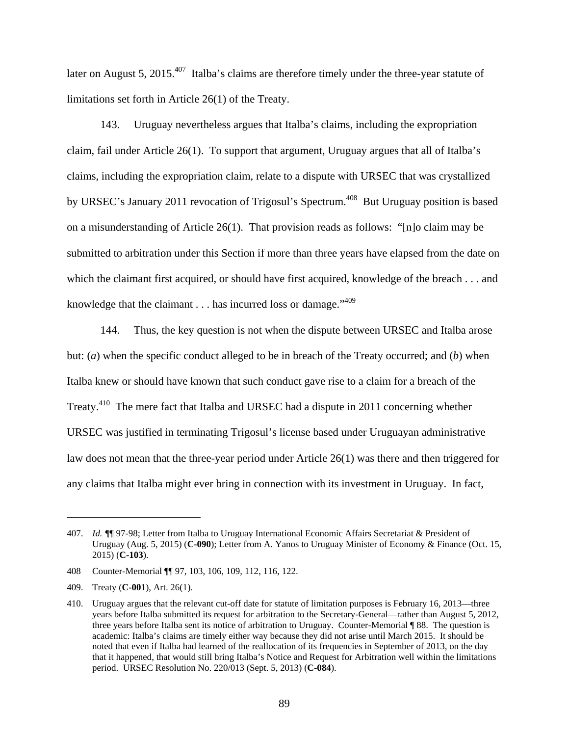later on August 5, 2015.<sup>407</sup> Italba's claims are therefore timely under the three-year statute of limitations set forth in Article 26(1) of the Treaty.

143. Uruguay nevertheless argues that Italba's claims, including the expropriation claim, fail under Article 26(1). To support that argument, Uruguay argues that all of Italba's claims, including the expropriation claim, relate to a dispute with URSEC that was crystallized by URSEC's January 2011 revocation of Trigosul's Spectrum.<sup>408</sup> But Uruguay position is based on a misunderstanding of Article 26(1). That provision reads as follows: "[n]o claim may be submitted to arbitration under this Section if more than three years have elapsed from the date on which the claimant first acquired, or should have first acquired, knowledge of the breach . . . and knowledge that the claimant  $\ldots$  has incurred loss or damage."<sup>409</sup>

144. Thus, the key question is not when the dispute between URSEC and Italba arose but: (*a*) when the specific conduct alleged to be in breach of the Treaty occurred; and (*b*) when Italba knew or should have known that such conduct gave rise to a claim for a breach of the Treaty.<sup>410</sup> The mere fact that Italba and URSEC had a dispute in 2011 concerning whether URSEC was justified in terminating Trigosul's license based under Uruguayan administrative law does not mean that the three-year period under Article 26(1) was there and then triggered for any claims that Italba might ever bring in connection with its investment in Uruguay. In fact,

<sup>407.</sup> *Id. ¶*¶ 97-98; Letter from Italba to Uruguay International Economic Affairs Secretariat & President of Uruguay (Aug. 5, 2015) (**C-090**); Letter from A. Yanos to Uruguay Minister of Economy & Finance (Oct. 15, 2015) (**C-103**).

<sup>408</sup> Counter-Memorial ¶¶ 97, 103, 106, 109, 112, 116, 122.

<sup>409.</sup> Treaty (**C-001**), Art. 26(1).

<sup>410.</sup> Uruguay argues that the relevant cut-off date for statute of limitation purposes is February 16, 2013—three years before Italba submitted its request for arbitration to the Secretary-General—rather than August 5, 2012, three years before Italba sent its notice of arbitration to Uruguay. Counter-Memorial ¶ 88. The question is academic: Italba's claims are timely either way because they did not arise until March 2015. It should be noted that even if Italba had learned of the reallocation of its frequencies in September of 2013, on the day that it happened, that would still bring Italba's Notice and Request for Arbitration well within the limitations period. URSEC Resolution No. 220/013 (Sept. 5, 2013) (**C-084**).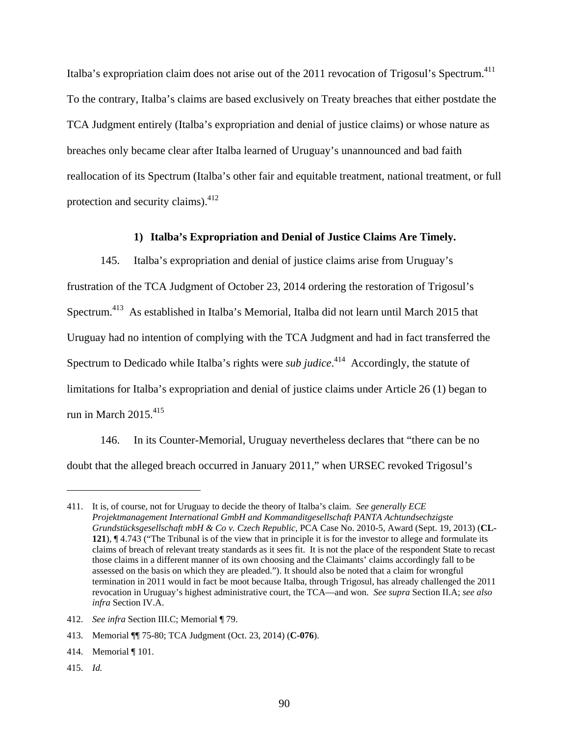Italba's expropriation claim does not arise out of the 2011 revocation of Trigosul's Spectrum.<sup>411</sup> To the contrary, Italba's claims are based exclusively on Treaty breaches that either postdate the TCA Judgment entirely (Italba's expropriation and denial of justice claims) or whose nature as breaches only became clear after Italba learned of Uruguay's unannounced and bad faith reallocation of its Spectrum (Italba's other fair and equitable treatment, national treatment, or full protection and security claims).<sup>412</sup>

### **1) Italba's Expropriation and Denial of Justice Claims Are Timely.**

145. Italba's expropriation and denial of justice claims arise from Uruguay's frustration of the TCA Judgment of October 23, 2014 ordering the restoration of Trigosul's Spectrum.<sup>413</sup> As established in Italba's Memorial, Italba did not learn until March 2015 that Uruguay had no intention of complying with the TCA Judgment and had in fact transferred the Spectrum to Dedicado while Italba's rights were *sub judice*.<sup>414</sup> Accordingly, the statute of limitations for Italba's expropriation and denial of justice claims under Article 26 (1) began to run in March  $2015.<sup>415</sup>$ 

146. In its Counter-Memorial, Uruguay nevertheless declares that "there can be no doubt that the alleged breach occurred in January 2011," when URSEC revoked Trigosul's

412. *See infra* Section III.C; Memorial ¶ 79.

415. *Id.*

1

<sup>411.</sup> It is, of course, not for Uruguay to decide the theory of Italba's claim. *See generally ECE Projektmanagement International GmbH and Kommanditgesellschaft PANTA Achtundsechzigste Grundstücksgesellschaft mbH & Co v. Czech Republic*, PCA Case No. 2010-5, Award (Sept. 19, 2013) (**CL-121**), ¶ 4.743 ("The Tribunal is of the view that in principle it is for the investor to allege and formulate its claims of breach of relevant treaty standards as it sees fit. It is not the place of the respondent State to recast those claims in a different manner of its own choosing and the Claimants' claims accordingly fall to be assessed on the basis on which they are pleaded."). It should also be noted that a claim for wrongful termination in 2011 would in fact be moot because Italba, through Trigosul, has already challenged the 2011 revocation in Uruguay's highest administrative court, the TCA—and won. *See supra* Section II.A; *see also infra* Section IV.A.

<sup>413.</sup> Memorial ¶¶ 75-80; TCA Judgment (Oct. 23, 2014) (**C-076**).

<sup>414.</sup> Memorial ¶ 101.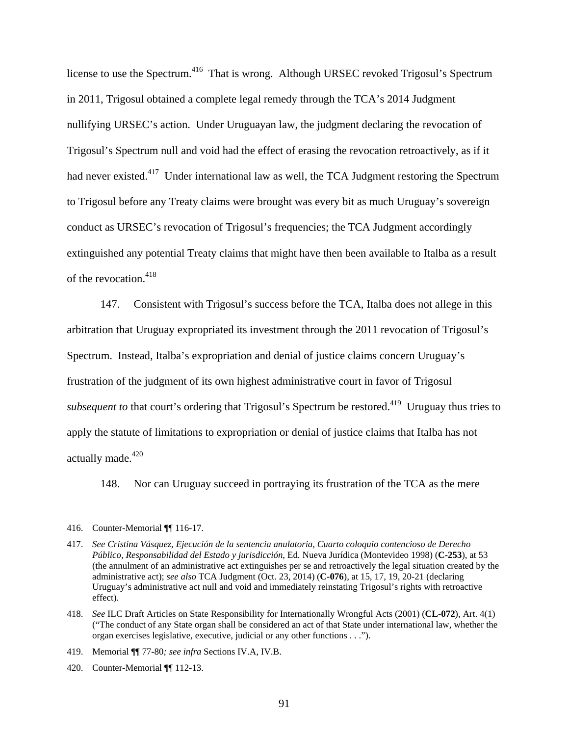license to use the Spectrum.<sup>416</sup> That is wrong. Although URSEC revoked Trigosul's Spectrum in 2011, Trigosul obtained a complete legal remedy through the TCA's 2014 Judgment nullifying URSEC's action. Under Uruguayan law, the judgment declaring the revocation of Trigosul's Spectrum null and void had the effect of erasing the revocation retroactively, as if it had never existed.<sup>417</sup> Under international law as well, the TCA Judgment restoring the Spectrum to Trigosul before any Treaty claims were brought was every bit as much Uruguay's sovereign conduct as URSEC's revocation of Trigosul's frequencies; the TCA Judgment accordingly extinguished any potential Treaty claims that might have then been available to Italba as a result of the revocation.<sup>418</sup>

147. Consistent with Trigosul's success before the TCA, Italba does not allege in this arbitration that Uruguay expropriated its investment through the 2011 revocation of Trigosul's Spectrum. Instead, Italba's expropriation and denial of justice claims concern Uruguay's frustration of the judgment of its own highest administrative court in favor of Trigosul *subsequent to* that court's ordering that Trigosul's Spectrum be restored.<sup>419</sup> Uruguay thus tries to apply the statute of limitations to expropriation or denial of justice claims that Italba has not actually made.<sup>420</sup>

148. Nor can Uruguay succeed in portraying its frustration of the TCA as the mere

<sup>416.</sup> Counter-Memorial ¶¶ 116-17.

<sup>417.</sup> *See Cristina Vásquez, Ejecución de la sentencia anulatoria, Cuarto coloquio contencioso de Derecho Público, Responsabilidad del Estado y jurisdicción*, Ed. Nueva Jurídica (Montevideo 1998) (**C-253**), at 53 (the annulment of an administrative act extinguishes per se and retroactively the legal situation created by the administrative act); *see also* TCA Judgment (Oct. 23, 2014) (**C-076**), at 15, 17, 19, 20-21 (declaring Uruguay's administrative act null and void and immediately reinstating Trigosul's rights with retroactive effect).

<sup>418.</sup> *See* ILC Draft Articles on State Responsibility for Internationally Wrongful Acts (2001) (**CL-072**), Art. 4(1) ("The conduct of any State organ shall be considered an act of that State under international law, whether the organ exercises legislative, executive, judicial or any other functions . . .").

<sup>419.</sup> Memorial ¶¶ 77-80*; see infra* Sections IV.A, IV.B.

<sup>420.</sup> Counter-Memorial ¶¶ 112-13.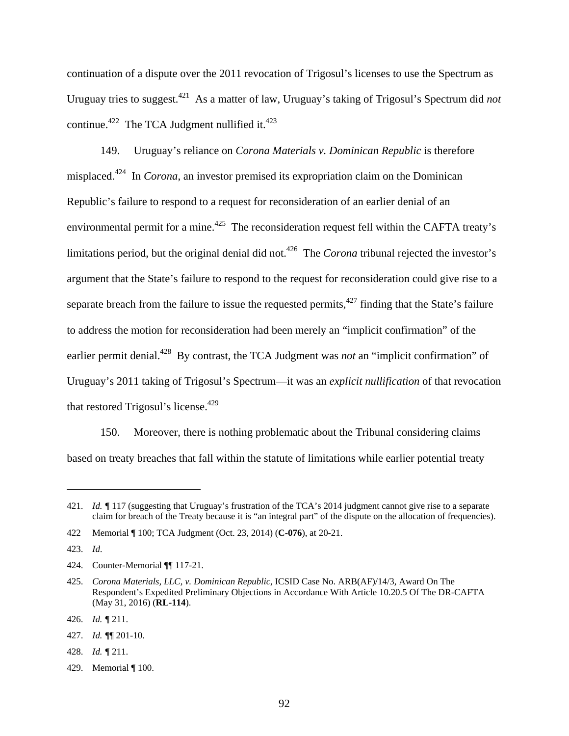continuation of a dispute over the 2011 revocation of Trigosul's licenses to use the Spectrum as Uruguay tries to suggest.421 As a matter of law, Uruguay's taking of Trigosul's Spectrum did *not* continue.<sup>422</sup> The TCA Judgment nullified it. $423$ 

149. Uruguay's reliance on *Corona Materials v. Dominican Republic* is therefore misplaced.424 In *Corona*, an investor premised its expropriation claim on the Dominican Republic's failure to respond to a request for reconsideration of an earlier denial of an environmental permit for a mine.<sup>425</sup> The reconsideration request fell within the CAFTA treaty's limitations period, but the original denial did not.<sup>426</sup> The *Corona* tribunal rejected the investor's argument that the State's failure to respond to the request for reconsideration could give rise to a separate breach from the failure to issue the requested permits, $427$  finding that the State's failure to address the motion for reconsideration had been merely an "implicit confirmation" of the earlier permit denial.<sup>428</sup> By contrast, the TCA Judgment was *not* an "implicit confirmation" of Uruguay's 2011 taking of Trigosul's Spectrum—it was an *explicit nullification* of that revocation that restored Trigosul's license.<sup>429</sup>

150. Moreover, there is nothing problematic about the Tribunal considering claims based on treaty breaches that fall within the statute of limitations while earlier potential treaty

1

<sup>421.</sup> *Id. J* 117 (suggesting that Uruguay's frustration of the TCA's 2014 judgment cannot give rise to a separate claim for breach of the Treaty because it is "an integral part" of the dispute on the allocation of frequencies).

<sup>422</sup> Memorial ¶ 100; TCA Judgment (Oct. 23, 2014) (**C-076**), at 20-21.

<sup>423.</sup> *Id*.

<sup>424.</sup> Counter-Memorial ¶¶ 117-21.

<sup>425.</sup> *Corona Materials, LLC, v. Dominican Republic*, ICSID Case No. ARB(AF)/14/3, Award On The Respondent's Expedited Preliminary Objections in Accordance With Article 10.20.5 Of The DR-CAFTA (May 31, 2016) (**RL-114**).

<sup>426.</sup> *Id. ¶* 211.

<sup>427.</sup> *Id. ¶*¶ 201-10.

<sup>428.</sup> *Id. ¶* 211.

<sup>429.</sup> Memorial ¶ 100.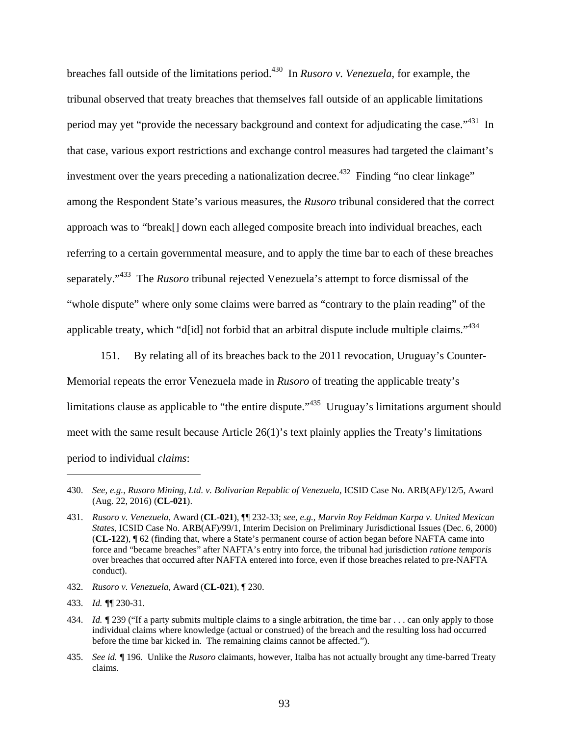breaches fall outside of the limitations period.430 In *Rusoro v. Venezuela*, for example, the tribunal observed that treaty breaches that themselves fall outside of an applicable limitations period may yet "provide the necessary background and context for adjudicating the case."<sup>431</sup> In that case, various export restrictions and exchange control measures had targeted the claimant's investment over the years preceding a nationalization decree.<sup>432</sup> Finding "no clear linkage" among the Respondent State's various measures, the *Rusoro* tribunal considered that the correct approach was to "break[] down each alleged composite breach into individual breaches, each referring to a certain governmental measure, and to apply the time bar to each of these breaches separately."433 The *Rusoro* tribunal rejected Venezuela's attempt to force dismissal of the "whole dispute" where only some claims were barred as "contrary to the plain reading" of the applicable treaty, which "d[id] not forbid that an arbitral dispute include multiple claims."<sup>434</sup>

151. By relating all of its breaches back to the 2011 revocation, Uruguay's Counter-Memorial repeats the error Venezuela made in *Rusoro* of treating the applicable treaty's limitations clause as applicable to "the entire dispute."<sup>435</sup> Uruguay's limitations argument should meet with the same result because Article 26(1)'s text plainly applies the Treaty's limitations period to individual *claims*:

432. *Rusoro v. Venezuela,* Award (**CL-021**), ¶ 230.

<sup>430.</sup> *See, e.g.*, *Rusoro Mining, Ltd. v. Bolivarian Republic of Venezuela,* ICSID Case No. ARB(AF)/12/5, Award (Aug. 22, 2016) (**CL-021**).

<sup>431.</sup> *Rusoro v. Venezuela,* Award (**CL-021**), ¶¶ 232-33; *see, e.g.*, *Marvin Roy Feldman Karpa v. United Mexican States*, ICSID Case No. ARB(AF)/99/1, Interim Decision on Preliminary Jurisdictional Issues (Dec. 6, 2000) (**CL-122**), ¶ 62 (finding that, where a State's permanent course of action began before NAFTA came into force and "became breaches" after NAFTA's entry into force, the tribunal had jurisdiction *ratione temporis* over breaches that occurred after NAFTA entered into force, even if those breaches related to pre-NAFTA conduct).

<sup>433.</sup> *Id. ¶*¶ 230-31.

<sup>434.</sup> *Id. ¶* 239 ("If a party submits multiple claims to a single arbitration, the time bar . . . can only apply to those individual claims where knowledge (actual or construed) of the breach and the resulting loss had occurred before the time bar kicked in. The remaining claims cannot be affected.").

<sup>435.</sup> *See id. ¶* 196. Unlike the *Rusoro* claimants, however, Italba has not actually brought any time-barred Treaty claims.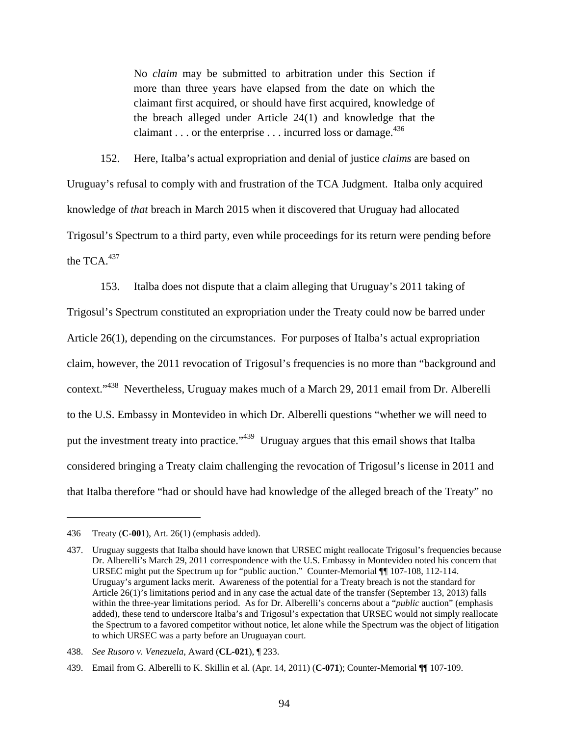No *claim* may be submitted to arbitration under this Section if more than three years have elapsed from the date on which the claimant first acquired, or should have first acquired, knowledge of the breach alleged under Article 24(1) and knowledge that the claimant . . . or the enterprise . . . incurred loss or damage.<sup>436</sup>

152. Here, Italba's actual expropriation and denial of justice *claims* are based on Uruguay's refusal to comply with and frustration of the TCA Judgment. Italba only acquired knowledge of *that* breach in March 2015 when it discovered that Uruguay had allocated Trigosul's Spectrum to a third party, even while proceedings for its return were pending before the TCA. $437$ 

153. Italba does not dispute that a claim alleging that Uruguay's 2011 taking of Trigosul's Spectrum constituted an expropriation under the Treaty could now be barred under Article 26(1), depending on the circumstances. For purposes of Italba's actual expropriation claim, however, the 2011 revocation of Trigosul's frequencies is no more than "background and context."438 Nevertheless, Uruguay makes much of a March 29, 2011 email from Dr. Alberelli to the U.S. Embassy in Montevideo in which Dr. Alberelli questions "whether we will need to put the investment treaty into practice."<sup>439</sup> Uruguay argues that this email shows that Italba considered bringing a Treaty claim challenging the revocation of Trigosul's license in 2011 and that Italba therefore "had or should have had knowledge of the alleged breach of the Treaty" no

<sup>436</sup> Treaty (**C-001**), Art. 26(1) (emphasis added).

<sup>437.</sup> Uruguay suggests that Italba should have known that URSEC might reallocate Trigosul's frequencies because Dr. Alberelli's March 29, 2011 correspondence with the U.S. Embassy in Montevideo noted his concern that URSEC might put the Spectrum up for "public auction." Counter-Memorial ¶¶ 107-108, 112-114. Uruguay's argument lacks merit. Awareness of the potential for a Treaty breach is not the standard for Article 26(1)'s limitations period and in any case the actual date of the transfer (September 13, 2013) falls within the three-year limitations period. As for Dr. Alberelli's concerns about a "*public* auction" (emphasis added), these tend to underscore Italba's and Trigosul's expectation that URSEC would not simply reallocate the Spectrum to a favored competitor without notice, let alone while the Spectrum was the object of litigation to which URSEC was a party before an Uruguayan court.

<sup>438.</sup> *See Rusoro v. Venezuela*, Award (**CL-021**), ¶ 233.

<sup>439.</sup> Email from G. Alberelli to K. Skillin et al. (Apr. 14, 2011) (**C-071**); Counter-Memorial ¶¶ 107-109.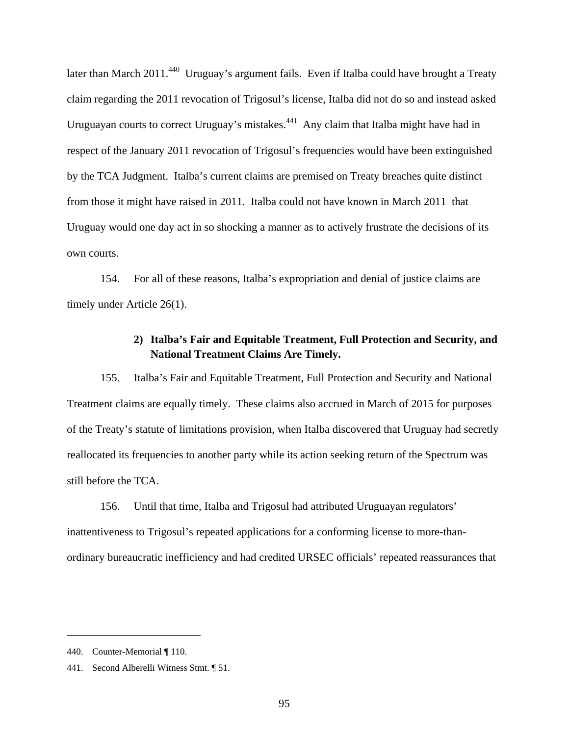later than March 2011.<sup>440</sup> Uruguay's argument fails. Even if Italba could have brought a Treaty claim regarding the 2011 revocation of Trigosul's license, Italba did not do so and instead asked Uruguayan courts to correct Uruguay's mistakes.441 Any claim that Italba might have had in respect of the January 2011 revocation of Trigosul's frequencies would have been extinguished by the TCA Judgment. Italba's current claims are premised on Treaty breaches quite distinct from those it might have raised in 2011. Italba could not have known in March 2011 that Uruguay would one day act in so shocking a manner as to actively frustrate the decisions of its own courts.

154. For all of these reasons, Italba's expropriation and denial of justice claims are timely under Article 26(1).

# **2) Italba's Fair and Equitable Treatment, Full Protection and Security, and National Treatment Claims Are Timely.**

155. Italba's Fair and Equitable Treatment, Full Protection and Security and National Treatment claims are equally timely. These claims also accrued in March of 2015 for purposes of the Treaty's statute of limitations provision, when Italba discovered that Uruguay had secretly reallocated its frequencies to another party while its action seeking return of the Spectrum was still before the TCA.

156. Until that time, Italba and Trigosul had attributed Uruguayan regulators' inattentiveness to Trigosul's repeated applications for a conforming license to more-thanordinary bureaucratic inefficiency and had credited URSEC officials' repeated reassurances that

<sup>440.</sup> Counter-Memorial ¶ 110.

<sup>441.</sup> Second Alberelli Witness Stmt. ¶ 51.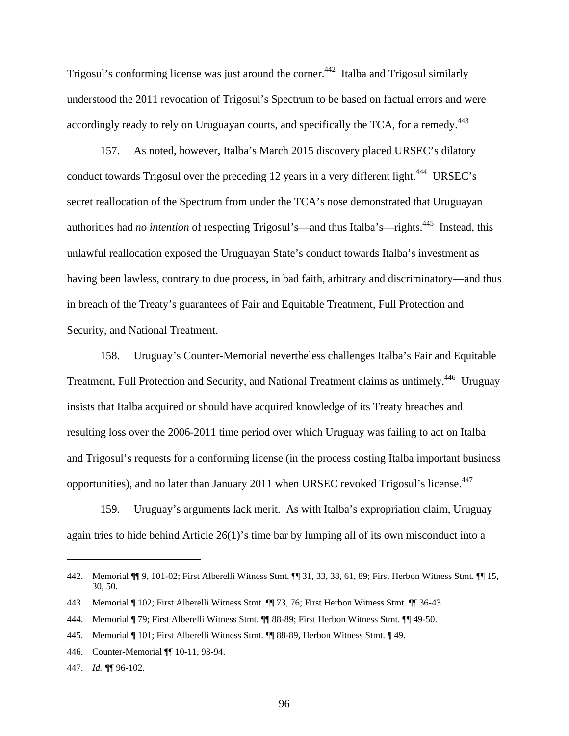Trigosul's conforming license was just around the corner.<sup>442</sup> Italba and Trigosul similarly understood the 2011 revocation of Trigosul's Spectrum to be based on factual errors and were accordingly ready to rely on Uruguayan courts, and specifically the TCA, for a remedy.<sup>443</sup>

157. As noted, however, Italba's March 2015 discovery placed URSEC's dilatory conduct towards Trigosul over the preceding 12 years in a very different light.<sup>444</sup> URSEC's secret reallocation of the Spectrum from under the TCA's nose demonstrated that Uruguayan authorities had *no intention* of respecting Trigosul's—and thus Italba's—rights.<sup>445</sup> Instead, this unlawful reallocation exposed the Uruguayan State's conduct towards Italba's investment as having been lawless, contrary to due process, in bad faith, arbitrary and discriminatory—and thus in breach of the Treaty's guarantees of Fair and Equitable Treatment, Full Protection and Security, and National Treatment.

158. Uruguay's Counter-Memorial nevertheless challenges Italba's Fair and Equitable Treatment, Full Protection and Security, and National Treatment claims as untimely.<sup>446</sup> Uruguay insists that Italba acquired or should have acquired knowledge of its Treaty breaches and resulting loss over the 2006-2011 time period over which Uruguay was failing to act on Italba and Trigosul's requests for a conforming license (in the process costing Italba important business opportunities), and no later than January 2011 when URSEC revoked Trigosul's license.<sup>447</sup>

159. Uruguay's arguments lack merit. As with Italba's expropriation claim, Uruguay again tries to hide behind Article 26(1)'s time bar by lumping all of its own misconduct into a

<u>.</u>

<sup>442.</sup> Memorial ¶¶ 9, 101-02; First Alberelli Witness Stmt. ¶¶ 31, 33, 38, 61, 89; First Herbon Witness Stmt. ¶¶ 15, 30, 50.

<sup>443.</sup> Memorial ¶ 102; First Alberelli Witness Stmt. ¶¶ 73, 76; First Herbon Witness Stmt. ¶¶ 36-43.

<sup>444.</sup> Memorial ¶ 79; First Alberelli Witness Stmt. ¶¶ 88-89; First Herbon Witness Stmt. ¶¶ 49-50.

<sup>445.</sup> Memorial ¶ 101; First Alberelli Witness Stmt. ¶¶ 88-89, Herbon Witness Stmt. ¶ 49.

<sup>446.</sup> Counter-Memorial ¶¶ 10-11, 93-94.

<sup>447.</sup> *Id. ¶*¶ 96-102.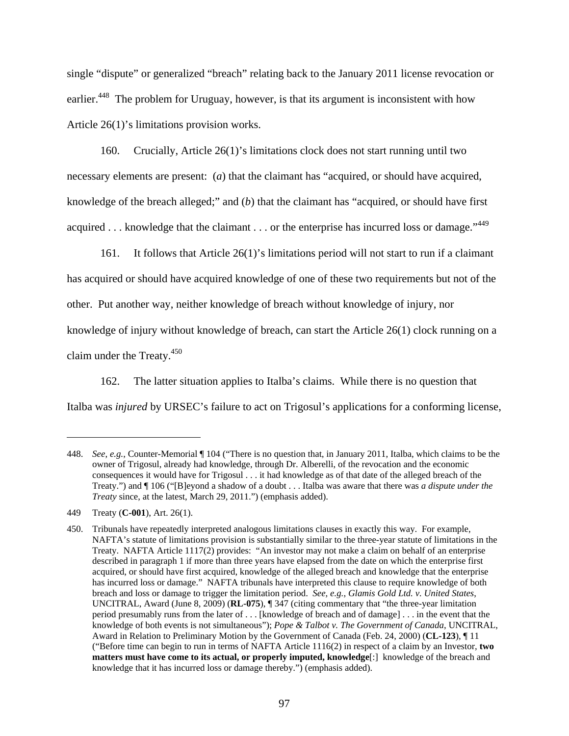single "dispute" or generalized "breach" relating back to the January 2011 license revocation or earlier.<sup>448</sup> The problem for Uruguay, however, is that its argument is inconsistent with how Article 26(1)'s limitations provision works.

160. Crucially, Article 26(1)'s limitations clock does not start running until two necessary elements are present: (*a*) that the claimant has "acquired, or should have acquired, knowledge of the breach alleged;" and (*b*) that the claimant has "acquired, or should have first acquired  $\dots$  knowledge that the claimant  $\dots$  or the enterprise has incurred loss or damage.<sup>449</sup>

161. It follows that Article 26(1)'s limitations period will not start to run if a claimant has acquired or should have acquired knowledge of one of these two requirements but not of the other. Put another way, neither knowledge of breach without knowledge of injury, nor knowledge of injury without knowledge of breach, can start the Article 26(1) clock running on a claim under the Treaty.<sup>450</sup>

162. The latter situation applies to Italba's claims. While there is no question that Italba was *injured* by URSEC's failure to act on Trigosul's applications for a conforming license,

1

<sup>448.</sup> *See*, *e.g.*, Counter-Memorial ¶ 104 ("There is no question that, in January 2011, Italba, which claims to be the owner of Trigosul, already had knowledge, through Dr. Alberelli, of the revocation and the economic consequences it would have for Trigosul . . . it had knowledge as of that date of the alleged breach of the Treaty.") and ¶ 106 ("[B]eyond a shadow of a doubt . . . Italba was aware that there was *a dispute under the Treaty* since, at the latest, March 29, 2011.") (emphasis added).

<sup>449</sup> Treaty (**C-001**), Art. 26(1).

<sup>450.</sup> Tribunals have repeatedly interpreted analogous limitations clauses in exactly this way. For example, NAFTA's statute of limitations provision is substantially similar to the three-year statute of limitations in the Treaty. NAFTA Article 1117(2) provides: "An investor may not make a claim on behalf of an enterprise described in paragraph 1 if more than three years have elapsed from the date on which the enterprise first acquired, or should have first acquired, knowledge of the alleged breach and knowledge that the enterprise has incurred loss or damage." NAFTA tribunals have interpreted this clause to require knowledge of both breach and loss or damage to trigger the limitation period. *See, e.g.*, *Glamis Gold Ltd. v. United States*, UNCITRAL, Award (June 8, 2009) (**RL-075**), ¶ 347 (citing commentary that "the three-year limitation period presumably runs from the later of . . . [knowledge of breach and of damage] . . . in the event that the knowledge of both events is not simultaneous"); *Pope & Talbot v. The Government of Canada*, UNCITRAL, Award in Relation to Preliminary Motion by the Government of Canada (Feb. 24, 2000) (**CL-123**), ¶ 11 ("Before time can begin to run in terms of NAFTA Article 1116(2) in respect of a claim by an Investor, **two matters must have come to its actual, or properly imputed, knowledge**[:] knowledge of the breach and knowledge that it has incurred loss or damage thereby.") (emphasis added).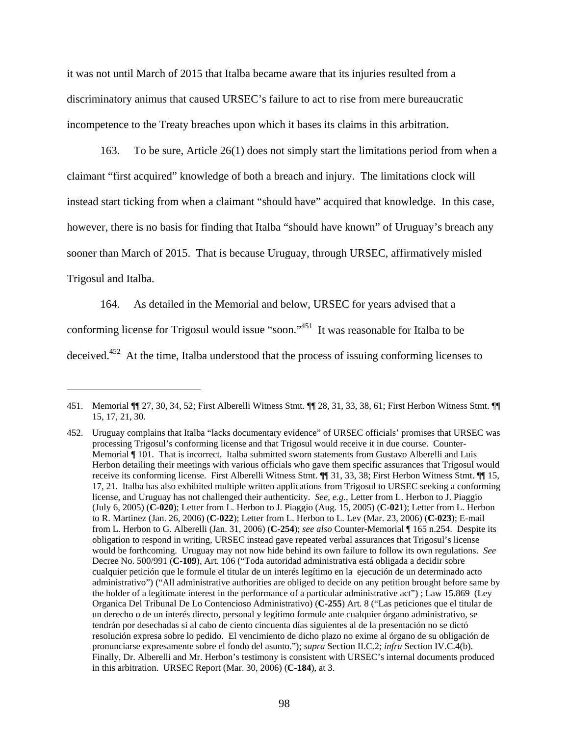it was not until March of 2015 that Italba became aware that its injuries resulted from a discriminatory animus that caused URSEC's failure to act to rise from mere bureaucratic incompetence to the Treaty breaches upon which it bases its claims in this arbitration.

163. To be sure, Article 26(1) does not simply start the limitations period from when a claimant "first acquired" knowledge of both a breach and injury. The limitations clock will instead start ticking from when a claimant "should have" acquired that knowledge. In this case, however, there is no basis for finding that Italba "should have known" of Uruguay's breach any sooner than March of 2015. That is because Uruguay, through URSEC, affirmatively misled Trigosul and Italba.

164. As detailed in the Memorial and below, URSEC for years advised that a conforming license for Trigosul would issue "soon."451 It was reasonable for Italba to be deceived.452 At the time, Italba understood that the process of issuing conforming licenses to

<sup>451.</sup> Memorial ¶¶ 27, 30, 34, 52; First Alberelli Witness Stmt. ¶¶ 28, 31, 33, 38, 61; First Herbon Witness Stmt. ¶¶ 15, 17, 21, 30.

<sup>452.</sup> Uruguay complains that Italba "lacks documentary evidence" of URSEC officials' promises that URSEC was processing Trigosul's conforming license and that Trigosul would receive it in due course. Counter-Memorial  $\P$  101. That is incorrect. Italba submitted sworn statements from Gustavo Alberelli and Luis Herbon detailing their meetings with various officials who gave them specific assurances that Trigosul would receive its conforming license. First Alberelli Witness Stmt. ¶¶ 31, 33, 38; First Herbon Witness Stmt. ¶¶ 15, 17, 21. Italba has also exhibited multiple written applications from Trigosul to URSEC seeking a conforming license, and Uruguay has not challenged their authenticity. *See*, *e.g.*, Letter from L. Herbon to J. Piaggio (July 6, 2005) (**C-020**); Letter from L. Herbon to J. Piaggio (Aug. 15, 2005) (**C-021**); Letter from L. Herbon to R. Martinez (Jan. 26, 2006) (**C-022**); Letter from L. Herbon to L. Lev (Mar. 23, 2006) (**C-023**); E-mail from L. Herbon to G. Alberelli (Jan. 31, 2006) (**C-254**); *see also* Counter-Memorial ¶ 165 n.254. Despite its obligation to respond in writing, URSEC instead gave repeated verbal assurances that Trigosul's license would be forthcoming. Uruguay may not now hide behind its own failure to follow its own regulations. *See* Decree No. 500/991 (**C-109**), Art. 106 ("Toda autoridad administrativa está obligada a decidir sobre cualquier petición que le formule el titular de un interés legítimo en la ejecución de un determinado acto administrativo") ("All administrative authorities are obliged to decide on any petition brought before same by the holder of a legitimate interest in the performance of a particular administrative act") ; Law 15.869 (Ley Organica Del Tribunal De Lo Contencioso Administrativo) (**C-255**) Art. 8 ("Las peticiones que el titular de un derecho o de un interés directo, personal y legítimo formule ante cualquier órgano administrativo, se tendrán por desechadas si al cabo de ciento cincuenta días siguientes al de la presentación no se dictó resolución expresa sobre lo pedido. El vencimiento de dicho plazo no exime al órgano de su obligación de pronunciarse expresamente sobre el fondo del asunto."); *supra* Section II.C.2; *infra* Section IV.C.4(b). Finally, Dr. Alberelli and Mr. Herbon's testimony is consistent with URSEC's internal documents produced in this arbitration. URSEC Report (Mar. 30, 2006) (**C-184**), at 3.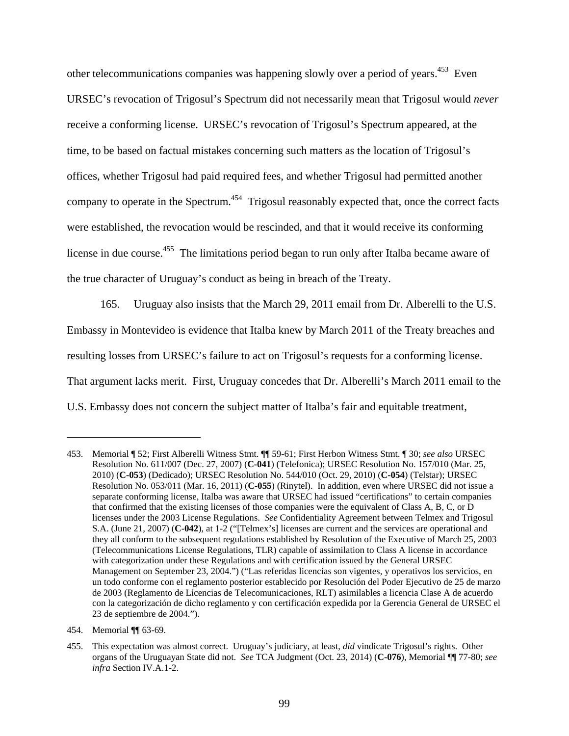other telecommunications companies was happening slowly over a period of years.<sup>453</sup> Even URSEC's revocation of Trigosul's Spectrum did not necessarily mean that Trigosul would *never* receive a conforming license. URSEC's revocation of Trigosul's Spectrum appeared, at the time, to be based on factual mistakes concerning such matters as the location of Trigosul's offices, whether Trigosul had paid required fees, and whether Trigosul had permitted another company to operate in the Spectrum.<sup>454</sup> Trigosul reasonably expected that, once the correct facts were established, the revocation would be rescinded, and that it would receive its conforming license in due course.<sup>455</sup> The limitations period began to run only after Italba became aware of the true character of Uruguay's conduct as being in breach of the Treaty.

165. Uruguay also insists that the March 29, 2011 email from Dr. Alberelli to the U.S. Embassy in Montevideo is evidence that Italba knew by March 2011 of the Treaty breaches and resulting losses from URSEC's failure to act on Trigosul's requests for a conforming license. That argument lacks merit. First, Uruguay concedes that Dr. Alberelli's March 2011 email to the U.S. Embassy does not concern the subject matter of Italba's fair and equitable treatment,

1

<sup>453.</sup> Memorial ¶ 52; First Alberelli Witness Stmt. ¶¶ 59-61; First Herbon Witness Stmt. ¶ 30; *see also* URSEC Resolution No. 611/007 (Dec. 27, 2007) (**C-041**) (Telefonica); URSEC Resolution No. 157/010 (Mar. 25, 2010) (**C-053**) (Dedicado); URSEC Resolution No. 544/010 (Oct. 29, 2010) (**C-054**) (Telstar); URSEC Resolution No. 053/011 (Mar. 16, 2011) (**C-055**) (Rinytel). In addition, even where URSEC did not issue a separate conforming license, Italba was aware that URSEC had issued "certifications" to certain companies that confirmed that the existing licenses of those companies were the equivalent of Class A, B, C, or D licenses under the 2003 License Regulations. *See* Confidentiality Agreement between Telmex and Trigosul S.A. (June 21, 2007) (**C-042**), at 1-2 ("[Telmex's] licenses are current and the services are operational and they all conform to the subsequent regulations established by Resolution of the Executive of March 25, 2003 (Telecommunications License Regulations, TLR) capable of assimilation to Class A license in accordance with categorization under these Regulations and with certification issued by the General URSEC Management on September 23, 2004.") ("Las referidas licencias son vigentes, y operativos los servicios, en un todo conforme con el reglamento posterior establecido por Resolución del Poder Ejecutivo de 25 de marzo de 2003 (Reglamento de Licencias de Telecomunicaciones, RLT) asimilables a licencia Clase A de acuerdo con la categorización de dicho reglamento y con certificación expedida por la Gerencia General de URSEC el 23 de septiembre de 2004.").

<sup>454.</sup> Memorial ¶¶ 63-69.

<sup>455.</sup> This expectation was almost correct. Uruguay's judiciary, at least, *did* vindicate Trigosul's rights. Other organs of the Uruguayan State did not. *See* TCA Judgment (Oct. 23, 2014) (**C-076**), Memorial ¶¶ 77-80; *see infra* Section IV.A.1-2.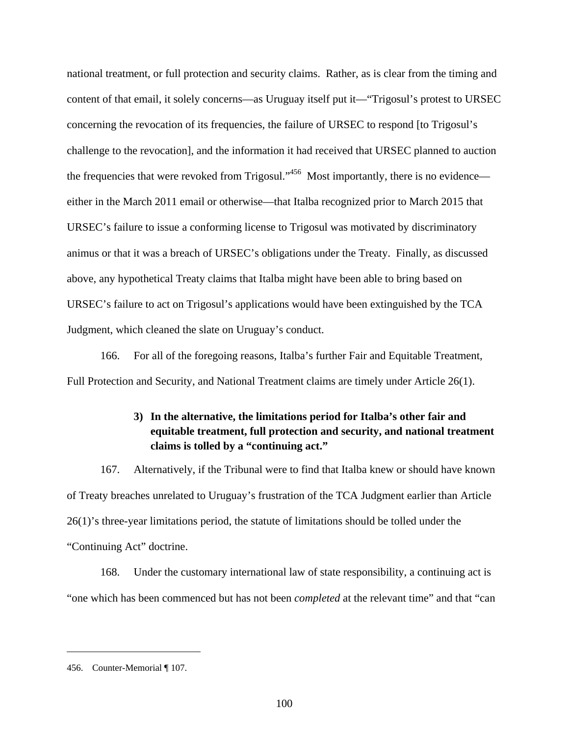national treatment, or full protection and security claims. Rather, as is clear from the timing and content of that email, it solely concerns—as Uruguay itself put it—"Trigosul's protest to URSEC concerning the revocation of its frequencies, the failure of URSEC to respond [to Trigosul's challenge to the revocation], and the information it had received that URSEC planned to auction the frequencies that were revoked from Trigosul."<sup>456</sup> Most importantly, there is no evidence either in the March 2011 email or otherwise—that Italba recognized prior to March 2015 that URSEC's failure to issue a conforming license to Trigosul was motivated by discriminatory animus or that it was a breach of URSEC's obligations under the Treaty. Finally, as discussed above, any hypothetical Treaty claims that Italba might have been able to bring based on URSEC's failure to act on Trigosul's applications would have been extinguished by the TCA Judgment, which cleaned the slate on Uruguay's conduct.

166. For all of the foregoing reasons, Italba's further Fair and Equitable Treatment, Full Protection and Security, and National Treatment claims are timely under Article 26(1).

# **3) In the alternative, the limitations period for Italba's other fair and equitable treatment, full protection and security, and national treatment claims is tolled by a "continuing act."**

167. Alternatively, if the Tribunal were to find that Italba knew or should have known of Treaty breaches unrelated to Uruguay's frustration of the TCA Judgment earlier than Article 26(1)'s three-year limitations period, the statute of limitations should be tolled under the "Continuing Act" doctrine.

168. Under the customary international law of state responsibility, a continuing act is "one which has been commenced but has not been *completed* at the relevant time" and that "can

<sup>456.</sup> Counter-Memorial ¶ 107.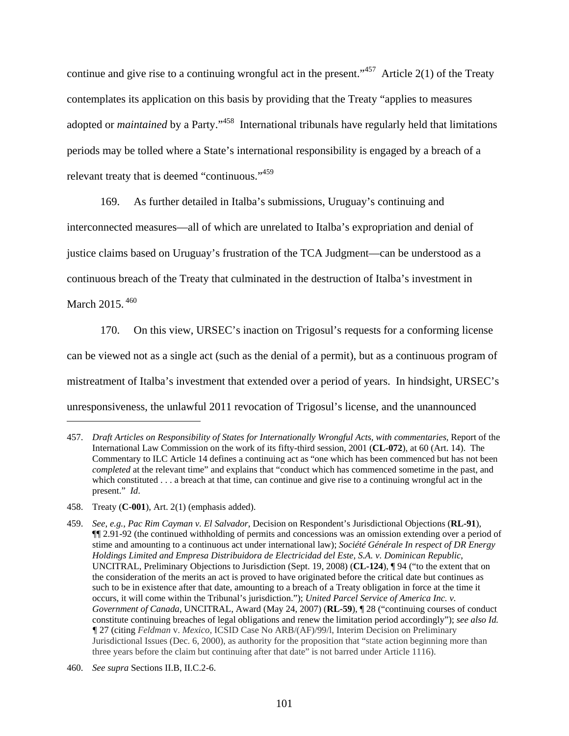continue and give rise to a continuing wrongful act in the present."<sup>457</sup> Article 2(1) of the Treaty contemplates its application on this basis by providing that the Treaty "applies to measures adopted or *maintained* by a Party."458 International tribunals have regularly held that limitations periods may be tolled where a State's international responsibility is engaged by a breach of a relevant treaty that is deemed "continuous."<sup>459</sup>

169. As further detailed in Italba's submissions, Uruguay's continuing and

interconnected measures—all of which are unrelated to Italba's expropriation and denial of justice claims based on Uruguay's frustration of the TCA Judgment—can be understood as a continuous breach of the Treaty that culminated in the destruction of Italba's investment in

March 2015. 460

 $\overline{a}$ 

170. On this view, URSEC's inaction on Trigosul's requests for a conforming license can be viewed not as a single act (such as the denial of a permit), but as a continuous program of mistreatment of Italba's investment that extended over a period of years. In hindsight, URSEC's unresponsiveness, the unlawful 2011 revocation of Trigosul's license, and the unannounced

<sup>457.</sup> *Draft Articles on Responsibility of States for Internationally Wrongful Acts, with commentaries*, Report of the International Law Commission on the work of its fifty-third session, 2001 (**CL-072**), at 60 (Art. 14). The Commentary to ILC Article 14 defines a continuing act as "one which has been commenced but has not been *completed* at the relevant time" and explains that "conduct which has commenced sometime in the past, and which constituted . . . a breach at that time, can continue and give rise to a continuing wrongful act in the present." *Id*.

<sup>458.</sup> Treaty (**C-001**), Art. 2(1) (emphasis added).

<sup>459.</sup> *See*, *e.g.*, *Pac Rim Cayman v. El Salvador*, Decision on Respondent's Jurisdictional Objections (**RL-91**), ¶¶ 2.91-92 (the continued withholding of permits and concessions was an omission extending over a period of stime and amounting to a continuous act under international law); *Société Générale In respect of DR Energy Holdings Limited and Empresa Distribuidora de Electricidad del Este, S.A. v. Dominican Republic*, UNCITRAL, Preliminary Objections to Jurisdiction (Sept. 19, 2008) (**CL-124**), ¶ 94 ("to the extent that on the consideration of the merits an act is proved to have originated before the critical date but continues as such to be in existence after that date, amounting to a breach of a Treaty obligation in force at the time it occurs, it will come within the Tribunal's jurisdiction."); *United Parcel Service of America Inc. v. Government of Canada*, UNCITRAL, Award (May 24, 2007) (**RL-59**), ¶ 28 ("continuing courses of conduct constitute continuing breaches of legal obligations and renew the limitation period accordingly"); *see also Id. ¶* 27 (citing *Feldman* v. *Mexico,* ICSID Case No ARB/(AF)/99/l, Interim Decision on Preliminary Jurisdictional Issues (Dec. 6, 2000), as authority for the proposition that "state action beginning more than three years before the claim but continuing after that date" is not barred under Article 1116).

<sup>460.</sup> *See supra* Sections II.B, II.C.2-6.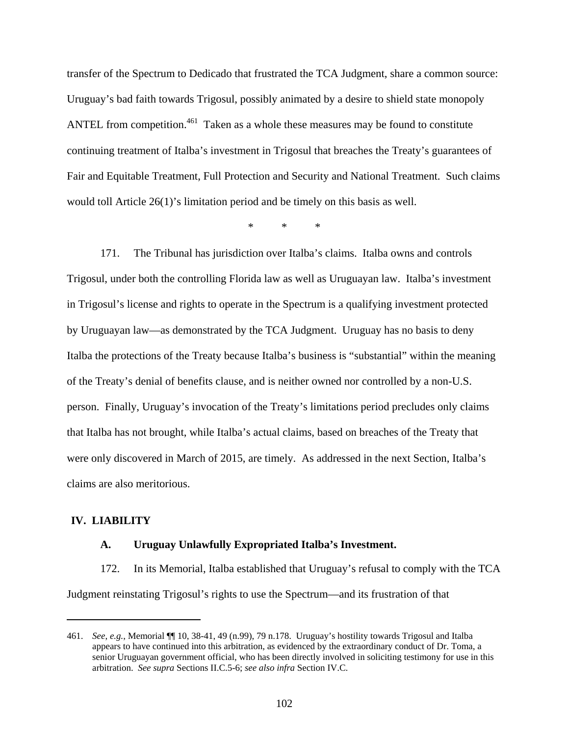transfer of the Spectrum to Dedicado that frustrated the TCA Judgment, share a common source: Uruguay's bad faith towards Trigosul, possibly animated by a desire to shield state monopoly ANTEL from competition.<sup>461</sup> Taken as a whole these measures may be found to constitute continuing treatment of Italba's investment in Trigosul that breaches the Treaty's guarantees of Fair and Equitable Treatment, Full Protection and Security and National Treatment. Such claims would toll Article 26(1)'s limitation period and be timely on this basis as well.

\* \* \*

171. The Tribunal has jurisdiction over Italba's claims. Italba owns and controls Trigosul, under both the controlling Florida law as well as Uruguayan law. Italba's investment in Trigosul's license and rights to operate in the Spectrum is a qualifying investment protected by Uruguayan law—as demonstrated by the TCA Judgment. Uruguay has no basis to deny Italba the protections of the Treaty because Italba's business is "substantial" within the meaning of the Treaty's denial of benefits clause, and is neither owned nor controlled by a non-U.S. person. Finally, Uruguay's invocation of the Treaty's limitations period precludes only claims that Italba has not brought, while Italba's actual claims, based on breaches of the Treaty that were only discovered in March of 2015, are timely. As addressed in the next Section, Italba's claims are also meritorious.

### **IV. LIABILITY**

### **A. Uruguay Unlawfully Expropriated Italba's Investment.**

172. In its Memorial, Italba established that Uruguay's refusal to comply with the TCA Judgment reinstating Trigosul's rights to use the Spectrum—and its frustration of that

<sup>461.</sup> *See*, *e.g.*, Memorial ¶¶ 10, 38-41, 49 (n.99), 79 n.178. Uruguay's hostility towards Trigosul and Italba appears to have continued into this arbitration, as evidenced by the extraordinary conduct of Dr. Toma, a senior Uruguayan government official, who has been directly involved in soliciting testimony for use in this arbitration. *See supra* Sections II.C.5-6; *see also infra* Section IV.C.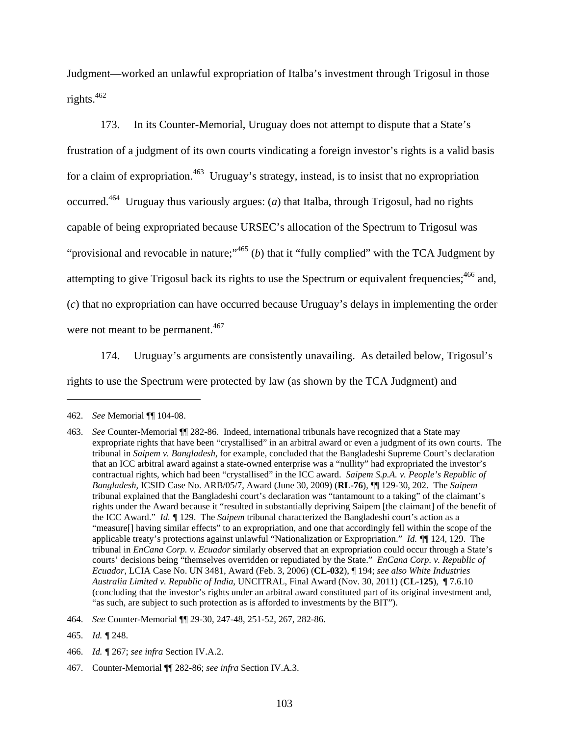Judgment—worked an unlawful expropriation of Italba's investment through Trigosul in those rights.<sup>462</sup>

173. In its Counter-Memorial, Uruguay does not attempt to dispute that a State's frustration of a judgment of its own courts vindicating a foreign investor's rights is a valid basis for a claim of expropriation.<sup>463</sup> Uruguay's strategy, instead, is to insist that no expropriation occurred.464 Uruguay thus variously argues: (*a*) that Italba, through Trigosul, had no rights capable of being expropriated because URSEC's allocation of the Spectrum to Trigosul was "provisional and revocable in nature;"<sup>465</sup> (*b*) that it "fully complied" with the TCA Judgment by attempting to give Trigosul back its rights to use the Spectrum or equivalent frequencies;<sup>466</sup> and, (*c*) that no expropriation can have occurred because Uruguay's delays in implementing the order were not meant to be permanent.<sup>467</sup>

174. Uruguay's arguments are consistently unavailing. As detailed below, Trigosul's rights to use the Spectrum were protected by law (as shown by the TCA Judgment) and

<sup>462.</sup> *See* Memorial ¶¶ 104-08.

<sup>463.</sup> *See* Counter-Memorial ¶¶ 282-86. Indeed, international tribunals have recognized that a State may expropriate rights that have been "crystallised" in an arbitral award or even a judgment of its own courts. The tribunal in *Saipem v. Bangladesh*, for example, concluded that the Bangladeshi Supreme Court's declaration that an ICC arbitral award against a state-owned enterprise was a "nullity" had expropriated the investor's contractual rights, which had been "crystallised" in the ICC award. *Saipem S.p.A. v. People's Republic of Bangladesh*, ICSID Case No. ARB/05/7, Award (June 30, 2009) (**RL-76**), ¶¶ 129-30, 202. The *Saipem*  tribunal explained that the Bangladeshi court's declaration was "tantamount to a taking" of the claimant's rights under the Award because it "resulted in substantially depriving Saipem [the claimant] of the benefit of the ICC Award." *Id. ¶* 129. The *Saipem* tribunal characterized the Bangladeshi court's action as a "measure[] having similar effects" to an expropriation, and one that accordingly fell within the scope of the applicable treaty's protections against unlawful "Nationalization or Expropriation." *Id. ¶*¶ 124, 129. The tribunal in *EnCana Corp. v. Ecuador* similarly observed that an expropriation could occur through a State's courts' decisions being "themselves overridden or repudiated by the State." *EnCana Corp. v. Republic of Ecuador*, LCIA Case No. UN 3481, Award (Feb. 3, 2006) (**CL-032**), ¶ 194; *see also White Industries Australia Limited v. Republic of India*, UNCITRAL, Final Award (Nov. 30, 2011) (**CL-125**), ¶ 7.6.10 (concluding that the investor's rights under an arbitral award constituted part of its original investment and, "as such, are subject to such protection as is afforded to investments by the BIT").

<sup>464.</sup> *See* Counter-Memorial ¶¶ 29-30, 247-48, 251-52, 267, 282-86.

<sup>465.</sup> *Id. ¶* 248.

<sup>466.</sup> *Id. ¶* 267; *see infra* Section IV.A.2.

<sup>467.</sup> Counter-Memorial ¶¶ 282-86; *see infra* Section IV.A.3.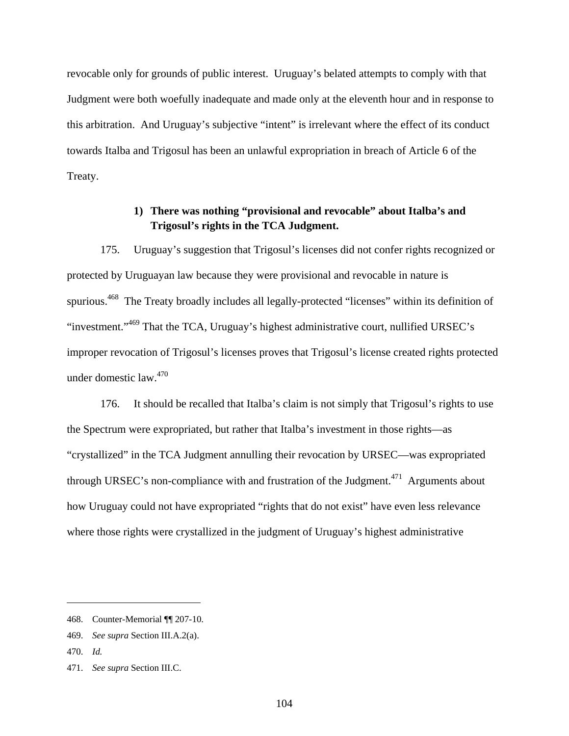revocable only for grounds of public interest. Uruguay's belated attempts to comply with that Judgment were both woefully inadequate and made only at the eleventh hour and in response to this arbitration. And Uruguay's subjective "intent" is irrelevant where the effect of its conduct towards Italba and Trigosul has been an unlawful expropriation in breach of Article 6 of the Treaty.

## **1) There was nothing "provisional and revocable" about Italba's and Trigosul's rights in the TCA Judgment.**

175. Uruguay's suggestion that Trigosul's licenses did not confer rights recognized or protected by Uruguayan law because they were provisional and revocable in nature is spurious.<sup>468</sup> The Treaty broadly includes all legally-protected "licenses" within its definition of "investment."<sup>469</sup> That the TCA, Uruguay's highest administrative court, nullified URSEC's improper revocation of Trigosul's licenses proves that Trigosul's license created rights protected under domestic law.470

176. It should be recalled that Italba's claim is not simply that Trigosul's rights to use the Spectrum were expropriated, but rather that Italba's investment in those rights—as "crystallized" in the TCA Judgment annulling their revocation by URSEC—was expropriated through URSEC's non-compliance with and frustration of the Judgment.<sup> $471$ </sup> Arguments about how Uruguay could not have expropriated "rights that do not exist" have even less relevance where those rights were crystallized in the judgment of Uruguay's highest administrative

<sup>468.</sup> Counter-Memorial ¶¶ 207-10.

<sup>469.</sup> *See supra* Section III.A.2(a).

<sup>470.</sup> *Id.*

<sup>471.</sup> *See supra* Section III.C.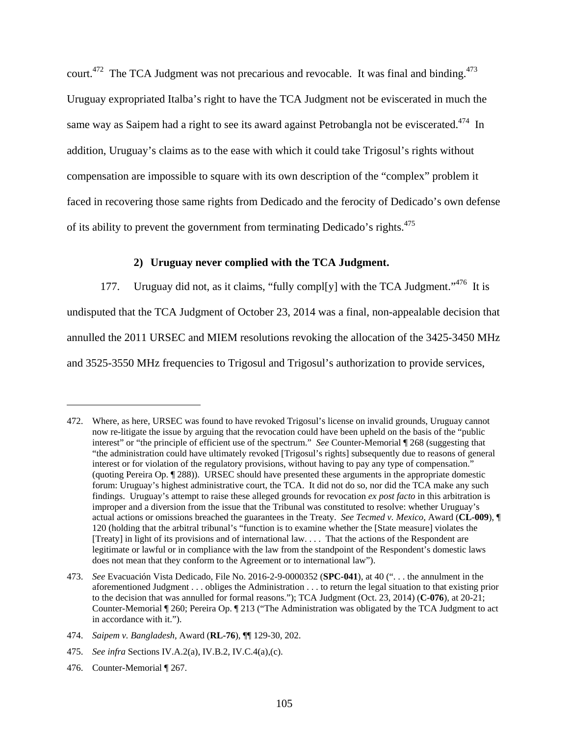court.<sup>472</sup> The TCA Judgment was not precarious and revocable. It was final and binding.<sup>473</sup> Uruguay expropriated Italba's right to have the TCA Judgment not be eviscerated in much the same way as Saipem had a right to see its award against Petrobangla not be eviscerated.<sup>474</sup> In addition, Uruguay's claims as to the ease with which it could take Trigosul's rights without compensation are impossible to square with its own description of the "complex" problem it faced in recovering those same rights from Dedicado and the ferocity of Dedicado's own defense of its ability to prevent the government from terminating Dedicado's rights.<sup>475</sup>

### **2) Uruguay never complied with the TCA Judgment.**

177. Uruguay did not, as it claims, "fully compl[y] with the TCA Judgment."<sup>476</sup> It is undisputed that the TCA Judgment of October 23, 2014 was a final, non-appealable decision that annulled the 2011 URSEC and MIEM resolutions revoking the allocation of the 3425-3450 MHz and 3525-3550 MHz frequencies to Trigosul and Trigosul's authorization to provide services,

<sup>472.</sup> Where, as here, URSEC was found to have revoked Trigosul's license on invalid grounds, Uruguay cannot now re-litigate the issue by arguing that the revocation could have been upheld on the basis of the "public interest" or "the principle of efficient use of the spectrum." *See* Counter-Memorial ¶ 268 (suggesting that "the administration could have ultimately revoked [Trigosul's rights] subsequently due to reasons of general interest or for violation of the regulatory provisions, without having to pay any type of compensation." (quoting Pereira Op. ¶ 288)). URSEC should have presented these arguments in the appropriate domestic forum: Uruguay's highest administrative court, the TCA. It did not do so, nor did the TCA make any such findings. Uruguay's attempt to raise these alleged grounds for revocation *ex post facto* in this arbitration is improper and a diversion from the issue that the Tribunal was constituted to resolve: whether Uruguay's actual actions or omissions breached the guarantees in the Treaty. *See Tecmed v. Mexico*, Award (**CL-009**), ¶ 120 (holding that the arbitral tribunal's "function is to examine whether the [State measure] violates the [Treaty] in light of its provisions and of international law. . . . That the actions of the Respondent are legitimate or lawful or in compliance with the law from the standpoint of the Respondent's domestic laws does not mean that they conform to the Agreement or to international law").

<sup>473.</sup> *See* Evacuación Vista Dedicado, File No. 2016-2-9-0000352 (**SPC-041**), at 40 (". . . the annulment in the aforementioned Judgment . . . obliges the Administration . . . to return the legal situation to that existing prior to the decision that was annulled for formal reasons."); TCA Judgment (Oct. 23, 2014) (**C-076**), at 20-21; Counter-Memorial ¶ 260; Pereira Op. ¶ 213 ("The Administration was obligated by the TCA Judgment to act in accordance with it.").

<sup>474.</sup> *Saipem v. Bangladesh*, Award (**RL-76**), ¶¶ 129-30, 202.

<sup>475.</sup> *See infra* Sections IV.A.2(a), IV.B.2, IV.C.4(a),(c).

<sup>476.</sup> Counter-Memorial ¶ 267.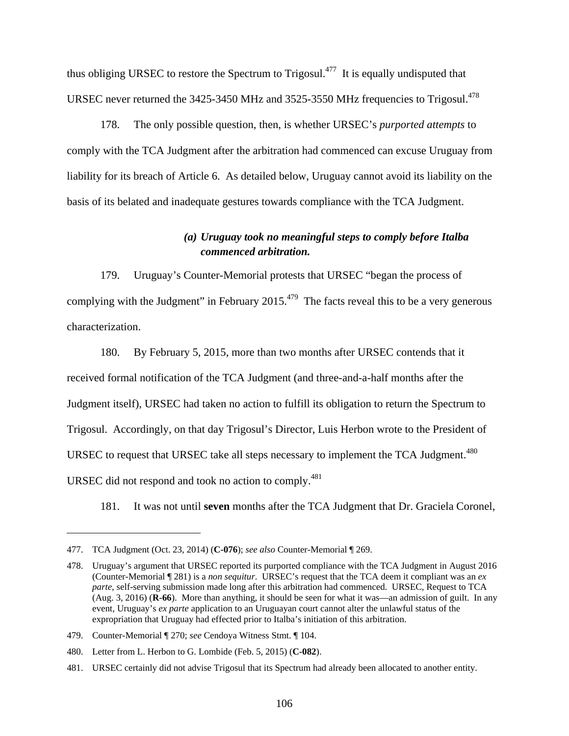thus obliging URSEC to restore the Spectrum to Trigosul.<sup>477</sup> It is equally undisputed that URSEC never returned the 3425-3450 MHz and 3525-3550 MHz frequencies to Trigosul.<sup>478</sup>

178. The only possible question, then, is whether URSEC's *purported attempts* to comply with the TCA Judgment after the arbitration had commenced can excuse Uruguay from liability for its breach of Article 6. As detailed below, Uruguay cannot avoid its liability on the basis of its belated and inadequate gestures towards compliance with the TCA Judgment.

## *(a) Uruguay took no meaningful steps to comply before Italba commenced arbitration.*

179. Uruguay's Counter-Memorial protests that URSEC "began the process of complying with the Judgment" in February 2015.<sup>479</sup> The facts reveal this to be a very generous characterization.

180. By February 5, 2015, more than two months after URSEC contends that it received formal notification of the TCA Judgment (and three-and-a-half months after the Judgment itself), URSEC had taken no action to fulfill its obligation to return the Spectrum to Trigosul. Accordingly, on that day Trigosul's Director, Luis Herbon wrote to the President of URSEC to request that URSEC take all steps necessary to implement the TCA Judgment.<sup>480</sup> URSEC did not respond and took no action to comply.<sup>481</sup>

181. It was not until **seven** months after the TCA Judgment that Dr. Graciela Coronel,

<sup>477.</sup> TCA Judgment (Oct. 23, 2014) (**C-076**); *see also* Counter-Memorial ¶ 269.

<sup>478.</sup> Uruguay's argument that URSEC reported its purported compliance with the TCA Judgment in August 2016 (Counter-Memorial ¶ 281) is a *non sequitur*. URSEC's request that the TCA deem it compliant was an *ex parte*, self-serving submission made long after this arbitration had commenced. URSEC, Request to TCA (Aug. 3, 2016) (**R-66**). More than anything, it should be seen for what it was—an admission of guilt. In any event, Uruguay's *ex parte* application to an Uruguayan court cannot alter the unlawful status of the expropriation that Uruguay had effected prior to Italba's initiation of this arbitration.

<sup>479.</sup> Counter-Memorial ¶ 270; *see* Cendoya Witness Stmt. ¶ 104.

<sup>480.</sup> Letter from L. Herbon to G. Lombide (Feb. 5, 2015) (**C-082**).

<sup>481.</sup> URSEC certainly did not advise Trigosul that its Spectrum had already been allocated to another entity.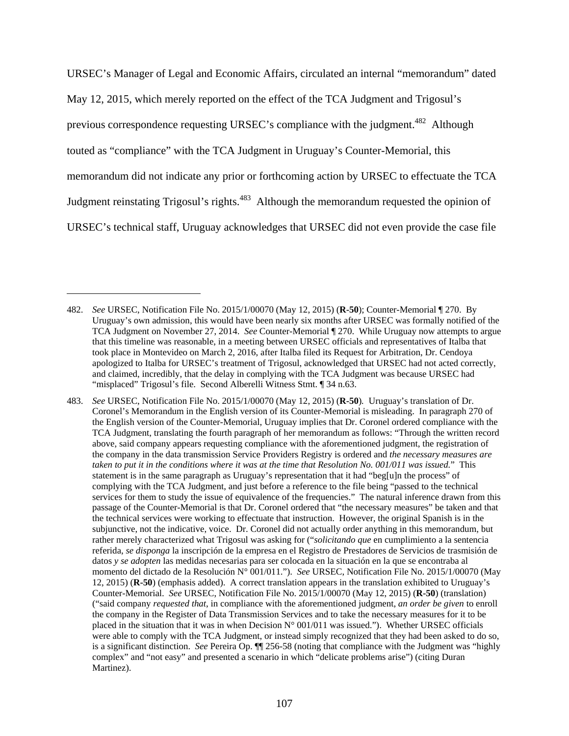URSEC's Manager of Legal and Economic Affairs, circulated an internal "memorandum" dated May 12, 2015, which merely reported on the effect of the TCA Judgment and Trigosul's previous correspondence requesting URSEC's compliance with the judgment.<sup>482</sup> Although touted as "compliance" with the TCA Judgment in Uruguay's Counter-Memorial, this memorandum did not indicate any prior or forthcoming action by URSEC to effectuate the TCA Judgment reinstating Trigosul's rights.<sup>483</sup> Although the memorandum requested the opinion of URSEC's technical staff, Uruguay acknowledges that URSEC did not even provide the case file

<sup>482.</sup> *See* URSEC, Notification File No. 2015/1/00070 (May 12, 2015) (**R-50**); Counter-Memorial ¶ 270. By Uruguay's own admission, this would have been nearly six months after URSEC was formally notified of the TCA Judgment on November 27, 2014. *See* Counter-Memorial ¶ 270. While Uruguay now attempts to argue that this timeline was reasonable, in a meeting between URSEC officials and representatives of Italba that took place in Montevideo on March 2, 2016, after Italba filed its Request for Arbitration, Dr. Cendoya apologized to Italba for URSEC's treatment of Trigosul, acknowledged that URSEC had not acted correctly, and claimed, incredibly, that the delay in complying with the TCA Judgment was because URSEC had "misplaced" Trigosul's file. Second Alberelli Witness Stmt. 1 34 n.63.

<sup>483.</sup> *See* URSEC, Notification File No. 2015/1/00070 (May 12, 2015) (**R-50**)*.* Uruguay's translation of Dr. Coronel's Memorandum in the English version of its Counter-Memorial is misleading. In paragraph 270 of the English version of the Counter-Memorial, Uruguay implies that Dr. Coronel ordered compliance with the TCA Judgment, translating the fourth paragraph of her memorandum as follows: "Through the written record above, said company appears requesting compliance with the aforementioned judgment, the registration of the company in the data transmission Service Providers Registry is ordered and *the necessary measures are taken to put it in the conditions where it was at the time that Resolution No. 001/011 was issued.*" This statement is in the same paragraph as Uruguay's representation that it had "beg[u]n the process" of complying with the TCA Judgment, and just before a reference to the file being "passed to the technical services for them to study the issue of equivalence of the frequencies." The natural inference drawn from this passage of the Counter-Memorial is that Dr. Coronel ordered that "the necessary measures" be taken and that the technical services were working to effectuate that instruction. However, the original Spanish is in the subjunctive, not the indicative, voice. Dr. Coronel did not actually order anything in this memorandum, but rather merely characterized what Trigosul was asking for ("*solicitando que* en cumplimiento a la sentencia referida, *se disponga* la inscripción de la empresa en el Registro de Prestadores de Servicios de trasmisión de datos *y se adopten* las medidas necesarias para ser colocada en la situación en la que se encontraba al momento del dictado de la Resolución N° 001/011."). *See* URSEC, Notification File No. 2015/1/00070 (May 12, 2015) (**R-50**) (emphasis added). A correct translation appears in the translation exhibited to Uruguay's Counter-Memorial. *See* URSEC, Notification File No. 2015/1/00070 (May 12, 2015) (**R-50**) (translation) ("said company *requested that*, in compliance with the aforementioned judgment, *an order be given* to enroll the company in the Register of Data Transmission Services and to take the necessary measures for it to be placed in the situation that it was in when Decision  $N^{\circ}$  001/011 was issued."). Whether URSEC officials were able to comply with the TCA Judgment, or instead simply recognized that they had been asked to do so, is a significant distinction. *See* Pereira Op. ¶¶ 256-58 (noting that compliance with the Judgment was "highly complex" and "not easy" and presented a scenario in which "delicate problems arise") (citing Duran Martinez).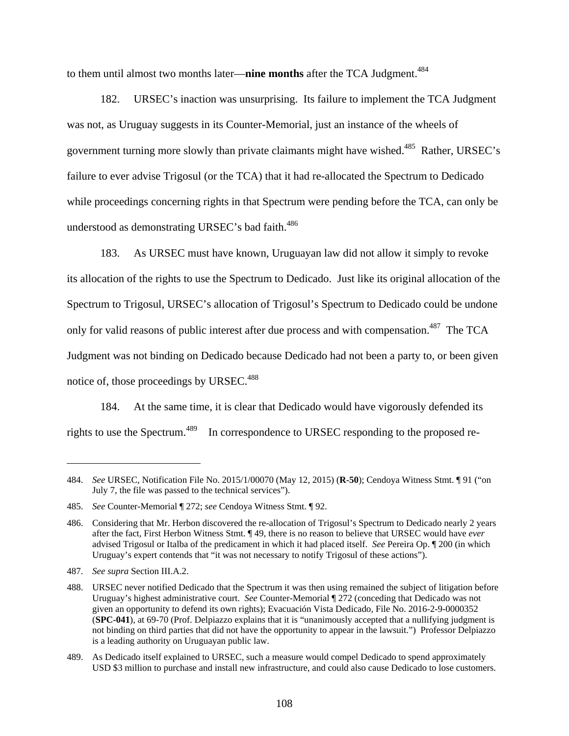to them until almost two months later—**nine months** after the TCA Judgment.<sup>484</sup>

182. URSEC's inaction was unsurprising. Its failure to implement the TCA Judgment was not, as Uruguay suggests in its Counter-Memorial, just an instance of the wheels of government turning more slowly than private claimants might have wished.<sup>485</sup> Rather, URSEC's failure to ever advise Trigosul (or the TCA) that it had re-allocated the Spectrum to Dedicado while proceedings concerning rights in that Spectrum were pending before the TCA, can only be understood as demonstrating URSEC's bad faith.<sup>486</sup>

183. As URSEC must have known, Uruguayan law did not allow it simply to revoke its allocation of the rights to use the Spectrum to Dedicado. Just like its original allocation of the Spectrum to Trigosul, URSEC's allocation of Trigosul's Spectrum to Dedicado could be undone only for valid reasons of public interest after due process and with compensation.<sup>487</sup> The TCA Judgment was not binding on Dedicado because Dedicado had not been a party to, or been given notice of, those proceedings by URSEC.<sup>488</sup>

184. At the same time, it is clear that Dedicado would have vigorously defended its rights to use the Spectrum.<sup>489</sup> In correspondence to URSEC responding to the proposed re-

<sup>484.</sup> *See* URSEC, Notification File No. 2015/1/00070 (May 12, 2015) (**R-50**); Cendoya Witness Stmt. ¶ 91 ("on July 7, the file was passed to the technical services").

<sup>485.</sup> *See* Counter-Memorial ¶ 272; *see* Cendoya Witness Stmt. ¶ 92.

<sup>486.</sup> Considering that Mr. Herbon discovered the re-allocation of Trigosul's Spectrum to Dedicado nearly 2 years after the fact, First Herbon Witness Stmt. ¶ 49, there is no reason to believe that URSEC would have *ever* advised Trigosul or Italba of the predicament in which it had placed itself. *See* Pereira Op. ¶ 200 (in which Uruguay's expert contends that "it was not necessary to notify Trigosul of these actions").

<sup>487.</sup> *See supra* Section III.A.2.

<sup>488.</sup> URSEC never notified Dedicado that the Spectrum it was then using remained the subject of litigation before Uruguay's highest administrative court. *See* Counter-Memorial ¶ 272 (conceding that Dedicado was not given an opportunity to defend its own rights); Evacuación Vista Dedicado, File No. 2016-2-9-0000352 (**SPC-041**), at 69-70 (Prof. Delpiazzo explains that it is "unanimously accepted that a nullifying judgment is not binding on third parties that did not have the opportunity to appear in the lawsuit.") Professor Delpiazzo is a leading authority on Uruguayan public law.

<sup>489.</sup> As Dedicado itself explained to URSEC, such a measure would compel Dedicado to spend approximately USD \$3 million to purchase and install new infrastructure, and could also cause Dedicado to lose customers.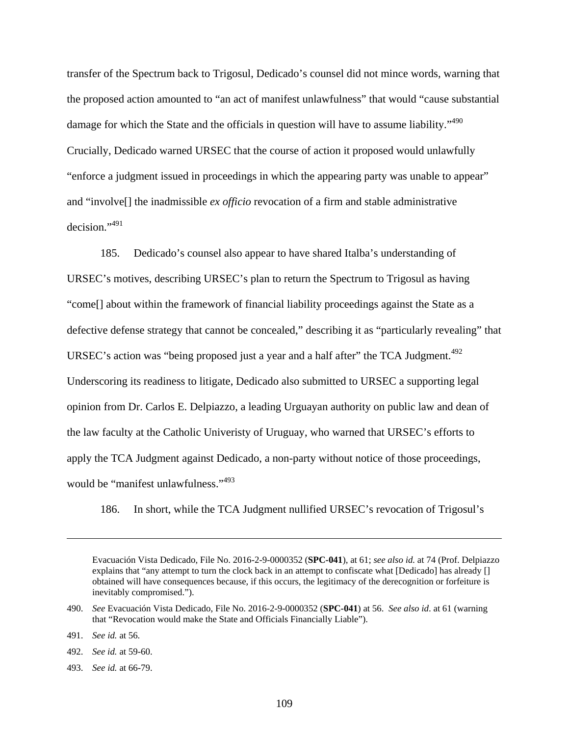transfer of the Spectrum back to Trigosul, Dedicado's counsel did not mince words, warning that the proposed action amounted to "an act of manifest unlawfulness" that would "cause substantial damage for which the State and the officials in question will have to assume liability."<sup>490</sup> Crucially, Dedicado warned URSEC that the course of action it proposed would unlawfully "enforce a judgment issued in proceedings in which the appearing party was unable to appear" and "involve[] the inadmissible *ex officio* revocation of a firm and stable administrative decision."491

185. Dedicado's counsel also appear to have shared Italba's understanding of URSEC's motives, describing URSEC's plan to return the Spectrum to Trigosul as having "come[] about within the framework of financial liability proceedings against the State as a defective defense strategy that cannot be concealed," describing it as "particularly revealing" that URSEC's action was "being proposed just a year and a half after" the TCA Judgment.<sup>492</sup> Underscoring its readiness to litigate, Dedicado also submitted to URSEC a supporting legal opinion from Dr. Carlos E. Delpiazzo, a leading Urguayan authority on public law and dean of the law faculty at the Catholic Univeristy of Uruguay, who warned that URSEC's efforts to apply the TCA Judgment against Dedicado, a non-party without notice of those proceedings, would be "manifest unlawfulness."<sup>493</sup>

186. In short, while the TCA Judgment nullified URSEC's revocation of Trigosul's

Evacuación Vista Dedicado, File No. 2016-2-9-0000352 (**SPC-041**), at 61; *see also id.* at 74 (Prof. Delpiazzo explains that "any attempt to turn the clock back in an attempt to confiscate what [Dedicado] has already [] obtained will have consequences because, if this occurs, the legitimacy of the derecognition or forfeiture is inevitably compromised.").

<sup>490.</sup> *See* Evacuación Vista Dedicado, File No. 2016-2-9-0000352 (**SPC-041**) at 56. *See also id*. at 61 (warning that "Revocation would make the State and Officials Financially Liable").

<sup>491.</sup> *See id.* at 56.

<sup>492.</sup> *See id.* at 59-60.

<sup>493.</sup> *See id.* at 66-79.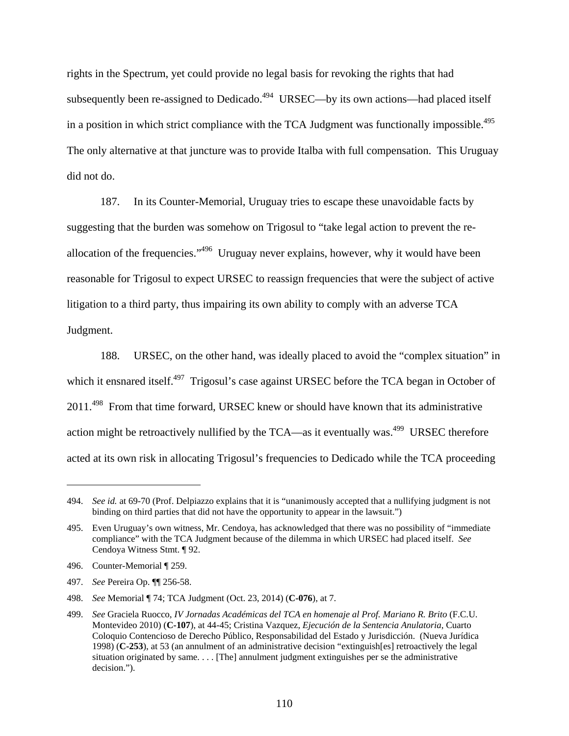rights in the Spectrum, yet could provide no legal basis for revoking the rights that had subsequently been re-assigned to Dedicado.<sup>494</sup> URSEC—by its own actions—had placed itself in a position in which strict compliance with the TCA Judgment was functionally impossible.<sup>495</sup> The only alternative at that juncture was to provide Italba with full compensation. This Uruguay did not do.

187. In its Counter-Memorial, Uruguay tries to escape these unavoidable facts by suggesting that the burden was somehow on Trigosul to "take legal action to prevent the reallocation of the frequencies."<sup>496</sup> Uruguay never explains, however, why it would have been reasonable for Trigosul to expect URSEC to reassign frequencies that were the subject of active litigation to a third party, thus impairing its own ability to comply with an adverse TCA Judgment.

188. URSEC, on the other hand, was ideally placed to avoid the "complex situation" in which it ensnared itself.<sup>497</sup> Trigosul's case against URSEC before the TCA began in October of 2011.<sup>498</sup> From that time forward, URSEC knew or should have known that its administrative action might be retroactively nullified by the  $TCA$ —as it eventually was.<sup>499</sup> URSEC therefore acted at its own risk in allocating Trigosul's frequencies to Dedicado while the TCA proceeding

<sup>494.</sup> *See id.* at 69-70 (Prof. Delpiazzo explains that it is "unanimously accepted that a nullifying judgment is not binding on third parties that did not have the opportunity to appear in the lawsuit.")

<sup>495.</sup> Even Uruguay's own witness, Mr. Cendoya, has acknowledged that there was no possibility of "immediate compliance" with the TCA Judgment because of the dilemma in which URSEC had placed itself. *See*  Cendoya Witness Stmt. ¶ 92.

<sup>496.</sup> Counter-Memorial ¶ 259.

<sup>497.</sup> *See* Pereira Op. ¶¶ 256-58.

<sup>498.</sup> *See* Memorial ¶ 74; TCA Judgment (Oct. 23, 2014) (**C-076**), at 7.

<sup>499.</sup> *See* Graciela Ruocco, *IV Jornadas Académicas del TCA en homenaje al Prof. Mariano R. Brito* (F.C.U. Montevideo 2010) (**C-107**), at 44-45; Cristina Vazquez, *Ejecución de la Sentencia Anulatoria*, Cuarto Coloquio Contencioso de Derecho Público, Responsabilidad del Estado y Jurisdicción. (Nueva Jurídica 1998) (**C-253**), at 53 (an annulment of an administrative decision "extinguish[es] retroactively the legal situation originated by same. . . . [The] annulment judgment extinguishes per se the administrative decision.").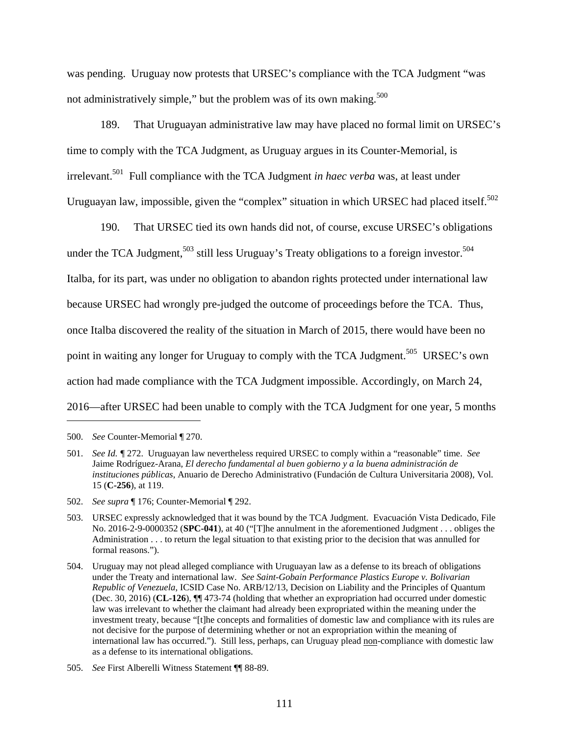was pending. Uruguay now protests that URSEC's compliance with the TCA Judgment "was not administratively simple," but the problem was of its own making.<sup>500</sup>

189. That Uruguayan administrative law may have placed no formal limit on URSEC's time to comply with the TCA Judgment, as Uruguay argues in its Counter-Memorial, is irrelevant.<sup>501</sup> Full compliance with the TCA Judgment *in haec verba* was, at least under Uruguayan law, impossible, given the "complex" situation in which URSEC had placed itself.<sup>502</sup>

190. That URSEC tied its own hands did not, of course, excuse URSEC's obligations under the TCA Judgment,<sup>503</sup> still less Uruguay's Treaty obligations to a foreign investor.<sup>504</sup> Italba, for its part, was under no obligation to abandon rights protected under international law because URSEC had wrongly pre-judged the outcome of proceedings before the TCA. Thus, once Italba discovered the reality of the situation in March of 2015, there would have been no point in waiting any longer for Uruguay to comply with the TCA Judgment.<sup>505</sup> URSEC's own action had made compliance with the TCA Judgment impossible. Accordingly, on March 24, 2016—after URSEC had been unable to comply with the TCA Judgment for one year, 5 months

 $\overline{a}$ 

502. *See supra* ¶ 176; Counter-Memorial ¶ 292.

505. *See* First Alberelli Witness Statement ¶¶ 88-89.

<sup>500.</sup> *See* Counter-Memorial ¶ 270.

<sup>501.</sup> *See Id. ¶* 272.Uruguayan law nevertheless required URSEC to comply within a "reasonable" time. *See*  Jaime Rodríguez-Arana*, El derecho fundamental al buen gobierno y a la buena administración de instituciones públicas*, Anuario de Derecho Administrativo (Fundación de Cultura Universitaria 2008), Vol. 15 (**C-256**), at 119.

<sup>503.</sup> URSEC expressly acknowledged that it was bound by the TCA Judgment. Evacuación Vista Dedicado, File No. 2016-2-9-0000352 (**SPC-041**), at 40 ("[T]he annulment in the aforementioned Judgment . . . obliges the Administration . . . to return the legal situation to that existing prior to the decision that was annulled for formal reasons.").

<sup>504.</sup> Uruguay may not plead alleged compliance with Uruguayan law as a defense to its breach of obligations under the Treaty and international law. *See Saint-Gobain Performance Plastics Europe v. Bolivarian Republic of Venezuela*, ICSID Case No. ARB/12/13, Decision on Liability and the Principles of Quantum (Dec. 30, 2016) (**CL-126**), ¶¶ 473-74 (holding that whether an expropriation had occurred under domestic law was irrelevant to whether the claimant had already been expropriated within the meaning under the investment treaty, because "[t]he concepts and formalities of domestic law and compliance with its rules are not decisive for the purpose of determining whether or not an expropriation within the meaning of international law has occurred."). Still less, perhaps, can Uruguay plead non-compliance with domestic law as a defense to its international obligations.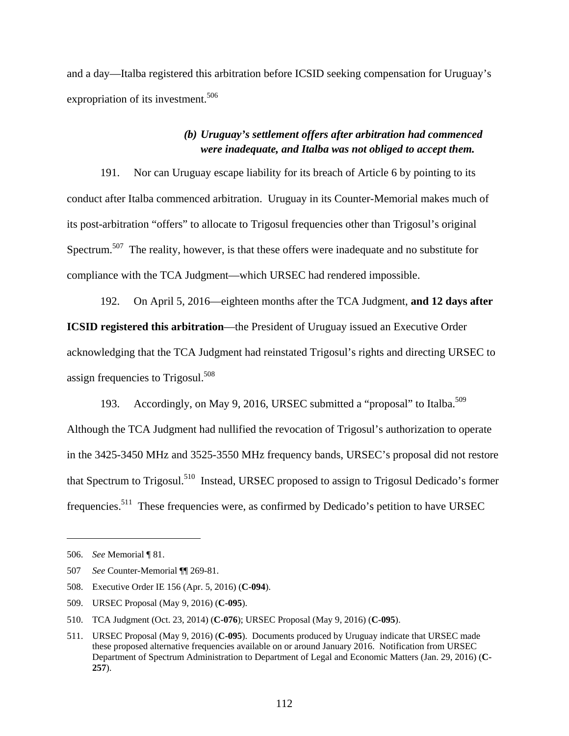and a day—Italba registered this arbitration before ICSID seeking compensation for Uruguay's expropriation of its investment.<sup>506</sup>

## *(b) Uruguay's settlement offers after arbitration had commenced were inadequate, and Italba was not obliged to accept them.*

191. Nor can Uruguay escape liability for its breach of Article 6 by pointing to its conduct after Italba commenced arbitration. Uruguay in its Counter-Memorial makes much of its post-arbitration "offers" to allocate to Trigosul frequencies other than Trigosul's original Spectrum.<sup>507</sup> The reality, however, is that these offers were inadequate and no substitute for compliance with the TCA Judgment—which URSEC had rendered impossible.

192. On April 5, 2016—eighteen months after the TCA Judgment, **and 12 days after ICSID registered this arbitration**—the President of Uruguay issued an Executive Order acknowledging that the TCA Judgment had reinstated Trigosul's rights and directing URSEC to assign frequencies to Trigosul.<sup>508</sup>

193. Accordingly, on May 9, 2016, URSEC submitted a "proposal" to Italba.<sup>509</sup> Although the TCA Judgment had nullified the revocation of Trigosul's authorization to operate in the 3425-3450 MHz and 3525-3550 MHz frequency bands, URSEC's proposal did not restore that Spectrum to Trigosul.<sup>510</sup> Instead, URSEC proposed to assign to Trigosul Dedicado's former frequencies.511 These frequencies were, as confirmed by Dedicado's petition to have URSEC

<sup>506.</sup> *See* Memorial ¶ 81.

<sup>507</sup> *See* Counter-Memorial ¶¶ 269-81.

<sup>508.</sup> Executive Order IE 156 (Apr. 5, 2016) (**C-094**).

<sup>509.</sup> URSEC Proposal (May 9, 2016) (**C-095**).

<sup>510.</sup> TCA Judgment (Oct. 23, 2014) (**C-076**); URSEC Proposal (May 9, 2016) (**C-095**).

<sup>511.</sup> URSEC Proposal (May 9, 2016) (**C-095**). Documents produced by Uruguay indicate that URSEC made these proposed alternative frequencies available on or around January 2016. Notification from URSEC Department of Spectrum Administration to Department of Legal and Economic Matters (Jan. 29, 2016) (**C-257**).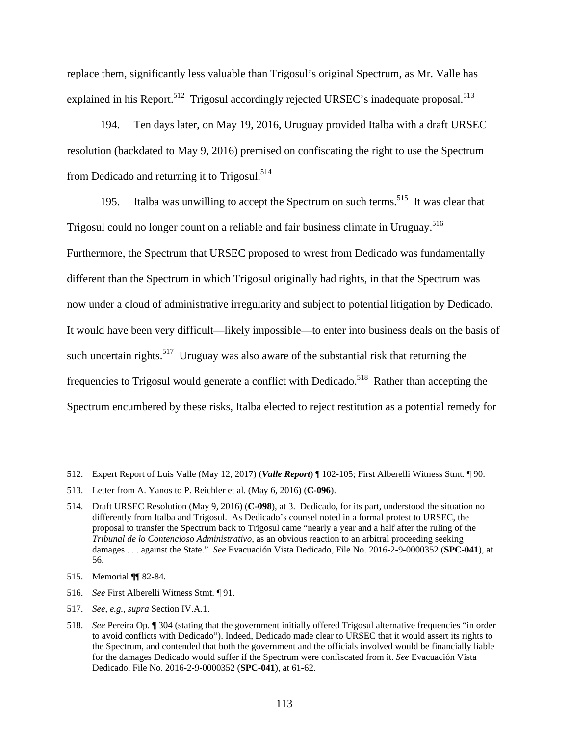replace them, significantly less valuable than Trigosul's original Spectrum, as Mr. Valle has explained in his Report.<sup>512</sup> Trigosul accordingly rejected URSEC's inadequate proposal.<sup>513</sup>

194. Ten days later, on May 19, 2016, Uruguay provided Italba with a draft URSEC resolution (backdated to May 9, 2016) premised on confiscating the right to use the Spectrum from Dedicado and returning it to Trigosul.<sup>514</sup>

195. Italba was unwilling to accept the Spectrum on such terms.<sup>515</sup> It was clear that Trigosul could no longer count on a reliable and fair business climate in Uruguay.<sup>516</sup> Furthermore, the Spectrum that URSEC proposed to wrest from Dedicado was fundamentally different than the Spectrum in which Trigosul originally had rights, in that the Spectrum was now under a cloud of administrative irregularity and subject to potential litigation by Dedicado. It would have been very difficult—likely impossible—to enter into business deals on the basis of such uncertain rights.<sup>517</sup> Uruguay was also aware of the substantial risk that returning the frequencies to Trigosul would generate a conflict with Dedicado.<sup>518</sup> Rather than accepting the Spectrum encumbered by these risks, Italba elected to reject restitution as a potential remedy for

- 516. *See* First Alberelli Witness Stmt. ¶ 91.
- 517. *See, e.g.*, *supra* Section IV.A.1.

<sup>512.</sup> Expert Report of Luis Valle (May 12, 2017) (*Valle Report*) ¶ 102-105; First Alberelli Witness Stmt. ¶ 90.

<sup>513.</sup> Letter from A. Yanos to P. Reichler et al. (May 6, 2016) (**C-096**).

<sup>514.</sup> Draft URSEC Resolution (May 9, 2016) (**C-098**), at 3. Dedicado, for its part, understood the situation no differently from Italba and Trigosul. As Dedicado's counsel noted in a formal protest to URSEC, the proposal to transfer the Spectrum back to Trigosul came "nearly a year and a half after the ruling of the *Tribunal de lo Contencioso Administrativo*, as an obvious reaction to an arbitral proceeding seeking damages . . . against the State." *See* Evacuación Vista Dedicado, File No. 2016-2-9-0000352 (**SPC-041**), at 56.

<sup>515.</sup> Memorial ¶¶ 82-84.

<sup>518.</sup> *See* Pereira Op. ¶ 304 (stating that the government initially offered Trigosul alternative frequencies "in order to avoid conflicts with Dedicado"). Indeed, Dedicado made clear to URSEC that it would assert its rights to the Spectrum, and contended that both the government and the officials involved would be financially liable for the damages Dedicado would suffer if the Spectrum were confiscated from it. *See* Evacuación Vista Dedicado, File No. 2016-2-9-0000352 (**SPC-041**), at 61-62.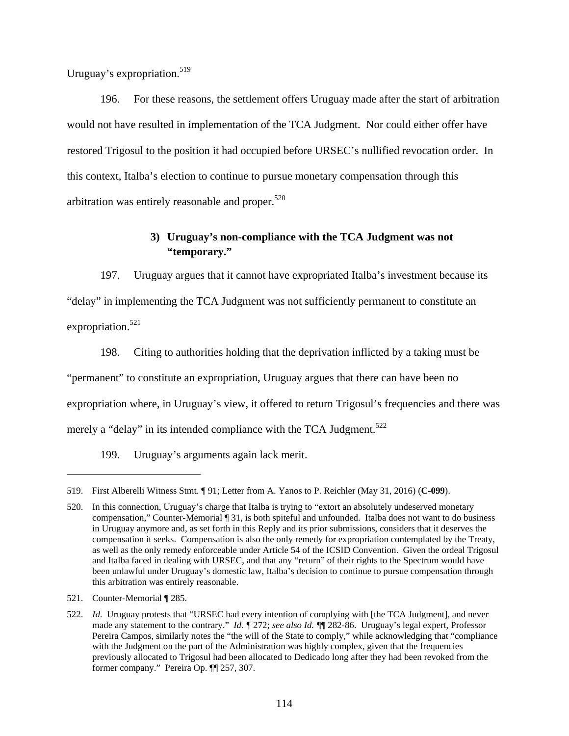Uruguay's expropriation.<sup>519</sup>

196. For these reasons, the settlement offers Uruguay made after the start of arbitration would not have resulted in implementation of the TCA Judgment. Nor could either offer have restored Trigosul to the position it had occupied before URSEC's nullified revocation order. In this context, Italba's election to continue to pursue monetary compensation through this arbitration was entirely reasonable and proper.<sup>520</sup>

# **3) Uruguay's non-compliance with the TCA Judgment was not "temporary."**

197. Uruguay argues that it cannot have expropriated Italba's investment because its "delay" in implementing the TCA Judgment was not sufficiently permanent to constitute an expropriation.<sup>521</sup>

198. Citing to authorities holding that the deprivation inflicted by a taking must be "permanent" to constitute an expropriation, Uruguay argues that there can have been no expropriation where, in Uruguay's view, it offered to return Trigosul's frequencies and there was merely a "delay" in its intended compliance with the TCA Judgment.<sup>522</sup>

199. Uruguay's arguments again lack merit.

<sup>519.</sup> First Alberelli Witness Stmt. ¶ 91; Letter from A. Yanos to P. Reichler (May 31, 2016) (**C-099**).

<sup>520.</sup> In this connection, Uruguay's charge that Italba is trying to "extort an absolutely undeserved monetary compensation," Counter-Memorial ¶ 31, is both spiteful and unfounded. Italba does not want to do business in Uruguay anymore and, as set forth in this Reply and its prior submissions, considers that it deserves the compensation it seeks. Compensation is also the only remedy for expropriation contemplated by the Treaty, as well as the only remedy enforceable under Article 54 of the ICSID Convention. Given the ordeal Trigosul and Italba faced in dealing with URSEC, and that any "return" of their rights to the Spectrum would have been unlawful under Uruguay's domestic law, Italba's decision to continue to pursue compensation through this arbitration was entirely reasonable.

<sup>521.</sup> Counter-Memorial ¶ 285.

<sup>522.</sup> *Id*. Uruguay protests that "URSEC had every intention of complying with [the TCA Judgment], and never made any statement to the contrary." *Id. ¶* 272; *see also Id. ¶*¶ 282-86. Uruguay's legal expert, Professor Pereira Campos, similarly notes the "the will of the State to comply," while acknowledging that "compliance with the Judgment on the part of the Administration was highly complex, given that the frequencies previously allocated to Trigosul had been allocated to Dedicado long after they had been revoked from the former company." Pereira Op. ¶¶ 257, 307.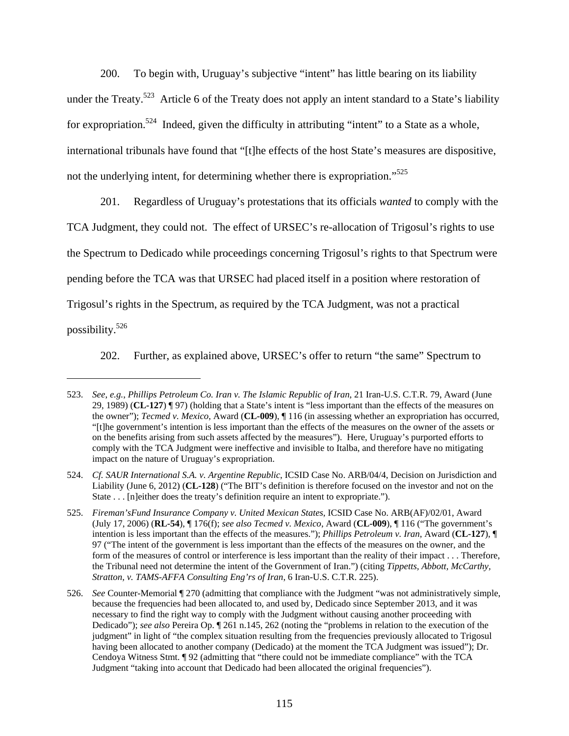200. To begin with, Uruguay's subjective "intent" has little bearing on its liability under the Treaty.<sup>523</sup> Article 6 of the Treaty does not apply an intent standard to a State's liability for expropriation.<sup>524</sup> Indeed, given the difficulty in attributing "intent" to a State as a whole, international tribunals have found that "[t]he effects of the host State's measures are dispositive, not the underlying intent, for determining whether there is expropriation.<sup>525</sup>

201. Regardless of Uruguay's protestations that its officials *wanted* to comply with the TCA Judgment, they could not. The effect of URSEC's re-allocation of Trigosul's rights to use the Spectrum to Dedicado while proceedings concerning Trigosul's rights to that Spectrum were pending before the TCA was that URSEC had placed itself in a position where restoration of Trigosul's rights in the Spectrum, as required by the TCA Judgment, was not a practical possibility.526

202. Further, as explained above, URSEC's offer to return "the same" Spectrum to

<sup>523.</sup> *See*, *e.g.*, *Phillips Petroleum Co. Iran v. The Islamic Republic of Iran*, 21 Iran-U.S. C.T.R. 79, Award (June 29, 1989) (**CL-127**) ¶ 97) (holding that a State's intent is "less important than the effects of the measures on the owner"); *Tecmed v. Mexico*, Award (**CL-009**), ¶ 116 (in assessing whether an expropriation has occurred, "[t]he government's intention is less important than the effects of the measures on the owner of the assets or on the benefits arising from such assets affected by the measures"). Here, Uruguay's purported efforts to comply with the TCA Judgment were ineffective and invisible to Italba, and therefore have no mitigating impact on the nature of Uruguay's expropriation.

<sup>524.</sup> *Cf. SAUR International S.A. v. Argentine Republic*, ICSID Case No. ARB/04/4, Decision on Jurisdiction and Liability (June 6, 2012) (**CL-128**) ("The BIT's definition is therefore focused on the investor and not on the State . . . [n]either does the treaty's definition require an intent to expropriate.").

<sup>525.</sup> *Fireman'sFund Insurance Company v. United Mexican States*, ICSID Case No. ARB(AF)/02/01, Award (July 17, 2006) (**RL-54**), ¶ 176(f); *see also Tecmed v. Mexico*, Award (**CL-009**), ¶ 116 ("The government's intention is less important than the effects of the measures."); *Phillips Petroleum v. Iran*, Award (**CL-127**), ¶ 97 ("The intent of the government is less important than the effects of the measures on the owner, and the form of the measures of control or interference is less important than the reality of their impact . . . Therefore, the Tribunal need not determine the intent of the Government of Iran.") (citing *Tippetts, Abbott, McCarthy, Stratton, v. TAMS-AFFA Consulting Eng'rs of Iran*, 6 Iran-U.S. C.T.R. 225).

<sup>526.</sup> *See* Counter-Memorial ¶ 270 (admitting that compliance with the Judgment "was not administratively simple, because the frequencies had been allocated to, and used by, Dedicado since September 2013, and it was necessary to find the right way to comply with the Judgment without causing another proceeding with Dedicado"); *see also* Pereira Op. ¶ 261 n.145, 262 (noting the "problems in relation to the execution of the judgment" in light of "the complex situation resulting from the frequencies previously allocated to Trigosul having been allocated to another company (Dedicado) at the moment the TCA Judgment was issued"); Dr. Cendoya Witness Stmt. ¶ 92 (admitting that "there could not be immediate compliance" with the TCA Judgment "taking into account that Dedicado had been allocated the original frequencies").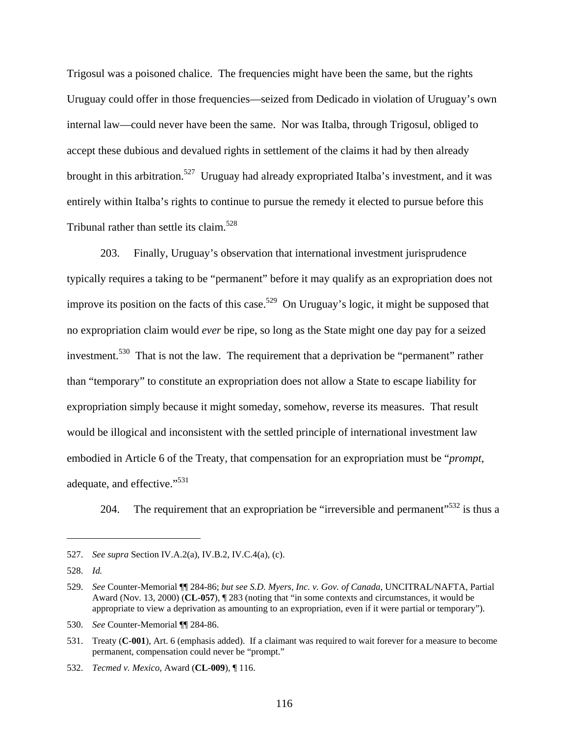Trigosul was a poisoned chalice. The frequencies might have been the same, but the rights Uruguay could offer in those frequencies—seized from Dedicado in violation of Uruguay's own internal law—could never have been the same. Nor was Italba, through Trigosul, obliged to accept these dubious and devalued rights in settlement of the claims it had by then already brought in this arbitration.<sup>527</sup> Uruguay had already expropriated Italba's investment, and it was entirely within Italba's rights to continue to pursue the remedy it elected to pursue before this Tribunal rather than settle its claim.<sup>528</sup>

203. Finally, Uruguay's observation that international investment jurisprudence typically requires a taking to be "permanent" before it may qualify as an expropriation does not improve its position on the facts of this case.<sup>529</sup> On Uruguay's logic, it might be supposed that no expropriation claim would *ever* be ripe, so long as the State might one day pay for a seized investment.<sup>530</sup> That is not the law. The requirement that a deprivation be "permanent" rather than "temporary" to constitute an expropriation does not allow a State to escape liability for expropriation simply because it might someday, somehow, reverse its measures. That result would be illogical and inconsistent with the settled principle of international investment law embodied in Article 6 of the Treaty, that compensation for an expropriation must be "*prompt*, adequate, and effective."<sup>531</sup>

204. The requirement that an expropriation be "irreversible and permanent"<sup>532</sup> is thus a

1

<sup>527.</sup> *See supra* Section IV.A.2(a), IV.B.2, IV.C.4(a), (c).

<sup>528.</sup> *Id.*

<sup>529.</sup> *See* Counter-Memorial ¶¶ 284-86; *but see S.D. Myers, Inc. v. Gov. of Canada*, UNCITRAL/NAFTA, Partial Award (Nov. 13, 2000) (**CL-057**), ¶ 283 (noting that "in some contexts and circumstances, it would be appropriate to view a deprivation as amounting to an expropriation, even if it were partial or temporary").

<sup>530.</sup> *See* Counter-Memorial ¶¶ 284-86.

<sup>531.</sup> Treaty (**C-001**), Art. 6 (emphasis added). If a claimant was required to wait forever for a measure to become permanent, compensation could never be "prompt."

<sup>532.</sup> *Tecmed v. Mexico*, Award (**CL-009**), ¶ 116.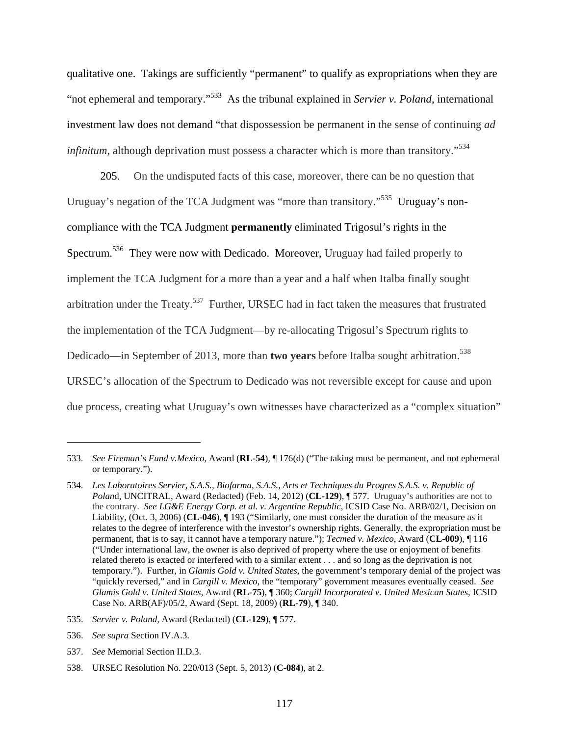qualitative one. Takings are sufficiently "permanent" to qualify as expropriations when they are "not ephemeral and temporary."533 As the tribunal explained in *Servier v. Poland*, international investment law does not demand "that dispossession be permanent in the sense of continuing *ad infinitum*, although deprivation must possess a character which is more than transitory."<sup>534</sup>

205. On the undisputed facts of this case, moreover, there can be no question that Uruguay's negation of the TCA Judgment was "more than transitory."<sup>535</sup> Uruguay's noncompliance with the TCA Judgment **permanently** eliminated Trigosul's rights in the Spectrum.<sup>536</sup> They were now with Dedicado. Moreover, Uruguay had failed properly to implement the TCA Judgment for a more than a year and a half when Italba finally sought arbitration under the Treaty.537 Further, URSEC had in fact taken the measures that frustrated the implementation of the TCA Judgment—by re-allocating Trigosul's Spectrum rights to Dedicado—in September of 2013, more than **two years** before Italba sought arbitration.<sup>538</sup> URSEC's allocation of the Spectrum to Dedicado was not reversible except for cause and upon due process, creating what Uruguay's own witnesses have characterized as a "complex situation"

537. *See* Memorial Section II.D.3.

<sup>533.</sup> *See Fireman's Fund v.Mexico*, Award (**RL-54**), ¶ 176(d) ("The taking must be permanent, and not ephemeral or temporary.").

<sup>534.</sup> *Les Laboratoires Servier, S.A.S., Biofarma, S.A.S., Arts et Techniques du Progres S.A.S. v. Republic of Polan*d, UNCITRAL, Award (Redacted) (Feb. 14, 2012) (**CL-129**), ¶ 577. Uruguay's authorities are not to the contrary. *See LG&E Energy Corp. et al. v. Argentine Republic*, ICSID Case No. ARB/02/1, Decision on Liability, (Oct. 3, 2006) (**CL-046**), ¶ 193 ("Similarly, one must consider the duration of the measure as it relates to the degree of interference with the investor's ownership rights. Generally, the expropriation must be permanent, that is to say, it cannot have a temporary nature."); *Tecmed v. Mexico*, Award (**CL-009**), ¶ 116 ("Under international law, the owner is also deprived of property where the use or enjoyment of benefits related thereto is exacted or interfered with to a similar extent . . . and so long as the deprivation is not temporary."). Further, in *Glamis Gold v. United States*, the government's temporary denial of the project was "quickly reversed," and in *Cargill v. Mexico*, the "temporary" government measures eventually ceased. *See Glamis Gold v. United States*, Award (**RL-75**), ¶ 360; *Cargill Incorporated v. United Mexican States*, ICSID Case No. ARB(AF)/05/2, Award (Sept. 18, 2009) (**RL-79**), ¶ 340.

<sup>535.</sup> *Servier v. Poland*, Award (Redacted) (**CL-129**), ¶ 577.

<sup>536.</sup> *See supra* Section IV.A.3.

<sup>538.</sup> URSEC Resolution No. 220/013 (Sept. 5, 2013) (**C-084**), at 2.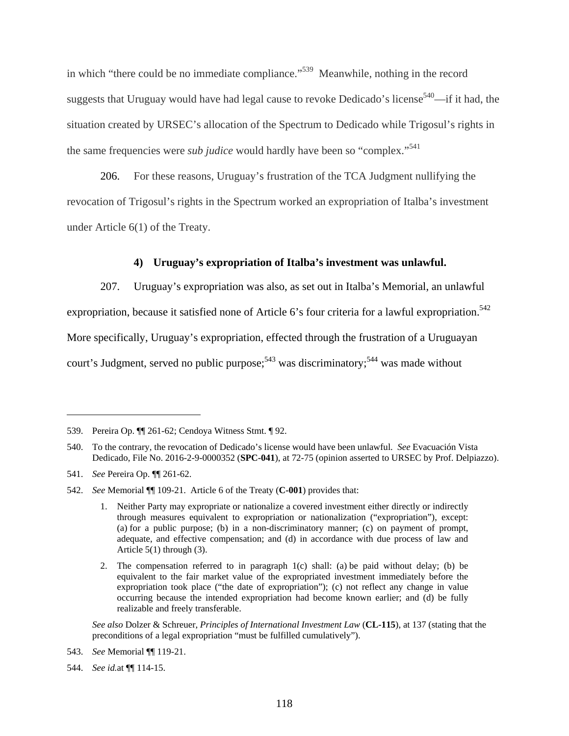in which "there could be no immediate compliance."539 Meanwhile, nothing in the record suggests that Uruguay would have had legal cause to revoke Dedicado's license<sup>540</sup>—if it had, the situation created by URSEC's allocation of the Spectrum to Dedicado while Trigosul's rights in the same frequencies were *sub judice* would hardly have been so "complex."541

206. For these reasons, Uruguay's frustration of the TCA Judgment nullifying the revocation of Trigosul's rights in the Spectrum worked an expropriation of Italba's investment under Article 6(1) of the Treaty.

### **4) Uruguay's expropriation of Italba's investment was unlawful.**

207. Uruguay's expropriation was also, as set out in Italba's Memorial, an unlawful

expropriation, because it satisfied none of Article 6's four criteria for a lawful expropriation.<sup>542</sup>

More specifically, Uruguay's expropriation, effected through the frustration of a Uruguayan

court's Judgment, served no public purpose;<sup>543</sup> was discriminatory;<sup>544</sup> was made without

 $\overline{a}$ 

 *See also* Dolzer & Schreuer, *Principles of International Investment Law* (**CL-115**), at 137 (stating that the preconditions of a legal expropriation "must be fulfilled cumulatively").

<sup>539.</sup> Pereira Op. ¶¶ 261-62; Cendoya Witness Stmt. ¶ 92.

<sup>540.</sup> To the contrary, the revocation of Dedicado's license would have been unlawful. *See* Evacuación Vista Dedicado, File No. 2016-2-9-0000352 (**SPC-041**), at 72-75 (opinion asserted to URSEC by Prof. Delpiazzo).

<sup>541.</sup> *See* Pereira Op. ¶¶ 261-62.

<sup>542.</sup> *See* Memorial ¶¶ 109-21. Article 6 of the Treaty (**C-001**) provides that:

<sup>1.</sup> Neither Party may expropriate or nationalize a covered investment either directly or indirectly through measures equivalent to expropriation or nationalization ("expropriation"), except: (a) for a public purpose; (b) in a non-discriminatory manner; (c) on payment of prompt, adequate, and effective compensation; and (d) in accordance with due process of law and Article 5(1) through (3).

<sup>2.</sup> The compensation referred to in paragraph 1(c) shall: (a) be paid without delay; (b) be equivalent to the fair market value of the expropriated investment immediately before the expropriation took place ("the date of expropriation"); (c) not reflect any change in value occurring because the intended expropriation had become known earlier; and (d) be fully realizable and freely transferable.

<sup>543.</sup> *See* Memorial ¶¶ 119-21.

<sup>544.</sup> *See id.*at ¶¶ 114-15.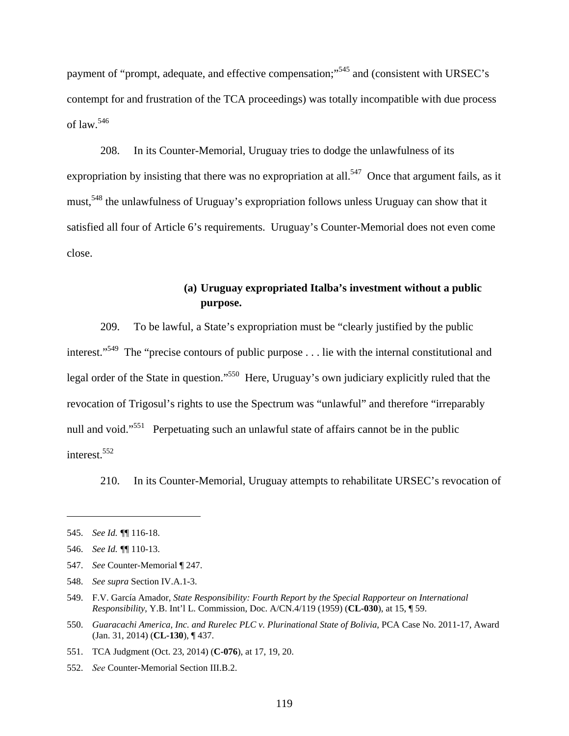payment of "prompt, adequate, and effective compensation;"545 and (consistent with URSEC's contempt for and frustration of the TCA proceedings) was totally incompatible with due process of law.  $546$ 

208. In its Counter-Memorial, Uruguay tries to dodge the unlawfulness of its expropriation by insisting that there was no expropriation at all.<sup>547</sup> Once that argument fails, as it must,548 the unlawfulness of Uruguay's expropriation follows unless Uruguay can show that it satisfied all four of Article 6's requirements. Uruguay's Counter-Memorial does not even come close.

# **(a) Uruguay expropriated Italba's investment without a public purpose.**

209. To be lawful, a State's expropriation must be "clearly justified by the public interest."<sup>549</sup> The "precise contours of public purpose . . . lie with the internal constitutional and legal order of the State in question."550 Here, Uruguay's own judiciary explicitly ruled that the revocation of Trigosul's rights to use the Spectrum was "unlawful" and therefore "irreparably null and void."<sup>551</sup> Perpetuating such an unlawful state of affairs cannot be in the public interest.552

210. In its Counter-Memorial, Uruguay attempts to rehabilitate URSEC's revocation of

548. *See supra* Section IV.A.1-3.

- 550. *Guaracachi America, Inc. and Rurelec PLC v. Plurinational State of Bolivia*, PCA Case No. 2011-17, Award (Jan. 31, 2014) (**CL-130**), ¶ 437.
- 551. TCA Judgment (Oct. 23, 2014) (**C-076**), at 17, 19, 20.
- 552. *See* Counter-Memorial Section III.B.2.

<sup>545.</sup> *See Id. ¶*¶ 116-18.

<sup>546.</sup> *See Id. ¶*¶ 110-13.

<sup>547.</sup> *See* Counter-Memorial ¶ 247.

<sup>549.</sup> F.V. García Amador, *State Responsibility: Fourth Report by the Special Rapporteur on International Responsibility*, Y.B. Int'l L. Commission, Doc. A/CN.4/119 (1959) (**CL-030**), at 15, ¶ 59.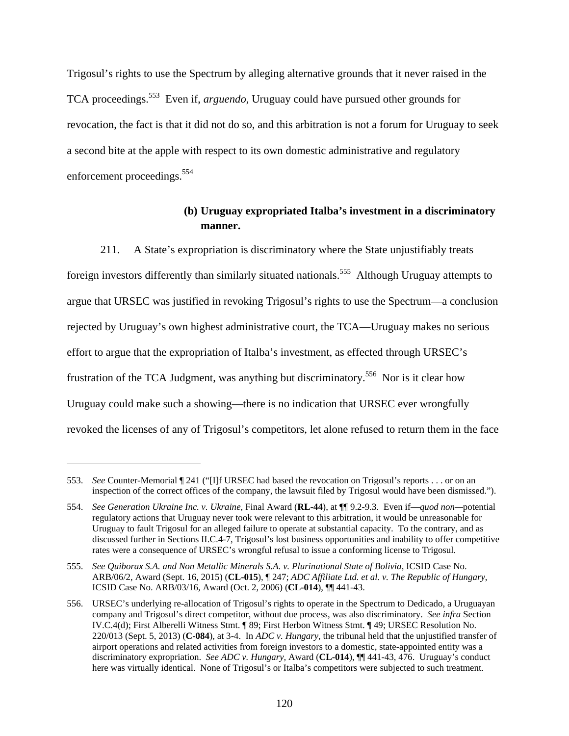Trigosul's rights to use the Spectrum by alleging alternative grounds that it never raised in the TCA proceedings.553 Even if, *arguendo*, Uruguay could have pursued other grounds for revocation, the fact is that it did not do so, and this arbitration is not a forum for Uruguay to seek a second bite at the apple with respect to its own domestic administrative and regulatory enforcement proceedings.<sup>554</sup>

## **(b) Uruguay expropriated Italba's investment in a discriminatory manner.**

211. A State's expropriation is discriminatory where the State unjustifiably treats foreign investors differently than similarly situated nationals.<sup>555</sup> Although Uruguay attempts to argue that URSEC was justified in revoking Trigosul's rights to use the Spectrum—a conclusion rejected by Uruguay's own highest administrative court, the TCA—Uruguay makes no serious effort to argue that the expropriation of Italba's investment, as effected through URSEC's frustration of the TCA Judgment, was anything but discriminatory.556 Nor is it clear how Uruguay could make such a showing—there is no indication that URSEC ever wrongfully revoked the licenses of any of Trigosul's competitors, let alone refused to return them in the face

<sup>553.</sup> *See* Counter-Memorial ¶ 241 ("[I]f URSEC had based the revocation on Trigosul's reports . . . or on an inspection of the correct offices of the company, the lawsuit filed by Trigosul would have been dismissed.").

<sup>554.</sup> *See Generation Ukraine Inc. v. Ukraine*, Final Award (**RL-44**), at ¶¶ 9.2-9.3. Even if—*quod non—*potential regulatory actions that Uruguay never took were relevant to this arbitration, it would be unreasonable for Uruguay to fault Trigosul for an alleged failure to operate at substantial capacity. To the contrary, and as discussed further in Sections II.C.4-7, Trigosul's lost business opportunities and inability to offer competitive rates were a consequence of URSEC's wrongful refusal to issue a conforming license to Trigosul.

<sup>555.</sup> *See Quiborax S.A. and Non Metallic Minerals S.A. v. Plurinational State of Bolivia*, ICSID Case No. ARB/06/2, Award (Sept. 16, 2015) (**CL-015**), ¶ 247; *ADC Affiliate Ltd. et al. v. The Republic of Hungary*, ICSID Case No. ARB/03/16, Award (Oct. 2, 2006) (**CL-014**), ¶¶ 441-43.

<sup>556.</sup> URSEC's underlying re-allocation of Trigosul's rights to operate in the Spectrum to Dedicado, a Uruguayan company and Trigosul's direct competitor, without due process, was also discriminatory. *See infra* Section IV.C.4(d); First Alberelli Witness Stmt. ¶ 89; First Herbon Witness Stmt. ¶ 49; URSEC Resolution No. 220/013 (Sept. 5, 2013) (**C-084**), at 3-4. In *ADC v. Hungary*, the tribunal held that the unjustified transfer of airport operations and related activities from foreign investors to a domestic, state-appointed entity was a discriminatory expropriation. *See ADC v. Hungary,* Award (**CL-014**), ¶¶ 441-43, 476. Uruguay's conduct here was virtually identical. None of Trigosul's or Italba's competitors were subjected to such treatment.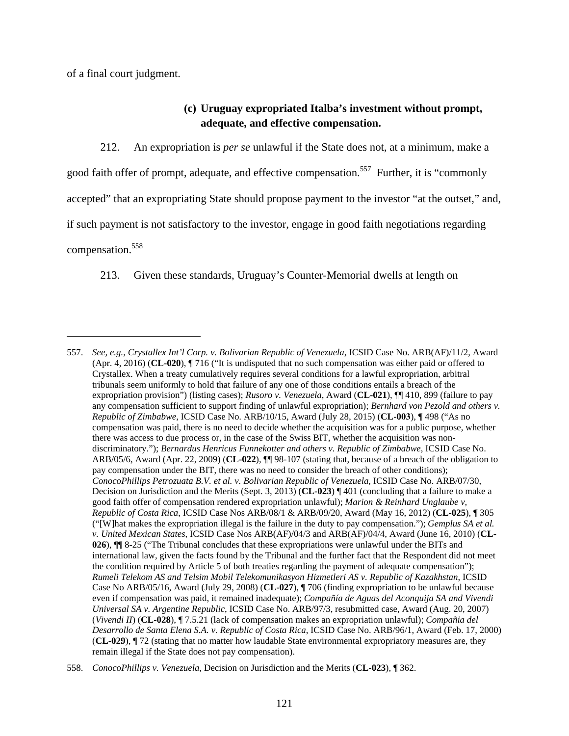of a final court judgment.

# **(c) Uruguay expropriated Italba's investment without prompt, adequate, and effective compensation.**

212. An expropriation is *per se* unlawful if the State does not, at a minimum, make a good faith offer of prompt, adequate, and effective compensation.<sup>557</sup> Further, it is "commonly accepted" that an expropriating State should propose payment to the investor "at the outset," and, if such payment is not satisfactory to the investor, engage in good faith negotiations regarding compensation.558

213. Given these standards, Uruguay's Counter-Memorial dwells at length on

<sup>557.</sup> *See, e.g.*, *Crystallex Int'l Corp. v. Bolivarian Republic of Venezuela*, ICSID Case No. ARB(AF)/11/2, Award (Apr. 4, 2016) (**CL-020**), ¶ 716 ("It is undisputed that no such compensation was either paid or offered to Crystallex. When a treaty cumulatively requires several conditions for a lawful expropriation, arbitral tribunals seem uniformly to hold that failure of any one of those conditions entails a breach of the expropriation provision") (listing cases); *Rusoro v. Venezuela*, Award (**CL-021**), ¶¶ 410, 899 (failure to pay any compensation sufficient to support finding of unlawful expropriation); *Bernhard von Pezold and others v. Republic of Zimbabwe*, ICSID Case No. ARB/10/15, Award (July 28, 2015) (**CL-003**), ¶ 498 ("As no compensation was paid, there is no need to decide whether the acquisition was for a public purpose, whether there was access to due process or, in the case of the Swiss BIT, whether the acquisition was nondiscriminatory."); *Bernardus Henricus Funnekotter and others v. Republic of Zimbabwe*, ICSID Case No. ARB/05/6, Award (Apr. 22, 2009) (**CL-022**), ¶¶ 98-107 (stating that, because of a breach of the obligation to pay compensation under the BIT, there was no need to consider the breach of other conditions); *ConocoPhillips Petrozuata B.V. et al. v. Bolivarian Republic of Venezuela*, ICSID Case No. ARB/07/30, Decision on Jurisdiction and the Merits (Sept. 3, 2013) (**CL-023**) ¶ 401 (concluding that a failure to make a good faith offer of compensation rendered expropriation unlawful); *Marion & Reinhard Unglaube v, Republic of Costa Rica*, ICSID Case Nos ARB/08/1 & ARB/09/20, Award (May 16, 2012) (**CL-025**), ¶ 305 ("[W]hat makes the expropriation illegal is the failure in the duty to pay compensation."); *Gemplus SA et al. v. United Mexican States*, ICSID Case Nos ARB(AF)/04/3 and ARB(AF)/04/4, Award (June 16, 2010) (**CL-026**),  $\mathbb{I}$  8-25 ("The Tribunal concludes that these expropriations were unlawful under the BITs and international law, given the facts found by the Tribunal and the further fact that the Respondent did not meet the condition required by Article 5 of both treaties regarding the payment of adequate compensation"); *Rumeli Telekom AS and Telsim Mobil Telekomunikasyon Hizmetleri AS v. Republic of Kazakhstan*, ICSID Case No ARB/05/16, Award (July 29, 2008) (**CL-027**), ¶ 706 (finding expropriation to be unlawful because even if compensation was paid, it remained inadequate); *Compañía de Aguas del Aconquija SA and Vivendi Universal SA v. Argentine Republic*, ICSID Case No. ARB/97/3, resubmitted case, Award (Aug. 20, 2007) (*Vivendi II*) (**CL-028**), ¶ 7.5.21 (lack of compensation makes an expropriation unlawful); *Compañia del Desarrollo de Santa Elena S.A. v. Republic of Costa Rica*, ICSID Case No. ARB/96/1, Award (Feb. 17, 2000) (**CL-029**), ¶ 72 (stating that no matter how laudable State environmental expropriatory measures are, they remain illegal if the State does not pay compensation).

<sup>558.</sup> *ConocoPhillips v. Venezuela*, Decision on Jurisdiction and the Merits (**CL-023**), ¶ 362.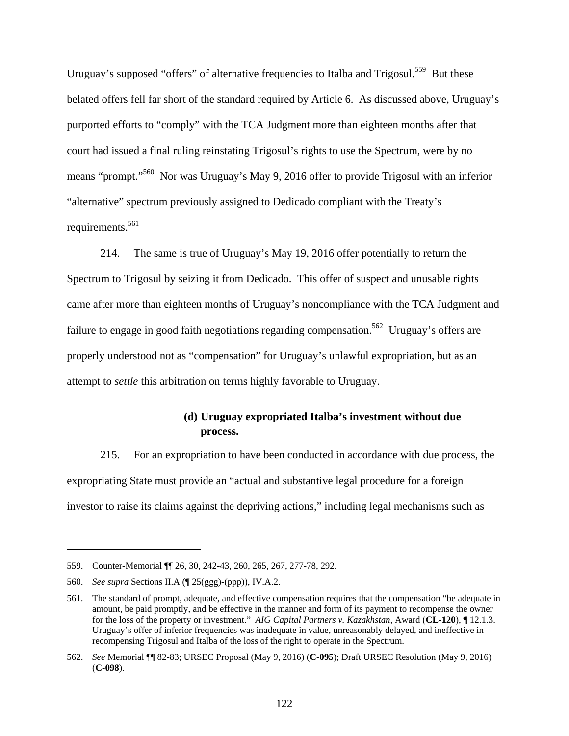Uruguay's supposed "offers" of alternative frequencies to Italba and Trigosul.<sup>559</sup> But these belated offers fell far short of the standard required by Article 6. As discussed above, Uruguay's purported efforts to "comply" with the TCA Judgment more than eighteen months after that court had issued a final ruling reinstating Trigosul's rights to use the Spectrum, were by no means "prompt."<sup>560</sup> Nor was Uruguay's May 9, 2016 offer to provide Trigosul with an inferior "alternative" spectrum previously assigned to Dedicado compliant with the Treaty's requirements.<sup>561</sup>

214. The same is true of Uruguay's May 19, 2016 offer potentially to return the Spectrum to Trigosul by seizing it from Dedicado. This offer of suspect and unusable rights came after more than eighteen months of Uruguay's noncompliance with the TCA Judgment and failure to engage in good faith negotiations regarding compensation.<sup>562</sup> Uruguay's offers are properly understood not as "compensation" for Uruguay's unlawful expropriation, but as an attempt to *settle* this arbitration on terms highly favorable to Uruguay.

# **(d) Uruguay expropriated Italba's investment without due process.**

215. For an expropriation to have been conducted in accordance with due process, the expropriating State must provide an "actual and substantive legal procedure for a foreign investor to raise its claims against the depriving actions," including legal mechanisms such as

<sup>559.</sup> Counter-Memorial ¶¶ 26, 30, 242-43, 260, 265, 267, 277-78, 292.

<sup>560.</sup> *See supra* Sections II.A (¶ 25(ggg)-(ppp)), IV.A.2.

<sup>561.</sup> The standard of prompt, adequate, and effective compensation requires that the compensation "be adequate in amount, be paid promptly, and be effective in the manner and form of its payment to recompense the owner for the loss of the property or investment." *AIG Capital Partners v. Kazakhstan*, Award (**CL-120**), ¶ 12.1.3. Uruguay's offer of inferior frequencies was inadequate in value, unreasonably delayed, and ineffective in recompensing Trigosul and Italba of the loss of the right to operate in the Spectrum.

<sup>562.</sup> *See* Memorial ¶¶ 82-83; URSEC Proposal (May 9, 2016) (**C-095**); Draft URSEC Resolution (May 9, 2016) (**C-098**).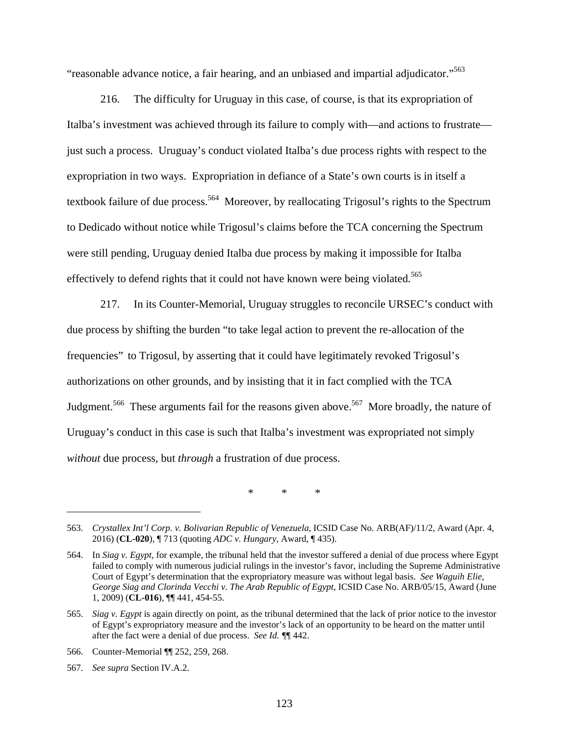"reasonable advance notice, a fair hearing, and an unbiased and impartial adjudicator."563

216. The difficulty for Uruguay in this case, of course, is that its expropriation of Italba's investment was achieved through its failure to comply with—and actions to frustrate just such a process. Uruguay's conduct violated Italba's due process rights with respect to the expropriation in two ways. Expropriation in defiance of a State's own courts is in itself a textbook failure of due process.<sup>564</sup> Moreover, by reallocating Trigosul's rights to the Spectrum to Dedicado without notice while Trigosul's claims before the TCA concerning the Spectrum were still pending, Uruguay denied Italba due process by making it impossible for Italba effectively to defend rights that it could not have known were being violated.<sup>565</sup>

217. In its Counter-Memorial, Uruguay struggles to reconcile URSEC's conduct with due process by shifting the burden "to take legal action to prevent the re-allocation of the frequencies" to Trigosul, by asserting that it could have legitimately revoked Trigosul's authorizations on other grounds, and by insisting that it in fact complied with the TCA Judgment.<sup>566</sup> These arguments fail for the reasons given above.<sup>567</sup> More broadly, the nature of Uruguay's conduct in this case is such that Italba's investment was expropriated not simply *without* due process, but *through* a frustration of due process.

\* \* \*

567. *See supra* Section IV.A.2.

<sup>563.</sup> *Crystallex Int'l Corp. v. Bolivarian Republic of Venezuela*, ICSID Case No. ARB(AF)/11/2, Award (Apr. 4, 2016) (**CL-020**), ¶ 713 (quoting *ADC v. Hungary*, Award, ¶ 435).

<sup>564.</sup> In *Siag v. Egypt*, for example, the tribunal held that the investor suffered a denial of due process where Egypt failed to comply with numerous judicial rulings in the investor's favor, including the Supreme Administrative Court of Egypt's determination that the expropriatory measure was without legal basis. *See Waguih Elie, George Siag and Clorinda Vecchi v. The Arab Republic of Egypt*, ICSID Case No. ARB/05/15, Award (June 1, 2009) (**CL-016**), ¶¶ 441, 454-55.

<sup>565.</sup> *Siag v. Egypt* is again directly on point, as the tribunal determined that the lack of prior notice to the investor of Egypt's expropriatory measure and the investor's lack of an opportunity to be heard on the matter until after the fact were a denial of due process. *See Id. ¶*¶ 442.

<sup>566.</sup> Counter-Memorial ¶¶ 252, 259, 268.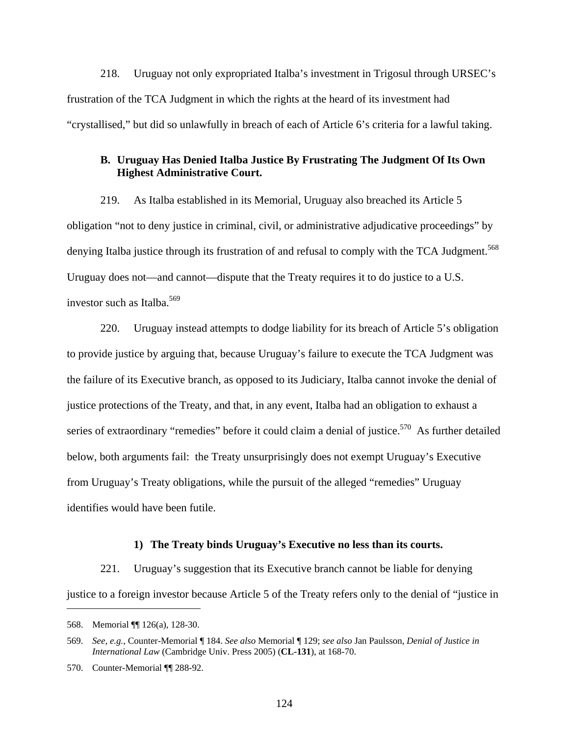218. Uruguay not only expropriated Italba's investment in Trigosul through URSEC's frustration of the TCA Judgment in which the rights at the heard of its investment had "crystallised," but did so unlawfully in breach of each of Article 6's criteria for a lawful taking.

### **B. Uruguay Has Denied Italba Justice By Frustrating The Judgment Of Its Own Highest Administrative Court.**

219. As Italba established in its Memorial, Uruguay also breached its Article 5 obligation "not to deny justice in criminal, civil, or administrative adjudicative proceedings" by denying Italba justice through its frustration of and refusal to comply with the TCA Judgment.<sup>568</sup> Uruguay does not—and cannot—dispute that the Treaty requires it to do justice to a U.S. investor such as Italba. $569$ 

220. Uruguay instead attempts to dodge liability for its breach of Article 5's obligation to provide justice by arguing that, because Uruguay's failure to execute the TCA Judgment was the failure of its Executive branch, as opposed to its Judiciary, Italba cannot invoke the denial of justice protections of the Treaty, and that, in any event, Italba had an obligation to exhaust a series of extraordinary "remedies" before it could claim a denial of justice.<sup>570</sup> As further detailed below, both arguments fail: the Treaty unsurprisingly does not exempt Uruguay's Executive from Uruguay's Treaty obligations, while the pursuit of the alleged "remedies" Uruguay identifies would have been futile.

### **1) The Treaty binds Uruguay's Executive no less than its courts.**

221. Uruguay's suggestion that its Executive branch cannot be liable for denying justice to a foreign investor because Article 5 of the Treaty refers only to the denial of "justice in

<sup>568.</sup> Memorial ¶¶ 126(a), 128-30.

<sup>569.</sup> *See, e.g.*, Counter-Memorial ¶ 184. *See also* Memorial ¶ 129; *see also* Jan Paulsson, *Denial of Justice in International Law* (Cambridge Univ. Press 2005) (**CL-131**), at 168-70.

<sup>570.</sup> Counter-Memorial ¶¶ 288-92.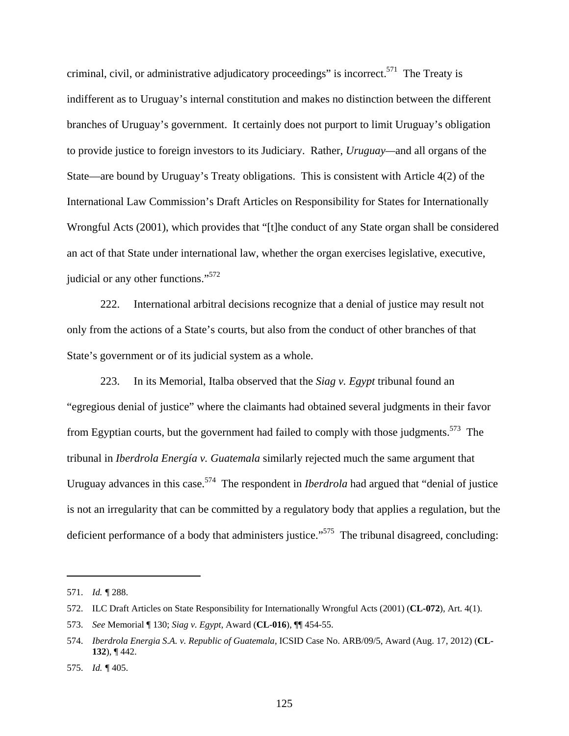criminal, civil, or administrative adjudicatory proceedings" is incorrect.<sup>571</sup> The Treaty is indifferent as to Uruguay's internal constitution and makes no distinction between the different branches of Uruguay's government. It certainly does not purport to limit Uruguay's obligation to provide justice to foreign investors to its Judiciary. Rather, *Uruguay—*and all organs of the State—are bound by Uruguay's Treaty obligations. This is consistent with Article 4(2) of the International Law Commission's Draft Articles on Responsibility for States for Internationally Wrongful Acts (2001), which provides that "[t]he conduct of any State organ shall be considered an act of that State under international law, whether the organ exercises legislative, executive, judicial or any other functions."572

222. International arbitral decisions recognize that a denial of justice may result not only from the actions of a State's courts, but also from the conduct of other branches of that State's government or of its judicial system as a whole.

223. In its Memorial, Italba observed that the *Siag v. Egypt* tribunal found an "egregious denial of justice" where the claimants had obtained several judgments in their favor from Egyptian courts, but the government had failed to comply with those judgments.<sup>573</sup> The tribunal in *Iberdrola Energía v. Guatemala* similarly rejected much the same argument that Uruguay advances in this case.<sup>574</sup> The respondent in *Iberdrola* had argued that "denial of justice" is not an irregularity that can be committed by a regulatory body that applies a regulation, but the deficient performance of a body that administers justice."<sup>575</sup> The tribunal disagreed, concluding:

<sup>571.</sup> *Id. ¶* 288.

<sup>572.</sup> ILC Draft Articles on State Responsibility for Internationally Wrongful Acts (2001) (**CL-072**), Art. 4(1).

<sup>573.</sup> *See* Memorial ¶ 130; *Siag v. Egypt*, Award (**CL-016**), ¶¶ 454-55.

<sup>574.</sup> *Iberdrola Energia S.A. v. Republic of Guatemala*, ICSID Case No. ARB/09/5, Award (Aug. 17, 2012) (**CL-132**), ¶ 442.

<sup>575.</sup> *Id. ¶* 405.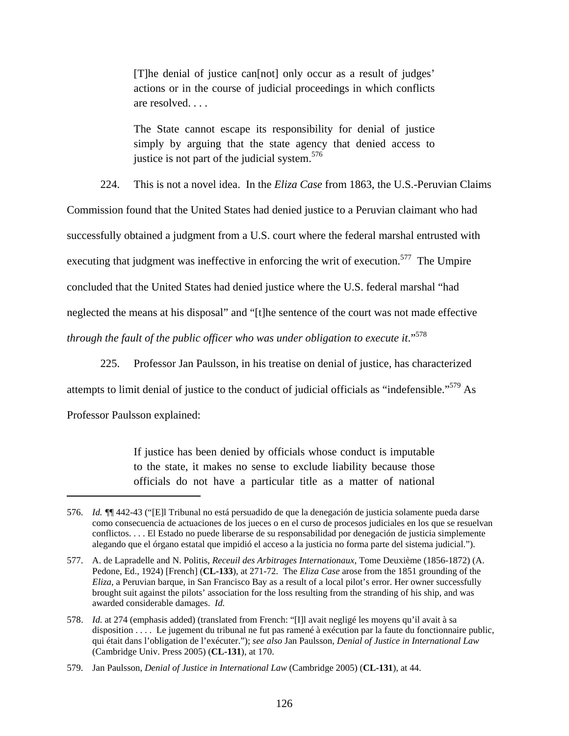[T]he denial of justice can[not] only occur as a result of judges' actions or in the course of judicial proceedings in which conflicts are resolved. . . .

The State cannot escape its responsibility for denial of justice simply by arguing that the state agency that denied access to justice is not part of the judicial system.<sup>576</sup>

224. This is not a novel idea. In the *Eliza Case* from 1863, the U.S.-Peruvian Claims Commission found that the United States had denied justice to a Peruvian claimant who had successfully obtained a judgment from a U.S. court where the federal marshal entrusted with executing that judgment was ineffective in enforcing the writ of execution.<sup>577</sup> The Umpire concluded that the United States had denied justice where the U.S. federal marshal "had neglected the means at his disposal" and "[t]he sentence of the court was not made effective *through the fault of the public officer who was under obligation to execute it.*"<sup>578</sup>

225. Professor Jan Paulsson, in his treatise on denial of justice, has characterized attempts to limit denial of justice to the conduct of judicial officials as "indefensible."<sup>579</sup> As Professor Paulsson explained:

> If justice has been denied by officials whose conduct is imputable to the state, it makes no sense to exclude liability because those officials do not have a particular title as a matter of national

<sup>576.</sup> *Id. ¶*¶ 442-43 ("[E]l Tribunal no está persuadido de que la denegación de justicia solamente pueda darse como consecuencia de actuaciones de los jueces o en el curso de procesos judiciales en los que se resuelvan conflictos. . . . El Estado no puede liberarse de su responsabilidad por denegación de justicia simplemente alegando que el órgano estatal que impidió el acceso a la justicia no forma parte del sistema judicial.").

<sup>577.</sup> A. de Lapradelle and N. Politis, *Receuil des Arbitrages Internationaux*, Tome Deuxième (1856-1872) (A. Pedone, Ed., 1924) [French] (**CL-133**), at 271-72. The *Eliza Case* arose from the 1851 grounding of the *Eliza*, a Peruvian barque, in San Francisco Bay as a result of a local pilot's error. Her owner successfully brought suit against the pilots' association for the loss resulting from the stranding of his ship, and was awarded considerable damages. *Id.*

<sup>578.</sup> *Id.* at 274 (emphasis added) (translated from French: "[I]l avait negligé les moyens qu'il avait à sa disposition . . . . Le jugement du tribunal ne fut pas ramené à exécution par la faute du fonctionnaire public, qui était dans l'obligation de l'exécuter."); *see also* Jan Paulsson, *Denial of Justice in International Law* (Cambridge Univ. Press 2005) (**CL-131**), at 170.

<sup>579.</sup> Jan Paulsson, *Denial of Justice in International Law* (Cambridge 2005) (**CL-131**), at 44.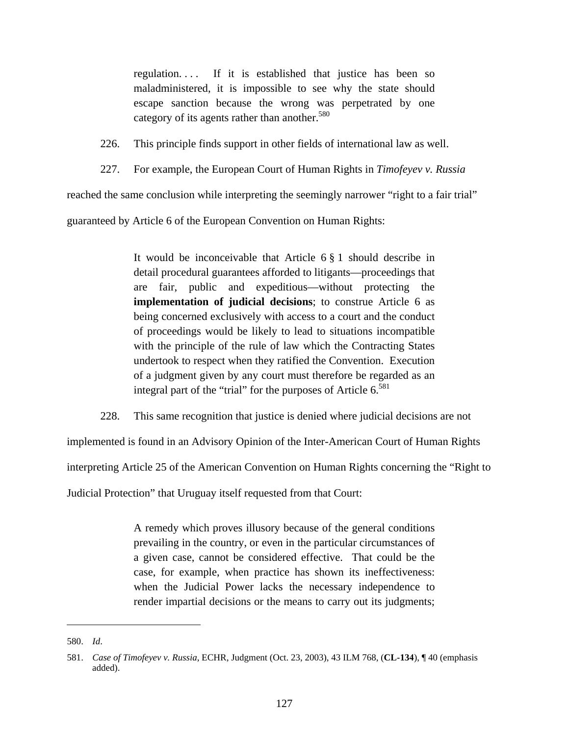regulation. . . . If it is established that justice has been so maladministered, it is impossible to see why the state should escape sanction because the wrong was perpetrated by one category of its agents rather than another.<sup>580</sup>

226. This principle finds support in other fields of international law as well.

227. For example, the European Court of Human Rights in *Timofeyev v. Russia* 

reached the same conclusion while interpreting the seemingly narrower "right to a fair trial"

guaranteed by Article 6 of the European Convention on Human Rights:

It would be inconceivable that Article 6 § 1 should describe in detail procedural guarantees afforded to litigants—proceedings that are fair, public and expeditious—without protecting the **implementation of judicial decisions**; to construe Article 6 as being concerned exclusively with access to a court and the conduct of proceedings would be likely to lead to situations incompatible with the principle of the rule of law which the Contracting States undertook to respect when they ratified the Convention. Execution of a judgment given by any court must therefore be regarded as an integral part of the "trial" for the purposes of Article  $6^{581}$ 

228. This same recognition that justice is denied where judicial decisions are not

implemented is found in an Advisory Opinion of the Inter-American Court of Human Rights

interpreting Article 25 of the American Convention on Human Rights concerning the "Right to

Judicial Protection" that Uruguay itself requested from that Court:

A remedy which proves illusory because of the general conditions prevailing in the country, or even in the particular circumstances of a given case, cannot be considered effective. That could be the case, for example, when practice has shown its ineffectiveness: when the Judicial Power lacks the necessary independence to render impartial decisions or the means to carry out its judgments;

<sup>580.</sup> *Id*.

<sup>581.</sup> *Case of Timofeyev v. Russia*, ECHR, Judgment (Oct. 23, 2003), 43 ILM 768, (**CL-134**), ¶ 40 (emphasis added).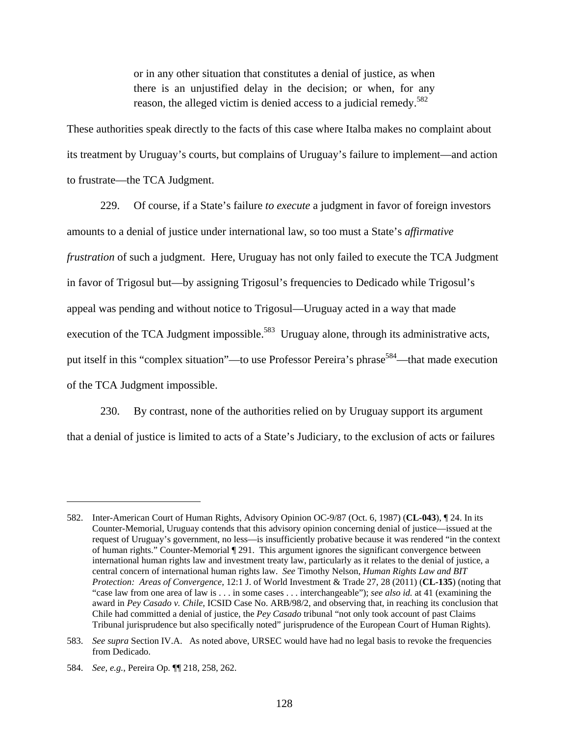or in any other situation that constitutes a denial of justice, as when there is an unjustified delay in the decision; or when, for any reason, the alleged victim is denied access to a judicial remedy.<sup>582</sup>

These authorities speak directly to the facts of this case where Italba makes no complaint about its treatment by Uruguay's courts, but complains of Uruguay's failure to implement—and action to frustrate—the TCA Judgment.

229. Of course, if a State's failure *to execute* a judgment in favor of foreign investors amounts to a denial of justice under international law, so too must a State's *affirmative frustration* of such a judgment. Here, Uruguay has not only failed to execute the TCA Judgment in favor of Trigosul but—by assigning Trigosul's frequencies to Dedicado while Trigosul's appeal was pending and without notice to Trigosul—Uruguay acted in a way that made execution of the TCA Judgment impossible.<sup>583</sup> Uruguay alone, through its administrative acts, put itself in this "complex situation"—to use Professor Pereira's phrase<sup>584</sup>—that made execution of the TCA Judgment impossible.

230. By contrast, none of the authorities relied on by Uruguay support its argument that a denial of justice is limited to acts of a State's Judiciary, to the exclusion of acts or failures

<sup>582.</sup> Inter-American Court of Human Rights, Advisory Opinion OC-9/87 (Oct. 6, 1987) (**CL-043**), ¶ 24. In its Counter-Memorial, Uruguay contends that this advisory opinion concerning denial of justice—issued at the request of Uruguay's government, no less—is insufficiently probative because it was rendered "in the context of human rights." Counter-Memorial ¶ 291. This argument ignores the significant convergence between international human rights law and investment treaty law, particularly as it relates to the denial of justice, a central concern of international human rights law. *See* Timothy Nelson, *Human Rights Law and BIT Protection: Areas of Convergence*, 12:1 J. of World Investment & Trade 27, 28 (2011) (**CL-135**) (noting that "case law from one area of law is . . . in some cases . . . interchangeable"); *see also id.* at 41 (examining the award in *Pey Casado v. Chile*, ICSID Case No. ARB/98/2, and observing that, in reaching its conclusion that Chile had committed a denial of justice, the *Pey Casado* tribunal "not only took account of past Claims Tribunal jurisprudence but also specifically noted" jurisprudence of the European Court of Human Rights).

<sup>583.</sup> *See supra* Section IV.A. As noted above, URSEC would have had no legal basis to revoke the frequencies from Dedicado.

<sup>584.</sup> *See, e.g.*, Pereira Op. ¶¶ 218, 258, 262.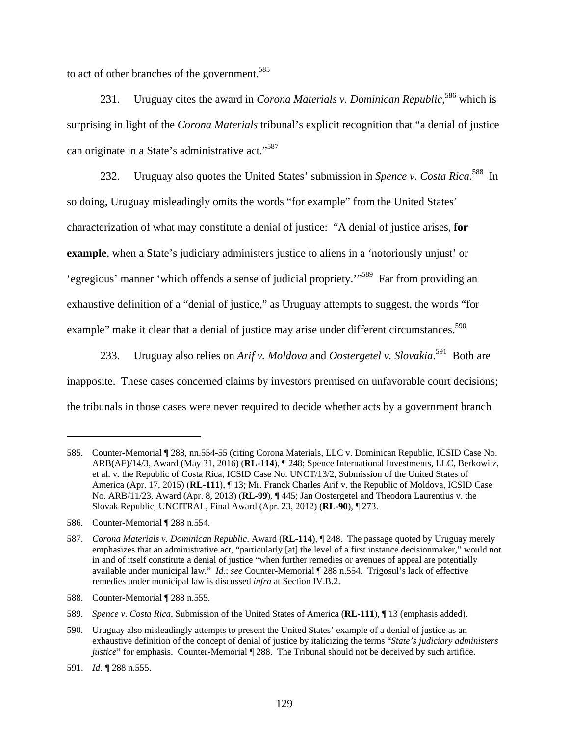to act of other branches of the government.<sup>585</sup>

231. Uruguay cites the award in *Corona Materials v. Dominican Republic*,<sup>586</sup> which is surprising in light of the *Corona Materials* tribunal's explicit recognition that "a denial of justice can originate in a State's administrative act."<sup>587</sup>

232. Uruguay also quotes the United States' submission in *Spence v. Costa Rica*. 588 In so doing, Uruguay misleadingly omits the words "for example" from the United States' characterization of what may constitute a denial of justice: "A denial of justice arises, **for example**, when a State's judiciary administers justice to aliens in a 'notoriously unjust' or 'egregious' manner 'which offends a sense of judicial propriety.'"589 Far from providing an exhaustive definition of a "denial of justice," as Uruguay attempts to suggest, the words "for example" make it clear that a denial of justice may arise under different circumstances.<sup>590</sup>

233. Uruguay also relies on *Arif v. Moldova* and *Oostergetel v. Slovakia*. 591 Both are inapposite. These cases concerned claims by investors premised on unfavorable court decisions; the tribunals in those cases were never required to decide whether acts by a government branch

<sup>585.</sup> Counter-Memorial ¶ 288, nn.554-55 (citing Corona Materials, LLC v. Dominican Republic, ICSID Case No. ARB(AF)/14/3, Award (May 31, 2016) (**RL-114**), ¶ 248; Spence International Investments, LLC, Berkowitz, et al. v. the Republic of Costa Rica, ICSID Case No. UNCT/13/2, Submission of the United States of America (Apr. 17, 2015) (**RL-111**), ¶ 13; Mr. Franck Charles Arif v. the Republic of Moldova, ICSID Case No. ARB/11/23, Award (Apr. 8, 2013) (**RL-99**), ¶ 445; Jan Oostergetel and Theodora Laurentius v. the Slovak Republic, UNCITRAL, Final Award (Apr. 23, 2012) (**RL-90**), ¶ 273.

<sup>586.</sup> Counter-Memorial ¶ 288 n.554.

<sup>587.</sup> *Corona Materials v. Dominican Republic*, Award (**RL-114**), ¶ 248. The passage quoted by Uruguay merely emphasizes that an administrative act, "particularly [at] the level of a first instance decisionmaker," would not in and of itself constitute a denial of justice "when further remedies or avenues of appeal are potentially available under municipal law." *Id.*; *see* Counter-Memorial ¶ 288 n.554. Trigosul's lack of effective remedies under municipal law is discussed *infra* at Section IV.B.2.

<sup>588.</sup> Counter-Memorial ¶ 288 n.555.

<sup>589.</sup> *Spence v. Costa Rica*, Submission of the United States of America (**RL-111**), ¶ 13 (emphasis added).

<sup>590.</sup> Uruguay also misleadingly attempts to present the United States' example of a denial of justice as an exhaustive definition of the concept of denial of justice by italicizing the terms "*State's judiciary administers justice*" for emphasis. Counter-Memorial ¶ 288. The Tribunal should not be deceived by such artifice.

<sup>591.</sup> *Id. ¶* 288 n.555.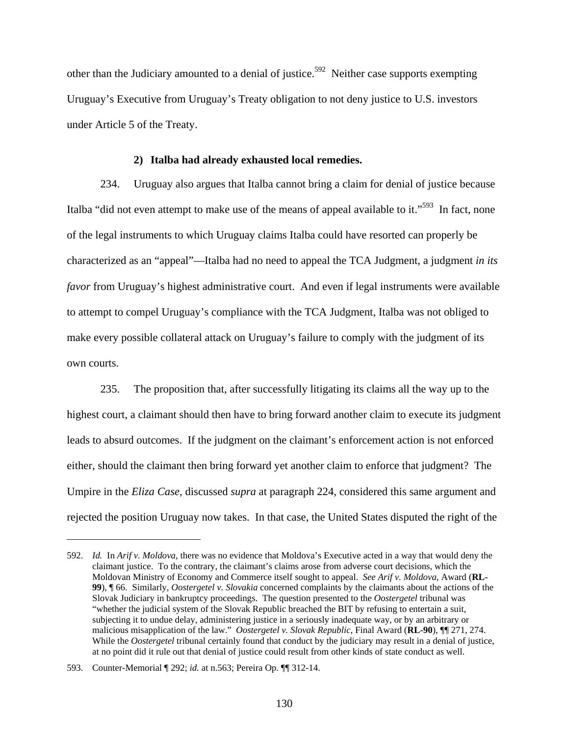other than the Judiciary amounted to a denial of justice.<sup>592</sup> Neither case supports exempting Uruguay's Executive from Uruguay's Treaty obligation to not deny justice to U.S. investors under Article 5 of the Treaty.

#### **2) Italba had already exhausted local remedies.**

234. Uruguay also argues that Italba cannot bring a claim for denial of justice because Italba "did not even attempt to make use of the means of appeal available to it."<sup>593</sup> In fact, none of the legal instruments to which Uruguay claims Italba could have resorted can properly be characterized as an "appeal"—Italba had no need to appeal the TCA Judgment, a judgment *in its favor* from Uruguay's highest administrative court. And even if legal instruments were available to attempt to compel Uruguay's compliance with the TCA Judgment, Italba was not obliged to make every possible collateral attack on Uruguay's failure to comply with the judgment of its own courts.

235. The proposition that, after successfully litigating its claims all the way up to the highest court, a claimant should then have to bring forward another claim to execute its judgment leads to absurd outcomes. If the judgment on the claimant's enforcement action is not enforced either, should the claimant then bring forward yet another claim to enforce that judgment? The Umpire in the *Eliza Case*, discussed *supra* at paragraph 224, considered this same argument and rejected the position Uruguay now takes. In that case, the United States disputed the right of the

1

<sup>592.</sup> *Id.* In *Arif v. Moldova*, there was no evidence that Moldova's Executive acted in a way that would deny the claimant justice. To the contrary, the claimant's claims arose from adverse court decisions, which the Moldovan Ministry of Economy and Commerce itself sought to appeal. *See Arif v. Moldova*, Award (**RL-99**), ¶ 66. Similarly, *Oostergetel v. Slovakia* concerned complaints by the claimants about the actions of the Slovak Judiciary in bankruptcy proceedings. The question presented to the *Oostergetel* tribunal was "whether the judicial system of the Slovak Republic breached the BIT by refusing to entertain a suit, subjecting it to undue delay, administering justice in a seriously inadequate way, or by an arbitrary or malicious misapplication of the law." *Oostergetel v. Slovak Republic*, Final Award (**RL-90**), ¶¶ 271, 274. While the *Oostergetel* tribunal certainly found that conduct by the judiciary may result in a denial of justice, at no point did it rule out that denial of justice could result from other kinds of state conduct as well.

<sup>593.</sup> Counter-Memorial ¶ 292; *id.* at n.563; Pereira Op. ¶¶ 312-14.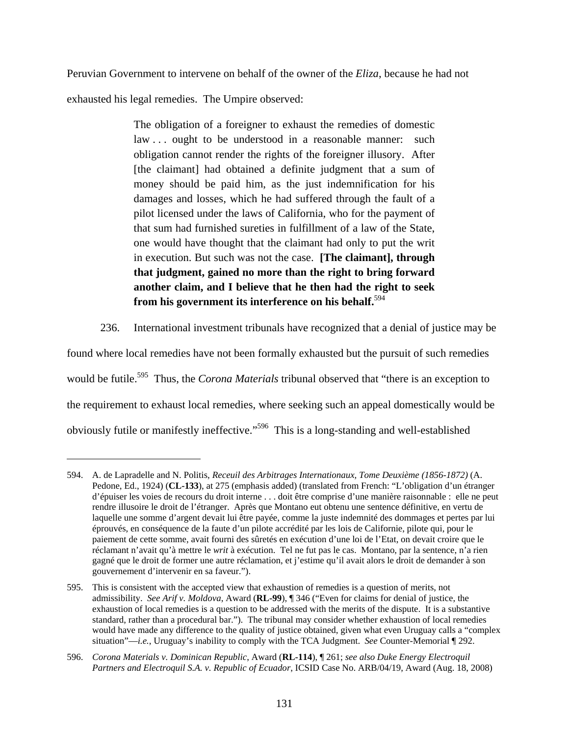Peruvian Government to intervene on behalf of the owner of the *Eliza*, because he had not

exhausted his legal remedies. The Umpire observed:

1

The obligation of a foreigner to exhaust the remedies of domestic law ... ought to be understood in a reasonable manner: such obligation cannot render the rights of the foreigner illusory. After [the claimant] had obtained a definite judgment that a sum of money should be paid him, as the just indemnification for his damages and losses, which he had suffered through the fault of a pilot licensed under the laws of California, who for the payment of that sum had furnished sureties in fulfillment of a law of the State, one would have thought that the claimant had only to put the writ in execution. But such was not the case. **[The claimant], through that judgment, gained no more than the right to bring forward another claim, and I believe that he then had the right to seek from his government its interference on his behalf.**<sup>594</sup>

236. International investment tribunals have recognized that a denial of justice may be

found where local remedies have not been formally exhausted but the pursuit of such remedies would be futile.<sup>595</sup> Thus, the *Corona Materials* tribunal observed that "there is an exception to the requirement to exhaust local remedies, where seeking such an appeal domestically would be obviously futile or manifestly ineffective."596 This is a long-standing and well-established

<sup>594.</sup> A. de Lapradelle and N. Politis, *Receuil des Arbitrages Internationaux, Tome Deuxième (1856-1872)* (A. Pedone, Ed., 1924) (**CL-133**), at 275 (emphasis added) (translated from French: "L'obligation d'un étranger d'épuiser les voies de recours du droit interne . . . doit être comprise d'une manière raisonnable : elle ne peut rendre illusoire le droit de l'étranger. Après que Montano eut obtenu une sentence définitive, en vertu de laquelle une somme d'argent devait lui être payée, comme la juste indemnité des dommages et pertes par lui éprouvés, en conséquence de la faute d'un pilote accrédité par les lois de Californie, pilote qui, pour le paiement de cette somme, avait fourni des sûretés en exécution d'une loi de l'Etat, on devait croire que le réclamant n'avait qu'à mettre le *writ* à exécution. Tel ne fut pas le cas. Montano, par la sentence, n'a rien gagné que le droit de former une autre réclamation, et j'estime qu'il avait alors le droit de demander à son gouvernement d'intervenir en sa faveur.").

<sup>595.</sup> This is consistent with the accepted view that exhaustion of remedies is a question of merits, not admissibility. *See Arif v. Moldova*, Award (**RL-99**), ¶ 346 ("Even for claims for denial of justice, the exhaustion of local remedies is a question to be addressed with the merits of the dispute. It is a substantive standard, rather than a procedural bar."). The tribunal may consider whether exhaustion of local remedies would have made any difference to the quality of justice obtained, given what even Uruguay calls a "complex situation"—*i.e.*, Uruguay's inability to comply with the TCA Judgment. *See* Counter-Memorial ¶ 292.

<sup>596.</sup> *Corona Materials v. Dominican Republic*, Award (**RL-114**), ¶ 261; *see also Duke Energy Electroquil Partners and Electroquil S.A. v. Republic of Ecuador*, ICSID Case No. ARB/04/19, Award (Aug. 18, 2008)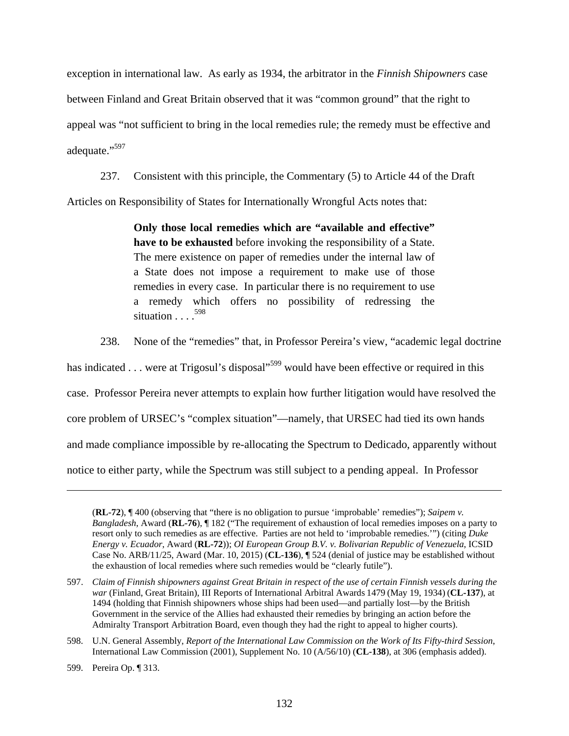exception in international law. As early as 1934, the arbitrator in the *Finnish Shipowners* case between Finland and Great Britain observed that it was "common ground" that the right to appeal was "not sufficient to bring in the local remedies rule; the remedy must be effective and adequate."<sup>597</sup>

237. Consistent with this principle, the Commentary (5) to Article 44 of the Draft Articles on Responsibility of States for Internationally Wrongful Acts notes that:

> **Only those local remedies which are "available and effective" have to be exhausted** before invoking the responsibility of a State. The mere existence on paper of remedies under the internal law of a State does not impose a requirement to make use of those remedies in every case. In particular there is no requirement to use a remedy which offers no possibility of redressing the situation . . . . <sup>598</sup>

238. None of the "remedies" that, in Professor Pereira's view, "academic legal doctrine has indicated . . . were at Trigosul's disposal"<sup>599</sup> would have been effective or required in this case. Professor Pereira never attempts to explain how further litigation would have resolved the core problem of URSEC's "complex situation"—namely, that URSEC had tied its own hands and made compliance impossible by re-allocating the Spectrum to Dedicado, apparently without notice to either party, while the Spectrum was still subject to a pending appeal. In Professor

598. U.N. General Assembly, *Report of the International Law Commission on the Work of Its Fifty-third Session*, International Law Commission (2001), Supplement No. 10 (A/56/10) (**CL-138**), at 306 (emphasis added).

<sup>(</sup>**RL-72**), ¶ 400 (observing that "there is no obligation to pursue 'improbable' remedies"); *Saipem v. Bangladesh*, Award (**RL-76**),  $\P$  182 ("The requirement of exhaustion of local remedies imposes on a party to resort only to such remedies as are effective. Parties are not held to 'improbable remedies.'") (citing *Duke Energy v. Ecuador*, Award (**RL-72**)); *OI European Group B.V. v. Bolivarian Republic of Venezuela*, ICSID Case No. ARB/11/25, Award (Mar. 10, 2015) (**CL-136**), ¶ 524 (denial of justice may be established without the exhaustion of local remedies where such remedies would be "clearly futile").

<sup>597.</sup> *Claim of Finnish shipowners against Great Britain in respect of the use of certain Finnish vessels during the war* (Finland, Great Britain), III Reports of International Arbitral Awards 1479 (May 19, 1934) (**CL-137**), at 1494 (holding that Finnish shipowners whose ships had been used—and partially lost—by the British Government in the service of the Allies had exhausted their remedies by bringing an action before the Admiralty Transport Arbitration Board, even though they had the right to appeal to higher courts).

<sup>599.</sup> Pereira Op. ¶ 313.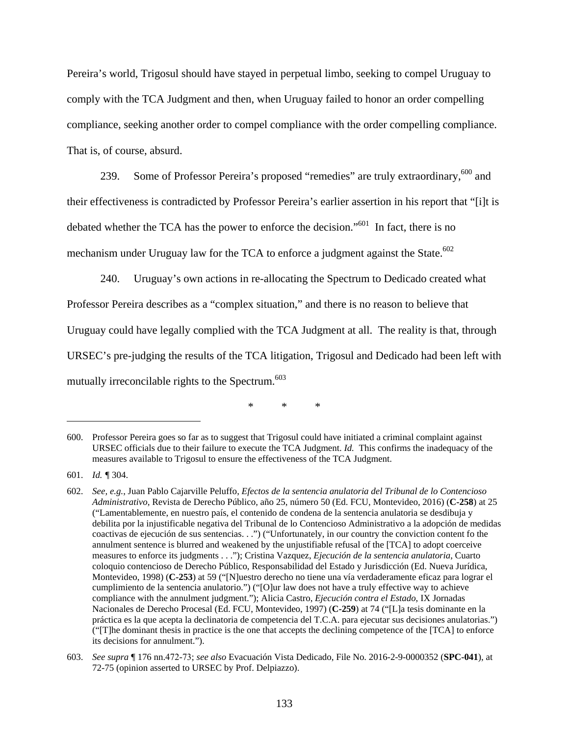Pereira's world, Trigosul should have stayed in perpetual limbo, seeking to compel Uruguay to comply with the TCA Judgment and then, when Uruguay failed to honor an order compelling compliance, seeking another order to compel compliance with the order compelling compliance. That is, of course, absurd.

239. Some of Professor Pereira's proposed "remedies" are truly extraordinary,<sup>600</sup> and their effectiveness is contradicted by Professor Pereira's earlier assertion in his report that "[i]t is debated whether the TCA has the power to enforce the decision."<sup>601</sup> In fact, there is no mechanism under Uruguay law for the TCA to enforce a judgment against the State.<sup>602</sup>

240. Uruguay's own actions in re-allocating the Spectrum to Dedicado created what Professor Pereira describes as a "complex situation," and there is no reason to believe that Uruguay could have legally complied with the TCA Judgment at all. The reality is that, through URSEC's pre-judging the results of the TCA litigation, Trigosul and Dedicado had been left with mutually irreconcilable rights to the Spectrum. $603$ 

\* \* \*

<sup>600.</sup> Professor Pereira goes so far as to suggest that Trigosul could have initiated a criminal complaint against URSEC officials due to their failure to execute the TCA Judgment. *Id.* This confirms the inadequacy of the measures available to Trigosul to ensure the effectiveness of the TCA Judgment.

<sup>601.</sup> *Id. ¶* 304.

<sup>602.</sup> *See, e.g.*, Juan Pablo Cajarville Peluffo, *Efectos de la sentencia anulatoria del Tribunal de lo Contencioso Administrativo*, Revista de Derecho Público, año 25, número 50 (Ed. FCU, Montevideo, 2016) (**C-258**) at 25 ("Lamentablemente, en nuestro país, el contenido de condena de la sentencia anulatoria se desdibuja y debilita por la injustificable negativa del Tribunal de lo Contencioso Administrativo a la adopción de medidas coactivas de ejecución de sus sentencias. . .") ("Unfortunately, in our country the conviction content fo the annulment sentence is blurred and weakened by the unjustifiable refusal of the [TCA] to adopt coerceive measures to enforce its judgments . . ."); Cristina Vazquez, *Ejecución de la sentencia anulatoria*, Cuarto coloquio contencioso de Derecho Público, Responsabilidad del Estado y Jurisdicción (Ed. Nueva Jurídica, Montevideo, 1998) (**C-253**) at 59 ("[N]uestro derecho no tiene una vía verdaderamente eficaz para lograr el cumplimiento de la sentencia anulatorio.") ("[O]ur law does not have a truly effective way to achieve compliance with the annulment judgment."); Alicia Castro, *Ejecución contra el Estado*, IX Jornadas Nacionales de Derecho Procesal (Ed. FCU, Montevideo, 1997) (**C-259**) at 74 ("[L]a tesis dominante en la práctica es la que acepta la declinatoria de competencia del T.C.A. para ejecutar sus decisiones anulatorias.") ("[T]he dominant thesis in practice is the one that accepts the declining competence of the [TCA] to enforce its decisions for annulment.").

<sup>603.</sup> *See supra* ¶ 176 nn.472-73; *see also* Evacuación Vista Dedicado, File No. 2016-2-9-0000352 (**SPC-041**), at 72-75 (opinion asserted to URSEC by Prof. Delpiazzo).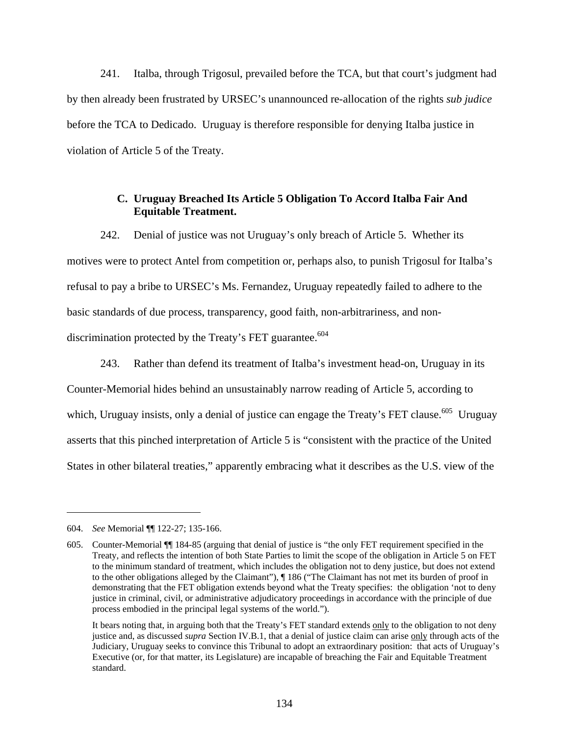241. Italba, through Trigosul, prevailed before the TCA, but that court's judgment had by then already been frustrated by URSEC's unannounced re-allocation of the rights *sub judice* before the TCA to Dedicado. Uruguay is therefore responsible for denying Italba justice in violation of Article 5 of the Treaty.

### **C. Uruguay Breached Its Article 5 Obligation To Accord Italba Fair And Equitable Treatment.**

242. Denial of justice was not Uruguay's only breach of Article 5. Whether its motives were to protect Antel from competition or, perhaps also, to punish Trigosul for Italba's refusal to pay a bribe to URSEC's Ms. Fernandez, Uruguay repeatedly failed to adhere to the basic standards of due process, transparency, good faith, non-arbitrariness, and nondiscrimination protected by the Treaty's FET guarantee.<sup>604</sup>

243. Rather than defend its treatment of Italba's investment head-on, Uruguay in its Counter-Memorial hides behind an unsustainably narrow reading of Article 5, according to which, Uruguay insists, only a denial of justice can engage the Treaty's FET clause.<sup>605</sup> Uruguay asserts that this pinched interpretation of Article 5 is "consistent with the practice of the United States in other bilateral treaties," apparently embracing what it describes as the U.S. view of the

<sup>604.</sup> *See* Memorial ¶¶ 122-27; 135-166.

<sup>605.</sup> Counter-Memorial ¶¶ 184-85 (arguing that denial of justice is "the only FET requirement specified in the Treaty, and reflects the intention of both State Parties to limit the scope of the obligation in Article 5 on FET to the minimum standard of treatment, which includes the obligation not to deny justice, but does not extend to the other obligations alleged by the Claimant"), ¶ 186 ("The Claimant has not met its burden of proof in demonstrating that the FET obligation extends beyond what the Treaty specifies: the obligation 'not to deny justice in criminal, civil, or administrative adjudicatory proceedings in accordance with the principle of due process embodied in the principal legal systems of the world.").

It bears noting that, in arguing both that the Treaty's FET standard extends only to the obligation to not deny justice and, as discussed *supra* Section IV.B.1, that a denial of justice claim can arise only through acts of the Judiciary, Uruguay seeks to convince this Tribunal to adopt an extraordinary position: that acts of Uruguay's Executive (or, for that matter, its Legislature) are incapable of breaching the Fair and Equitable Treatment standard.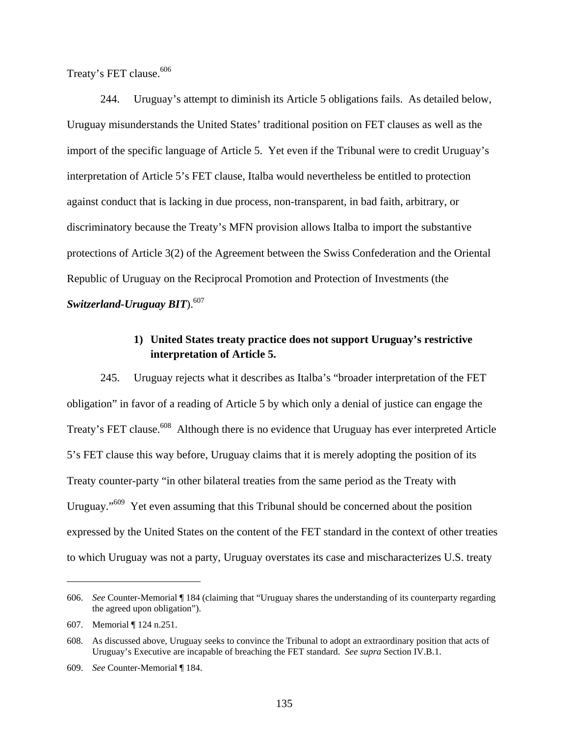Treaty's FET clause.<sup>606</sup>

244. Uruguay's attempt to diminish its Article 5 obligations fails. As detailed below, Uruguay misunderstands the United States' traditional position on FET clauses as well as the import of the specific language of Article 5. Yet even if the Tribunal were to credit Uruguay's interpretation of Article 5's FET clause, Italba would nevertheless be entitled to protection against conduct that is lacking in due process, non-transparent, in bad faith, arbitrary, or discriminatory because the Treaty's MFN provision allows Italba to import the substantive protections of Article 3(2) of the Agreement between the Swiss Confederation and the Oriental Republic of Uruguay on the Reciprocal Promotion and Protection of Investments (the *Switzerland-Uruguay BIT*).<sup>607</sup>

# **1) United States treaty practice does not support Uruguay's restrictive interpretation of Article 5.**

245. Uruguay rejects what it describes as Italba's "broader interpretation of the FET obligation" in favor of a reading of Article 5 by which only a denial of justice can engage the Treaty's FET clause.<sup>608</sup> Although there is no evidence that Uruguay has ever interpreted Article 5's FET clause this way before, Uruguay claims that it is merely adopting the position of its Treaty counter-party "in other bilateral treaties from the same period as the Treaty with Uruguay."<sup>609</sup> Yet even assuming that this Tribunal should be concerned about the position expressed by the United States on the content of the FET standard in the context of other treaties to which Uruguay was not a party, Uruguay overstates its case and mischaracterizes U.S. treaty

<sup>606.</sup> *See* Counter-Memorial ¶ 184 (claiming that "Uruguay shares the understanding of its counterparty regarding the agreed upon obligation").

<sup>607.</sup> Memorial ¶ 124 n.251.

<sup>608.</sup> As discussed above, Uruguay seeks to convince the Tribunal to adopt an extraordinary position that acts of Uruguay's Executive are incapable of breaching the FET standard. *See supra* Section IV.B.1.

<sup>609.</sup> *See* Counter-Memorial ¶ 184.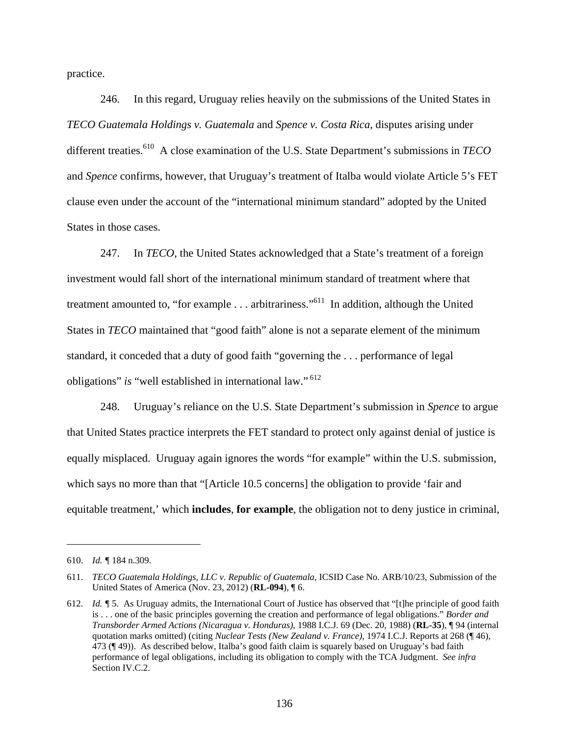practice.

246. In this regard, Uruguay relies heavily on the submissions of the United States in *TECO Guatemala Holdings v. Guatemala* and *Spence v. Costa Rica*, disputes arising under different treaties.<sup>610</sup> A close examination of the U.S. State Department's submissions in *TECO* and *Spence* confirms, however, that Uruguay's treatment of Italba would violate Article 5's FET clause even under the account of the "international minimum standard" adopted by the United States in those cases.

247. In *TECO*, the United States acknowledged that a State's treatment of a foreign investment would fall short of the international minimum standard of treatment where that treatment amounted to, "for example . . . arbitrariness."611 In addition, although the United States in *TECO* maintained that "good faith" alone is not a separate element of the minimum standard, it conceded that a duty of good faith "governing the . . . performance of legal obligations" *is* "well established in international law." 612

248. Uruguay's reliance on the U.S. State Department's submission in *Spence* to argue that United States practice interprets the FET standard to protect only against denial of justice is equally misplaced. Uruguay again ignores the words "for example" within the U.S. submission, which says no more than that "[Article 10.5 concerns] the obligation to provide 'fair and equitable treatment,' which **includes**, **for example**, the obligation not to deny justice in criminal,

<sup>610.</sup> *Id. ¶* 184 n.309.

<sup>611.</sup> *TECO Guatemala Holdings, LLC v. Republic of Guatemala*, ICSID Case No. ARB/10/23, Submission of the United States of America (Nov. 23, 2012) (**RL-094**), ¶ 6.

<sup>612.</sup> *Id. ¶* 5. As Uruguay admits, the International Court of Justice has observed that "[t]he principle of good faith is . . . one of the basic principles governing the creation and performance of legal obligations." *Border and Transborder Armed Actions (Nicaragua v. Honduras)*, 1988 I.C.J. 69 (Dec. 20, 1988) (**RL-35**), ¶ 94 (internal quotation marks omitted) (citing *Nuclear Tests (New Zealand v. France)*, 1974 I.C.J. Reports at 268 (¶ 46), 473 (¶ 49)). As described below, Italba's good faith claim is squarely based on Uruguay's bad faith performance of legal obligations, including its obligation to comply with the TCA Judgment. *See infra*  Section IV.C.2.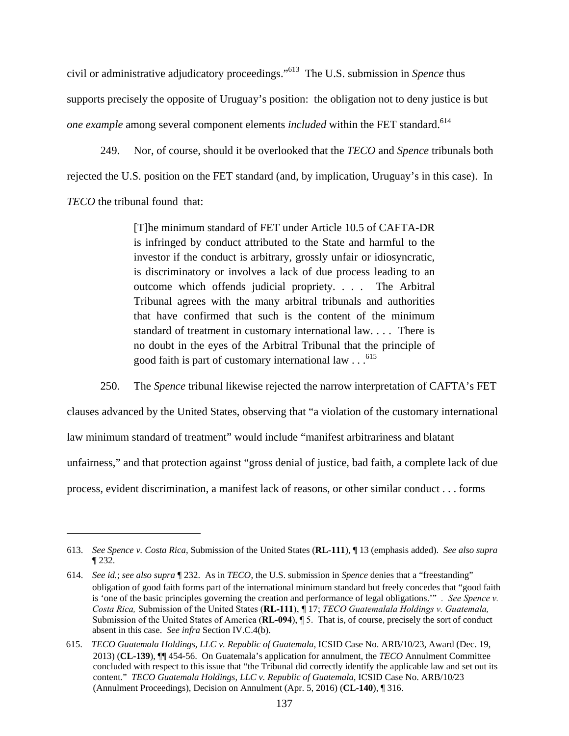civil or administrative adjudicatory proceedings."613 The U.S. submission in *Spence* thus supports precisely the opposite of Uruguay's position: the obligation not to deny justice is but *one example* among several component elements *included* within the FET standard.<sup>614</sup>

249. Nor, of course, should it be overlooked that the *TECO* and *Spence* tribunals both rejected the U.S. position on the FET standard (and, by implication, Uruguay's in this case). In *TECO* the tribunal found that:

> [T]he minimum standard of FET under Article 10.5 of CAFTA-DR is infringed by conduct attributed to the State and harmful to the investor if the conduct is arbitrary, grossly unfair or idiosyncratic, is discriminatory or involves a lack of due process leading to an outcome which offends judicial propriety. . . . The Arbitral Tribunal agrees with the many arbitral tribunals and authorities that have confirmed that such is the content of the minimum standard of treatment in customary international law. . . . There is no doubt in the eyes of the Arbitral Tribunal that the principle of good faith is part of customary international law  $\ldots$ <sup>615</sup>

250. The *Spence* tribunal likewise rejected the narrow interpretation of CAFTA's FET clauses advanced by the United States, observing that "a violation of the customary international law minimum standard of treatment" would include "manifest arbitrariness and blatant unfairness," and that protection against "gross denial of justice, bad faith, a complete lack of due process, evident discrimination, a manifest lack of reasons, or other similar conduct . . . forms

<sup>613.</sup> *See Spence v. Costa Rica*, Submission of the United States (**RL-111**), ¶ 13 (emphasis added). *See also supra* ¶ 232.

<sup>614.</sup> *See id.*; *see also supra* ¶ 232. As in *TECO*, the U.S. submission in *Spence* denies that a "freestanding" obligation of good faith forms part of the international minimum standard but freely concedes that "good faith is 'one of the basic principles governing the creation and performance of legal obligations.'" *. See Spence v. Costa Rica,* Submission of the United States (**RL-111**), *¶* 17; *TECO Guatemalala Holdings v. Guatemala,*  Submission of the United States of America (**RL-094**), ¶ 5. That is, of course, precisely the sort of conduct absent in this case. *See infra* Section IV.C.4(b).

<sup>615.</sup> *TECO Guatemala Holdings, LLC v. Republic of Guatemala*, ICSID Case No. ARB/10/23, Award (Dec. 19, 2013) (**CL-139**), ¶¶ 454-56. On Guatemala's application for annulment, the *TECO* Annulment Committee concluded with respect to this issue that "the Tribunal did correctly identify the applicable law and set out its content." *TECO Guatemala Holdings, LLC v. Republic of Guatemala*, ICSID Case No. ARB/10/23 (Annulment Proceedings), Decision on Annulment (Apr. 5, 2016) (**CL-140**), ¶ 316.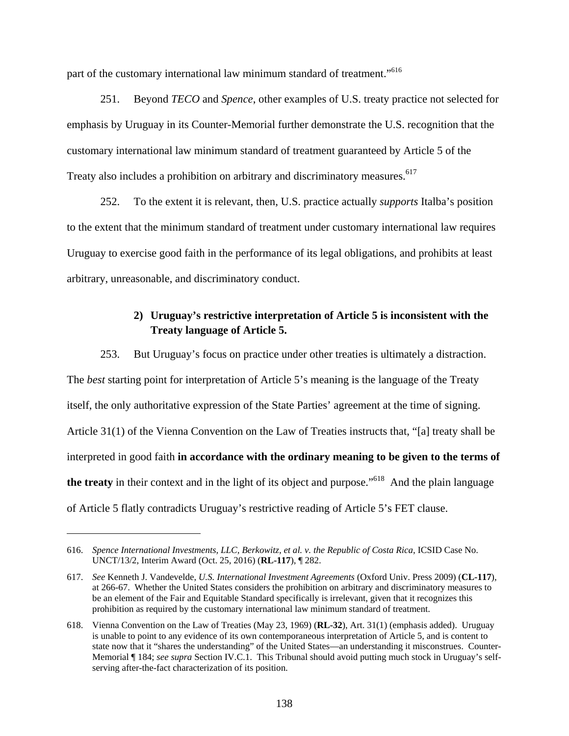part of the customary international law minimum standard of treatment."<sup>616</sup>

251. Beyond *TECO* and *Spence*, other examples of U.S. treaty practice not selected for emphasis by Uruguay in its Counter-Memorial further demonstrate the U.S. recognition that the customary international law minimum standard of treatment guaranteed by Article 5 of the Treaty also includes a prohibition on arbitrary and discriminatory measures.<sup>617</sup>

252. To the extent it is relevant, then, U.S. practice actually *supports* Italba's position to the extent that the minimum standard of treatment under customary international law requires Uruguay to exercise good faith in the performance of its legal obligations, and prohibits at least arbitrary, unreasonable, and discriminatory conduct.

# **2) Uruguay's restrictive interpretation of Article 5 is inconsistent with the Treaty language of Article 5.**

253. But Uruguay's focus on practice under other treaties is ultimately a distraction. The *best* starting point for interpretation of Article 5's meaning is the language of the Treaty itself, the only authoritative expression of the State Parties' agreement at the time of signing. Article 31(1) of the Vienna Convention on the Law of Treaties instructs that, "[a] treaty shall be interpreted in good faith **in accordance with the ordinary meaning to be given to the terms of**  the treaty in their context and in the light of its object and purpose."<sup>618</sup> And the plain language of Article 5 flatly contradicts Uruguay's restrictive reading of Article 5's FET clause.

<sup>616.</sup> *Spence International Investments, LLC, Berkowitz, et al. v. the Republic of Costa Rica*, ICSID Case No. UNCT/13/2, Interim Award (Oct. 25, 2016) (**RL-117**), ¶ 282.

<sup>617.</sup> *See* Kenneth J. Vandevelde, *U.S. International Investment Agreements* (Oxford Univ. Press 2009) (**CL-117**), at 266-67. Whether the United States considers the prohibition on arbitrary and discriminatory measures to be an element of the Fair and Equitable Standard specifically is irrelevant, given that it recognizes this prohibition as required by the customary international law minimum standard of treatment.

<sup>618.</sup> Vienna Convention on the Law of Treaties (May 23, 1969) (**RL-32**), Art. 31(1) (emphasis added). Uruguay is unable to point to any evidence of its own contemporaneous interpretation of Article 5, and is content to state now that it "shares the understanding" of the United States—an understanding it misconstrues. Counter-Memorial ¶ 184; *see supra* Section IV.C.1. This Tribunal should avoid putting much stock in Uruguay's selfserving after-the-fact characterization of its position.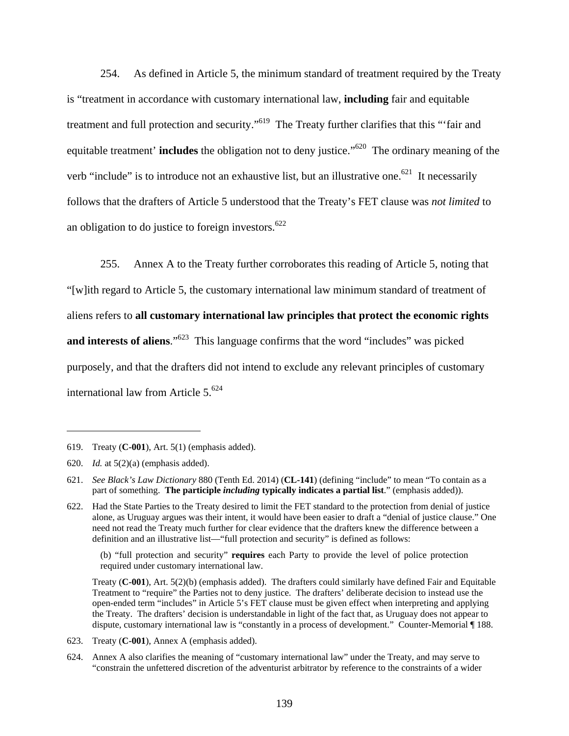254. As defined in Article 5, the minimum standard of treatment required by the Treaty is "treatment in accordance with customary international law, **including** fair and equitable treatment and full protection and security."619 The Treaty further clarifies that this "'fair and equitable treatment' **includes** the obligation not to deny justice."<sup>620</sup> The ordinary meaning of the verb "include" is to introduce not an exhaustive list, but an illustrative one.<sup>621</sup> It necessarily follows that the drafters of Article 5 understood that the Treaty's FET clause was *not limited* to an obligation to do justice to foreign investors. $622$ 

255. Annex A to the Treaty further corroborates this reading of Article 5, noting that "[w]ith regard to Article 5, the customary international law minimum standard of treatment of aliens refers to **all customary international law principles that protect the economic rights**  and interests of aliens."<sup>623</sup> This language confirms that the word "includes" was picked purposely, and that the drafters did not intend to exclude any relevant principles of customary international law from Article  $5^{624}$ 

(b) "full protection and security" **requires** each Party to provide the level of police protection required under customary international law.

 Treaty (**C-001**), Art. 5(2)(b) (emphasis added). The drafters could similarly have defined Fair and Equitable Treatment to "require" the Parties not to deny justice. The drafters' deliberate decision to instead use the open-ended term "includes" in Article 5's FET clause must be given effect when interpreting and applying the Treaty. The drafters' decision is understandable in light of the fact that, as Uruguay does not appear to dispute, customary international law is "constantly in a process of development." Counter-Memorial ¶ 188.

- 623. Treaty (**C-001**), Annex A (emphasis added).
- 624. Annex A also clarifies the meaning of "customary international law" under the Treaty, and may serve to "constrain the unfettered discretion of the adventurist arbitrator by reference to the constraints of a wider

<sup>619.</sup> Treaty (**C-001**), Art. 5(1) (emphasis added).

<sup>620.</sup> *Id.* at 5(2)(a) (emphasis added).

<sup>621.</sup> *See Black's Law Dictionary* 880 (Tenth Ed. 2014) (**CL-141**) (defining "include" to mean "To contain as a part of something. **The participle** *including* **typically indicates a partial list**." (emphasis added)).

<sup>622.</sup> Had the State Parties to the Treaty desired to limit the FET standard to the protection from denial of justice alone, as Uruguay argues was their intent, it would have been easier to draft a "denial of justice clause." One need not read the Treaty much further for clear evidence that the drafters knew the difference between a definition and an illustrative list—"full protection and security" is defined as follows: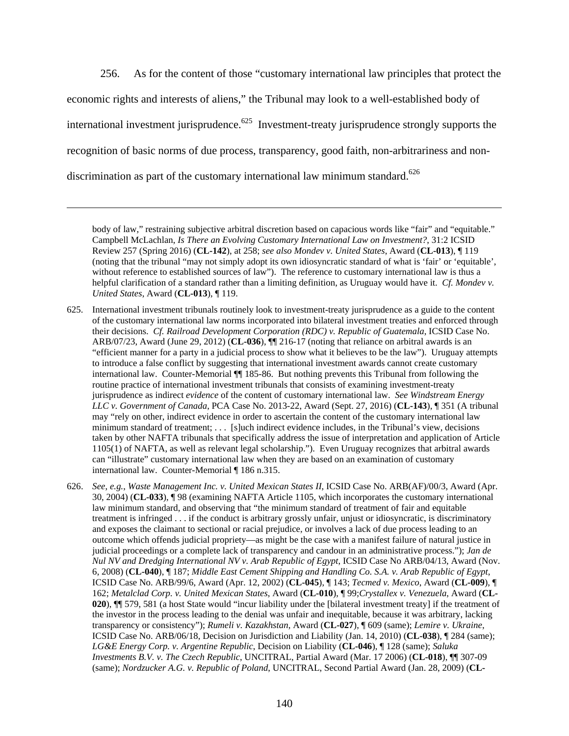256. As for the content of those "customary international law principles that protect the economic rights and interests of aliens," the Tribunal may look to a well-established body of international investment jurisprudence.<sup>625</sup> Investment-treaty jurisprudence strongly supports the recognition of basic norms of due process, transparency, good faith, non-arbitrariness and nondiscrimination as part of the customary international law minimum standard.<sup>626</sup>

body of law," restraining subjective arbitral discretion based on capacious words like "fair" and "equitable." Campbell McLachlan, *Is There an Evolving Customary International Law on Investment?*, 31:2 ICSID Review 257 (Spring 2016) (**CL-142**), at 258; *see also Mondev v. United States*, Award (**CL-013**), ¶ 119 (noting that the tribunal "may not simply adopt its own idiosyncratic standard of what is 'fair' or 'equitable', without reference to established sources of law"). The reference to customary international law is thus a helpful clarification of a standard rather than a limiting definition, as Uruguay would have it. *Cf. Mondev v. United States*, Award (**CL-013**), ¶ 119.

<sup>625.</sup> International investment tribunals routinely look to investment-treaty jurisprudence as a guide to the content of the customary international law norms incorporated into bilateral investment treaties and enforced through their decisions. *Cf. Railroad Development Corporation (RDC) v. Republic of Guatemala*, ICSID Case No. ARB/07/23, Award (June 29, 2012) (**CL-036**), ¶¶ 216-17 (noting that reliance on arbitral awards is an "efficient manner for a party in a judicial process to show what it believes to be the law"). Uruguay attempts to introduce a false conflict by suggesting that international investment awards cannot create customary international law. Counter-Memorial ¶¶ 185-86. But nothing prevents this Tribunal from following the routine practice of international investment tribunals that consists of examining investment-treaty jurisprudence as indirect *evidence* of the content of customary international law. *See Windstream Energy LLC v. Government of Canada*, PCA Case No. 2013-22, Award (Sept. 27, 2016) (**CL-143**), ¶ 351 (A tribunal may "rely on other, indirect evidence in order to ascertain the content of the customary international law minimum standard of treatment; . . . [s]uch indirect evidence includes, in the Tribunal's view, decisions taken by other NAFTA tribunals that specifically address the issue of interpretation and application of Article 1105(1) of NAFTA, as well as relevant legal scholarship."). Even Uruguay recognizes that arbitral awards can "illustrate" customary international law when they are based on an examination of customary international law. Counter-Memorial ¶ 186 n.315.

<sup>626.</sup> *See*, *e.g.*, *Waste Management Inc. v. United Mexican States II*, ICSID Case No. ARB(AF)/00/3, Award (Apr. 30, 2004) (**CL-033**), ¶ 98 (examining NAFTA Article 1105, which incorporates the customary international law minimum standard, and observing that "the minimum standard of treatment of fair and equitable treatment is infringed . . . if the conduct is arbitrary grossly unfair, unjust or idiosyncratic, is discriminatory and exposes the claimant to sectional or racial prejudice, or involves a lack of due process leading to an outcome which offends judicial propriety—as might be the case with a manifest failure of natural justice in judicial proceedings or a complete lack of transparency and candour in an administrative process."); *Jan de Nul NV and Dredging International NV v. Arab Republic of Egypt*, ICSID Case No ARB/04/13, Award (Nov. 6, 2008) (**CL-040**), ¶ 187; *Middle East Cement Shipping and Handling Co. S.A. v. Arab Republic of Egypt*, ICSID Case No. ARB/99/6, Award (Apr. 12, 2002) (**CL-045**), ¶ 143; *Tecmed v. Mexico*, Award (**CL-009**), ¶ 162; *Metalclad Corp. v. United Mexican States*, Award (**CL-010**), ¶ 99;*Crystallex v. Venezuela*, Award (**CL-020**), ¶¶ 579, 581 (a host State would "incur liability under the [bilateral investment treaty] if the treatment of the investor in the process leading to the denial was unfair and inequitable, because it was arbitrary, lacking transparency or consistency"); *Rumeli v. Kazakhstan*, Award (**CL-027**), ¶ 609 (same); *Lemire v. Ukraine*, ICSID Case No. ARB/06/18, Decision on Jurisdiction and Liability (Jan. 14, 2010) (**CL-038**), ¶ 284 (same); *LG&E Energy Corp. v. Argentine Republic*, Decision on Liability (**CL-046**), ¶ 128 (same); *Saluka Investments B.V. v. The Czech Republic*, UNCITRAL, Partial Award (Mar. 17 2006) (**CL-018**), ¶¶ 307-09 (same); *Nordzucker A.G. v. Republic of Poland*, UNCITRAL, Second Partial Award (Jan. 28, 2009) (**CL-**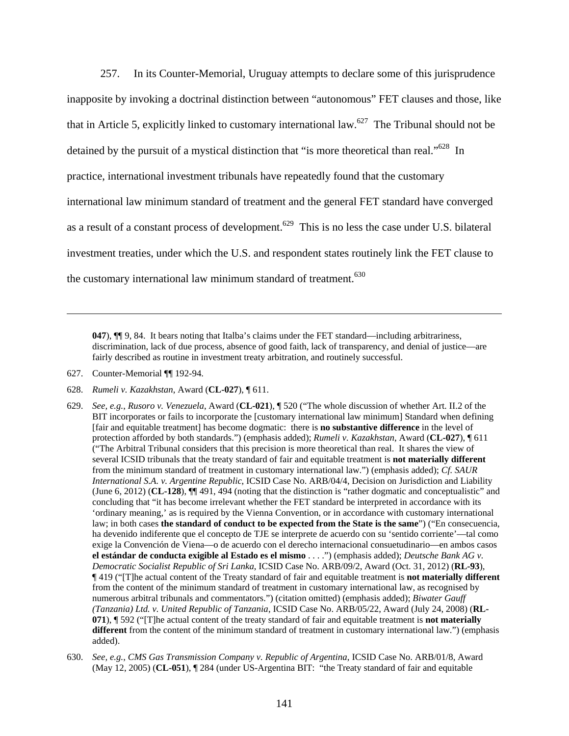257. In its Counter-Memorial, Uruguay attempts to declare some of this jurisprudence inapposite by invoking a doctrinal distinction between "autonomous" FET clauses and those, like that in Article 5, explicitly linked to customary international law.<sup>627</sup> The Tribunal should not be detained by the pursuit of a mystical distinction that "is more theoretical than real."<sup>628</sup> In practice, international investment tribunals have repeatedly found that the customary international law minimum standard of treatment and the general FET standard have converged as a result of a constant process of development.<sup>629</sup> This is no less the case under U.S. bilateral investment treaties, under which the U.S. and respondent states routinely link the FET clause to the customary international law minimum standard of treatment. $630$ 

**047**),  $\P$  9, 84. It bears noting that Italba's claims under the FET standard—including arbitrariness, discrimination, lack of due process, absence of good faith, lack of transparency, and denial of justice—are fairly described as routine in investment treaty arbitration, and routinely successful.

627. Counter-Memorial ¶¶ 192-94.

- 628. *Rumeli v. Kazakhstan*, Award (**CL-027**), ¶ 611.
- 629. *See, e.g.*, *Rusoro v. Venezuela*, Award (**CL-021**), ¶ 520 ("The whole discussion of whether Art. II.2 of the BIT incorporates or fails to incorporate the [customary international law minimum] Standard when defining [fair and equitable treatment] has become dogmatic: there is **no substantive difference** in the level of protection afforded by both standards.") (emphasis added); *Rumeli v. Kazakhstan*, Award (**CL-027**), ¶ 611 ("The Arbitral Tribunal considers that this precision is more theoretical than real. It shares the view of several ICSID tribunals that the treaty standard of fair and equitable treatment is **not materially different** from the minimum standard of treatment in customary international law.") (emphasis added); *Cf. SAUR International S.A. v. Argentine Republic*, ICSID Case No. ARB/04/4, Decision on Jurisdiction and Liability (June 6, 2012) (**CL-128**), ¶¶ 491, 494 (noting that the distinction is "rather dogmatic and conceptualistic" and concluding that "it has become irrelevant whether the FET standard be interpreted in accordance with its 'ordinary meaning,' as is required by the Vienna Convention, or in accordance with customary international law; in both cases **the standard of conduct to be expected from the State is the same**") ("En consecuencia, ha devenido indiferente que el concepto de TJE se interprete de acuerdo con su 'sentido corriente'—tal como exige la Convención de Viena—o de acuerdo con el derecho internacional consuetudinario—en ambos casos **el estándar de conducta exigible al Estado es el mismo** . . . .") (emphasis added); *Deutsche Bank AG v. Democratic Socialist Republic of Sri Lanka*, ICSID Case No. ARB/09/2, Award (Oct. 31, 2012) (**RL-93**), ¶ 419 ("[T]he actual content of the Treaty standard of fair and equitable treatment is **not materially different** from the content of the minimum standard of treatment in customary international law, as recognised by numerous arbitral tribunals and commentators.") (citation omitted) (emphasis added); *Biwater Gauff (Tanzania) Ltd. v. United Republic of Tanzania*, ICSID Case No. ARB/05/22, Award (July 24, 2008) (**RL-071**), ¶ 592 ("[T]he actual content of the treaty standard of fair and equitable treatment is **not materially different** from the content of the minimum standard of treatment in customary international law.") (emphasis added).
- 630. *See, e.g.*, *CMS Gas Transmission Company v. Republic of Argentina*, ICSID Case No. ARB/01/8, Award (May 12, 2005) (**CL-051**), ¶ 284 (under US-Argentina BIT: "the Treaty standard of fair and equitable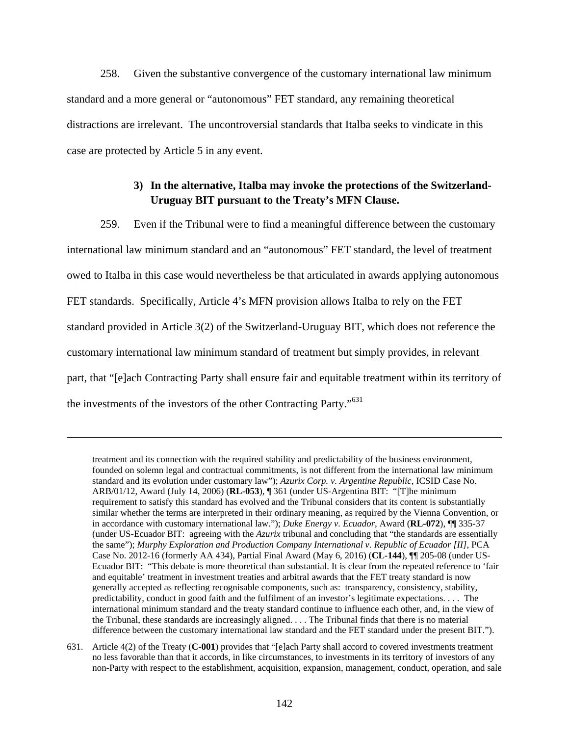258. Given the substantive convergence of the customary international law minimum standard and a more general or "autonomous" FET standard, any remaining theoretical distractions are irrelevant. The uncontroversial standards that Italba seeks to vindicate in this case are protected by Article 5 in any event.

# **3) In the alternative, Italba may invoke the protections of the Switzerland-Uruguay BIT pursuant to the Treaty's MFN Clause.**

259. Even if the Tribunal were to find a meaningful difference between the customary international law minimum standard and an "autonomous" FET standard, the level of treatment owed to Italba in this case would nevertheless be that articulated in awards applying autonomous FET standards. Specifically, Article 4's MFN provision allows Italba to rely on the FET standard provided in Article 3(2) of the Switzerland-Uruguay BIT, which does not reference the customary international law minimum standard of treatment but simply provides, in relevant part, that "[e]ach Contracting Party shall ensure fair and equitable treatment within its territory of the investments of the investors of the other Contracting Party."<sup>631</sup>

treatment and its connection with the required stability and predictability of the business environment, founded on solemn legal and contractual commitments, is not different from the international law minimum standard and its evolution under customary law"); *Azurix Corp. v. Argentine Republic*, ICSID Case No. ARB/01/12, Award (July 14, 2006) (**RL-053**), ¶ 361 (under US-Argentina BIT: "[T]he minimum requirement to satisfy this standard has evolved and the Tribunal considers that its content is substantially similar whether the terms are interpreted in their ordinary meaning, as required by the Vienna Convention, or in accordance with customary international law."); *Duke Energy v. Ecuador*, Award (**RL-072**), ¶¶ 335-37 (under US-Ecuador BIT: agreeing with the *Azurix* tribunal and concluding that "the standards are essentially the same"); *Murphy Exploration and Production Company International v. Republic of Ecuador [II]*, PCA Case No. 2012-16 (formerly AA 434), Partial Final Award (May 6, 2016) (**CL-144**), ¶¶ 205-08 (under US-Ecuador BIT: "This debate is more theoretical than substantial. It is clear from the repeated reference to 'fair and equitable' treatment in investment treaties and arbitral awards that the FET treaty standard is now generally accepted as reflecting recognisable components, such as: transparency, consistency, stability, predictability, conduct in good faith and the fulfilment of an investor's legitimate expectations. . . . The international minimum standard and the treaty standard continue to influence each other, and, in the view of the Tribunal, these standards are increasingly aligned. . . . The Tribunal finds that there is no material difference between the customary international law standard and the FET standard under the present BIT.").

<sup>631.</sup> Article 4(2) of the Treaty (**C-001**) provides that "[e]ach Party shall accord to covered investments treatment no less favorable than that it accords, in like circumstances, to investments in its territory of investors of any non-Party with respect to the establishment, acquisition, expansion, management, conduct, operation, and sale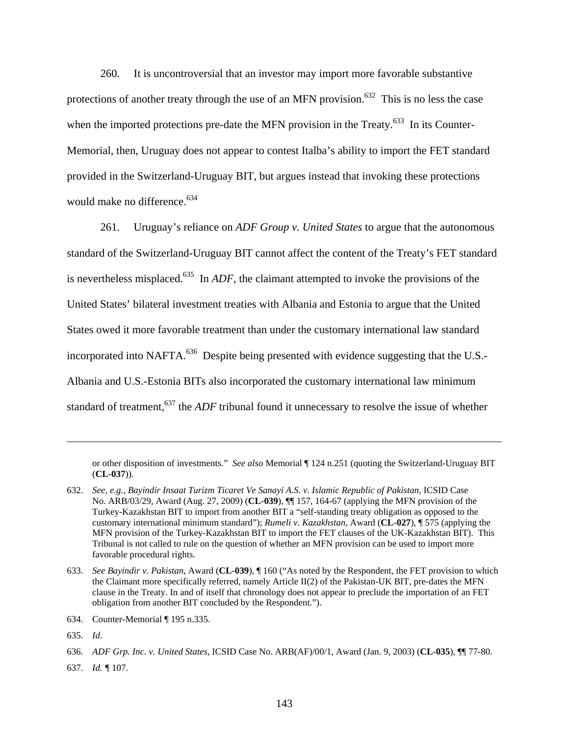260. It is uncontroversial that an investor may import more favorable substantive protections of another treaty through the use of an MFN provision.<sup>632</sup> This is no less the case when the imported protections pre-date the MFN provision in the Treaty.<sup>633</sup> In its Counter-Memorial, then, Uruguay does not appear to contest Italba's ability to import the FET standard provided in the Switzerland-Uruguay BIT, but argues instead that invoking these protections would make no difference.<sup>634</sup>

261. Uruguay's reliance on *ADF Group v. United States* to argue that the autonomous standard of the Switzerland-Uruguay BIT cannot affect the content of the Treaty's FET standard is nevertheless misplaced.635 In *ADF*, the claimant attempted to invoke the provisions of the United States' bilateral investment treaties with Albania and Estonia to argue that the United States owed it more favorable treatment than under the customary international law standard incorporated into NAFTA.<sup>636</sup> Despite being presented with evidence suggesting that the U.S.-Albania and U.S.-Estonia BITs also incorporated the customary international law minimum standard of treatment,<sup>637</sup> the *ADF* tribunal found it unnecessary to resolve the issue of whether

or other disposition of investments." *See also* Memorial ¶ 124 n.251 (quoting the Switzerland-Uruguay BIT (**CL-037**)).

<sup>632.</sup> *See, e.g.*, *Bayindir Insaat Turizm Ticaret Ve Sanayi A.S. v. Islamic Republic of Pakistan*, ICSID Case No. ARB/03/29, Award (Aug. 27, 2009) (**CL-039**), ¶¶ 157, 164-67 (applying the MFN provision of the Turkey-Kazakhstan BIT to import from another BIT a "self-standing treaty obligation as opposed to the customary international minimum standard"); *Rumeli v. Kazakhstan*, Award (**CL-027**), ¶ 575 (applying the MFN provision of the Turkey-Kazakhstan BIT to import the FET clauses of the UK-Kazakhstan BIT). This Tribunal is not called to rule on the question of whether an MFN provision can be used to import more favorable procedural rights.

<sup>633.</sup> *See Bayindir v. Pakistan*, Award (**CL-039**), ¶ 160 ("As noted by the Respondent, the FET provision to which the Claimant more specifically referred, namely Article II(2) of the Pakistan-UK BIT, pre-dates the MFN clause in the Treaty. In and of itself that chronology does not appear to preclude the importation of an FET obligation from another BIT concluded by the Respondent.").

<sup>634.</sup> Counter-Memorial ¶ 195 n.335.

<sup>635.</sup> *Id*.

<sup>636.</sup> *ADF Grp. Inc. v. United States*, ICSID Case No. ARB(AF)/00/1, Award (Jan. 9, 2003) (**CL-035**), ¶¶ 77-80.

<sup>637.</sup> *Id. ¶* 107.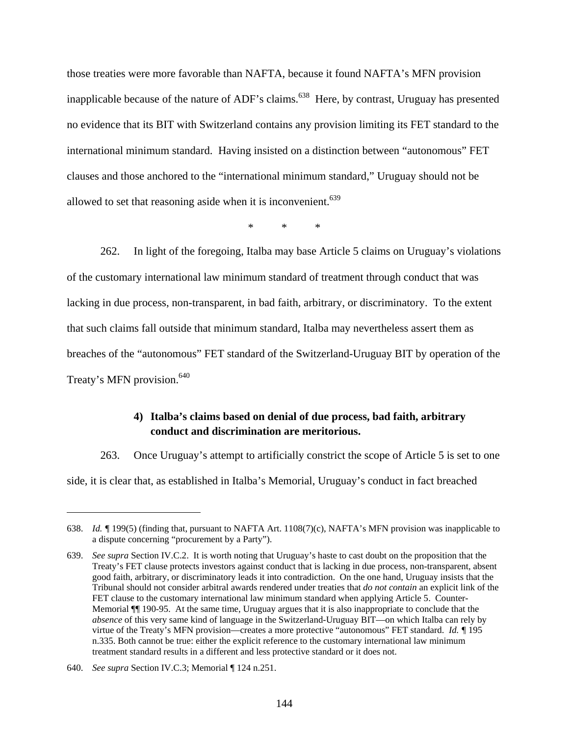those treaties were more favorable than NAFTA, because it found NAFTA's MFN provision inapplicable because of the nature of ADF's claims.<sup>638</sup> Here, by contrast, Uruguay has presented no evidence that its BIT with Switzerland contains any provision limiting its FET standard to the international minimum standard. Having insisted on a distinction between "autonomous" FET clauses and those anchored to the "international minimum standard," Uruguay should not be allowed to set that reasoning aside when it is inconvenient.<sup>639</sup>

\* \* \*

262. In light of the foregoing, Italba may base Article 5 claims on Uruguay's violations of the customary international law minimum standard of treatment through conduct that was lacking in due process, non-transparent, in bad faith, arbitrary, or discriminatory. To the extent that such claims fall outside that minimum standard, Italba may nevertheless assert them as breaches of the "autonomous" FET standard of the Switzerland-Uruguay BIT by operation of the Treaty's MFN provision.<sup>640</sup>

## **4) Italba's claims based on denial of due process, bad faith, arbitrary conduct and discrimination are meritorious.**

263. Once Uruguay's attempt to artificially constrict the scope of Article 5 is set to one side, it is clear that, as established in Italba's Memorial, Uruguay's conduct in fact breached

<sup>638.</sup> *Id. ¶* 199(5) (finding that, pursuant to NAFTA Art. 1108(7)(c), NAFTA's MFN provision was inapplicable to a dispute concerning "procurement by a Party").

<sup>639.</sup> *See supra* Section IV.C.2. It is worth noting that Uruguay's haste to cast doubt on the proposition that the Treaty's FET clause protects investors against conduct that is lacking in due process, non-transparent, absent good faith, arbitrary, or discriminatory leads it into contradiction. On the one hand, Uruguay insists that the Tribunal should not consider arbitral awards rendered under treaties that *do not contain* an explicit link of the FET clause to the customary international law minimum standard when applying Article 5. Counter-Memorial ¶¶ 190-95. At the same time, Uruguay argues that it is also inappropriate to conclude that the *absence* of this very same kind of language in the Switzerland-Uruguay BIT—on which Italba can rely by virtue of the Treaty's MFN provision—creates a more protective "autonomous" FET standard. *Id. ¶* 195 n.335. Both cannot be true: either the explicit reference to the customary international law minimum treatment standard results in a different and less protective standard or it does not.

<sup>640.</sup> *See supra* Section IV.C.3; Memorial ¶ 124 n.251.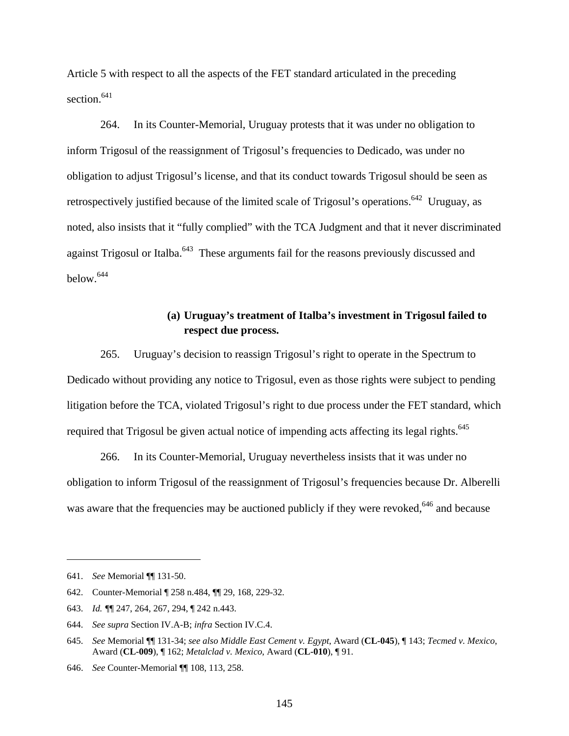Article 5 with respect to all the aspects of the FET standard articulated in the preceding section.<sup>641</sup>

264. In its Counter-Memorial, Uruguay protests that it was under no obligation to inform Trigosul of the reassignment of Trigosul's frequencies to Dedicado, was under no obligation to adjust Trigosul's license, and that its conduct towards Trigosul should be seen as retrospectively justified because of the limited scale of Trigosul's operations.<sup>642</sup> Uruguay, as noted, also insists that it "fully complied" with the TCA Judgment and that it never discriminated against Trigosul or Italba.<sup>643</sup> These arguments fail for the reasons previously discussed and below.644

## **(a) Uruguay's treatment of Italba's investment in Trigosul failed to respect due process.**

265. Uruguay's decision to reassign Trigosul's right to operate in the Spectrum to Dedicado without providing any notice to Trigosul, even as those rights were subject to pending litigation before the TCA, violated Trigosul's right to due process under the FET standard, which required that Trigosul be given actual notice of impending acts affecting its legal rights.<sup>645</sup>

266. In its Counter-Memorial, Uruguay nevertheless insists that it was under no obligation to inform Trigosul of the reassignment of Trigosul's frequencies because Dr. Alberelli was aware that the frequencies may be auctioned publicly if they were revoked,<sup>646</sup> and because

<sup>641.</sup> *See* Memorial ¶¶ 131-50.

<sup>642.</sup> Counter-Memorial ¶ 258 n.484, ¶¶ 29, 168, 229-32.

<sup>643.</sup> *Id. ¶*¶ 247, 264, 267, 294, ¶ 242 n.443.

<sup>644.</sup> *See supra* Section IV.A-B; *infra* Section IV.C.4.

<sup>645.</sup> *See* Memorial ¶¶ 131-34; *see also Middle East Cement v. Egypt*, Award (**CL-045**), ¶ 143; *Tecmed v. Mexico*, Award (**CL-009**), ¶ 162; *Metalclad v. Mexico*, Award (**CL-010**), ¶ 91.

<sup>646.</sup> *See* Counter-Memorial ¶¶ 108, 113, 258.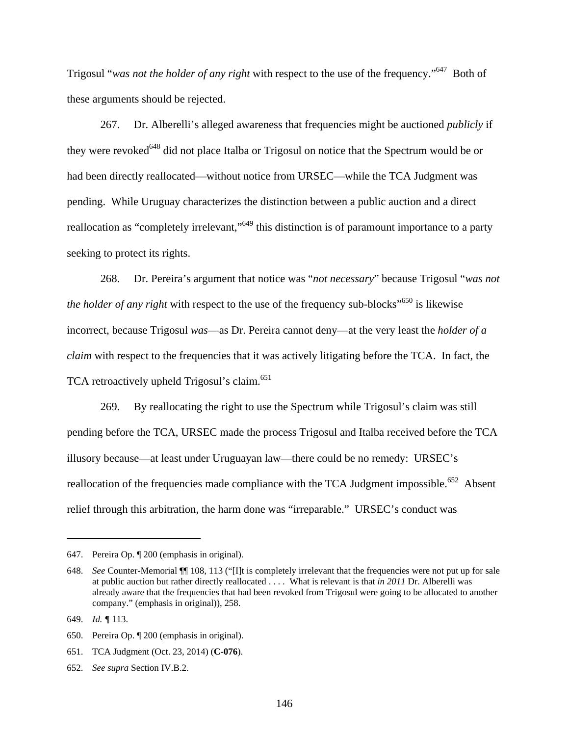Trigosul "*was not the holder of any right* with respect to the use of the frequency."647 Both of these arguments should be rejected.

267. Dr. Alberelli's alleged awareness that frequencies might be auctioned *publicly* if they were revoked<sup>648</sup> did not place Italba or Trigosul on notice that the Spectrum would be or had been directly reallocated—without notice from URSEC—while the TCA Judgment was pending. While Uruguay characterizes the distinction between a public auction and a direct reallocation as "completely irrelevant,"<sup>649</sup> this distinction is of paramount importance to a party seeking to protect its rights.

268. Dr. Pereira's argument that notice was "*not necessary*" because Trigosul "*was not the holder of any right* with respect to the use of the frequency sub-blocks<sup>"650</sup> is likewise incorrect, because Trigosul *was*—as Dr. Pereira cannot deny—at the very least the *holder of a claim* with respect to the frequencies that it was actively litigating before the TCA. In fact, the TCA retroactively upheld Trigosul's claim.<sup>651</sup>

269. By reallocating the right to use the Spectrum while Trigosul's claim was still pending before the TCA, URSEC made the process Trigosul and Italba received before the TCA illusory because—at least under Uruguayan law—there could be no remedy: URSEC's reallocation of the frequencies made compliance with the TCA Judgment impossible.<sup>652</sup> Absent relief through this arbitration, the harm done was "irreparable." URSEC's conduct was

<sup>647.</sup> Pereira Op. ¶ 200 (emphasis in original).

<sup>648.</sup> *See* Counter-Memorial ¶¶ 108, 113 ("[I]t is completely irrelevant that the frequencies were not put up for sale at public auction but rather directly reallocated . . . . What is relevant is that *in 2011* Dr. Alberelli was already aware that the frequencies that had been revoked from Trigosul were going to be allocated to another company." (emphasis in original)), 258.

<sup>649.</sup> *Id. ¶* 113.

<sup>650.</sup> Pereira Op. ¶ 200 (emphasis in original).

<sup>651.</sup> TCA Judgment (Oct. 23, 2014) (**C-076**).

<sup>652.</sup> *See supra* Section IV.B.2.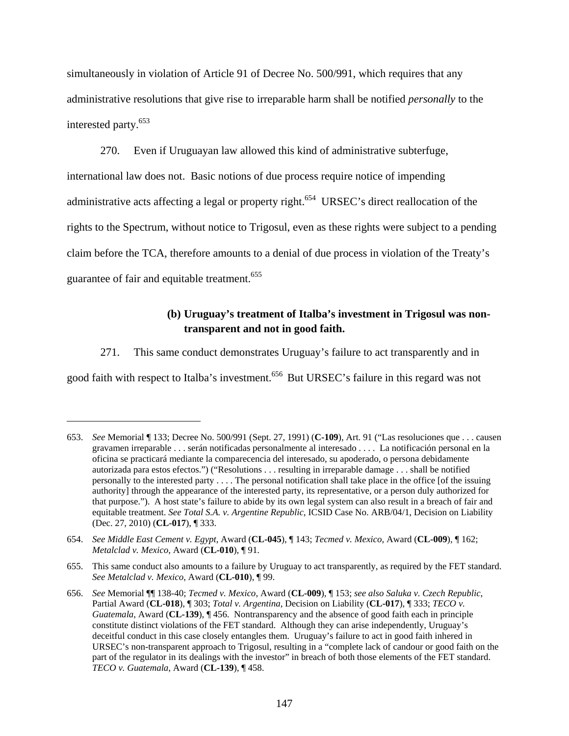simultaneously in violation of Article 91 of Decree No. 500/991, which requires that any administrative resolutions that give rise to irreparable harm shall be notified *personally* to the interested party.653

270. Even if Uruguayan law allowed this kind of administrative subterfuge, international law does not. Basic notions of due process require notice of impending administrative acts affecting a legal or property right.<sup>654</sup> URSEC's direct reallocation of the rights to the Spectrum, without notice to Trigosul, even as these rights were subject to a pending claim before the TCA, therefore amounts to a denial of due process in violation of the Treaty's guarantee of fair and equitable treatment.<sup>655</sup>

## **(b) Uruguay's treatment of Italba's investment in Trigosul was nontransparent and not in good faith.**

271. This same conduct demonstrates Uruguay's failure to act transparently and in good faith with respect to Italba's investment.<sup>656</sup> But URSEC's failure in this regard was not

<sup>653.</sup> *See* Memorial ¶ 133; Decree No. 500/991 (Sept. 27, 1991) (**C-109**), Art. 91 ("Las resoluciones que . . . causen gravamen irreparable . . . serán notificadas personalmente al interesado . . . . La notificación personal en la oficina se practicará mediante la comparecencia del interesado, su apoderado, o persona debidamente autorizada para estos efectos.") ("Resolutions . . . resulting in irreparable damage . . . shall be notified personally to the interested party . . . . The personal notification shall take place in the office [of the issuing authority] through the appearance of the interested party, its representative, or a person duly authorized for that purpose."). A host state's failure to abide by its own legal system can also result in a breach of fair and equitable treatment. *See Total S.A. v. Argentine Republic*, ICSID Case No. ARB/04/1, Decision on Liability (Dec. 27, 2010) (**CL-017**), ¶ 333.

<sup>654.</sup> *See Middle East Cement v. Egypt*, Award (**CL-045**), ¶ 143; *Tecmed v. Mexico*, Award (**CL-009**), ¶ 162; *Metalclad v. Mexico*, Award (**CL-010**), ¶ 91.

<sup>655.</sup> This same conduct also amounts to a failure by Uruguay to act transparently, as required by the FET standard. *See Metalclad v. Mexico*, Award (**CL-010**), ¶ 99.

<sup>656.</sup> *See* Memorial ¶¶ 138-40; *Tecmed v. Mexico*, Award (**CL-009**), ¶ 153; *see also Saluka v. Czech Republic*, Partial Award (**CL-018**), ¶ 303; *Total v. Argentina*, Decision on Liability (**CL-017**), ¶ 333; *TECO v. Guatemala*, Award (**CL-139**), ¶ 456. Nontransparency and the absence of good faith each in principle constitute distinct violations of the FET standard. Although they can arise independently, Uruguay's deceitful conduct in this case closely entangles them. Uruguay's failure to act in good faith inhered in URSEC's non-transparent approach to Trigosul, resulting in a "complete lack of candour or good faith on the part of the regulator in its dealings with the investor" in breach of both those elements of the FET standard. *TECO v. Guatemala*, Award (**CL-139**), ¶ 458.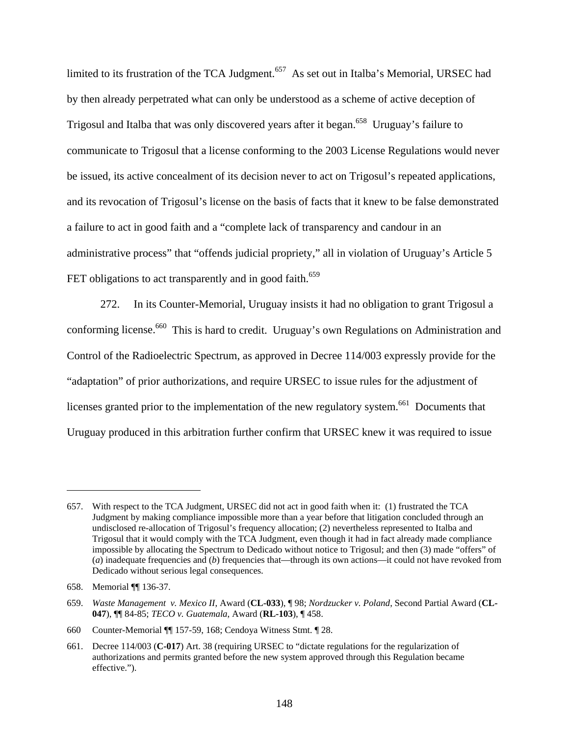limited to its frustration of the TCA Judgment.<sup>657</sup> As set out in Italba's Memorial, URSEC had by then already perpetrated what can only be understood as a scheme of active deception of Trigosul and Italba that was only discovered years after it began.<sup>658</sup> Uruguay's failure to communicate to Trigosul that a license conforming to the 2003 License Regulations would never be issued, its active concealment of its decision never to act on Trigosul's repeated applications, and its revocation of Trigosul's license on the basis of facts that it knew to be false demonstrated a failure to act in good faith and a "complete lack of transparency and candour in an administrative process" that "offends judicial propriety," all in violation of Uruguay's Article 5 FET obligations to act transparently and in good faith.<sup>659</sup>

272. In its Counter-Memorial, Uruguay insists it had no obligation to grant Trigosul a conforming license.<sup>660</sup> This is hard to credit. Uruguay's own Regulations on Administration and Control of the Radioelectric Spectrum, as approved in Decree 114/003 expressly provide for the "adaptation" of prior authorizations, and require URSEC to issue rules for the adjustment of licenses granted prior to the implementation of the new regulatory system.<sup>661</sup> Documents that Uruguay produced in this arbitration further confirm that URSEC knew it was required to issue

<sup>657.</sup> With respect to the TCA Judgment, URSEC did not act in good faith when it: (1) frustrated the TCA Judgment by making compliance impossible more than a year before that litigation concluded through an undisclosed re-allocation of Trigosul's frequency allocation; (2) nevertheless represented to Italba and Trigosul that it would comply with the TCA Judgment, even though it had in fact already made compliance impossible by allocating the Spectrum to Dedicado without notice to Trigosul; and then (3) made "offers" of (*a*) inadequate frequencies and (*b*) frequencies that—through its own actions—it could not have revoked from Dedicado without serious legal consequences.

<sup>658.</sup> Memorial ¶¶ 136-37.

<sup>659.</sup> *Waste Management v. Mexico II*, Award (**CL-033**), ¶ 98; *Nordzucker v. Poland*, Second Partial Award (**CL-047**), ¶¶ 84-85; *TECO v. Guatemala*, Award (**RL-103**), ¶ 458.

<sup>660</sup> Counter-Memorial ¶¶ 157-59, 168; Cendoya Witness Stmt. ¶ 28.

<sup>661.</sup> Decree 114/003 (**C-017**) Art. 38 (requiring URSEC to "dictate regulations for the regularization of authorizations and permits granted before the new system approved through this Regulation became effective.").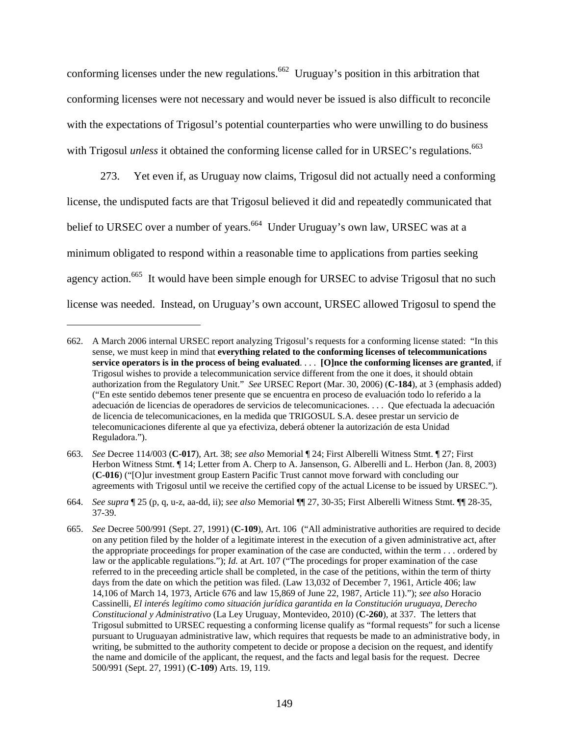conforming licenses under the new regulations.<sup>662</sup> Uruguay's position in this arbitration that conforming licenses were not necessary and would never be issued is also difficult to reconcile with the expectations of Trigosul's potential counterparties who were unwilling to do business with Trigosul *unless* it obtained the conforming license called for in URSEC's regulations.<sup>663</sup>

273. Yet even if, as Uruguay now claims, Trigosul did not actually need a conforming license, the undisputed facts are that Trigosul believed it did and repeatedly communicated that belief to URSEC over a number of years.<sup>664</sup> Under Uruguay's own law, URSEC was at a minimum obligated to respond within a reasonable time to applications from parties seeking agency action.<sup>665</sup> It would have been simple enough for URSEC to advise Trigosul that no such license was needed. Instead, on Uruguay's own account, URSEC allowed Trigosul to spend the

<sup>662.</sup> A March 2006 internal URSEC report analyzing Trigosul's requests for a conforming license stated: "In this sense, we must keep in mind that **everything related to the conforming licenses of telecommunications service operators is in the process of being evaluated**. . . . **[O]nce the conforming licenses are granted**, if Trigosul wishes to provide a telecommunication service different from the one it does, it should obtain authorization from the Regulatory Unit." *See* URSEC Report (Mar. 30, 2006) (**C-184**), at 3 (emphasis added) ("En este sentido debemos tener presente que se encuentra en proceso de evaluación todo lo referido a la adecuación de licencias de operadores de servicios de telecomunicaciones. . . . Que efectuada la adecuación de licencia de telecomunicaciones, en la medida que TRIGOSUL S.A. desee prestar un servicio de telecomunicaciones diferente al que ya efectiviza, deberá obtener la autorización de esta Unidad Reguladora.").

<sup>663.</sup> *See* Decree 114/003 (**C-017**), Art. 38; *see also* Memorial ¶ 24; First Alberelli Witness Stmt. ¶ 27; First Herbon Witness Stmt. ¶ 14; Letter from A. Cherp to A. Jansenson, G. Alberelli and L. Herbon (Jan. 8, 2003) (**C-016**) ("[O]ur investment group Eastern Pacific Trust cannot move forward with concluding our agreements with Trigosul until we receive the certified copy of the actual License to be issued by URSEC.").

<sup>664.</sup> *See supra* ¶ 25 (p, q, u-z, aa-dd, ii); *see also* Memorial ¶¶ 27, 30-35; First Alberelli Witness Stmt. ¶¶ 28-35, 37-39.

<sup>665.</sup> *See* Decree 500/991 (Sept. 27, 1991) (**C-109**), Art. 106 ("All administrative authorities are required to decide on any petition filed by the holder of a legitimate interest in the execution of a given administrative act, after the appropriate proceedings for proper examination of the case are conducted, within the term . . . ordered by law or the applicable regulations."); *Id.* at Art. 107 ("The procedings for proper examination of the case referred to in the preceeding article shall be completed, in the case of the petitions, within the term of thirty days from the date on which the petition was filed. (Law 13,032 of December 7, 1961, Article 406; law 14,106 of March 14, 1973, Article 676 and law 15,869 of June 22, 1987, Article 11)."); *see also* Horacio Cassinelli, *El interés legítimo como situación jurídica garantida en la Constitución uruguaya*, *Derecho Constitucional y Administrativo* (La Ley Uruguay, Montevideo, 2010) (**C-260**), at 337. The letters that Trigosul submitted to URSEC requesting a conforming license qualify as "formal requests" for such a license pursuant to Uruguayan administrative law, which requires that requests be made to an administrative body, in writing, be submitted to the authority competent to decide or propose a decision on the request, and identify the name and domicile of the applicant, the request, and the facts and legal basis for the request. Decree 500/991 (Sept. 27, 1991) (**C-109**) Arts. 19, 119.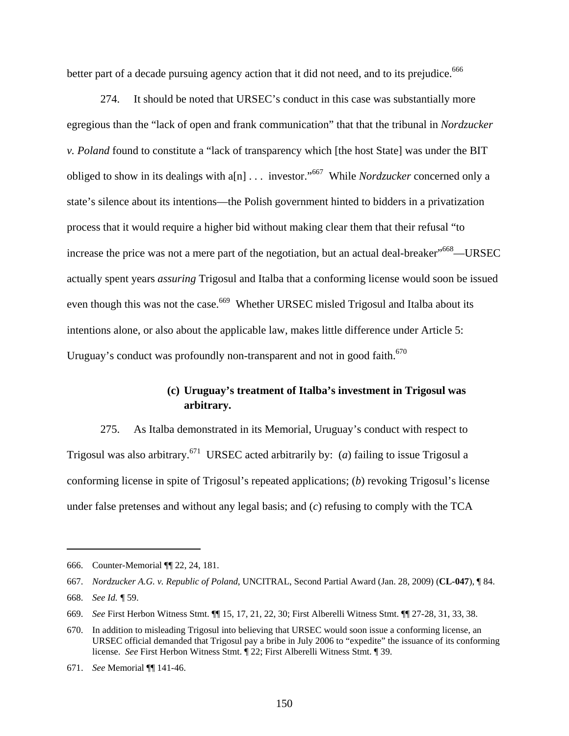better part of a decade pursuing agency action that it did not need, and to its prejudice.<sup>666</sup>

274. It should be noted that URSEC's conduct in this case was substantially more egregious than the "lack of open and frank communication" that that the tribunal in *Nordzucker v. Poland* found to constitute a "lack of transparency which [the host State] was under the BIT obliged to show in its dealings with a[n] . . . investor."667 While *Nordzucker* concerned only a state's silence about its intentions—the Polish government hinted to bidders in a privatization process that it would require a higher bid without making clear them that their refusal "to increase the price was not a mere part of the negotiation, but an actual deal-breaker"<sup>668</sup>—URSEC actually spent years *assuring* Trigosul and Italba that a conforming license would soon be issued even though this was not the case.<sup>669</sup> Whether URSEC misled Trigosul and Italba about its intentions alone, or also about the applicable law, makes little difference under Article 5: Uruguay's conduct was profoundly non-transparent and not in good faith.<sup>670</sup>

## **(c) Uruguay's treatment of Italba's investment in Trigosul was arbitrary.**

275. As Italba demonstrated in its Memorial, Uruguay's conduct with respect to Trigosul was also arbitrary.<sup>671</sup> URSEC acted arbitrarily by: (*a*) failing to issue Trigosul a conforming license in spite of Trigosul's repeated applications; (*b*) revoking Trigosul's license under false pretenses and without any legal basis; and (*c*) refusing to comply with the TCA

<sup>666.</sup> Counter-Memorial ¶¶ 22, 24, 181.

<sup>667.</sup> *Nordzucker A.G. v. Republic of Poland*, UNCITRAL, Second Partial Award (Jan. 28, 2009) (**CL-047**), ¶ 84.

<sup>668.</sup> *See Id. ¶* 59.

<sup>669.</sup> *See* First Herbon Witness Stmt. ¶¶ 15, 17, 21, 22, 30; First Alberelli Witness Stmt. ¶¶ 27-28, 31, 33, 38.

<sup>670.</sup> In addition to misleading Trigosul into believing that URSEC would soon issue a conforming license, an URSEC official demanded that Trigosul pay a bribe in July 2006 to "expedite" the issuance of its conforming license. *See* First Herbon Witness Stmt. ¶ 22; First Alberelli Witness Stmt. ¶ 39.

<sup>671.</sup> *See* Memorial ¶¶ 141-46.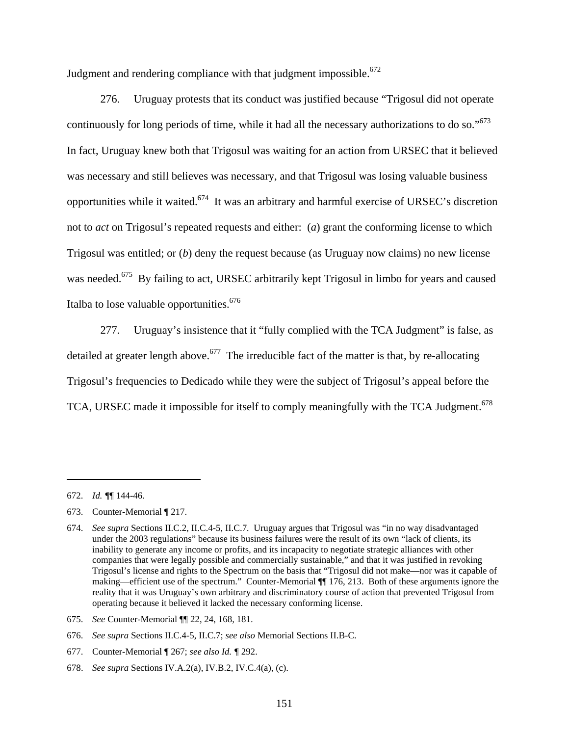Judgment and rendering compliance with that judgment impossible. $672$ 

276. Uruguay protests that its conduct was justified because "Trigosul did not operate continuously for long periods of time, while it had all the necessary authorizations to do so."<sup>673</sup> In fact, Uruguay knew both that Trigosul was waiting for an action from URSEC that it believed was necessary and still believes was necessary, and that Trigosul was losing valuable business opportunities while it waited.674 It was an arbitrary and harmful exercise of URSEC's discretion not to *act* on Trigosul's repeated requests and either: (*a*) grant the conforming license to which Trigosul was entitled; or (*b*) deny the request because (as Uruguay now claims) no new license was needed.<sup>675</sup> By failing to act, URSEC arbitrarily kept Trigosul in limbo for years and caused Italba to lose valuable opportunities.  $676$ 

277. Uruguay's insistence that it "fully complied with the TCA Judgment" is false, as detailed at greater length above.<sup>677</sup> The irreducible fact of the matter is that, by re-allocating Trigosul's frequencies to Dedicado while they were the subject of Trigosul's appeal before the TCA, URSEC made it impossible for itself to comply meaningfully with the TCA Judgment.<sup>678</sup>

<sup>672.</sup> *Id. ¶*¶ 144-46.

<sup>673.</sup> Counter-Memorial ¶ 217.

<sup>674.</sup> *See supra* Sections II.C.2, II.C.4-5, II.C.7*.* Uruguay argues that Trigosul was "in no way disadvantaged under the 2003 regulations" because its business failures were the result of its own "lack of clients, its inability to generate any income or profits, and its incapacity to negotiate strategic alliances with other companies that were legally possible and commercially sustainable," and that it was justified in revoking Trigosul's license and rights to the Spectrum on the basis that "Trigosul did not make—nor was it capable of making—efficient use of the spectrum." Counter-Memorial ¶¶ 176, 213. Both of these arguments ignore the reality that it was Uruguay's own arbitrary and discriminatory course of action that prevented Trigosul from operating because it believed it lacked the necessary conforming license.

<sup>675.</sup> *See* Counter-Memorial ¶¶ 22, 24, 168, 181.

<sup>676.</sup> *See supra* Sections II.C.4-5, II.C.7; *see also* Memorial Sections II.B-C.

<sup>677.</sup> Counter-Memorial ¶ 267; *see also Id. ¶* 292.

<sup>678.</sup> *See supra* Sections IV.A.2(a), IV.B.2, IV.C.4(a), (c).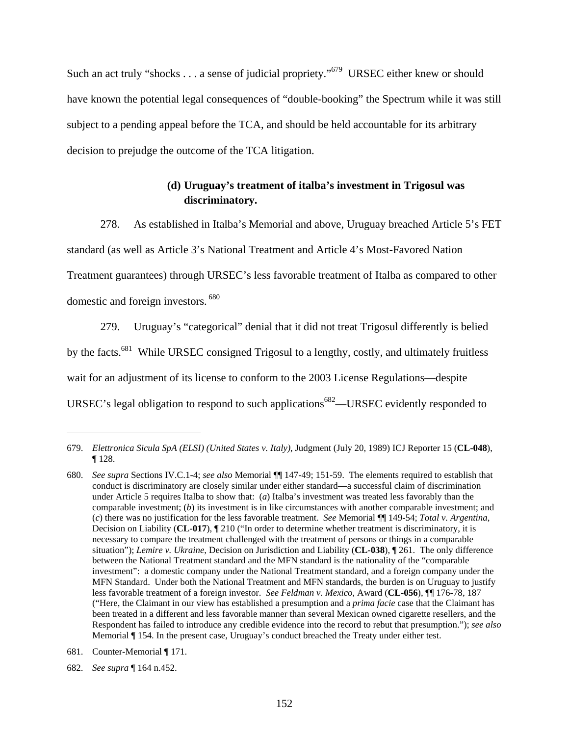Such an act truly "shocks . . . a sense of judicial propriety."<sup>679</sup> URSEC either knew or should have known the potential legal consequences of "double-booking" the Spectrum while it was still subject to a pending appeal before the TCA, and should be held accountable for its arbitrary decision to prejudge the outcome of the TCA litigation.

## **(d) Uruguay's treatment of italba's investment in Trigosul was discriminatory.**

278. As established in Italba's Memorial and above, Uruguay breached Article 5's FET

standard (as well as Article 3's National Treatment and Article 4's Most-Favored Nation

Treatment guarantees) through URSEC's less favorable treatment of Italba as compared to other

domestic and foreign investors. 680

279. Uruguay's "categorical" denial that it did not treat Trigosul differently is belied

by the facts.<sup>681</sup> While URSEC consigned Trigosul to a lengthy, costly, and ultimately fruitless

wait for an adjustment of its license to conform to the 2003 License Regulations—despite

URSEC's legal obligation to respond to such applications<sup> $682$ </sup>—URSEC evidently responded to

<sup>679.</sup> *Elettronica Sicula SpA (ELSI) (United States v. Italy)*, Judgment (July 20, 1989) ICJ Reporter 15 (**CL-048**), ¶ 128.

<sup>680.</sup> *See supra* Sections IV.C.1-4; *see also* Memorial ¶¶ 147-49; 151-59. The elements required to establish that conduct is discriminatory are closely similar under either standard—a successful claim of discrimination under Article 5 requires Italba to show that: (*a*) Italba's investment was treated less favorably than the comparable investment; (*b*) its investment is in like circumstances with another comparable investment; and (*c*) there was no justification for the less favorable treatment. *See* Memorial ¶¶ 149-54; *Total v. Argentina*, Decision on Liability (**CL-017**), ¶ 210 ("In order to determine whether treatment is discriminatory, it is necessary to compare the treatment challenged with the treatment of persons or things in a comparable situation"); *Lemire v. Ukraine*, Decision on Jurisdiction and Liability (**CL-038**), ¶ 261. The only difference between the National Treatment standard and the MFN standard is the nationality of the "comparable investment": a domestic company under the National Treatment standard, and a foreign company under the MFN Standard. Under both the National Treatment and MFN standards, the burden is on Uruguay to justify less favorable treatment of a foreign investor. *See Feldman v. Mexico*, Award (**CL-056**), ¶¶ 176-78, 187 ("Here, the Claimant in our view has established a presumption and a *prima facie* case that the Claimant has been treated in a different and less favorable manner than several Mexican owned cigarette resellers, and the Respondent has failed to introduce any credible evidence into the record to rebut that presumption."); *see also*  Memorial  $\P$  154. In the present case, Uruguay's conduct breached the Treaty under either test.

<sup>681.</sup> Counter-Memorial ¶ 171.

<sup>682.</sup> *See supra* ¶ 164 n.452.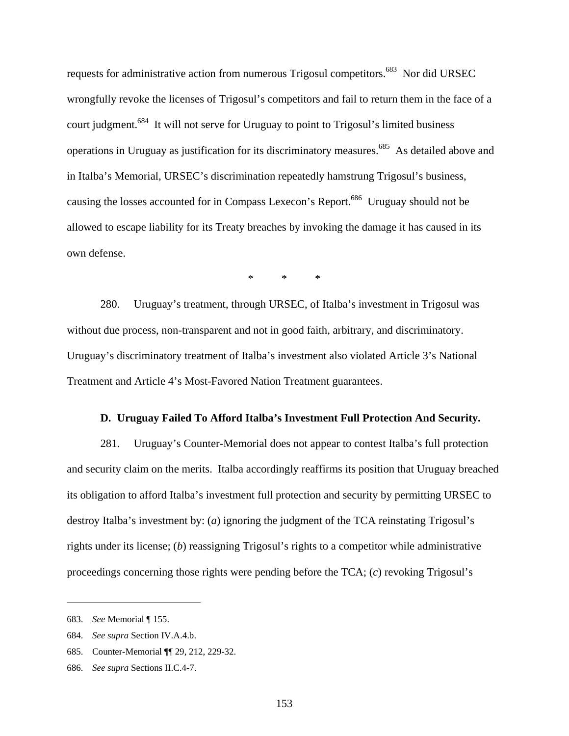requests for administrative action from numerous Trigosul competitors.<sup>683</sup> Nor did URSEC wrongfully revoke the licenses of Trigosul's competitors and fail to return them in the face of a court judgment.<sup>684</sup> It will not serve for Uruguay to point to Trigosul's limited business operations in Uruguay as justification for its discriminatory measures.<sup>685</sup> As detailed above and in Italba's Memorial, URSEC's discrimination repeatedly hamstrung Trigosul's business, causing the losses accounted for in Compass Lexecon's Report.<sup>686</sup> Uruguay should not be allowed to escape liability for its Treaty breaches by invoking the damage it has caused in its own defense.

\* \* \*

280. Uruguay's treatment, through URSEC, of Italba's investment in Trigosul was without due process, non-transparent and not in good faith, arbitrary, and discriminatory. Uruguay's discriminatory treatment of Italba's investment also violated Article 3's National Treatment and Article 4's Most-Favored Nation Treatment guarantees.

#### **D. Uruguay Failed To Afford Italba's Investment Full Protection And Security.**

281. Uruguay's Counter-Memorial does not appear to contest Italba's full protection and security claim on the merits. Italba accordingly reaffirms its position that Uruguay breached its obligation to afford Italba's investment full protection and security by permitting URSEC to destroy Italba's investment by: (*a*) ignoring the judgment of the TCA reinstating Trigosul's rights under its license; (*b*) reassigning Trigosul's rights to a competitor while administrative proceedings concerning those rights were pending before the TCA; (*c*) revoking Trigosul's

<sup>683.</sup> *See* Memorial ¶ 155.

<sup>684.</sup> *See supra* Section IV.A.4.b.

<sup>685.</sup> Counter-Memorial ¶¶ 29, 212, 229-32.

<sup>686.</sup> *See supra* Sections II.C.4-7.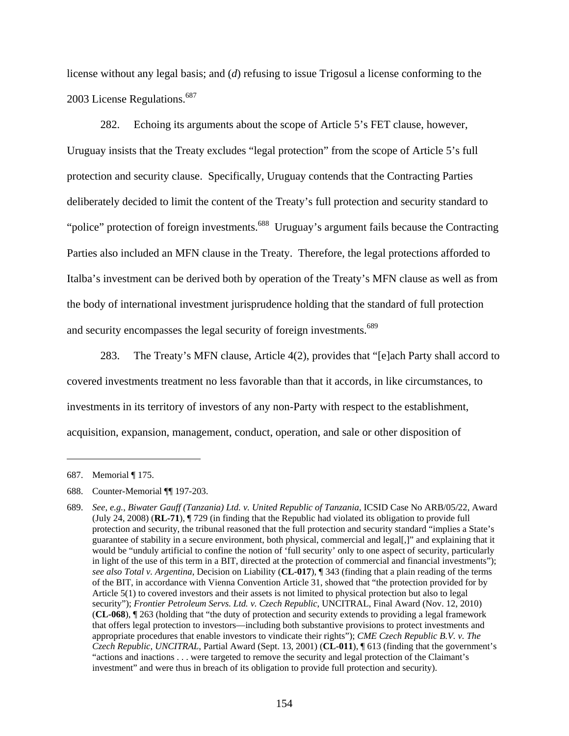license without any legal basis; and (*d*) refusing to issue Trigosul a license conforming to the 2003 License Regulations.<sup>687</sup>

282. Echoing its arguments about the scope of Article 5's FET clause, however, Uruguay insists that the Treaty excludes "legal protection" from the scope of Article 5's full protection and security clause. Specifically, Uruguay contends that the Contracting Parties deliberately decided to limit the content of the Treaty's full protection and security standard to "police" protection of foreign investments.<sup>688</sup> Uruguay's argument fails because the Contracting Parties also included an MFN clause in the Treaty. Therefore, the legal protections afforded to Italba's investment can be derived both by operation of the Treaty's MFN clause as well as from the body of international investment jurisprudence holding that the standard of full protection and security encompasses the legal security of foreign investments.<sup>689</sup>

283. The Treaty's MFN clause, Article 4(2), provides that "[e]ach Party shall accord to covered investments treatment no less favorable than that it accords, in like circumstances, to investments in its territory of investors of any non-Party with respect to the establishment, acquisition, expansion, management, conduct, operation, and sale or other disposition of

<sup>687.</sup> Memorial ¶ 175.

<sup>688.</sup> Counter-Memorial ¶¶ 197-203.

<sup>689.</sup> *See*, *e.g.*, *Biwater Gauff (Tanzania) Ltd. v. United Republic of Tanzania*, ICSID Case No ARB/05/22, Award (July 24, 2008) (**RL-71**), ¶ 729 (in finding that the Republic had violated its obligation to provide full protection and security, the tribunal reasoned that the full protection and security standard "implies a State's guarantee of stability in a secure environment, both physical, commercial and legal[,]" and explaining that it would be "unduly artificial to confine the notion of 'full security' only to one aspect of security, particularly in light of the use of this term in a BIT, directed at the protection of commercial and financial investments"); *see also Total v. Argentina*, Decision on Liability (**CL-017**), ¶ 343 (finding that a plain reading of the terms of the BIT, in accordance with Vienna Convention Article 31, showed that "the protection provided for by Article 5(1) to covered investors and their assets is not limited to physical protection but also to legal security"); *Frontier Petroleum Servs. Ltd. v. Czech Republic*, UNCITRAL, Final Award (Nov. 12, 2010) (**CL-068**), ¶ 263 (holding that "the duty of protection and security extends to providing a legal framework that offers legal protection to investors—including both substantive provisions to protect investments and appropriate procedures that enable investors to vindicate their rights"); *CME Czech Republic B.V. v. The Czech Republic, UNCITRAL*, Partial Award (Sept. 13, 2001) (**CL-011**), ¶ 613 (finding that the government's "actions and inactions . . . were targeted to remove the security and legal protection of the Claimant's investment" and were thus in breach of its obligation to provide full protection and security).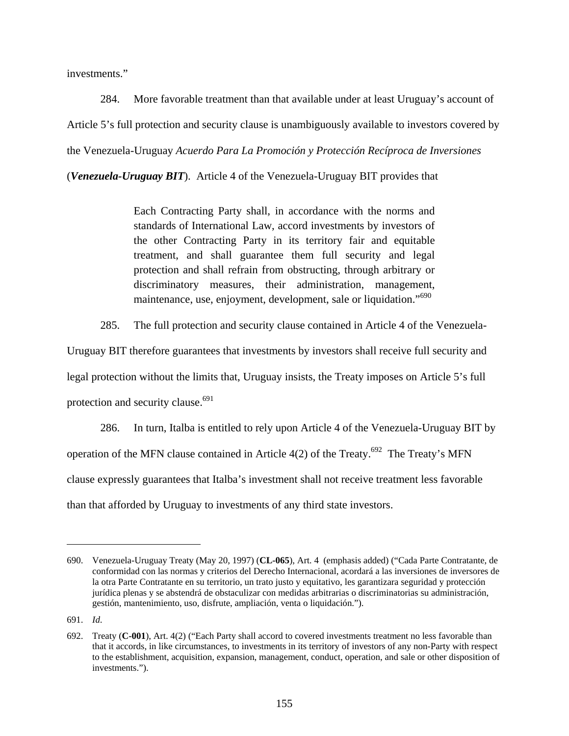investments."

284. More favorable treatment than that available under at least Uruguay's account of Article 5's full protection and security clause is unambiguously available to investors covered by the Venezuela-Uruguay *Acuerdo Para La Promoción y Protección Recíproca de Inversiones*

(*Venezuela-Uruguay BIT*). Article 4 of the Venezuela-Uruguay BIT provides that

Each Contracting Party shall, in accordance with the norms and standards of International Law, accord investments by investors of the other Contracting Party in its territory fair and equitable treatment, and shall guarantee them full security and legal protection and shall refrain from obstructing, through arbitrary or discriminatory measures, their administration, management, maintenance, use, enjoyment, development, sale or liquidation."<sup>690</sup>

285. The full protection and security clause contained in Article 4 of the Venezuela-

Uruguay BIT therefore guarantees that investments by investors shall receive full security and legal protection without the limits that, Uruguay insists, the Treaty imposes on Article 5's full protection and security clause.<sup>691</sup>

286. In turn, Italba is entitled to rely upon Article 4 of the Venezuela-Uruguay BIT by operation of the MFN clause contained in Article  $4(2)$  of the Treaty.<sup>692</sup> The Treaty's MFN clause expressly guarantees that Italba's investment shall not receive treatment less favorable than that afforded by Uruguay to investments of any third state investors.

<sup>690.</sup> Venezuela-Uruguay Treaty (May 20, 1997) (**CL-065**), Art. 4 (emphasis added) ("Cada Parte Contratante, de conformidad con las normas y criterios del Derecho Internacional, acordará a las inversiones de inversores de la otra Parte Contratante en su territorio, un trato justo y equitativo, les garantizara seguridad y protección jurídica plenas y se abstendrá de obstaculizar con medidas arbitrarias o discriminatorias su administración, gestión, mantenimiento, uso, disfrute, ampliación, venta o liquidación.").

<sup>691.</sup> *Id*.

<sup>692.</sup> Treaty (**C-001**), Art. 4(2) ("Each Party shall accord to covered investments treatment no less favorable than that it accords, in like circumstances, to investments in its territory of investors of any non-Party with respect to the establishment, acquisition, expansion, management, conduct, operation, and sale or other disposition of investments.").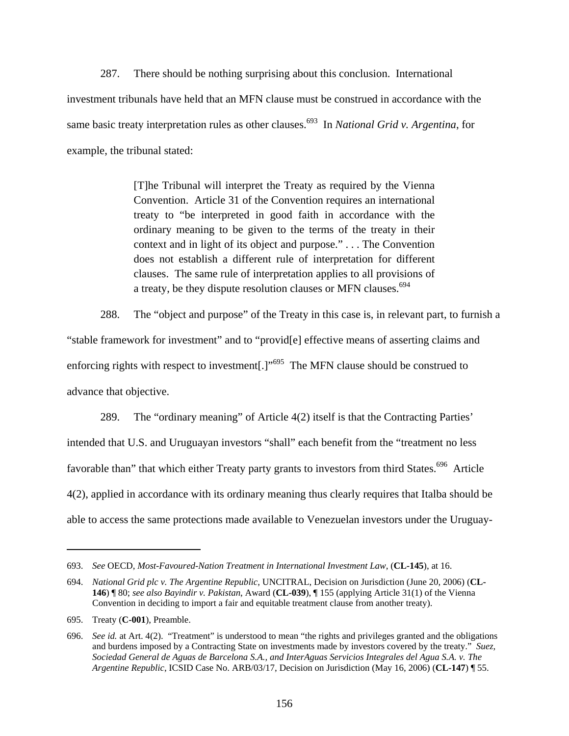287. There should be nothing surprising about this conclusion. International investment tribunals have held that an MFN clause must be construed in accordance with the same basic treaty interpretation rules as other clauses.<sup>693</sup> In *National Grid v. Argentina*, for example, the tribunal stated:

> [T]he Tribunal will interpret the Treaty as required by the Vienna Convention. Article 31 of the Convention requires an international treaty to "be interpreted in good faith in accordance with the ordinary meaning to be given to the terms of the treaty in their context and in light of its object and purpose." . . . The Convention does not establish a different rule of interpretation for different clauses. The same rule of interpretation applies to all provisions of a treaty, be they dispute resolution clauses or MFN clauses.<sup>694</sup>

288. The "object and purpose" of the Treaty in this case is, in relevant part, to furnish a "stable framework for investment" and to "provid[e] effective means of asserting claims and enforcing rights with respect to investment.<sup>1"695</sup> The MFN clause should be construed to advance that objective.

289. The "ordinary meaning" of Article 4(2) itself is that the Contracting Parties' intended that U.S. and Uruguayan investors "shall" each benefit from the "treatment no less favorable than" that which either Treaty party grants to investors from third States.<sup>696</sup> Article 4(2), applied in accordance with its ordinary meaning thus clearly requires that Italba should be able to access the same protections made available to Venezuelan investors under the Uruguay-

<sup>693.</sup> *See* OECD, *Most-Favoured-Nation Treatment in International Investment Law*, (**CL-145**), at 16.

<sup>694.</sup> *National Grid plc v. The Argentine Republic*, UNCITRAL, Decision on Jurisdiction (June 20, 2006) (**CL-146**) ¶ 80; *see also Bayindir v. Pakistan*, Award (**CL-039**), ¶ 155 (applying Article 31(1) of the Vienna Convention in deciding to import a fair and equitable treatment clause from another treaty).

<sup>695.</sup> Treaty (**C-001**), Preamble.

<sup>696.</sup> *See id.* at Art. 4(2). "Treatment" is understood to mean "the rights and privileges granted and the obligations and burdens imposed by a Contracting State on investments made by investors covered by the treaty." *Suez, Sociedad General de Aguas de Barcelona S.A., and InterAguas Servicios Integrales del Agua S.A. v. The Argentine Republic*, ICSID Case No. ARB/03/17, Decision on Jurisdiction (May 16, 2006) (**CL-147**) ¶ 55.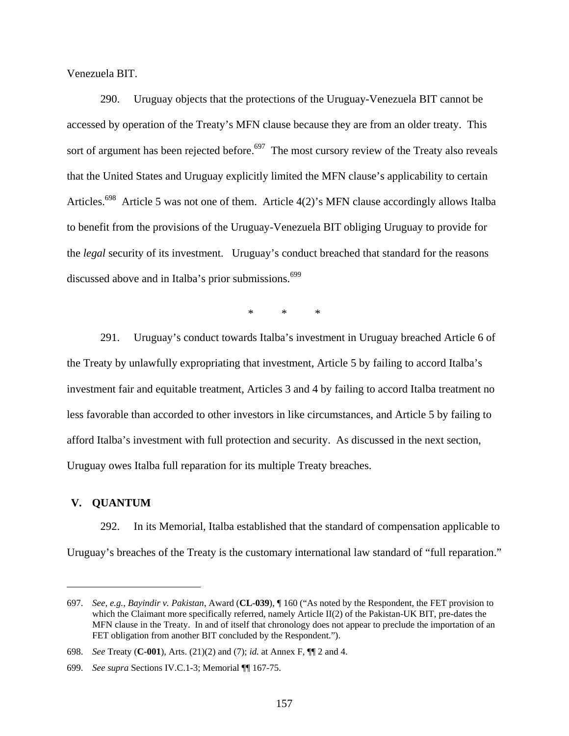Venezuela BIT.

290. Uruguay objects that the protections of the Uruguay-Venezuela BIT cannot be accessed by operation of the Treaty's MFN clause because they are from an older treaty. This sort of argument has been rejected before.<sup>697</sup> The most cursory review of the Treaty also reveals that the United States and Uruguay explicitly limited the MFN clause's applicability to certain Articles.<sup>698</sup> Article 5 was not one of them. Article 4(2)'s MFN clause accordingly allows Italba to benefit from the provisions of the Uruguay-Venezuela BIT obliging Uruguay to provide for the *legal* security of its investment. Uruguay's conduct breached that standard for the reasons discussed above and in Italba's prior submissions.<sup>699</sup>

\* \* \*

291. Uruguay's conduct towards Italba's investment in Uruguay breached Article 6 of the Treaty by unlawfully expropriating that investment, Article 5 by failing to accord Italba's investment fair and equitable treatment, Articles 3 and 4 by failing to accord Italba treatment no less favorable than accorded to other investors in like circumstances, and Article 5 by failing to afford Italba's investment with full protection and security. As discussed in the next section, Uruguay owes Italba full reparation for its multiple Treaty breaches.

#### **V. QUANTUM**

 $\overline{a}$ 

292. In its Memorial, Italba established that the standard of compensation applicable to Uruguay's breaches of the Treaty is the customary international law standard of "full reparation."

<sup>697.</sup> *See*, *e.g.*, *Bayindir v. Pakistan*, Award (**CL-039**), ¶ 160 ("As noted by the Respondent, the FET provision to which the Claimant more specifically referred, namely Article II(2) of the Pakistan-UK BIT, pre-dates the MFN clause in the Treaty. In and of itself that chronology does not appear to preclude the importation of an FET obligation from another BIT concluded by the Respondent.").

<sup>698.</sup> *See* Treaty (**C-001**), Arts. (21)(2) and (7); *id.* at Annex F, ¶¶ 2 and 4.

<sup>699.</sup> *See supra* Sections IV.C.1-3; Memorial ¶¶ 167-75.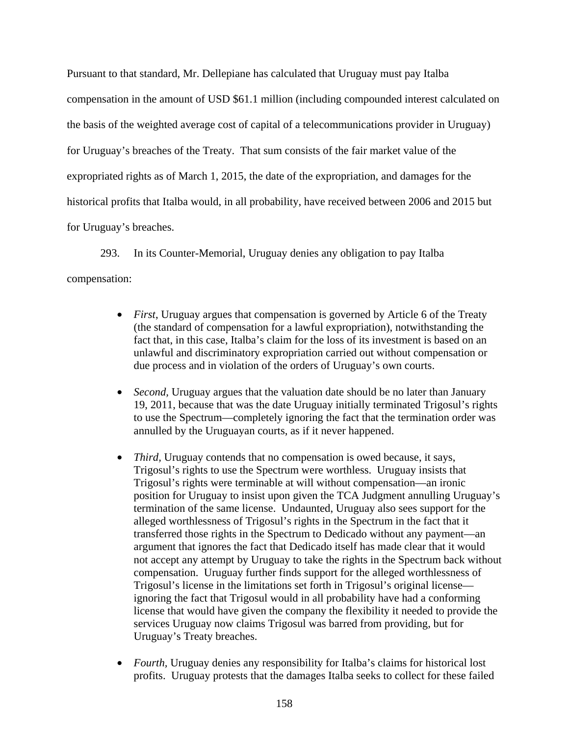Pursuant to that standard, Mr. Dellepiane has calculated that Uruguay must pay Italba compensation in the amount of USD \$61.1 million (including compounded interest calculated on the basis of the weighted average cost of capital of a telecommunications provider in Uruguay) for Uruguay's breaches of the Treaty. That sum consists of the fair market value of the expropriated rights as of March 1, 2015, the date of the expropriation, and damages for the historical profits that Italba would, in all probability, have received between 2006 and 2015 but for Uruguay's breaches.

293. In its Counter-Memorial, Uruguay denies any obligation to pay Italba compensation:

- *First*, Uruguay argues that compensation is governed by Article 6 of the Treaty (the standard of compensation for a lawful expropriation), notwithstanding the fact that, in this case, Italba's claim for the loss of its investment is based on an unlawful and discriminatory expropriation carried out without compensation or due process and in violation of the orders of Uruguay's own courts.
- *Second*, Uruguay argues that the valuation date should be no later than January 19, 2011, because that was the date Uruguay initially terminated Trigosul's rights to use the Spectrum—completely ignoring the fact that the termination order was annulled by the Uruguayan courts, as if it never happened.
- *Third*, Uruguay contends that no compensation is owed because, it says, Trigosul's rights to use the Spectrum were worthless. Uruguay insists that Trigosul's rights were terminable at will without compensation—an ironic position for Uruguay to insist upon given the TCA Judgment annulling Uruguay's termination of the same license. Undaunted, Uruguay also sees support for the alleged worthlessness of Trigosul's rights in the Spectrum in the fact that it transferred those rights in the Spectrum to Dedicado without any payment—an argument that ignores the fact that Dedicado itself has made clear that it would not accept any attempt by Uruguay to take the rights in the Spectrum back without compensation. Uruguay further finds support for the alleged worthlessness of Trigosul's license in the limitations set forth in Trigosul's original license ignoring the fact that Trigosul would in all probability have had a conforming license that would have given the company the flexibility it needed to provide the services Uruguay now claims Trigosul was barred from providing, but for Uruguay's Treaty breaches.
- *Fourth*, Uruguay denies any responsibility for Italba's claims for historical lost profits. Uruguay protests that the damages Italba seeks to collect for these failed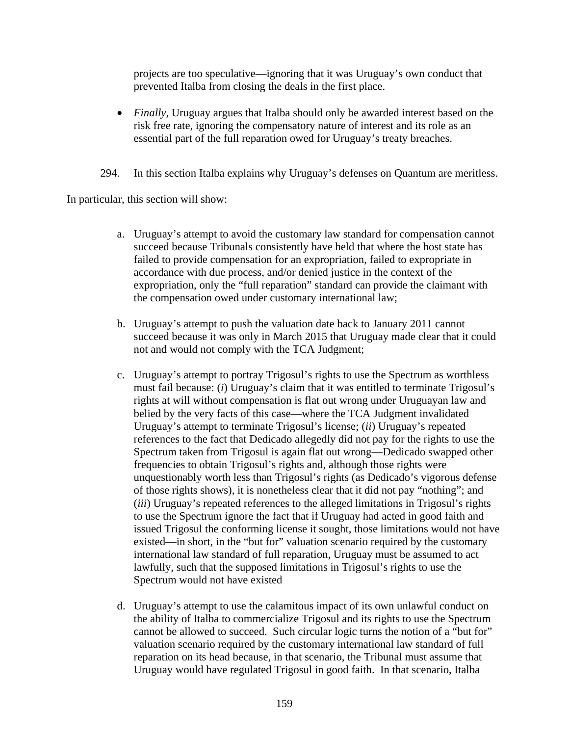projects are too speculative—ignoring that it was Uruguay's own conduct that prevented Italba from closing the deals in the first place.

- *Finally*, Uruguay argues that Italba should only be awarded interest based on the risk free rate, ignoring the compensatory nature of interest and its role as an essential part of the full reparation owed for Uruguay's treaty breaches.
- 294. In this section Italba explains why Uruguay's defenses on Quantum are meritless.

In particular, this section will show:

- a. Uruguay's attempt to avoid the customary law standard for compensation cannot succeed because Tribunals consistently have held that where the host state has failed to provide compensation for an expropriation, failed to expropriate in accordance with due process, and/or denied justice in the context of the expropriation, only the "full reparation" standard can provide the claimant with the compensation owed under customary international law;
- b. Uruguay's attempt to push the valuation date back to January 2011 cannot succeed because it was only in March 2015 that Uruguay made clear that it could not and would not comply with the TCA Judgment;
- c. Uruguay's attempt to portray Trigosul's rights to use the Spectrum as worthless must fail because: (*i*) Uruguay's claim that it was entitled to terminate Trigosul's rights at will without compensation is flat out wrong under Uruguayan law and belied by the very facts of this case—where the TCA Judgment invalidated Uruguay's attempt to terminate Trigosul's license; (*ii*) Uruguay's repeated references to the fact that Dedicado allegedly did not pay for the rights to use the Spectrum taken from Trigosul is again flat out wrong—Dedicado swapped other frequencies to obtain Trigosul's rights and, although those rights were unquestionably worth less than Trigosul's rights (as Dedicado's vigorous defense of those rights shows), it is nonetheless clear that it did not pay "nothing"; and (*iii*) Uruguay's repeated references to the alleged limitations in Trigosul's rights to use the Spectrum ignore the fact that if Uruguay had acted in good faith and issued Trigosul the conforming license it sought, those limitations would not have existed—in short, in the "but for" valuation scenario required by the customary international law standard of full reparation, Uruguay must be assumed to act lawfully, such that the supposed limitations in Trigosul's rights to use the Spectrum would not have existed
- d. Uruguay's attempt to use the calamitous impact of its own unlawful conduct on the ability of Italba to commercialize Trigosul and its rights to use the Spectrum cannot be allowed to succeed. Such circular logic turns the notion of a "but for" valuation scenario required by the customary international law standard of full reparation on its head because, in that scenario, the Tribunal must assume that Uruguay would have regulated Trigosul in good faith. In that scenario, Italba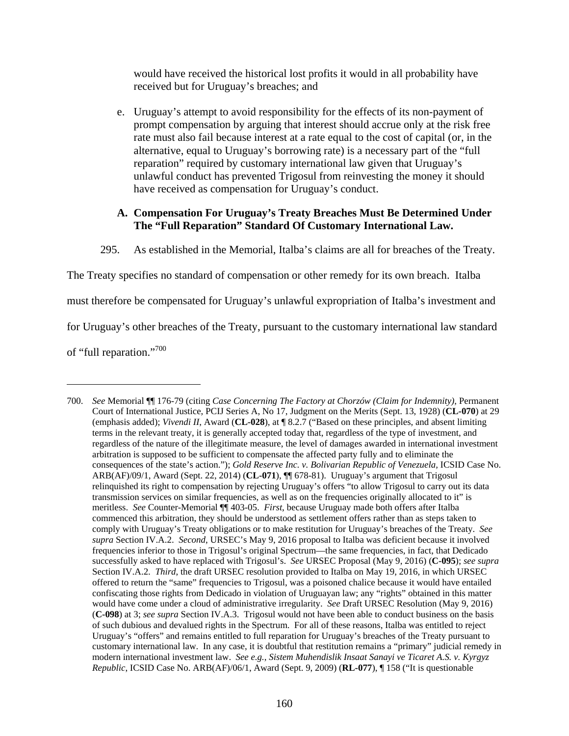would have received the historical lost profits it would in all probability have received but for Uruguay's breaches; and

e. Uruguay's attempt to avoid responsibility for the effects of its non-payment of prompt compensation by arguing that interest should accrue only at the risk free rate must also fail because interest at a rate equal to the cost of capital (or, in the alternative, equal to Uruguay's borrowing rate) is a necessary part of the "full reparation" required by customary international law given that Uruguay's unlawful conduct has prevented Trigosul from reinvesting the money it should have received as compensation for Uruguay's conduct.

### **A. Compensation For Uruguay's Treaty Breaches Must Be Determined Under The "Full Reparation" Standard Of Customary International Law.**

295. As established in the Memorial, Italba's claims are all for breaches of the Treaty.

The Treaty specifies no standard of compensation or other remedy for its own breach. Italba

must therefore be compensated for Uruguay's unlawful expropriation of Italba's investment and

for Uruguay's other breaches of the Treaty, pursuant to the customary international law standard

of "full reparation."700

<sup>700.</sup> *See* Memorial ¶¶ 176-79 (citing *Case Concerning The Factory at Chorzów (Claim for Indemnity)*, Permanent Court of International Justice, PCIJ Series A, No 17, Judgment on the Merits (Sept. 13, 1928) (**CL-070**) at 29 (emphasis added); *Vivendi II*, Award (**CL-028**), at ¶ 8.2.7 ("Based on these principles, and absent limiting terms in the relevant treaty, it is generally accepted today that, regardless of the type of investment, and regardless of the nature of the illegitimate measure, the level of damages awarded in international investment arbitration is supposed to be sufficient to compensate the affected party fully and to eliminate the consequences of the state's action."); *Gold Reserve Inc. v. Bolivarian Republic of Venezuela,* ICSID Case No. ARB(AF)/09/1, Award (Sept. 22, 2014) (**CL-071**), ¶¶ 678-81). Uruguay's argument that Trigosul relinquished its right to compensation by rejecting Uruguay's offers "to allow Trigosul to carry out its data transmission services on similar frequencies, as well as on the frequencies originally allocated to it" is meritless. *See* Counter-Memorial ¶¶ 403-05. *First*, because Uruguay made both offers after Italba commenced this arbitration, they should be understood as settlement offers rather than as steps taken to comply with Uruguay's Treaty obligations or to make restitution for Uruguay's breaches of the Treaty. *See supra* Section IV.A.2. *Second*, URSEC's May 9, 2016 proposal to Italba was deficient because it involved frequencies inferior to those in Trigosul's original Spectrum—the same frequencies, in fact, that Dedicado successfully asked to have replaced with Trigosul's. *See* URSEC Proposal (May 9, 2016) (**C-095**); *see supra* Section IV.A.2. *Third*, the draft URSEC resolution provided to Italba on May 19, 2016, in which URSEC offered to return the "same" frequencies to Trigosul, was a poisoned chalice because it would have entailed confiscating those rights from Dedicado in violation of Uruguayan law; any "rights" obtained in this matter would have come under a cloud of administrative irregularity. *See* Draft URSEC Resolution (May 9, 2016) (**C-098**) at 3; *see supra* Section IV.A.3. Trigosul would not have been able to conduct business on the basis of such dubious and devalued rights in the Spectrum. For all of these reasons, Italba was entitled to reject Uruguay's "offers" and remains entitled to full reparation for Uruguay's breaches of the Treaty pursuant to customary international law. In any case, it is doubtful that restitution remains a "primary" judicial remedy in modern international investment law. *See e.g.*, *Sistem Muhendislik Insaat Sanayi ve Ticaret A.S. v. Kyrgyz Republic*, ICSID Case No. ARB(AF)/06/1, Award (Sept. 9, 2009) (**RL-077**), ¶ 158 ("It is questionable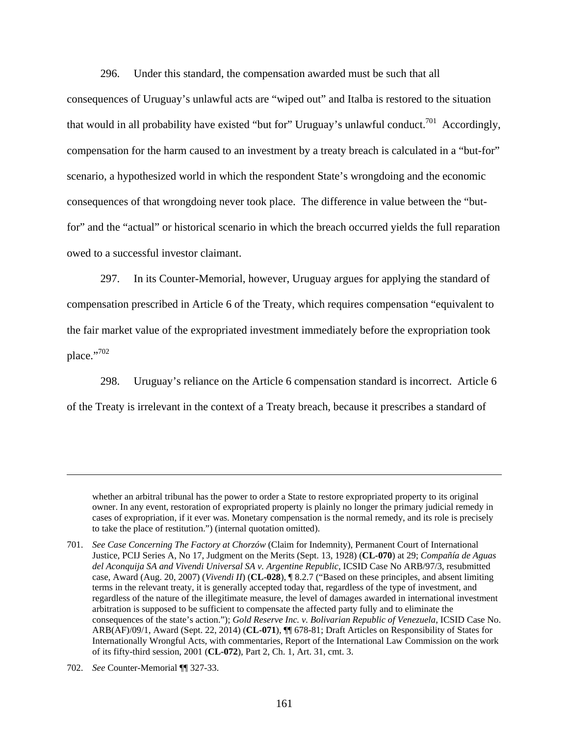296. Under this standard, the compensation awarded must be such that all consequences of Uruguay's unlawful acts are "wiped out" and Italba is restored to the situation that would in all probability have existed "but for" Uruguay's unlawful conduct.<sup>701</sup> Accordingly, compensation for the harm caused to an investment by a treaty breach is calculated in a "but-for" scenario, a hypothesized world in which the respondent State's wrongdoing and the economic consequences of that wrongdoing never took place. The difference in value between the "butfor" and the "actual" or historical scenario in which the breach occurred yields the full reparation owed to a successful investor claimant.

297. In its Counter-Memorial, however, Uruguay argues for applying the standard of compensation prescribed in Article 6 of the Treaty, which requires compensation "equivalent to the fair market value of the expropriated investment immediately before the expropriation took place."702

298. Uruguay's reliance on the Article 6 compensation standard is incorrect. Article 6 of the Treaty is irrelevant in the context of a Treaty breach, because it prescribes a standard of

<u>.</u>

whether an arbitral tribunal has the power to order a State to restore expropriated property to its original owner. In any event, restoration of expropriated property is plainly no longer the primary judicial remedy in cases of expropriation, if it ever was. Monetary compensation is the normal remedy, and its role is precisely to take the place of restitution.") (internal quotation omitted).

<sup>701.</sup> *See Case Concerning The Factory at Chorzów* (Claim for Indemnity), Permanent Court of International Justice, PCIJ Series A, No 17, Judgment on the Merits (Sept. 13, 1928) (**CL-070**) at 29; *Compañía de Aguas del Aconquija SA and Vivendi Universal SA v. Argentine Republic*, ICSID Case No ARB/97/3, resubmitted case, Award (Aug. 20, 2007) (*Vivendi II*) (**CL-028**), ¶ 8.2.7 ("Based on these principles, and absent limiting terms in the relevant treaty, it is generally accepted today that, regardless of the type of investment, and regardless of the nature of the illegitimate measure, the level of damages awarded in international investment arbitration is supposed to be sufficient to compensate the affected party fully and to eliminate the consequences of the state's action."); *Gold Reserve Inc. v. Bolivarian Republic of Venezuela*, ICSID Case No. ARB(AF)/09/1, Award (Sept. 22, 2014) (**CL-071**), ¶¶ 678-81; Draft Articles on Responsibility of States for Internationally Wrongful Acts, with commentaries, Report of the International Law Commission on the work of its fifty-third session, 2001 (**CL-072**), Part 2, Ch. 1, Art. 31, cmt. 3.

<sup>702.</sup> *See* Counter-Memorial ¶¶ 327-33.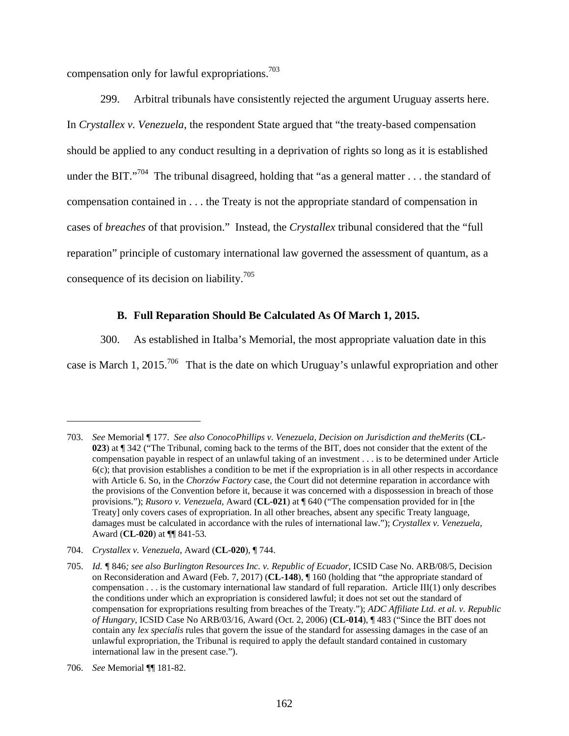compensation only for lawful expropriations.703

299. Arbitral tribunals have consistently rejected the argument Uruguay asserts here. In *Crystallex v. Venezuela*, the respondent State argued that "the treaty-based compensation should be applied to any conduct resulting in a deprivation of rights so long as it is established under the BIT."<sup>704</sup> The tribunal disagreed, holding that "as a general matter  $\dots$  the standard of compensation contained in . . . the Treaty is not the appropriate standard of compensation in cases of *breaches* of that provision." Instead, the *Crystallex* tribunal considered that the "full reparation" principle of customary international law governed the assessment of quantum, as a consequence of its decision on liability.<sup>705</sup>

#### **B. Full Reparation Should Be Calculated As Of March 1, 2015.**

300. As established in Italba's Memorial, the most appropriate valuation date in this case is March 1, 2015.<sup>706</sup> That is the date on which Uruguay's unlawful expropriation and other

<sup>703.</sup> *See* Memorial ¶ 177. *See also ConocoPhillips v. Venezuela, Decision on Jurisdiction and theMerits* (**CL-023**) at ¶ 342 ("The Tribunal, coming back to the terms of the BIT, does not consider that the extent of the compensation payable in respect of an unlawful taking of an investment . . . is to be determined under Article 6(c); that provision establishes a condition to be met if the expropriation is in all other respects in accordance with Article 6. So, in the *Chorzów Factory* case, the Court did not determine reparation in accordance with the provisions of the Convention before it, because it was concerned with a dispossession in breach of those provisions."); *Rusoro v. Venezuela*, Award (**CL-021**) at ¶ 640 ("The compensation provided for in [the Treaty] only covers cases of expropriation. In all other breaches, absent any specific Treaty language, damages must be calculated in accordance with the rules of international law."); *Crystallex v. Venezuela,*  Award (**CL-020**) at ¶¶ 841-53*.*

<sup>704.</sup> *Crystallex v. Venezuela*, Award (**CL-020**), ¶ 744.

<sup>705.</sup> *Id. ¶* 846*; see also Burlington Resources Inc. v. Republic of Ecuador*, ICSID Case No. ARB/08/5, Decision on Reconsideration and Award (Feb. 7, 2017) (**CL-148**), ¶ 160 (holding that "the appropriate standard of compensation  $\dots$  is the customary international law standard of full reparation. Article III(1) only describes the conditions under which an expropriation is considered lawful; it does not set out the standard of compensation for expropriations resulting from breaches of the Treaty."); *ADC Affiliate Ltd. et al. v. Republic of Hungary*, ICSID Case No ARB/03/16, Award (Oct. 2, 2006) (**CL-014**), ¶ 483 ("Since the BIT does not contain any *lex specialis* rules that govern the issue of the standard for assessing damages in the case of an unlawful expropriation, the Tribunal is required to apply the default standard contained in customary international law in the present case.").

<sup>706.</sup> *See* Memorial ¶¶ 181-82.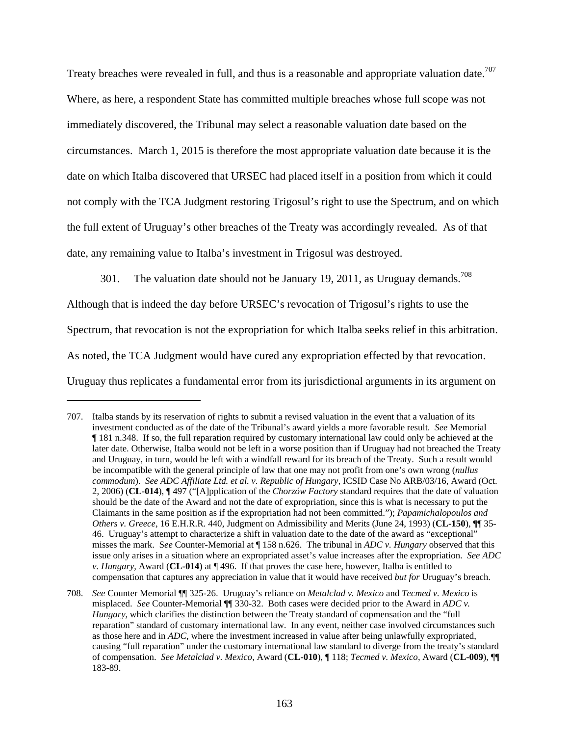Treaty breaches were revealed in full, and thus is a reasonable and appropriate valuation date.<sup>707</sup> Where, as here, a respondent State has committed multiple breaches whose full scope was not immediately discovered, the Tribunal may select a reasonable valuation date based on the circumstances. March 1, 2015 is therefore the most appropriate valuation date because it is the date on which Italba discovered that URSEC had placed itself in a position from which it could not comply with the TCA Judgment restoring Trigosul's right to use the Spectrum, and on which the full extent of Uruguay's other breaches of the Treaty was accordingly revealed. As of that date, any remaining value to Italba's investment in Trigosul was destroyed.

301. The valuation date should not be January 19, 2011, as Uruguay demands.<sup>708</sup>

Although that is indeed the day before URSEC's revocation of Trigosul's rights to use the Spectrum, that revocation is not the expropriation for which Italba seeks relief in this arbitration. As noted, the TCA Judgment would have cured any expropriation effected by that revocation. Uruguay thus replicates a fundamental error from its jurisdictional arguments in its argument on

1

<sup>707.</sup> Italba stands by its reservation of rights to submit a revised valuation in the event that a valuation of its investment conducted as of the date of the Tribunal's award yields a more favorable result. *See* Memorial ¶ 181 n.348. If so, the full reparation required by customary international law could only be achieved at the later date. Otherwise, Italba would not be left in a worse position than if Uruguay had not breached the Treaty and Uruguay, in turn, would be left with a windfall reward for its breach of the Treaty. Such a result would be incompatible with the general principle of law that one may not profit from one's own wrong (*nullus commodum*). *See ADC Affiliate Ltd. et al. v. Republic of Hungary,* ICSID Case No ARB/03/16, Award (Oct. 2, 2006) (**CL-014**), ¶ 497 ("[A]pplication of the *Chorzów Factory* standard requires that the date of valuation should be the date of the Award and not the date of expropriation, since this is what is necessary to put the Claimants in the same position as if the expropriation had not been committed."); *Papamichalopoulos and Others v. Greece*, 16 E.H.R.R. 440, Judgment on Admissibility and Merits (June 24, 1993) (**CL-150**), ¶¶ 35- 46. Uruguay's attempt to characterize a shift in valuation date to the date of the award as "exceptional" misses the mark. S*ee* Counter-Memorial at ¶ 158 n.626. The tribunal in *ADC v. Hungary* observed that this issue only arises in a situation where an expropriated asset's value increases after the expropriation. *See ADC v. Hungary*, Award (**CL-014**) at ¶ 496. If that proves the case here, however, Italba is entitled to compensation that captures any appreciation in value that it would have received *but for* Uruguay's breach.

<sup>708.</sup> *See* Counter Memorial ¶¶ 325-26. Uruguay's reliance on *Metalclad v. Mexico* and *Tecmed v. Mexico* is misplaced. *See* Counter-Memorial ¶¶ 330-32. Both cases were decided prior to the Award in *ADC v. Hungary*, which clarifies the distinction between the Treaty standard of copmensation and the "full reparation" standard of customary international law. In any event, neither case involved circumstances such as those here and in *ADC*, where the investment increased in value after being unlawfully expropriated, causing "full reparation" under the customary international law standard to diverge from the treaty's standard of compensation. *See Metalclad v. Mexico*, Award (**CL-010**), ¶ 118; *Tecmed v. Mexico*, Award (**CL-009**), ¶¶ 183-89.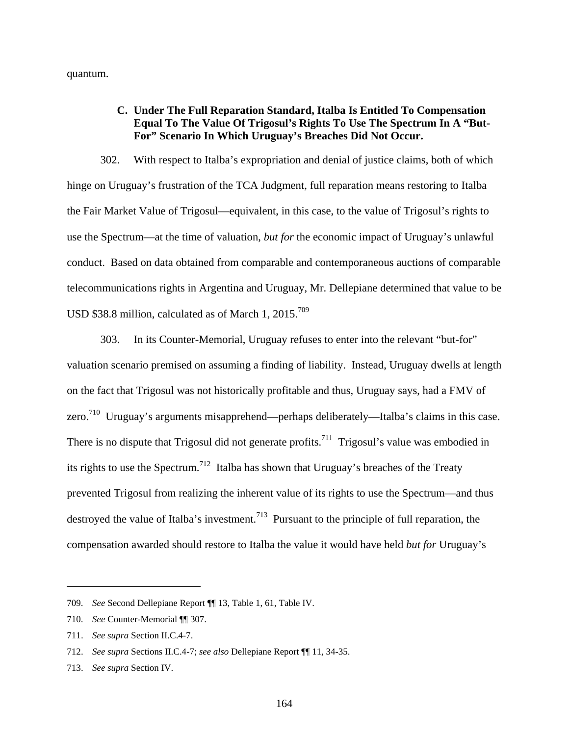quantum.

### **C. Under The Full Reparation Standard, Italba Is Entitled To Compensation Equal To The Value Of Trigosul's Rights To Use The Spectrum In A "But-For" Scenario In Which Uruguay's Breaches Did Not Occur.**

302. With respect to Italba's expropriation and denial of justice claims, both of which hinge on Uruguay's frustration of the TCA Judgment, full reparation means restoring to Italba the Fair Market Value of Trigosul—equivalent, in this case, to the value of Trigosul's rights to use the Spectrum—at the time of valuation, *but for* the economic impact of Uruguay's unlawful conduct. Based on data obtained from comparable and contemporaneous auctions of comparable telecommunications rights in Argentina and Uruguay, Mr. Dellepiane determined that value to be USD \$38.8 million, calculated as of March 1, 2015.<sup>709</sup>

303. In its Counter-Memorial, Uruguay refuses to enter into the relevant "but-for" valuation scenario premised on assuming a finding of liability. Instead, Uruguay dwells at length on the fact that Trigosul was not historically profitable and thus, Uruguay says, had a FMV of zero.710 Uruguay's arguments misapprehend—perhaps deliberately—Italba's claims in this case. There is no dispute that Trigosul did not generate profits.<sup>711</sup> Trigosul's value was embodied in its rights to use the Spectrum.712 Italba has shown that Uruguay's breaches of the Treaty prevented Trigosul from realizing the inherent value of its rights to use the Spectrum—and thus destroyed the value of Italba's investment.<sup>713</sup> Pursuant to the principle of full reparation, the compensation awarded should restore to Italba the value it would have held *but for* Uruguay's

<sup>709.</sup> *See* Second Dellepiane Report ¶¶ 13, Table 1, 61, Table IV.

<sup>710.</sup> *See* Counter-Memorial ¶¶ 307.

<sup>711.</sup> *See supra* Section II.C.4-7.

<sup>712.</sup> *See supra* Sections II.C.4-7; *see also* Dellepiane Report ¶¶ 11, 34-35.

<sup>713.</sup> *See supra* Section IV.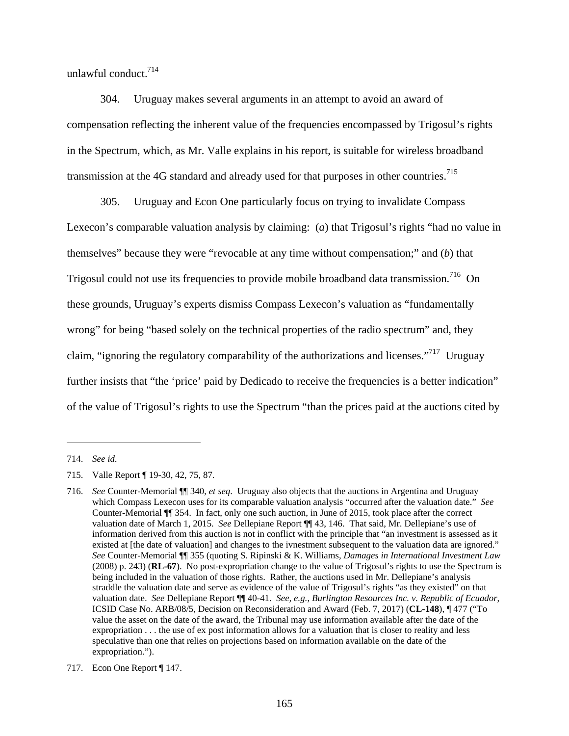unlawful conduct.<sup>714</sup>

304. Uruguay makes several arguments in an attempt to avoid an award of compensation reflecting the inherent value of the frequencies encompassed by Trigosul's rights in the Spectrum, which, as Mr. Valle explains in his report, is suitable for wireless broadband transmission at the 4G standard and already used for that purposes in other countries.<sup>715</sup>

305. Uruguay and Econ One particularly focus on trying to invalidate Compass Lexecon's comparable valuation analysis by claiming: (*a*) that Trigosul's rights "had no value in themselves" because they were "revocable at any time without compensation;" and (*b*) that Trigosul could not use its frequencies to provide mobile broadband data transmission.<sup>716</sup> On these grounds, Uruguay's experts dismiss Compass Lexecon's valuation as "fundamentally wrong" for being "based solely on the technical properties of the radio spectrum" and, they claim, "ignoring the regulatory comparability of the authorizations and licenses."<sup>717</sup> Uruguay further insists that "the 'price' paid by Dedicado to receive the frequencies is a better indication" of the value of Trigosul's rights to use the Spectrum "than the prices paid at the auctions cited by

<sup>714.</sup> *See id*.

<sup>715.</sup> Valle Report ¶ 19-30, 42, 75, 87.

<sup>716.</sup> *See* Counter-Memorial ¶¶ 340, *et seq*. Uruguay also objects that the auctions in Argentina and Uruguay which Compass Lexecon uses for its comparable valuation analysis "occurred after the valuation date." *See* Counter-Memorial ¶¶ 354. In fact, only one such auction, in June of 2015, took place after the correct valuation date of March 1, 2015. *See* Dellepiane Report ¶¶ 43, 146. That said, Mr. Dellepiane's use of information derived from this auction is not in conflict with the principle that "an investment is assessed as it existed at [the date of valuation] and changes to the ivnestment subsequent to the valuation data are ignored." *See* Counter-Memorial ¶¶ 355 (quoting S. Ripinski & K. Williams, *Damages in International Investment Law* (2008) p. 243) (**RL-67**). No post-expropriation change to the value of Trigosul's rights to use the Spectrum is being included in the valuation of those rights. Rather, the auctions used in Mr. Dellepiane's analysis straddle the valuation date and serve as evidence of the value of Trigosul's rights "as they existed" on that valuation date. *See* Dellepiane Report ¶¶ 40-41. *See, e.g.*, *Burlington Resources Inc. v. Republic of Ecuador*, ICSID Case No. ARB/08/5, Decision on Reconsideration and Award (Feb. 7, 2017) (**CL-148**), ¶ 477 ("To value the asset on the date of the award, the Tribunal may use information available after the date of the expropriation . . . the use of ex post information allows for a valuation that is closer to reality and less speculative than one that relies on projections based on information available on the date of the expropriation.").

<sup>717.</sup> Econ One Report ¶ 147.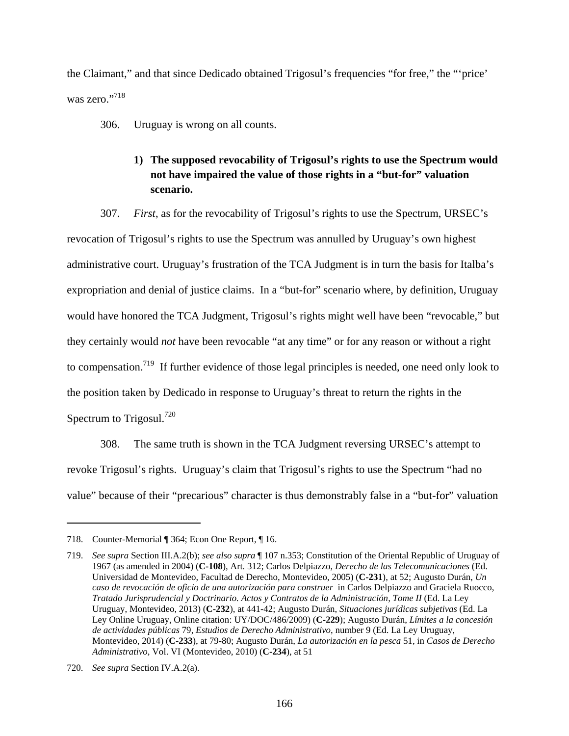the Claimant," and that since Dedicado obtained Trigosul's frequencies "for free," the "'price' was zero."718

306. Uruguay is wrong on all counts.

## **1) The supposed revocability of Trigosul's rights to use the Spectrum would not have impaired the value of those rights in a "but-for" valuation scenario.**

307. *First*, as for the revocability of Trigosul's rights to use the Spectrum, URSEC's revocation of Trigosul's rights to use the Spectrum was annulled by Uruguay's own highest administrative court. Uruguay's frustration of the TCA Judgment is in turn the basis for Italba's expropriation and denial of justice claims. In a "but-for" scenario where, by definition, Uruguay would have honored the TCA Judgment, Trigosul's rights might well have been "revocable," but they certainly would *not* have been revocable "at any time" or for any reason or without a right to compensation.719 If further evidence of those legal principles is needed, one need only look to the position taken by Dedicado in response to Uruguay's threat to return the rights in the Spectrum to Trigosul.<sup>720</sup>

308. The same truth is shown in the TCA Judgment reversing URSEC's attempt to revoke Trigosul's rights. Uruguay's claim that Trigosul's rights to use the Spectrum "had no value" because of their "precarious" character is thus demonstrably false in a "but-for" valuation

<sup>718.</sup> Counter-Memorial ¶ 364; Econ One Report, ¶ 16.

<sup>719.</sup> *See supra* Section III.A.2(b); *see also supra* ¶ 107 n.353; Constitution of the Oriental Republic of Uruguay of 1967 (as amended in 2004) (**C-108**), Art. 312; Carlos Delpiazzo, *Derecho de las Telecomunicaciones* (Ed. Universidad de Montevideo, Facultad de Derecho, Montevideo, 2005) (**C-231**), at 52; Augusto Durán, *Un caso de revocación de oficio de una autorización para construer* in Carlos Delpiazzo and Graciela Ruocco, *Tratado Jurisprudencial y Doctrinario. Actos y Contratos de la Administración, Tome II* (Ed. La Ley Uruguay, Montevideo, 2013) (**C-232**), at 441-42; Augusto Durán, *Situaciones jurídicas subjetivas* (Ed. La Ley Online Uruguay, Online citation: UY/DOC/486/2009) (**C-229**); Augusto Durán, *Límites a la concesión de actividades públicas* 79, *Estudios de Derecho Administrativo*, number 9 (Ed. La Ley Uruguay, Montevideo, 2014) (**C-233**), at 79-80; Augusto Durán, *La autorización en la pesca* 51, in *Casos de Derecho Administrativo*, Vol. VI (Montevideo, 2010) (**C-234**), at 51

<sup>720.</sup> *See supra* Section IV.A.2(a).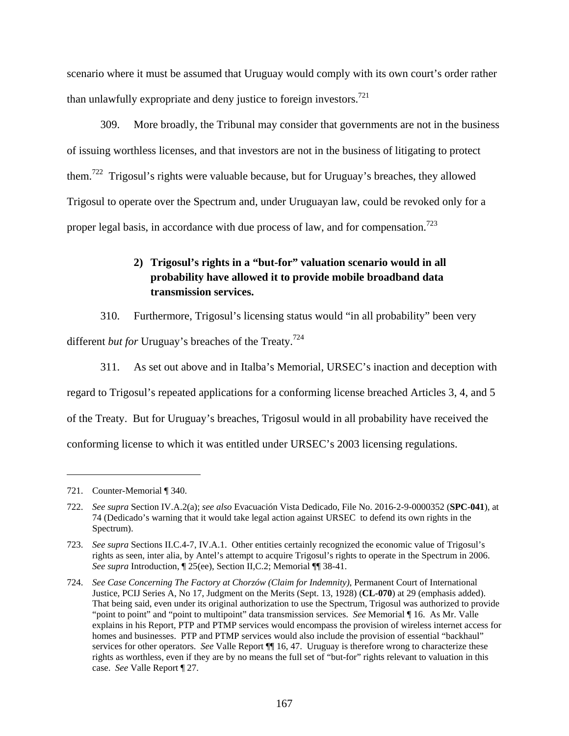scenario where it must be assumed that Uruguay would comply with its own court's order rather than unlawfully expropriate and deny justice to foreign investors.<sup>721</sup>

309. More broadly, the Tribunal may consider that governments are not in the business of issuing worthless licenses, and that investors are not in the business of litigating to protect them.<sup>722</sup> Trigosul's rights were valuable because, but for Uruguay's breaches, they allowed Trigosul to operate over the Spectrum and, under Uruguayan law, could be revoked only for a proper legal basis, in accordance with due process of law, and for compensation.<sup>723</sup>

# **2) Trigosul's rights in a "but-for" valuation scenario would in all probability have allowed it to provide mobile broadband data transmission services.**

310. Furthermore, Trigosul's licensing status would "in all probability" been very

different *but for* Uruguay's breaches of the Treaty.<sup>724</sup>

311. As set out above and in Italba's Memorial, URSEC's inaction and deception with

regard to Trigosul's repeated applications for a conforming license breached Articles 3, 4, and 5

of the Treaty. But for Uruguay's breaches, Trigosul would in all probability have received the

conforming license to which it was entitled under URSEC's 2003 licensing regulations.

<u>.</u>

<sup>721.</sup> Counter-Memorial ¶ 340.

<sup>722.</sup> *See supra* Section IV.A.2(a); *see also* Evacuación Vista Dedicado, File No. 2016-2-9-0000352 (**SPC-041**), at 74 (Dedicado's warning that it would take legal action against URSEC to defend its own rights in the Spectrum).

<sup>723.</sup> *See supra* Sections II.C.4-7, IV.A.1. Other entities certainly recognized the economic value of Trigosul's rights as seen, inter alia, by Antel's attempt to acquire Trigosul's rights to operate in the Spectrum in 2006. *See supra* Introduction,  $\sqrt{25}$  (ee), Section II, C.2; Memorial  $\sqrt{11}$  38-41.

<sup>724.</sup> *See Case Concerning The Factory at Chorzów (Claim for Indemnity)*, Permanent Court of International Justice, PCIJ Series A, No 17, Judgment on the Merits (Sept. 13, 1928) (**CL-070**) at 29 (emphasis added). That being said, even under its original authorization to use the Spectrum, Trigosul was authorized to provide "point to point" and "point to multipoint" data transmission services. *See* Memorial ¶ 16. As Mr. Valle explains in his Report, PTP and PTMP services would encompass the provision of wireless internet access for homes and businesses. PTP and PTMP services would also include the provision of essential "backhaul" services for other operators. *See* Valle Report ¶¶ 16, 47. Uruguay is therefore wrong to characterize these rights as worthless, even if they are by no means the full set of "but-for" rights relevant to valuation in this case. *See* Valle Report ¶ 27.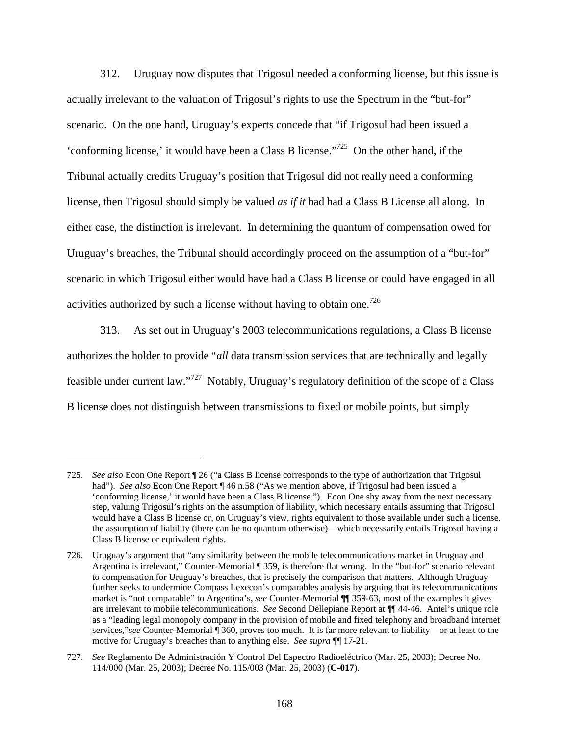312. Uruguay now disputes that Trigosul needed a conforming license, but this issue is actually irrelevant to the valuation of Trigosul's rights to use the Spectrum in the "but-for" scenario. On the one hand, Uruguay's experts concede that "if Trigosul had been issued a 'conforming license,' it would have been a Class B license."725 On the other hand, if the Tribunal actually credits Uruguay's position that Trigosul did not really need a conforming license, then Trigosul should simply be valued *as if it* had had a Class B License all along. In either case, the distinction is irrelevant. In determining the quantum of compensation owed for Uruguay's breaches, the Tribunal should accordingly proceed on the assumption of a "but-for" scenario in which Trigosul either would have had a Class B license or could have engaged in all activities authorized by such a license without having to obtain one.<sup>726</sup>

313. As set out in Uruguay's 2003 telecommunications regulations, a Class B license authorizes the holder to provide "*all* data transmission services that are technically and legally feasible under current law."727 Notably, Uruguay's regulatory definition of the scope of a Class B license does not distinguish between transmissions to fixed or mobile points, but simply

<sup>725.</sup> *See also* Econ One Report ¶ 26 ("a Class B license corresponds to the type of authorization that Trigosul had"). *See also* Econ One Report ¶ 46 n.58 ("As we mention above, if Trigosul had been issued a 'conforming license,' it would have been a Class B license."). Econ One shy away from the next necessary step, valuing Trigosul's rights on the assumption of liability, which necessary entails assuming that Trigosul would have a Class B license or, on Uruguay's view, rights equivalent to those available under such a license. the assumption of liability (there can be no quantum otherwise)—which necessarily entails Trigosul having a Class B license or equivalent rights.

<sup>726.</sup> Uruguay's argument that "any similarity between the mobile telecommunications market in Uruguay and Argentina is irrelevant," Counter-Memorial ¶ 359, is therefore flat wrong. In the "but-for" scenario relevant to compensation for Uruguay's breaches, that is precisely the comparison that matters. Although Uruguay further seeks to undermine Compass Lexecon's comparables analysis by arguing that its telecommunications market is "not comparable" to Argentina's, *see* Counter-Memorial ¶¶ 359-63, most of the examples it gives are irrelevant to mobile telecommunications. *See* Second Dellepiane Report at ¶¶ 44-46. Antel's unique role as a "leading legal monopoly company in the provision of mobile and fixed telephony and broadband internet services,"*see* Counter-Memorial ¶ 360, proves too much. It is far more relevant to liability—or at least to the motive for Uruguay's breaches than to anything else. *See supra* ¶¶ 17-21.

<sup>727.</sup> *See* Reglamento De Administración Y Control Del Espectro Radioeléctrico (Mar. 25, 2003); Decree No. 114/000 (Mar. 25, 2003); Decree No. 115/003 (Mar. 25, 2003) (**C-017**).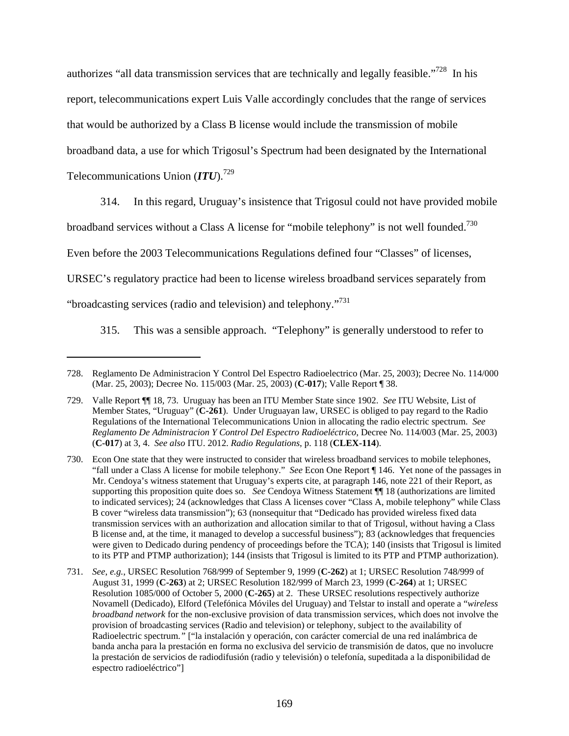authorizes "all data transmission services that are technically and legally feasible."728 In his report, telecommunications expert Luis Valle accordingly concludes that the range of services that would be authorized by a Class B license would include the transmission of mobile broadband data, a use for which Trigosul's Spectrum had been designated by the International Telecommunications Union (*ITU*).729

314. In this regard, Uruguay's insistence that Trigosul could not have provided mobile

broadband services without a Class A license for "mobile telephony" is not well founded.<sup>730</sup>

Even before the 2003 Telecommunications Regulations defined four "Classes" of licenses,

URSEC's regulatory practice had been to license wireless broadband services separately from

"broadcasting services (radio and television) and telephony."<sup>731</sup>

 $\overline{a}$ 

315. This was a sensible approach. "Telephony" is generally understood to refer to

<sup>728.</sup> Reglamento De Administracion Y Control Del Espectro Radioelectrico (Mar. 25, 2003); Decree No. 114/000 (Mar. 25, 2003); Decree No. 115/003 (Mar. 25, 2003) (**C-017**); Valle Report ¶ 38.

<sup>729.</sup> Valle Report ¶¶ 18, 73. Uruguay has been an ITU Member State since 1902. *See* ITU Website, List of Member States, "Uruguay" (**C-261**). Under Uruguayan law, URSEC is obliged to pay regard to the Radio Regulations of the International Telecommunications Union in allocating the radio electric spectrum. *See Reglamento De Administracion Y Control Del Espectro Radioeléctrico*, Decree No. 114/003 (Mar. 25, 2003) (**C-017**) at 3, 4. *See also* ITU. 2012. *Radio Regulations*, p. 118 (**CLEX-114**).

<sup>730.</sup> Econ One state that they were instructed to consider that wireless broadband services to mobile telephones, "fall under a Class A license for mobile telephony." *See* Econ One Report ¶ 146. Yet none of the passages in Mr. Cendoya's witness statement that Uruguay's experts cite, at paragraph 146, note 221 of their Report, as supporting this proposition quite does so. *See* Cendoya Witness Statement ¶¶ 18 (authorizations are limited to indicated services); 24 (acknowledges that Class A licenses cover "Class A, mobile telephony" while Class B cover "wireless data transmission"); 63 (nonsequitur that "Dedicado has provided wireless fixed data transmission services with an authorization and allocation similar to that of Trigosul, without having a Class B license and, at the time, it managed to develop a successful business"); 83 (acknowledges that frequencies were given to Dedicado during pendency of proceedings before the TCA); 140 (insists that Trigosul is limited to its PTP and PTMP authorization); 144 (insists that Trigosul is limited to its PTP and PTMP authorization).

<sup>731.</sup> *See*, *e.g.*, URSEC Resolution 768/999 of September 9, 1999 (**C-262**) at 1; URSEC Resolution 748/999 of August 31, 1999 (**C-263**) at 2; URSEC Resolution 182/999 of March 23, 1999 (**C-264**) at 1; URSEC Resolution 1085/000 of October 5, 2000 (**C-265**) at 2. These URSEC resolutions respectively authorize Novamell (Dedicado), Elford (Telefónica Móviles del Uruguay) and Telstar to install and operate a "*wireless broadband network* for the non-exclusive provision of data transmission services, which does not involve the provision of broadcasting services (Radio and television) or telephony, subject to the availability of Radioelectric spectrum.*"* ["la instalación y operación, con carácter comercial de una red inalámbrica de banda ancha para la prestación en forma no exclusiva del servicio de transmisión de datos, que no involucre la prestación de servicios de radiodifusión (radio y televisión) o telefonía, supeditada a la disponibilidad de espectro radioeléctrico"]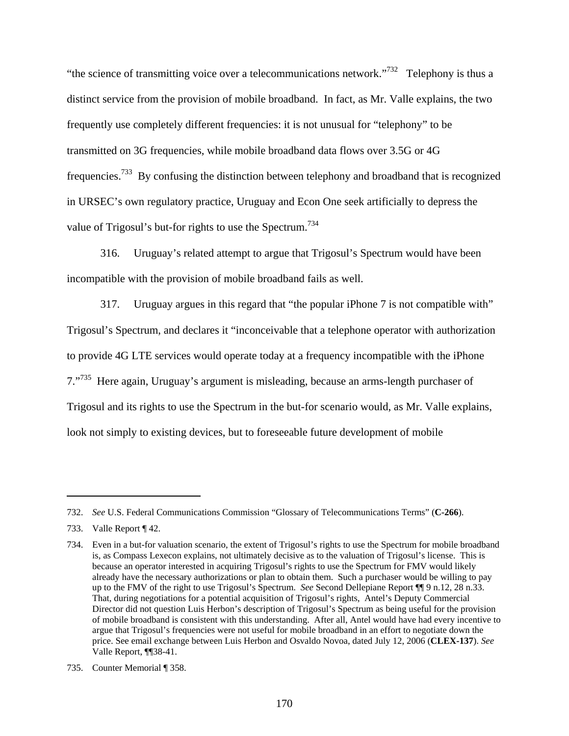"the science of transmitting voice over a telecommunications network."<sup>732</sup> Telephony is thus a distinct service from the provision of mobile broadband. In fact, as Mr. Valle explains, the two frequently use completely different frequencies: it is not unusual for "telephony" to be transmitted on 3G frequencies, while mobile broadband data flows over 3.5G or 4G frequencies.733 By confusing the distinction between telephony and broadband that is recognized in URSEC's own regulatory practice, Uruguay and Econ One seek artificially to depress the value of Trigosul's but-for rights to use the Spectrum.<sup>734</sup>

316. Uruguay's related attempt to argue that Trigosul's Spectrum would have been incompatible with the provision of mobile broadband fails as well.

317. Uruguay argues in this regard that "the popular iPhone 7 is not compatible with" Trigosul's Spectrum, and declares it "inconceivable that a telephone operator with authorization to provide 4G LTE services would operate today at a frequency incompatible with the iPhone 7."<sup>735</sup> Here again, Uruguay's argument is misleading, because an arms-length purchaser of Trigosul and its rights to use the Spectrum in the but-for scenario would, as Mr. Valle explains, look not simply to existing devices, but to foreseeable future development of mobile

<sup>732.</sup> *See* U.S. Federal Communications Commission "Glossary of Telecommunications Terms" (**C-266**).

<sup>733.</sup> Valle Report ¶ 42.

<sup>734.</sup> Even in a but-for valuation scenario, the extent of Trigosul's rights to use the Spectrum for mobile broadband is, as Compass Lexecon explains, not ultimately decisive as to the valuation of Trigosul's license. This is because an operator interested in acquiring Trigosul's rights to use the Spectrum for FMV would likely already have the necessary authorizations or plan to obtain them. Such a purchaser would be willing to pay up to the FMV of the right to use Trigosul's Spectrum. *See* Second Dellepiane Report ¶¶ 9 n.12, 28 n.33. That, during negotiations for a potential acquisition of Trigosul's rights, Antel's Deputy Commercial Director did not question Luis Herbon's description of Trigosul's Spectrum as being useful for the provision of mobile broadband is consistent with this understanding. After all, Antel would have had every incentive to argue that Trigosul's frequencies were not useful for mobile broadband in an effort to negotiate down the price. See email exchange between Luis Herbon and Osvaldo Novoa, dated July 12, 2006 (**CLEX-137**). *See* Valle Report, ¶¶38-41.

<sup>735.</sup> Counter Memorial ¶ 358.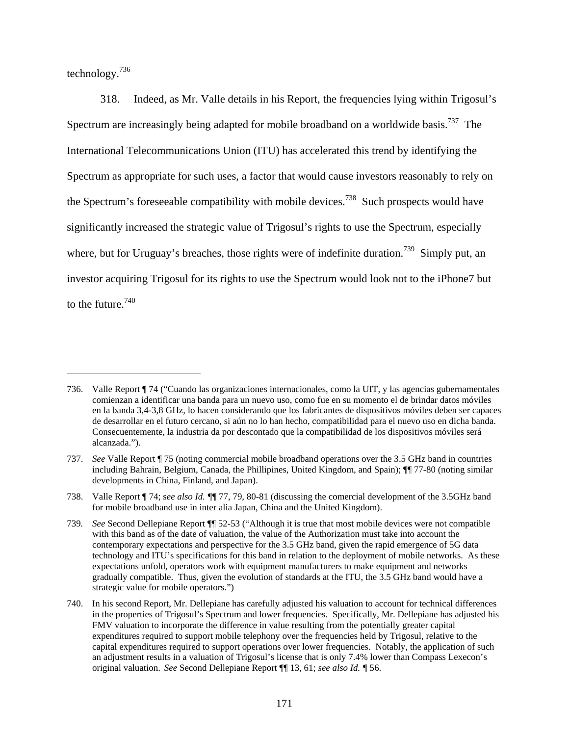technology.736

318. Indeed, as Mr. Valle details in his Report, the frequencies lying within Trigosul's Spectrum are increasingly being adapted for mobile broadband on a worldwide basis.<sup>737</sup> The International Telecommunications Union (ITU) has accelerated this trend by identifying the Spectrum as appropriate for such uses, a factor that would cause investors reasonably to rely on the Spectrum's foreseeable compatibility with mobile devices.<sup>738</sup> Such prospects would have significantly increased the strategic value of Trigosul's rights to use the Spectrum, especially where, but for Uruguay's breaches, those rights were of indefinite duration.<sup>739</sup> Simply put, an investor acquiring Trigosul for its rights to use the Spectrum would look not to the iPhone7 but to the future.740

<sup>736.</sup> Valle Report ¶ 74 ("Cuando las organizaciones internacionales, como la UIT, y las agencias gubernamentales comienzan a identificar una banda para un nuevo uso, como fue en su momento el de brindar datos móviles en la banda 3,4-3,8 GHz, lo hacen considerando que los fabricantes de dispositivos móviles deben ser capaces de desarrollar en el futuro cercano, si aún no lo han hecho, compatibilidad para el nuevo uso en dicha banda. Consecuentemente, la industria da por descontado que la compatibilidad de los dispositivos móviles será alcanzada.").

<sup>737.</sup> *See* Valle Report ¶ 75 (noting commercial mobile broadband operations over the 3.5 GHz band in countries including Bahrain, Belgium, Canada, the Phillipines, United Kingdom, and Spain);  $\P$  77-80 (noting similar developments in China, Finland, and Japan).

<sup>738.</sup> Valle Report ¶ 74; s*ee also Id. ¶*¶ 77, 79, 80-81 (discussing the comercial development of the 3.5GHz band for mobile broadband use in inter alia Japan, China and the United Kingdom).

<sup>739</sup>*. See* Second Dellepiane Report ¶¶ 52-53 ("Although it is true that most mobile devices were not compatible with this band as of the date of valuation, the value of the Authorization must take into account the contemporary expectations and perspective for the 3.5 GHz band, given the rapid emergence of 5G data technology and ITU's specifications for this band in relation to the deployment of mobile networks. As these expectations unfold, operators work with equipment manufacturers to make equipment and networks gradually compatible. Thus, given the evolution of standards at the ITU, the 3.5 GHz band would have a strategic value for mobile operators.")

<sup>740.</sup> In his second Report, Mr. Dellepiane has carefully adjusted his valuation to account for technical differences in the properties of Trigosul's Spectrum and lower frequencies. Specifically, Mr. Dellepiane has adjusted his FMV valuation to incorporate the difference in value resulting from the potentially greater capital expenditures required to support mobile telephony over the frequencies held by Trigosul, relative to the capital expenditures required to support operations over lower frequencies. Notably, the application of such an adjustment results in a valuation of Trigosul's license that is only 7.4% lower than Compass Lexecon's original valuation. *See* Second Dellepiane Report ¶¶ 13, 61; *see also Id. ¶* 56.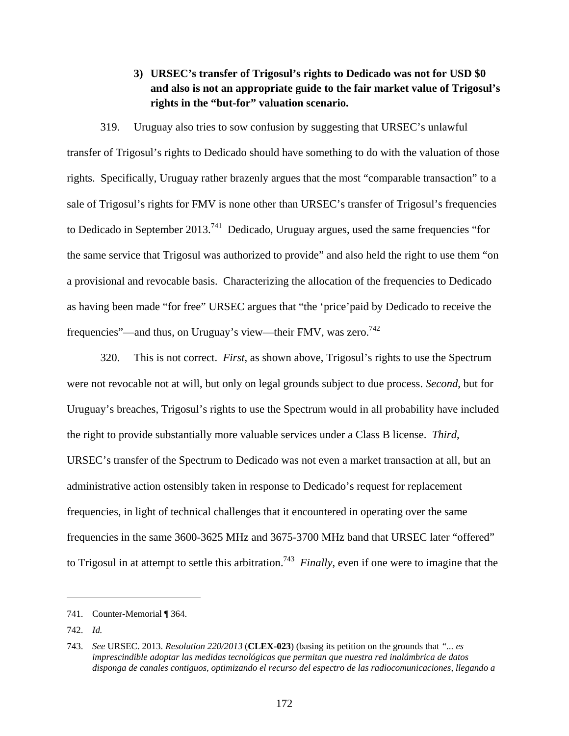## **3) URSEC's transfer of Trigosul's rights to Dedicado was not for USD \$0 and also is not an appropriate guide to the fair market value of Trigosul's rights in the "but-for" valuation scenario.**

319. Uruguay also tries to sow confusion by suggesting that URSEC's unlawful transfer of Trigosul's rights to Dedicado should have something to do with the valuation of those rights. Specifically, Uruguay rather brazenly argues that the most "comparable transaction" to a sale of Trigosul's rights for FMV is none other than URSEC's transfer of Trigosul's frequencies to Dedicado in September 2013.<sup>741</sup> Dedicado, Uruguay argues, used the same frequencies "for the same service that Trigosul was authorized to provide" and also held the right to use them "on a provisional and revocable basis. Characterizing the allocation of the frequencies to Dedicado as having been made "for free" URSEC argues that "the 'price'paid by Dedicado to receive the frequencies"—and thus, on Uruguay's view—their FMV, was zero.<sup>742</sup>

320. This is not correct. *First*, as shown above, Trigosul's rights to use the Spectrum were not revocable not at will, but only on legal grounds subject to due process. *Second*, but for Uruguay's breaches, Trigosul's rights to use the Spectrum would in all probability have included the right to provide substantially more valuable services under a Class B license. *Third*, URSEC's transfer of the Spectrum to Dedicado was not even a market transaction at all, but an administrative action ostensibly taken in response to Dedicado's request for replacement frequencies, in light of technical challenges that it encountered in operating over the same frequencies in the same 3600-3625 MHz and 3675-3700 MHz band that URSEC later "offered" to Trigosul in at attempt to settle this arbitration.<sup>743</sup> *Finally*, even if one were to imagine that the

<sup>741.</sup> Counter-Memorial ¶ 364.

<sup>742.</sup> *Id.*

<sup>743.</sup> *See* URSEC. 2013. *Resolution 220/2013* (**CLEX-023**) (basing its petition on the grounds that *"... es imprescindible adoptar las medidas tecnológicas que permitan que nuestra red inalámbrica de datos disponga de canales contiguos, optimizando el recurso del espectro de las radiocomunicaciones, llegando a*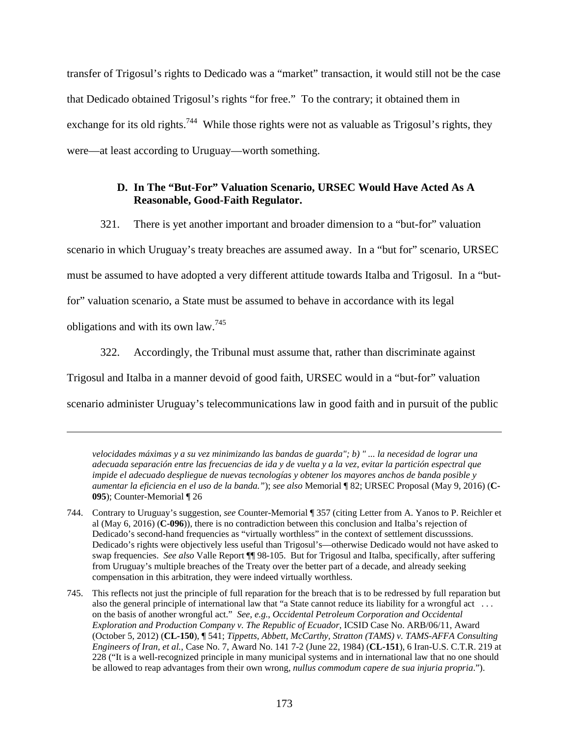transfer of Trigosul's rights to Dedicado was a "market" transaction, it would still not be the case that Dedicado obtained Trigosul's rights "for free." To the contrary; it obtained them in exchange for its old rights.<sup>744</sup> While those rights were not as valuable as Trigosul's rights, they were—at least according to Uruguay—worth something.

### **D. In The "But-For" Valuation Scenario, URSEC Would Have Acted As A Reasonable, Good-Faith Regulator.**

321. There is yet another important and broader dimension to a "but-for" valuation

scenario in which Uruguay's treaty breaches are assumed away. In a "but for" scenario, URSEC

must be assumed to have adopted a very different attitude towards Italba and Trigosul. In a "but-

for" valuation scenario, a State must be assumed to behave in accordance with its legal

obligations and with its own law.<sup>745</sup>

322. Accordingly, the Tribunal must assume that, rather than discriminate against Trigosul and Italba in a manner devoid of good faith, URSEC would in a "but-for" valuation scenario administer Uruguay's telecommunications law in good faith and in pursuit of the public

*velocidades máximas y a su vez minimizando las bandas de guarda"; b) " ... la necesidad de lograr una adecuada separación entre las frecuencias de ida y de vuelta y a la vez, evitar la partición espectral que impide el adecuado despliegue de nuevas tecnologías y obtener los mayores anchos de banda posible y aumentar la eficiencia en el uso de la banda."*); *see also* Memorial ¶ 82; URSEC Proposal (May 9, 2016) (**C-095**); Counter-Memorial ¶ 26

<sup>744.</sup> Contrary to Uruguay's suggestion, *see* Counter-Memorial ¶ 357 (citing Letter from A. Yanos to P. Reichler et al (May 6, 2016) (**C-096**)), there is no contradiction between this conclusion and Italba's rejection of Dedicado's second-hand frequencies as "virtually worthless" in the context of settlement discusssions. Dedicado's rights were objectively less useful than Trigosul's—otherwise Dedicado would not have asked to swap frequencies. *See also* Valle Report ¶¶ 98-105. But for Trigosul and Italba, specifically, after suffering from Uruguay's multiple breaches of the Treaty over the better part of a decade, and already seeking compensation in this arbitration, they were indeed virtually worthless.

<sup>745.</sup> This reflects not just the principle of full reparation for the breach that is to be redressed by full reparation but also the general principle of international law that "a State cannot reduce its liability for a wrongful act . . . on the basis of another wrongful act." *See*, *e.g.*, *Occidental Petroleum Corporation and Occidental Exploration and Production Company v. The Republic of Ecuador*, ICSID Case No. ARB/06/11, Award (October 5, 2012) (**CL-150**), ¶ 541; *Tippetts, Abbett, McCarthy, Stratton (TAMS) v. TAMS-AFFA Consulting Engineers of Iran, et al.*, Case No. 7, Award No. 141 7-2 (June 22, 1984) (**CL-151**), 6 Iran-U.S. C.T.R. 219 at 228 ("It is a well-recognized principle in many municipal systems and in international law that no one should be allowed to reap advantages from their own wrong, *nullus commodum capere de sua injuria propria*.").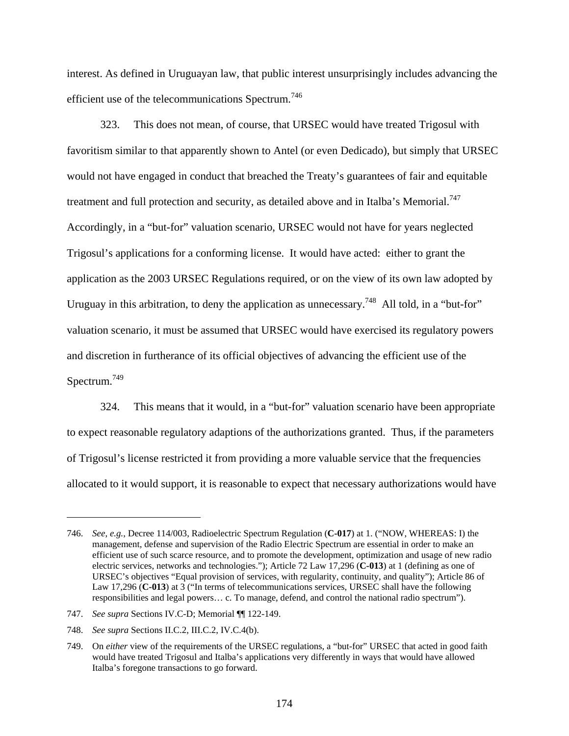interest. As defined in Uruguayan law, that public interest unsurprisingly includes advancing the efficient use of the telecommunications Spectrum.<sup>746</sup>

323. This does not mean, of course, that URSEC would have treated Trigosul with favoritism similar to that apparently shown to Antel (or even Dedicado), but simply that URSEC would not have engaged in conduct that breached the Treaty's guarantees of fair and equitable treatment and full protection and security, as detailed above and in Italba's Memorial.<sup>747</sup> Accordingly, in a "but-for" valuation scenario, URSEC would not have for years neglected Trigosul's applications for a conforming license. It would have acted: either to grant the application as the 2003 URSEC Regulations required, or on the view of its own law adopted by Uruguay in this arbitration, to deny the application as unnecessary.<sup>748</sup> All told, in a "but-for" valuation scenario, it must be assumed that URSEC would have exercised its regulatory powers and discretion in furtherance of its official objectives of advancing the efficient use of the Spectrum.<sup>749</sup>

324. This means that it would, in a "but-for" valuation scenario have been appropriate to expect reasonable regulatory adaptions of the authorizations granted. Thus, if the parameters of Trigosul's license restricted it from providing a more valuable service that the frequencies allocated to it would support, it is reasonable to expect that necessary authorizations would have

<sup>746.</sup> *See*, *e.g.*, Decree 114/003, Radioelectric Spectrum Regulation (**C-017**) at 1. ("NOW, WHEREAS: I) the management, defense and supervision of the Radio Electric Spectrum are essential in order to make an efficient use of such scarce resource, and to promote the development, optimization and usage of new radio electric services, networks and technologies."); Article 72 Law 17,296 (**C-013**) at 1 (defining as one of URSEC's objectives "Equal provision of services, with regularity, continuity, and quality"); Article 86 of Law 17,296 (**C-013**) at 3 ("In terms of telecommunications services, URSEC shall have the following responsibilities and legal powers… c. To manage, defend, and control the national radio spectrum").

<sup>747.</sup> *See supra* Sections IV.C-D; Memorial ¶¶ 122-149.

<sup>748.</sup> *See supra* Sections II.C.2, III.C.2, IV.C.4(b).

<sup>749.</sup> On *either* view of the requirements of the URSEC regulations, a "but-for" URSEC that acted in good faith would have treated Trigosul and Italba's applications very differently in ways that would have allowed Italba's foregone transactions to go forward.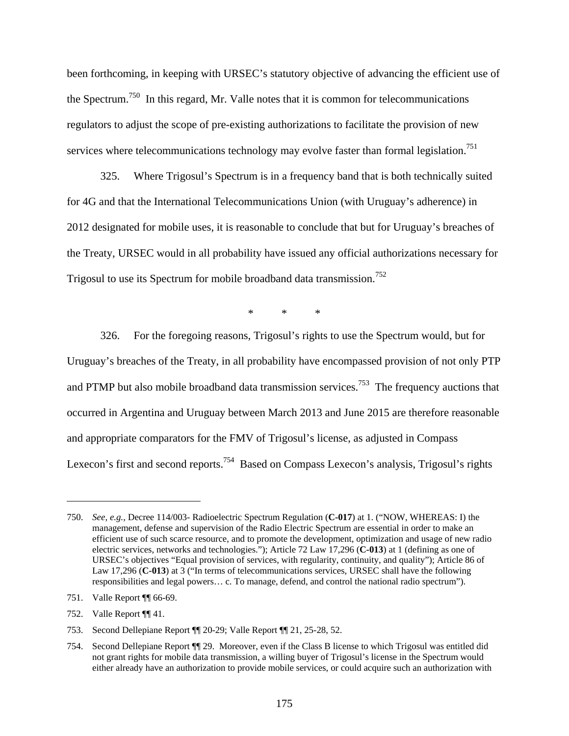been forthcoming, in keeping with URSEC's statutory objective of advancing the efficient use of the Spectrum.750 In this regard, Mr. Valle notes that it is common for telecommunications regulators to adjust the scope of pre-existing authorizations to facilitate the provision of new services where telecommunications technology may evolve faster than formal legislation.<sup>751</sup>

325. Where Trigosul's Spectrum is in a frequency band that is both technically suited for 4G and that the International Telecommunications Union (with Uruguay's adherence) in 2012 designated for mobile uses, it is reasonable to conclude that but for Uruguay's breaches of the Treaty, URSEC would in all probability have issued any official authorizations necessary for Trigosul to use its Spectrum for mobile broadband data transmission.<sup>752</sup>

\* \* \*

326. For the foregoing reasons, Trigosul's rights to use the Spectrum would, but for Uruguay's breaches of the Treaty, in all probability have encompassed provision of not only PTP and PTMP but also mobile broadband data transmission services.<sup>753</sup> The frequency auctions that occurred in Argentina and Uruguay between March 2013 and June 2015 are therefore reasonable and appropriate comparators for the FMV of Trigosul's license, as adjusted in Compass Lexecon's first and second reports.<sup>754</sup> Based on Compass Lexecon's analysis, Trigosul's rights

<sup>750.</sup> *See*, *e.g.*, Decree 114/003- Radioelectric Spectrum Regulation (**C-017**) at 1. ("NOW, WHEREAS: I) the management, defense and supervision of the Radio Electric Spectrum are essential in order to make an efficient use of such scarce resource, and to promote the development, optimization and usage of new radio electric services, networks and technologies."); Article 72 Law 17,296 (**C-013**) at 1 (defining as one of URSEC's objectives "Equal provision of services, with regularity, continuity, and quality"); Article 86 of Law 17,296 (**C-013**) at 3 ("In terms of telecommunications services, URSEC shall have the following responsibilities and legal powers… c. To manage, defend, and control the national radio spectrum").

<sup>751.</sup> Valle Report ¶¶ 66-69.

<sup>752.</sup> Valle Report ¶¶ 41.

<sup>753.</sup> Second Dellepiane Report ¶¶ 20-29; Valle Report ¶¶ 21, 25-28, 52.

<sup>754.</sup> Second Dellepiane Report ¶¶ 29. Moreover, even if the Class B license to which Trigosul was entitled did not grant rights for mobile data transmission, a willing buyer of Trigosul's license in the Spectrum would either already have an authorization to provide mobile services, or could acquire such an authorization with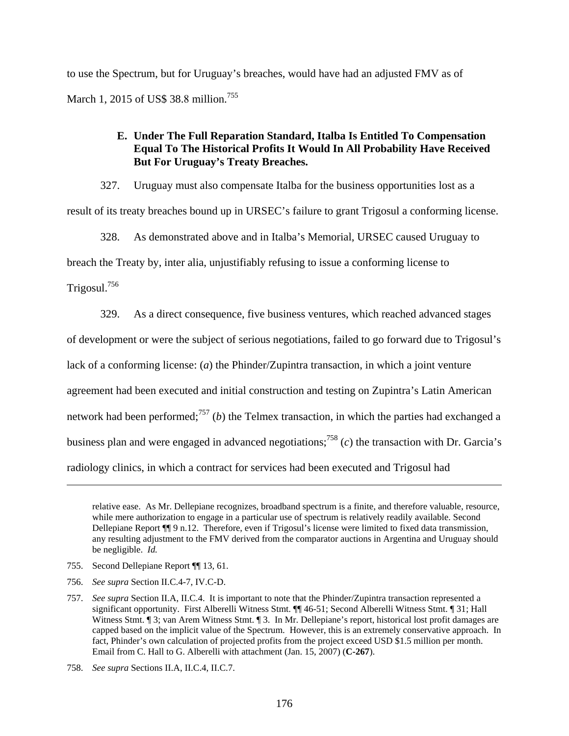to use the Spectrum, but for Uruguay's breaches, would have had an adjusted FMV as of March 1, 2015 of US\$ 38.8 million.<sup>755</sup>

### **E. Under The Full Reparation Standard, Italba Is Entitled To Compensation Equal To The Historical Profits It Would In All Probability Have Received But For Uruguay's Treaty Breaches.**

327. Uruguay must also compensate Italba for the business opportunities lost as a result of its treaty breaches bound up in URSEC's failure to grant Trigosul a conforming license.

328. As demonstrated above and in Italba's Memorial, URSEC caused Uruguay to

breach the Treaty by, inter alia, unjustifiably refusing to issue a conforming license to

Trigosul.756

329. As a direct consequence, five business ventures, which reached advanced stages

of development or were the subject of serious negotiations, failed to go forward due to Trigosul's

lack of a conforming license: (*a*) the Phinder/Zupintra transaction, in which a joint venture

agreement had been executed and initial construction and testing on Zupintra's Latin American

network had been performed;<sup>757</sup> (*b*) the Telmex transaction, in which the parties had exchanged a

business plan and were engaged in advanced negotiations;<sup>758</sup> (*c*) the transaction with Dr. Garcia's

radiology clinics, in which a contract for services had been executed and Trigosul had

- 755. Second Dellepiane Report ¶¶ 13, 61.
- 756. *See supra* Section II.C.4-7, IV.C-D.

relative ease. As Mr. Dellepiane recognizes, broadband spectrum is a finite, and therefore valuable, resource, while mere authorization to engage in a particular use of spectrum is relatively readily available. Second Dellepiane Report ¶¶ 9 n.12. Therefore, even if Trigosul's license were limited to fixed data transmission, any resulting adjustment to the FMV derived from the comparator auctions in Argentina and Uruguay should be negligible. *Id.*

<sup>757.</sup> *See supra* Section II.A, II.C.4. It is important to note that the Phinder/Zupintra transaction represented a significant opportunity. First Alberelli Witness Stmt. ¶¶ 46-51; Second Alberelli Witness Stmt. ¶ 31; Hall Witness Stmt. ¶ 3; van Arem Witness Stmt. ¶ 3. In Mr. Dellepiane's report, historical lost profit damages are capped based on the implicit value of the Spectrum. However, this is an extremely conservative approach. In fact, Phinder's own calculation of projected profits from the project exceed USD \$1.5 million per month. Email from C. Hall to G. Alberelli with attachment (Jan. 15, 2007) (**C-267**).

<sup>758.</sup> *See supra* Sections II.A, II.C.4, II.C.7.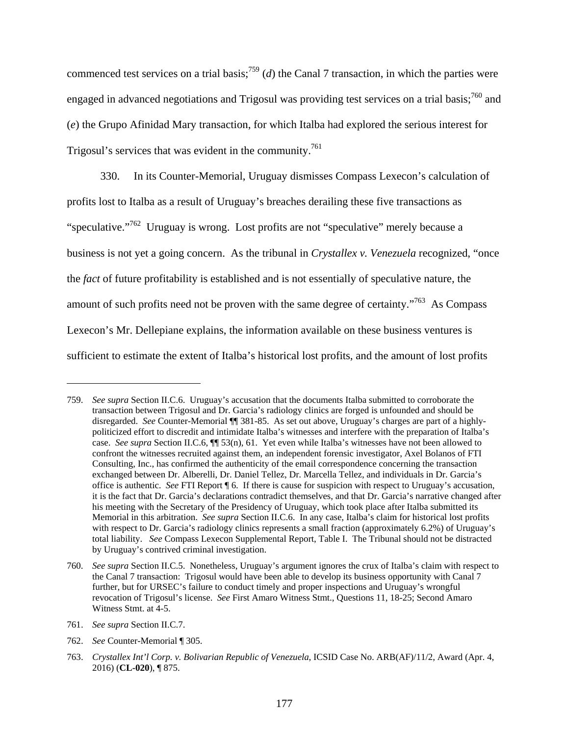commenced test services on a trial basis;<sup>759</sup> (*d*) the Canal 7 transaction, in which the parties were engaged in advanced negotiations and Trigosul was providing test services on a trial basis; $^{760}$  and (*e*) the Grupo Afinidad Mary transaction, for which Italba had explored the serious interest for Trigosul's services that was evident in the community.<sup>761</sup>

330. In its Counter-Memorial, Uruguay dismisses Compass Lexecon's calculation of profits lost to Italba as a result of Uruguay's breaches derailing these five transactions as "speculative."<sup>762</sup> Uruguay is wrong. Lost profits are not "speculative" merely because a business is not yet a going concern. As the tribunal in *Crystallex v. Venezuela* recognized, "once the *fact* of future profitability is established and is not essentially of speculative nature, the amount of such profits need not be proven with the same degree of certainty."763 As Compass Lexecon's Mr. Dellepiane explains, the information available on these business ventures is sufficient to estimate the extent of Italba's historical lost profits, and the amount of lost profits

<sup>759.</sup> *See supra* Section II.C.6. Uruguay's accusation that the documents Italba submitted to corroborate the transaction between Trigosul and Dr. Garcia's radiology clinics are forged is unfounded and should be disregarded. *See* Counter-Memorial ¶¶ 381-85. As set out above, Uruguay's charges are part of a highlypoliticized effort to discredit and intimidate Italba's witnesses and interfere with the preparation of Italba's case. *See supra* Section II.C.6, ¶¶ 53(n), 61. Yet even while Italba's witnesses have not been allowed to confront the witnesses recruited against them, an independent forensic investigator, Axel Bolanos of FTI Consulting, Inc., has confirmed the authenticity of the email correspondence concerning the transaction exchanged between Dr. Alberelli, Dr. Daniel Tellez, Dr. Marcella Tellez, and individuals in Dr. Garcia's office is authentic. *See* FTI Report ¶ 6. If there is cause for suspicion with respect to Uruguay's accusation, it is the fact that Dr. Garcia's declarations contradict themselves, and that Dr. Garcia's narrative changed after his meeting with the Secretary of the Presidency of Uruguay, which took place after Italba submitted its Memorial in this arbitration. *See supra* Section II.C.6. In any case, Italba's claim for historical lost profits with respect to Dr. Garcia's radiology clinics represents a small fraction (approximately 6.2%) of Uruguay's total liability. *See* Compass Lexecon Supplemental Report, Table I. The Tribunal should not be distracted by Uruguay's contrived criminal investigation.

<sup>760.</sup> *See supra* Section II.C.5. Nonetheless, Uruguay's argument ignores the crux of Italba's claim with respect to the Canal 7 transaction: Trigosul would have been able to develop its business opportunity with Canal 7 further, but for URSEC's failure to conduct timely and proper inspections and Uruguay's wrongful revocation of Trigosul's license. *See* First Amaro Witness Stmt., Questions 11, 18-25; Second Amaro Witness Stmt. at 4-5.

<sup>761.</sup> *See supra* Section II.C.7.

<sup>762.</sup> *See* Counter-Memorial ¶ 305.

<sup>763.</sup> *Crystallex Int'l Corp. v. Bolivarian Republic of Venezuela*, ICSID Case No. ARB(AF)/11/2, Award (Apr. 4, 2016) (**CL-020**), ¶ 875.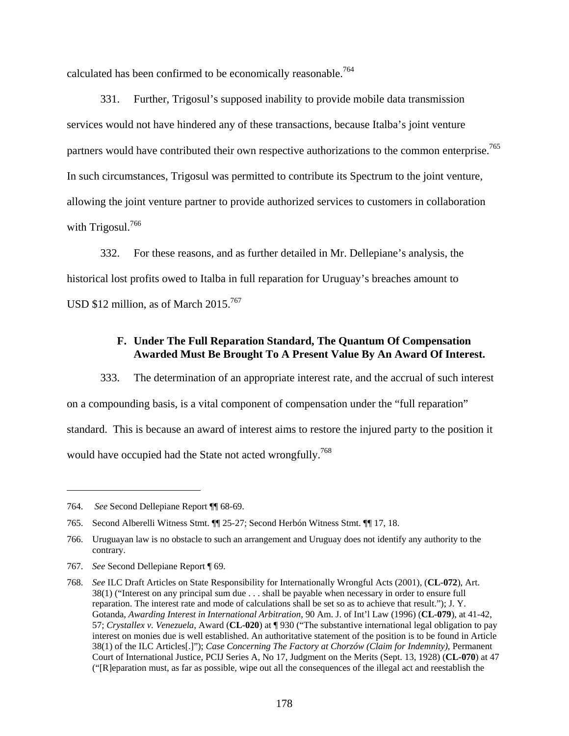calculated has been confirmed to be economically reasonable.<sup>764</sup>

331. Further, Trigosul's supposed inability to provide mobile data transmission services would not have hindered any of these transactions, because Italba's joint venture partners would have contributed their own respective authorizations to the common enterprise.<sup>765</sup> In such circumstances, Trigosul was permitted to contribute its Spectrum to the joint venture, allowing the joint venture partner to provide authorized services to customers in collaboration with Trigosul.<sup>766</sup>

332. For these reasons, and as further detailed in Mr. Dellepiane's analysis, the historical lost profits owed to Italba in full reparation for Uruguay's breaches amount to USD \$12 million, as of March  $2015^{767}$ 

### **F. Under The Full Reparation Standard, The Quantum Of Compensation Awarded Must Be Brought To A Present Value By An Award Of Interest.**

333. The determination of an appropriate interest rate, and the accrual of such interest on a compounding basis, is a vital component of compensation under the "full reparation" standard. This is because an award of interest aims to restore the injured party to the position it would have occupied had the State not acted wrongfully.<sup>768</sup>

<sup>764.</sup> *See* Second Dellepiane Report ¶¶ 68-69.

<sup>765.</sup> Second Alberelli Witness Stmt. ¶¶ 25-27; Second Herbón Witness Stmt. ¶¶ 17, 18.

<sup>766.</sup> Uruguayan law is no obstacle to such an arrangement and Uruguay does not identify any authority to the contrary.

<sup>767.</sup> *See* Second Dellepiane Report ¶ 69.

<sup>768.</sup> *See* ILC Draft Articles on State Responsibility for Internationally Wrongful Acts (2001), (**CL-072**), Art. 38(1) ("Interest on any principal sum due . . . shall be payable when necessary in order to ensure full reparation. The interest rate and mode of calculations shall be set so as to achieve that result."); J. Y. Gotanda, *Awarding Interest in International Arbitration*, 90 Am. J. of Int'l Law (1996) (**CL-079**), at 41-42, 57; *Crystallex v. Venezuela*, Award (**CL-020**) at ¶ 930 ("The substantive international legal obligation to pay interest on monies due is well established. An authoritative statement of the position is to be found in Article 38(1) of the ILC Articles[.]"); *Case Concerning The Factory at Chorzów (Claim for Indemnity)*, Permanent Court of International Justice, PCIJ Series A, No 17, Judgment on the Merits (Sept. 13, 1928) (**CL-070**) at 47 ("[R]eparation must, as far as possible, wipe out all the consequences of the illegal act and reestablish the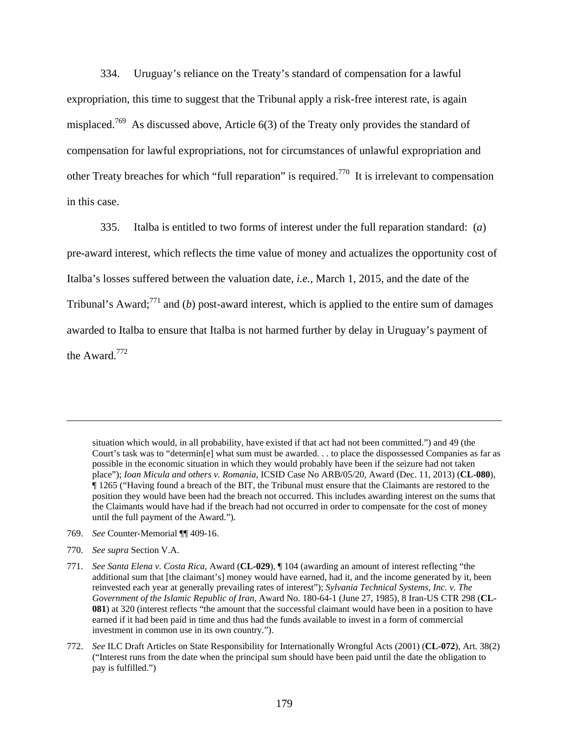334. Uruguay's reliance on the Treaty's standard of compensation for a lawful expropriation, this time to suggest that the Tribunal apply a risk-free interest rate, is again misplaced.<sup>769</sup> As discussed above, Article  $6(3)$  of the Treaty only provides the standard of compensation for lawful expropriations, not for circumstances of unlawful expropriation and other Treaty breaches for which "full reparation" is required.770 It is irrelevant to compensation in this case.

335. Italba is entitled to two forms of interest under the full reparation standard: (*a*) pre-award interest, which reflects the time value of money and actualizes the opportunity cost of Italba's losses suffered between the valuation date, *i.e.*, March 1, 2015, and the date of the Tribunal's Award;<sup>771</sup> and (*b*) post-award interest, which is applied to the entire sum of damages awarded to Italba to ensure that Italba is not harmed further by delay in Uruguay's payment of the Award.772

situation which would, in all probability, have existed if that act had not been committed.") and 49 (the Court's task was to "determin[e] what sum must be awarded. . . to place the dispossessed Companies as far as possible in the economic situation in which they would probably have been if the seizure had not taken place"); *Ioan Micula and others v. Romania*, ICSID Case No ARB/05/20, Award (Dec. 11, 2013) (**CL-080**), ¶ 1265 ("Having found a breach of the BIT, the Tribunal must ensure that the Claimants are restored to the position they would have been had the breach not occurred. This includes awarding interest on the sums that the Claimants would have had if the breach had not occurred in order to compensate for the cost of money until the full payment of the Award.").

- 769. *See* Counter-Memorial ¶¶ 409-16.
- 770. *See supra* Section V.A.

1

<sup>771.</sup> *See Santa Elena v. Costa Rica*, Award (**CL-029**), ¶ 104 (awarding an amount of interest reflecting "the additional sum that [the claimant's] money would have earned, had it, and the income generated by it, been reinvested each year at generally prevailing rates of interest"); *Sylvania Technical Systems, Inc. v. The Government of the Islamic Republic of Iran*, Award No. 180-64-1 (June 27, 1985), 8 Iran-US CTR 298 (**CL-081**) at 320 (interest reflects "the amount that the successful claimant would have been in a position to have earned if it had been paid in time and thus had the funds available to invest in a form of commercial investment in common use in its own country.").

<sup>772.</sup> *See* ILC Draft Articles on State Responsibility for Internationally Wrongful Acts (2001) (**CL-072**), Art. 38(2) ("Interest runs from the date when the principal sum should have been paid until the date the obligation to pay is fulfilled.")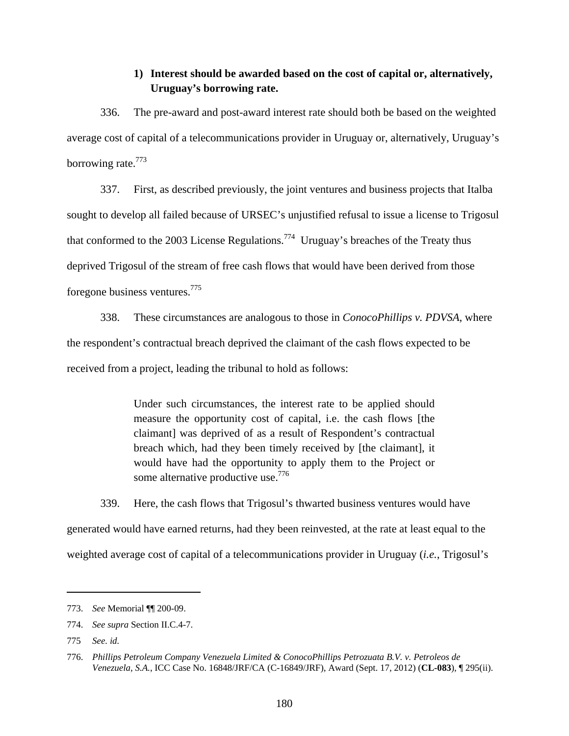## **1) Interest should be awarded based on the cost of capital or, alternatively, Uruguay's borrowing rate.**

336. The pre-award and post-award interest rate should both be based on the weighted average cost of capital of a telecommunications provider in Uruguay or, alternatively, Uruguay's borrowing rate.<sup>773</sup>

337. First, as described previously, the joint ventures and business projects that Italba sought to develop all failed because of URSEC's unjustified refusal to issue a license to Trigosul that conformed to the 2003 License Regulations.<sup>774</sup> Uruguay's breaches of the Treaty thus deprived Trigosul of the stream of free cash flows that would have been derived from those foregone business ventures.775

338. These circumstances are analogous to those in *ConocoPhillips v. PDVSA*, where the respondent's contractual breach deprived the claimant of the cash flows expected to be received from a project, leading the tribunal to hold as follows:

> Under such circumstances, the interest rate to be applied should measure the opportunity cost of capital, i.e. the cash flows [the claimant] was deprived of as a result of Respondent's contractual breach which, had they been timely received by [the claimant], it would have had the opportunity to apply them to the Project or some alternative productive use.<sup>776</sup>

339. Here, the cash flows that Trigosul's thwarted business ventures would have generated would have earned returns, had they been reinvested, at the rate at least equal to the weighted average cost of capital of a telecommunications provider in Uruguay (*i.e.*, Trigosul's

 $\overline{a}$ 

<sup>773.</sup> *See* Memorial ¶¶ 200-09.

<sup>774.</sup> *See supra* Section II.C.4-7.

<sup>775</sup> *See. id.*

<sup>776.</sup> *Phillips Petroleum Company Venezuela Limited & ConocoPhillips Petrozuata B.V. v. Petroleos de Venezuela, S.A.*, ICC Case No. 16848/JRF/CA (C-16849/JRF), Award (Sept. 17, 2012) (**CL-083**), ¶ 295(ii).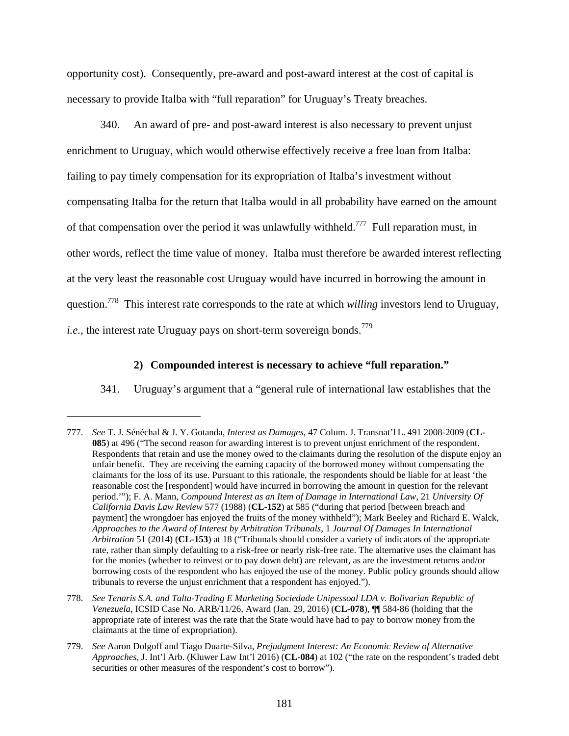opportunity cost). Consequently, pre-award and post-award interest at the cost of capital is necessary to provide Italba with "full reparation" for Uruguay's Treaty breaches.

340. An award of pre- and post-award interest is also necessary to prevent unjust enrichment to Uruguay, which would otherwise effectively receive a free loan from Italba: failing to pay timely compensation for its expropriation of Italba's investment without compensating Italba for the return that Italba would in all probability have earned on the amount of that compensation over the period it was unlawfully withheld.<sup>777</sup> Full reparation must, in other words, reflect the time value of money. Italba must therefore be awarded interest reflecting at the very least the reasonable cost Uruguay would have incurred in borrowing the amount in question.778 This interest rate corresponds to the rate at which *willing* investors lend to Uruguay, *i.e.*, the interest rate Uruguay pays on short-term sovereign bonds.<sup>779</sup>

## **2) Compounded interest is necessary to achieve "full reparation."**

 $\overline{a}$ 

341. Uruguay's argument that a "general rule of international law establishes that the

<sup>777.</sup> *See* T. J. Sénéchal & J. Y. Gotanda, *Interest as Damages*, 47 Colum. J. Transnat'l L. 491 2008-2009 (**CL-085**) at 496 ("The second reason for awarding interest is to prevent unjust enrichment of the respondent. Respondents that retain and use the money owed to the claimants during the resolution of the dispute enjoy an unfair benefit. They are receiving the earning capacity of the borrowed money without compensating the claimants for the loss of its use. Pursuant to this rationale, the respondents should be liable for at least 'the reasonable cost the [respondent] would have incurred in borrowing the amount in question for the relevant period.'"); F. A. Mann, *Compound Interest as an Item of Damage in International Law*, 21 *University Of California Davis Law Review* 577 (1988) (**CL-152**) at 585 ("during that period [between breach and payment] the wrongdoer has enjoyed the fruits of the money withheld"); Mark Beeley and Richard E. Walck, *Approaches to the Award of Interest by Arbitration Tribunals*, 1 *Journal Of Damages In International Arbitration* 51 (2014) (**CL-153**) at 18 ("Tribunals should consider a variety of indicators of the appropriate rate, rather than simply defaulting to a risk-free or nearly risk-free rate. The alternative uses the claimant has for the monies (whether to reinvest or to pay down debt) are relevant, as are the investment returns and/or borrowing costs of the respondent who has enjoyed the use of the money. Public policy grounds should allow tribunals to reverse the unjust enrichment that a respondent has enjoyed.").

<sup>778.</sup> *See Tenaris S.A. and Talta-Trading E Marketing Sociedade Unipessoal LDA v. Bolivarian Republic of Venezuela*, ICSID Case No. ARB/11/26, Award (Jan. 29, 2016) (**CL-078**), ¶¶ 584-86 (holding that the appropriate rate of interest was the rate that the State would have had to pay to borrow money from the claimants at the time of expropriation).

<sup>779.</sup> *See* Aaron Dolgoff and Tiago Duarte-Silva, *Prejudgment Interest: An Economic Review of Alternative Approaches*, J. Int'l Arb. (Kluwer Law Int'l 2016) (**CL-084**) at 102 ("the rate on the respondent's traded debt securities or other measures of the respondent's cost to borrow").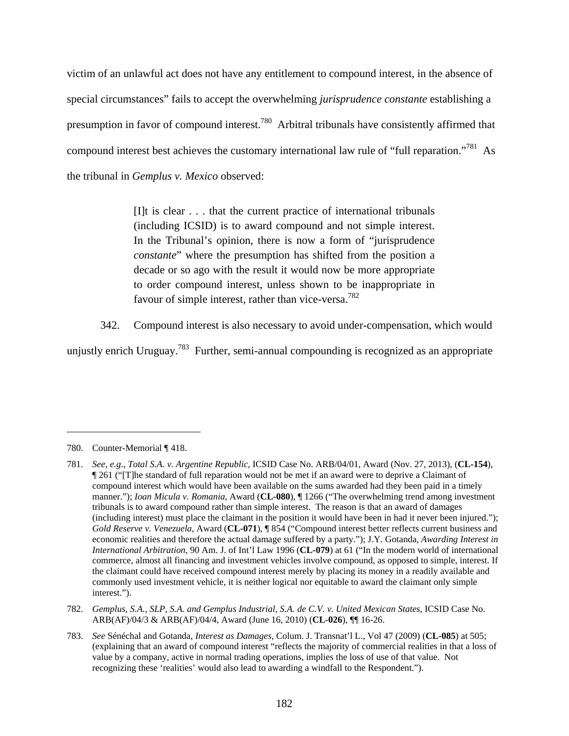victim of an unlawful act does not have any entitlement to compound interest, in the absence of special circumstances" fails to accept the overwhelming *jurisprudence constante* establishing a presumption in favor of compound interest.780 Arbitral tribunals have consistently affirmed that compound interest best achieves the customary international law rule of "full reparation."781 As the tribunal in *Gemplus v. Mexico* observed:

> [I]t is clear . . . that the current practice of international tribunals (including ICSID) is to award compound and not simple interest. In the Tribunal's opinion, there is now a form of "jurisprudence *constante*" where the presumption has shifted from the position a decade or so ago with the result it would now be more appropriate to order compound interest, unless shown to be inappropriate in favour of simple interest, rather than vice-versa.<sup>782</sup>

342. Compound interest is also necessary to avoid under-compensation, which would

unjustly enrich Uruguay.<sup>783</sup> Further, semi-annual compounding is recognized as an appropriate

 $\overline{a}$ 

782. *Gemplus, S.A., SLP, S.A. and Gemplus Industrial, S.A. de C.V. v. United Mexican States*, ICSID Case No. ARB(AF)/04/3 & ARB(AF)/04/4, Award (June 16, 2010) (**CL-026**), ¶¶ 16-26.

<sup>780.</sup> Counter-Memorial ¶ 418.

<sup>781.</sup> *See, e.g*., *Total S.A. v. Argentine Republic*, ICSID Case No. ARB/04/01, Award (Nov. 27, 2013), (**CL-154**), ¶ 261 ("[T]he standard of full reparation would not be met if an award were to deprive a Claimant of compound interest which would have been available on the sums awarded had they been paid in a timely manner."); *Ioan Micula v. Romania,* Award (**CL-080**), ¶ 1266 ("The overwhelming trend among investment tribunals is to award compound rather than simple interest. The reason is that an award of damages (including interest) must place the claimant in the position it would have been in had it never been injured."); *Gold Reserve v. Venezuela*, Award (**CL-071**), ¶ 854 ("Compound interest better reflects current business and economic realities and therefore the actual damage suffered by a party."); J.Y. Gotanda, *Awarding Interest in International Arbitration*, 90 Am. J. of Int'l Law 1996 (**CL-079**) at 61 ("In the modern world of international commerce, almost all financing and investment vehicles involve compound, as opposed to simple, interest. If the claimant could have received compound interest merely by placing its money in a readily available and commonly used investment vehicle, it is neither logical nor equitable to award the claimant only simple interest.").

<sup>783.</sup> *See* Sénéchal and Gotanda, *Interest as Damages*, Colum. J. Transnat'l L., Vol 47 (2009) (**CL-085**) at 505; (explaining that an award of compound interest "reflects the majority of commercial realities in that a loss of value by a company, active in normal trading operations, implies the loss of use of that value. Not recognizing these 'realities' would also lead to awarding a windfall to the Respondent.").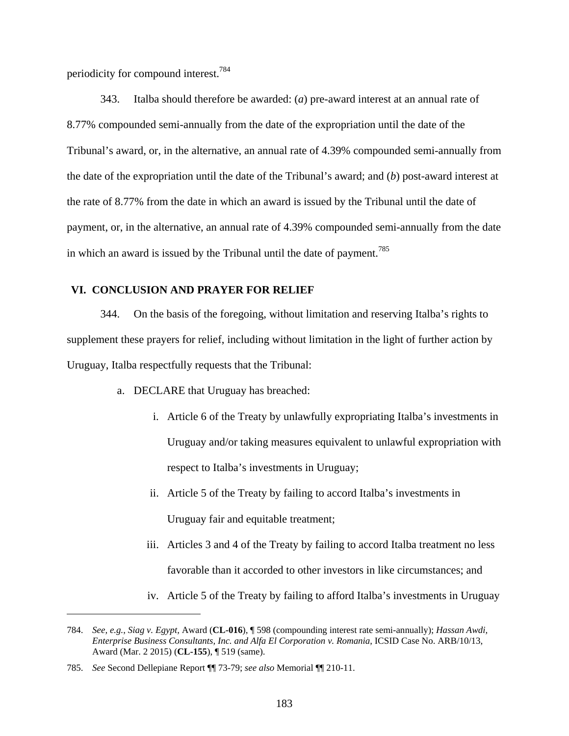periodicity for compound interest.784

343. Italba should therefore be awarded: (*a*) pre-award interest at an annual rate of 8.77% compounded semi-annually from the date of the expropriation until the date of the Tribunal's award, or, in the alternative, an annual rate of 4.39% compounded semi-annually from the date of the expropriation until the date of the Tribunal's award; and (*b*) post-award interest at the rate of 8.77% from the date in which an award is issued by the Tribunal until the date of payment, or, in the alternative, an annual rate of 4.39% compounded semi-annually from the date in which an award is issued by the Tribunal until the date of payment.<sup>785</sup>

## **VI. CONCLUSION AND PRAYER FOR RELIEF**

344. On the basis of the foregoing, without limitation and reserving Italba's rights to supplement these prayers for relief, including without limitation in the light of further action by Uruguay, Italba respectfully requests that the Tribunal:

- a. DECLARE that Uruguay has breached:
	- i. Article 6 of the Treaty by unlawfully expropriating Italba's investments in Uruguay and/or taking measures equivalent to unlawful expropriation with respect to Italba's investments in Uruguay;
	- ii. Article 5 of the Treaty by failing to accord Italba's investments in Uruguay fair and equitable treatment;
	- iii. Articles 3 and 4 of the Treaty by failing to accord Italba treatment no less favorable than it accorded to other investors in like circumstances; and
	- iv. Article 5 of the Treaty by failing to afford Italba's investments in Uruguay

 $\overline{a}$ 

<sup>784.</sup> *See, e.g.*, *Siag v. Egypt,* Award (**CL-016**), ¶ 598 (compounding interest rate semi-annually); *Hassan Awdi, Enterprise Business Consultants, Inc. and Alfa El Corporation v. Romania*, ICSID Case No. ARB/10/13, Award (Mar. 2 2015) (**CL-155**), ¶ 519 (same).

<sup>785.</sup> *See* Second Dellepiane Report ¶¶ 73-79; *see also* Memorial ¶¶ 210-11.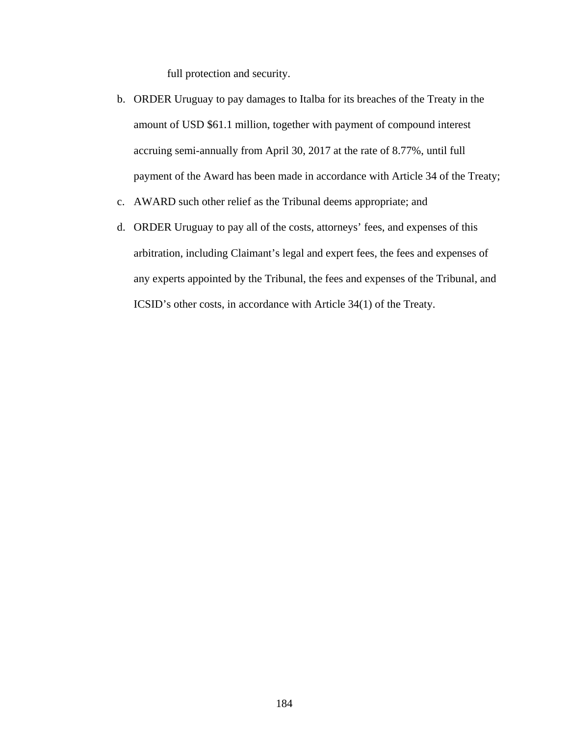full protection and security.

- b. ORDER Uruguay to pay damages to Italba for its breaches of the Treaty in the amount of USD \$61.1 million, together with payment of compound interest accruing semi-annually from April 30, 2017 at the rate of 8.77%, until full payment of the Award has been made in accordance with Article 34 of the Treaty;
- c. AWARD such other relief as the Tribunal deems appropriate; and
- d. ORDER Uruguay to pay all of the costs, attorneys' fees, and expenses of this arbitration, including Claimant's legal and expert fees, the fees and expenses of any experts appointed by the Tribunal, the fees and expenses of the Tribunal, and ICSID's other costs, in accordance with Article 34(1) of the Treaty.